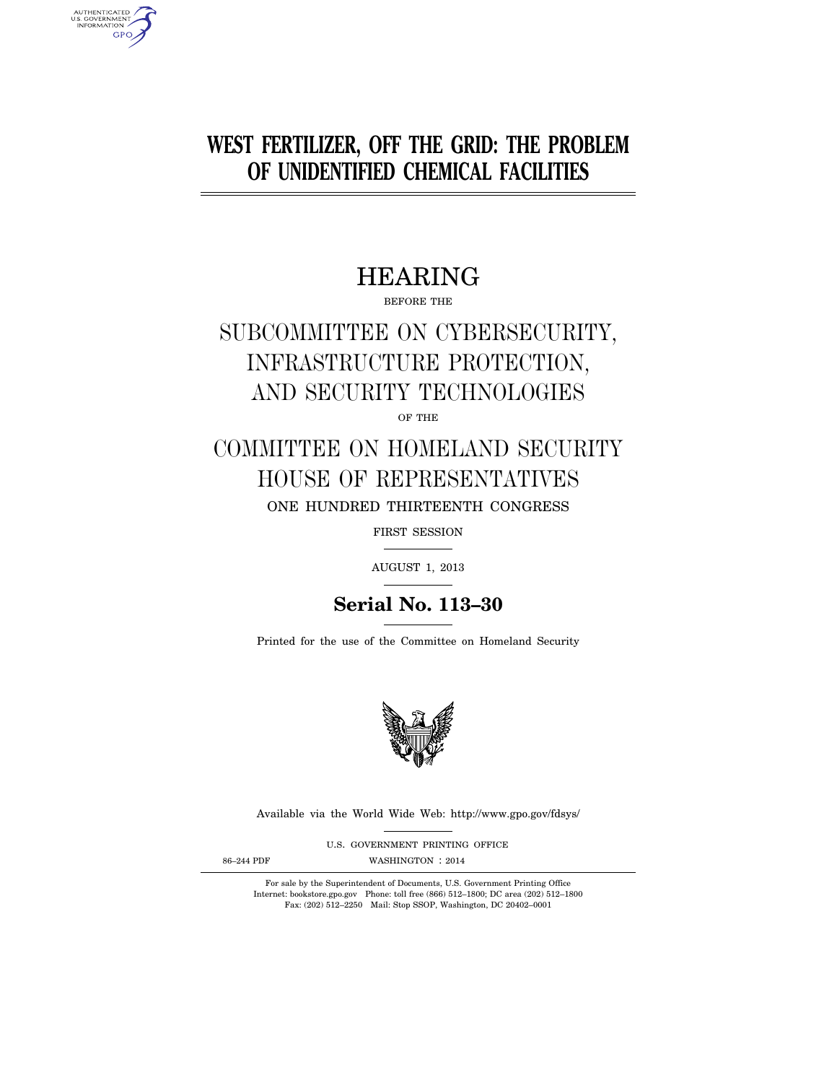# **WEST FERTILIZER, OFF THE GRID: THE PROBLEM OF UNIDENTIFIED CHEMICAL FACILITIES**

# HEARING

BEFORE THE

# SUBCOMMITTEE ON CYBERSECURITY, INFRASTRUCTURE PROTECTION, AND SECURITY TECHNOLOGIES

OF THE

# COMMITTEE ON HOMELAND SECURITY HOUSE OF REPRESENTATIVES ONE HUNDRED THIRTEENTH CONGRESS

FIRST SESSION

AUGUST 1, 2013

# **Serial No. 113–30**

Printed for the use of the Committee on Homeland Security



Available via the World Wide Web: http://www.gpo.gov/fdsys/

U.S. GOVERNMENT PRINTING OFFICE 86-244 PDF WASHINGTON : 2014

AUTHENTICATED<br>U.S. GOVERNMENT<br>INFORMATION

**GPO** 

For sale by the Superintendent of Documents, U.S. Government Printing Office Internet: bookstore.gpo.gov Phone: toll free (866) 512–1800; DC area (202) 512–1800 Fax: (202) 512–2250 Mail: Stop SSOP, Washington, DC 20402–0001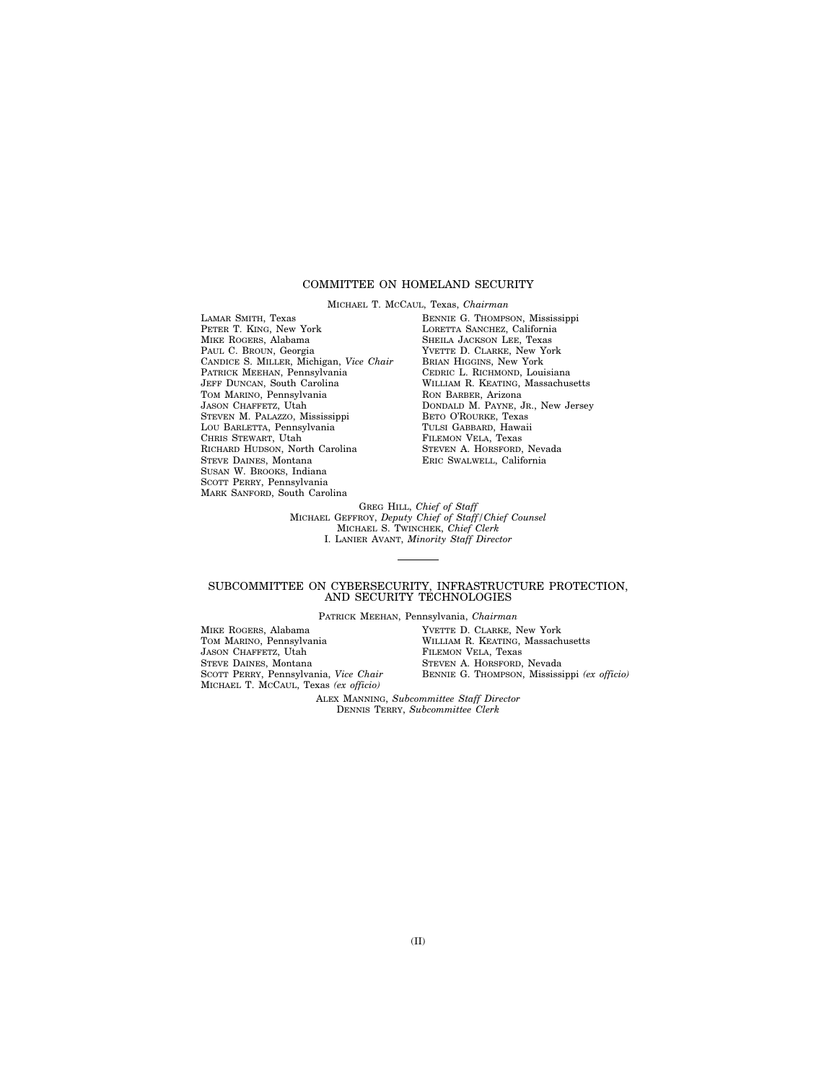# COMMITTEE ON HOMELAND SECURITY

MICHAEL T. MCCAUL, Texas, *Chairman*  LAMAR SMITH, Texas PETER T. KING, New York MIKE ROGERS, Alabama PAUL C. BROUN, Georgia CANDICE S. MILLER, Michigan, *Vice Chair*  PATRICK MEEHAN, Pennsylvania JEFF DUNCAN, South Carolina TOM MARINO, Pennsylvania JASON CHAFFETZ, Utah STEVEN M. PALAZZO, Mississippi LOU BARLETTA, Pennsylvania CHRIS STEWART, Utah RICHARD HUDSON, North Carolina STEVE DAINES, Montana SUSAN W. BROOKS, Indiana SCOTT PERRY, Pennsylvania MARK SANFORD, South Carolina

BENNIE G. THOMPSON, Mississippi LORETTA SANCHEZ, California SHEILA JACKSON LEE, Texas YVETTE D. CLARKE, New York BRIAN HIGGINS, New York CEDRIC L. RICHMOND, Louisiana WILLIAM R. KEATING, Massachusetts RON BARBER, Arizona DONDALD M. PAYNE, JR., New Jersey BETO O'ROURKE, Texas TULSI GABBARD, Hawaii FILEMON VELA, Texas STEVEN A. HORSFORD, Nevada ERIC SWALWELL, California

GREG HILL, *Chief of Staff*  MICHAEL GEFFROY, *Deputy Chief of Staff/Chief Counsel*  MICHAEL S. TWINCHEK, *Chief Clerk*  I. LANIER AVANT, *Minority Staff Director* 

# SUBCOMMITTEE ON CYBERSECURITY, INFRASTRUCTURE PROTECTION, AND SECURITY TECHNOLOGIES

PATRICK MEEHAN, Pennsylvania, *Chairman* 

| MIKE ROGERS, Alabama                  | YVETTE D. CLARKE, New York                   |
|---------------------------------------|----------------------------------------------|
| TOM MARINO, Pennsylvania              | WILLIAM R. KEATING, Massachusetts            |
| JASON CHAFFETZ, Utah                  | FILEMON VELA. Texas                          |
| STEVE DAINES, Montana                 | STEVEN A. HORSFORD, Nevada                   |
| SCOTT PERRY, Pennsylvania, Vice Chair | BENNIE G. THOMPSON, Mississippi (ex officio) |
| MICHAEL T. MCCAUL, Texas (ex officio) |                                              |

ALEX MANNING, *Subcommittee Staff Director*  DENNIS TERRY, *Subcommittee Clerk*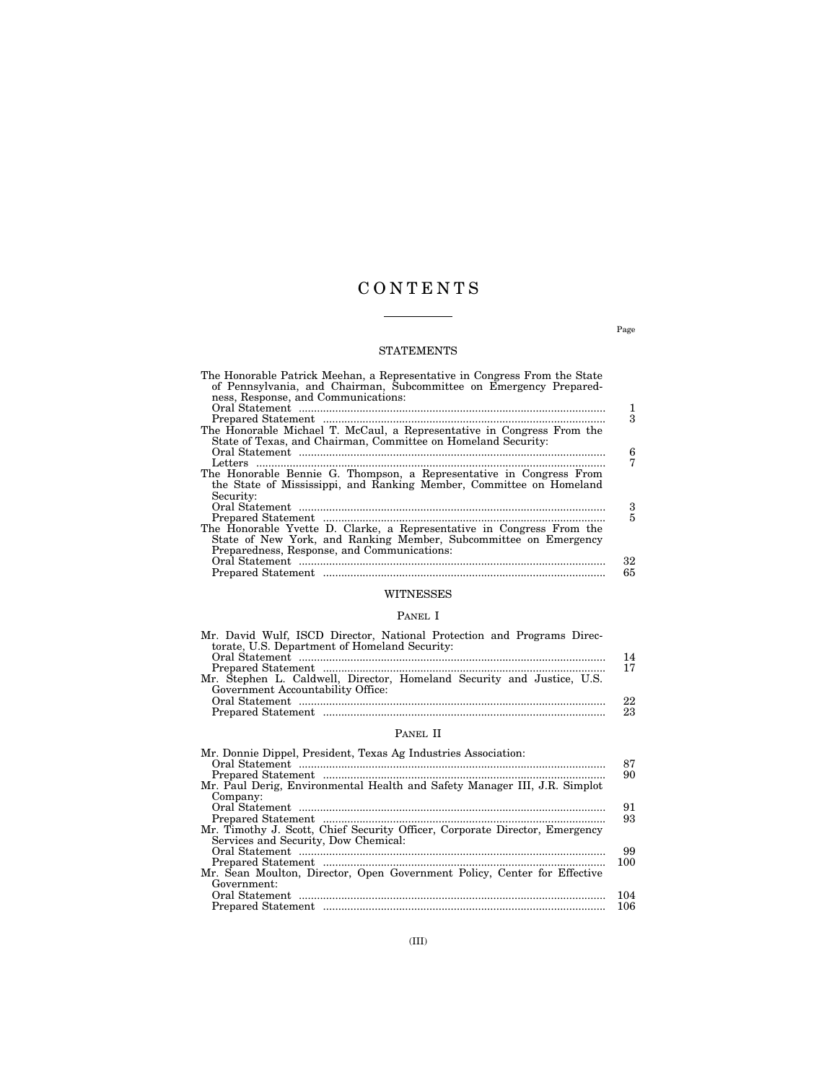# C O N T E N T S

 $\overline{\phantom{a}}$ 

# STATEMENTS

| The Honorable Patrick Meehan, a Representative in Congress From the State<br>of Pennsylvania, and Chairman, Subcommittee on Emergency Prepared-<br>ness, Response, and Communications: | 1  |
|----------------------------------------------------------------------------------------------------------------------------------------------------------------------------------------|----|
|                                                                                                                                                                                        | 3  |
| The Honorable Michael T. McCaul, a Representative in Congress From the                                                                                                                 |    |
| State of Texas, and Chairman, Committee on Homeland Security:                                                                                                                          |    |
|                                                                                                                                                                                        | 6  |
|                                                                                                                                                                                        |    |
| The Honorable Bennie G. Thompson, a Representative in Congress From                                                                                                                    |    |
| the State of Mississippi, and Ranking Member, Committee on Homeland                                                                                                                    |    |
| Security:                                                                                                                                                                              |    |
|                                                                                                                                                                                        | 3  |
|                                                                                                                                                                                        | 5  |
| The Honorable Yvette D. Clarke, a Representative in Congress From the                                                                                                                  |    |
| State of New York, and Ranking Member, Subcommittee on Emergency                                                                                                                       |    |
| Preparedness, Response, and Communications:                                                                                                                                            |    |
|                                                                                                                                                                                        | 32 |
|                                                                                                                                                                                        | 65 |
|                                                                                                                                                                                        |    |

# WITNESSES

# PANEL I

| Mr. David Wulf, ISCD Director, National Protection and Programs Direc- |    |
|------------------------------------------------------------------------|----|
| torate, U.S. Department of Homeland Security:                          |    |
|                                                                        | 14 |
|                                                                        |    |
| Mr. Stephen L. Caldwell, Director, Homeland Security and Justice, U.S. |    |
| Government Accountability Office:                                      |    |
|                                                                        | 22 |
|                                                                        | 23 |
|                                                                        |    |

# PANEL II

| Mr. Donnie Dippel, President, Texas Ag Industries Association:              |     |
|-----------------------------------------------------------------------------|-----|
|                                                                             | 87  |
|                                                                             | 90  |
| Mr. Paul Derig, Environmental Health and Safety Manager III, J.R. Simplot   |     |
| Company:                                                                    |     |
|                                                                             | 91  |
|                                                                             | 93  |
| Mr. Timothy J. Scott, Chief Security Officer, Corporate Director, Emergency |     |
| Services and Security, Dow Chemical:                                        |     |
|                                                                             | 99  |
|                                                                             | 100 |
| Mr. Sean Moulton, Director, Open Government Policy, Center for Effective    |     |
| Government:                                                                 |     |
|                                                                             | 104 |
|                                                                             | 106 |

Page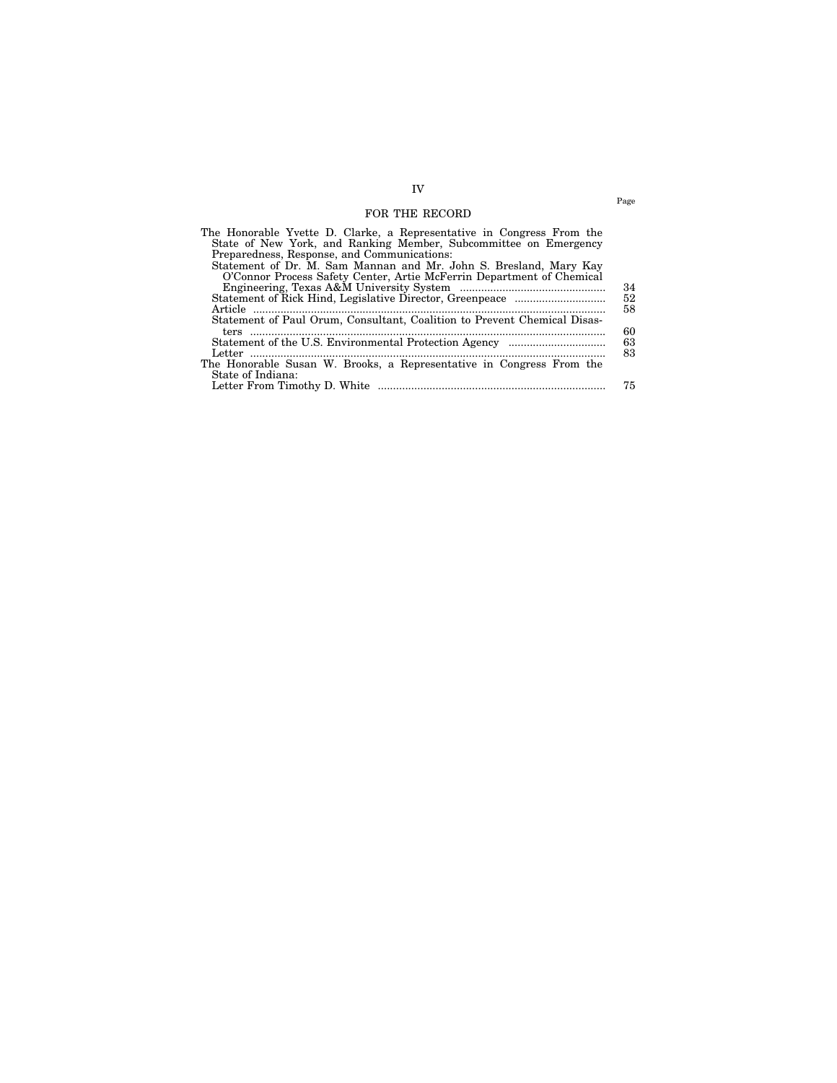# IV FOR THE RECORD

| The Honorable Yvette D. Clarke, a Representative in Congress From the    |    |
|--------------------------------------------------------------------------|----|
| State of New York, and Ranking Member, Subcommittee on Emergency         |    |
| Preparedness, Response, and Communications:                              |    |
| Statement of Dr. M. Sam Mannan and Mr. John S. Bresland, Mary Kay        |    |
| O'Connor Process Safety Center, Artie McFerrin Department of Chemical    |    |
|                                                                          | 34 |
|                                                                          | 52 |
|                                                                          | 58 |
| Statement of Paul Orum, Consultant, Coalition to Prevent Chemical Disas- |    |
|                                                                          | 60 |
|                                                                          | 63 |
|                                                                          | 83 |
| The Honorable Susan W. Brooks, a Representative in Congress From the     |    |
| State of Indiana:                                                        |    |
|                                                                          | 75 |

Page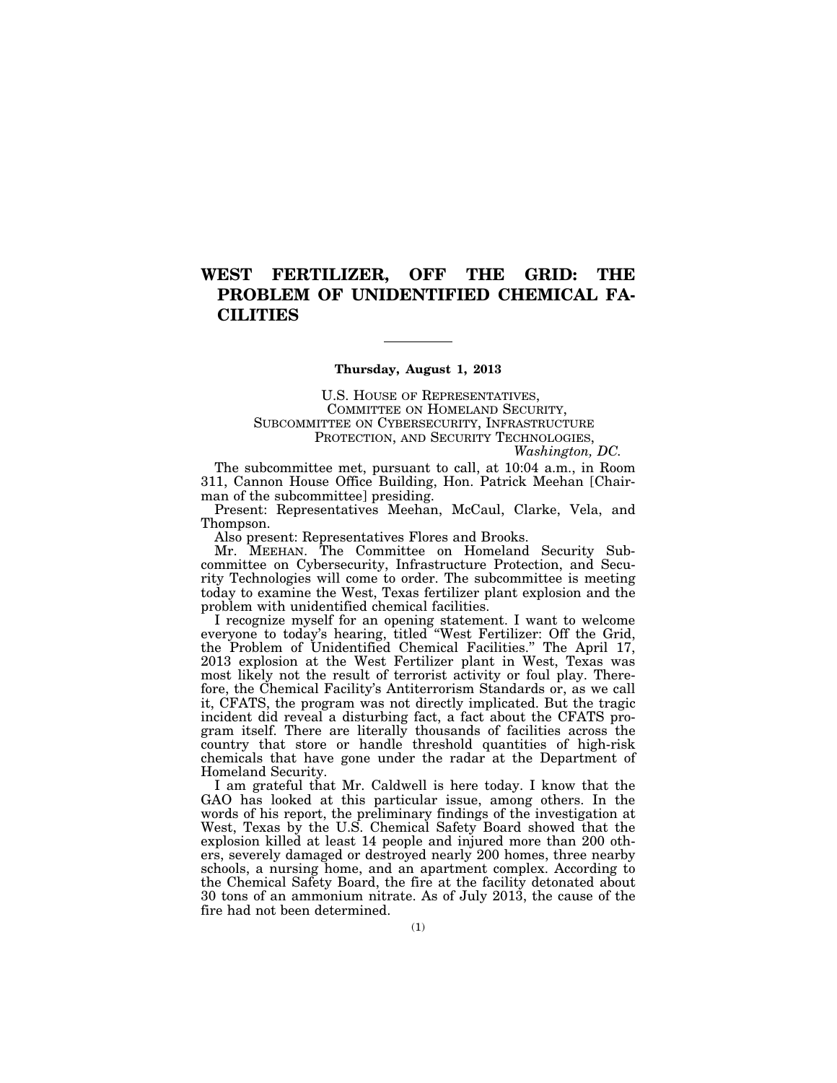# **WEST FERTILIZER, OFF THE GRID: THE PROBLEM OF UNIDENTIFIED CHEMICAL FA-CILITIES**

# **Thursday, August 1, 2013**

U.S. HOUSE OF REPRESENTATIVES, COMMITTEE ON HOMELAND SECURITY, SUBCOMMITTEE ON CYBERSECURITY, INFRASTRUCTURE PROTECTION, AND SECURITY TECHNOLOGIES, *Washington, DC.* 

The subcommittee met, pursuant to call, at 10:04 a.m., in Room 311, Cannon House Office Building, Hon. Patrick Meehan [Chairman of the subcommittee] presiding.

Present: Representatives Meehan, McCaul, Clarke, Vela, and Thompson.

Also present: Representatives Flores and Brooks.

Mr. MEEHAN. The Committee on Homeland Security Subcommittee on Cybersecurity, Infrastructure Protection, and Security Technologies will come to order. The subcommittee is meeting today to examine the West, Texas fertilizer plant explosion and the problem with unidentified chemical facilities.

I recognize myself for an opening statement. I want to welcome everyone to today's hearing, titled ''West Fertilizer: Off the Grid, the Problem of Unidentified Chemical Facilities.'' The April 17, 2013 explosion at the West Fertilizer plant in West, Texas was most likely not the result of terrorist activity or foul play. Therefore, the Chemical Facility's Antiterrorism Standards or, as we call it, CFATS, the program was not directly implicated. But the tragic incident did reveal a disturbing fact, a fact about the CFATS program itself. There are literally thousands of facilities across the country that store or handle threshold quantities of high-risk chemicals that have gone under the radar at the Department of Homeland Security.

I am grateful that Mr. Caldwell is here today. I know that the GAO has looked at this particular issue, among others. In the words of his report, the preliminary findings of the investigation at West, Texas by the U.S. Chemical Safety Board showed that the explosion killed at least 14 people and injured more than 200 others, severely damaged or destroyed nearly 200 homes, three nearby schools, a nursing home, and an apartment complex. According to the Chemical Safety Board, the fire at the facility detonated about 30 tons of an ammonium nitrate. As of July 2013, the cause of the fire had not been determined.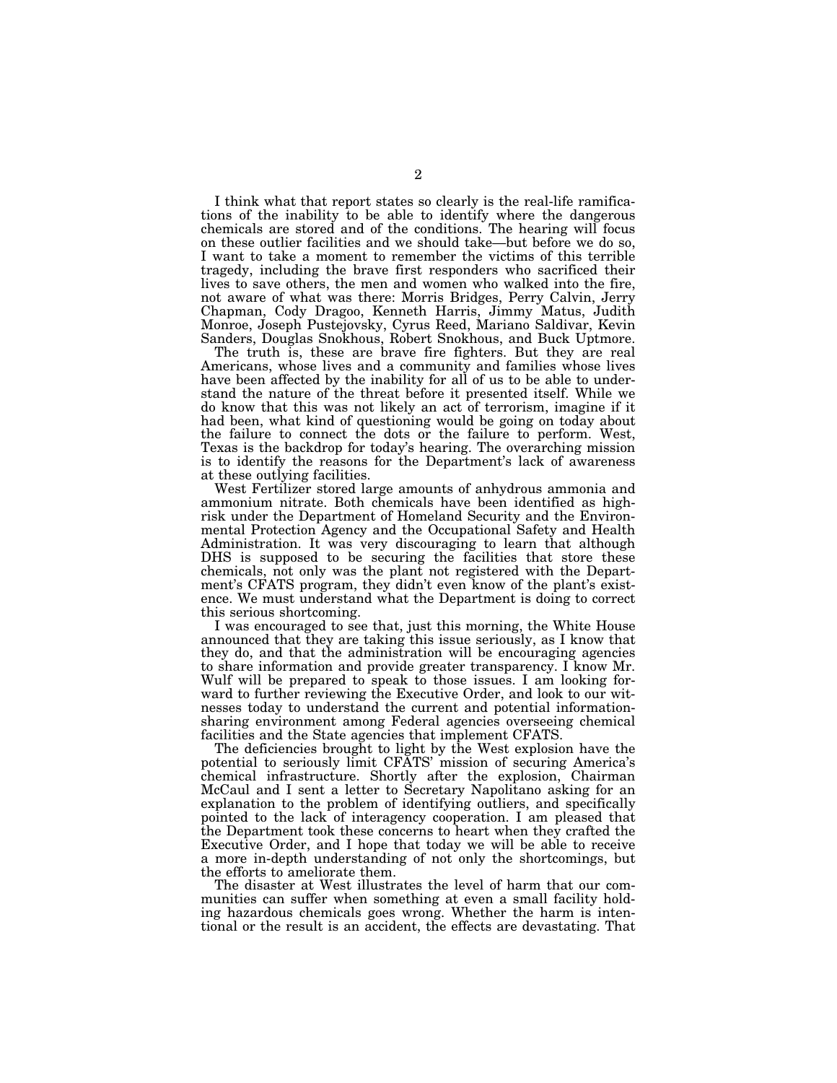I think what that report states so clearly is the real-life ramifications of the inability to be able to identify where the dangerous chemicals are stored and of the conditions. The hearing will focus on these outlier facilities and we should take—but before we do so, I want to take a moment to remember the victims of this terrible tragedy, including the brave first responders who sacrificed their lives to save others, the men and women who walked into the fire, not aware of what was there: Morris Bridges, Perry Calvin, Jerry Chapman, Cody Dragoo, Kenneth Harris, Jimmy Matus, Judith Monroe, Joseph Pustejovsky, Cyrus Reed, Mariano Saldivar, Kevin Sanders, Douglas Snokhous, Robert Snokhous, and Buck Uptmore.

The truth is, these are brave fire fighters. But they are real Americans, whose lives and a community and families whose lives have been affected by the inability for all of us to be able to understand the nature of the threat before it presented itself. While we do know that this was not likely an act of terrorism, imagine if it had been, what kind of questioning would be going on today about the failure to connect the dots or the failure to perform. West, Texas is the backdrop for today's hearing. The overarching mission is to identify the reasons for the Department's lack of awareness at these outlying facilities.

West Fertilizer stored large amounts of anhydrous ammonia and ammonium nitrate. Both chemicals have been identified as highrisk under the Department of Homeland Security and the Environmental Protection Agency and the Occupational Safety and Health Administration. It was very discouraging to learn that although DHS is supposed to be securing the facilities that store these chemicals, not only was the plant not registered with the Department's CFATS program, they didn't even know of the plant's existence. We must understand what the Department is doing to correct this serious shortcoming.

I was encouraged to see that, just this morning, the White House announced that they are taking this issue seriously, as I know that they do, and that the administration will be encouraging agencies to share information and provide greater transparency. I know Mr. Wulf will be prepared to speak to those issues. I am looking forward to further reviewing the Executive Order, and look to our witnesses today to understand the current and potential informationsharing environment among Federal agencies overseeing chemical facilities and the State agencies that implement CFATS.

The deficiencies brought to light by the West explosion have the potential to seriously limit CFATS' mission of securing America's chemical infrastructure. Shortly after the explosion, Chairman McCaul and I sent a letter to Secretary Napolitano asking for an explanation to the problem of identifying outliers, and specifically pointed to the lack of interagency cooperation. I am pleased that the Department took these concerns to heart when they crafted the Executive Order, and I hope that today we will be able to receive a more in-depth understanding of not only the shortcomings, but the efforts to ameliorate them.

The disaster at West illustrates the level of harm that our communities can suffer when something at even a small facility holding hazardous chemicals goes wrong. Whether the harm is intentional or the result is an accident, the effects are devastating. That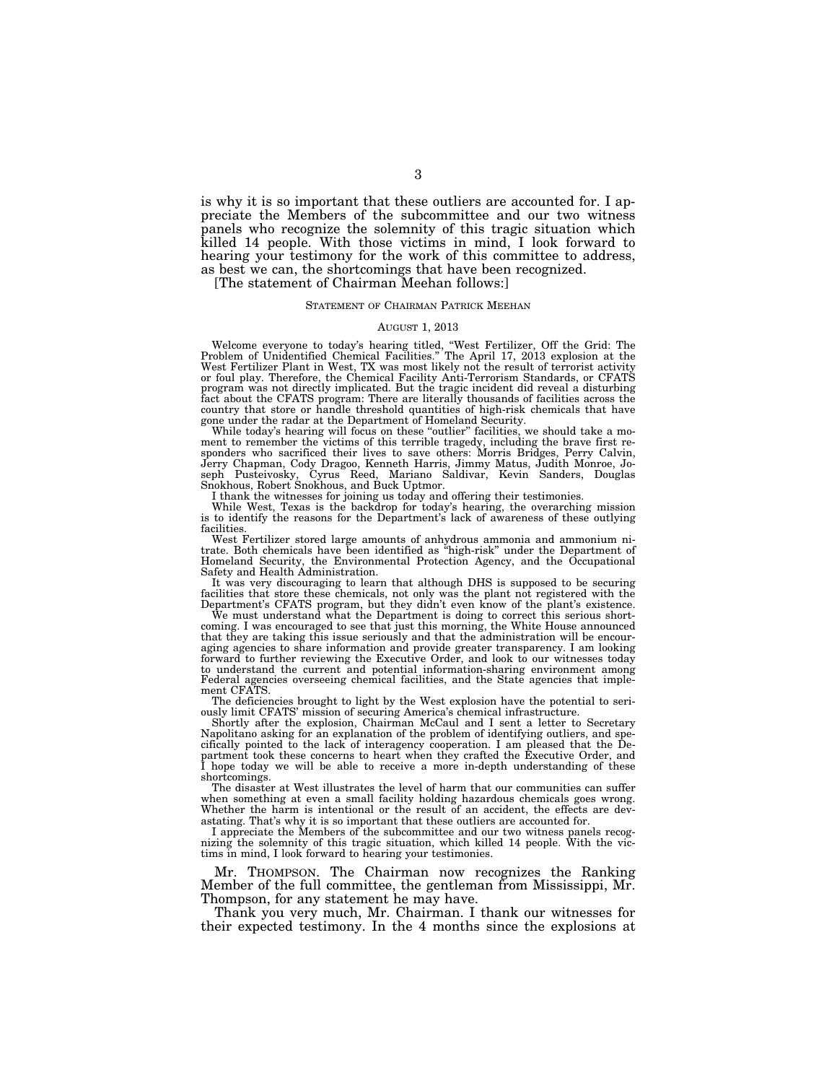is why it is so important that these outliers are accounted for. I appreciate the Members of the subcommittee and our two witness panels who recognize the solemnity of this tragic situation which killed 14 people. With those victims in mind, I look forward to hearing your testimony for the work of this committee to address, as best we can, the shortcomings that have been recognized.

[The statement of Chairman Meehan follows:]

# STATEMENT OF CHAIRMAN PATRICK MEEHAN

## AUGUST 1, 2013

Welcome everyone to today's hearing titled, "West Fertilizer, Off the Grid: The<br>Problem of Unidentified Chemical Facilities." The April 17, 2013 explosion at the<br>West Fertilizer Plant in West, TX was most likely not the re or foul play. Therefore, the Chemical Facility Anti-Terrorism Standards, or CFATS program was not directly implicated. But the tragic incident did reveal a disturbing fact about the CFATS program: There are literally thousands of facilities across the country that store or handle threshold quantities of high-risk chemicals that have gone under the radar at the Department of Homeland Security.<br>While today's hearing will focus on these "outlier" facilities, we should take a mo-

ment to remember the victims of this terrible tragedy, including the brave first re-sponders who sacrificed their lives to save others: Morris Bridges, Perry Calvin, Jerry Chapman, Cody Dragoo, Kenneth Harris, Jimmy Matus, Judith Monroe, Joseph Pusteivosky, Cyrus Reed, Mariano Saldivar, Kevin Sanders, Douglas Snokhous, Robert Snokhous, and Buck Uptmor.

I thank the witnesses for joining us today and offering their testimonies. While West, Texas is the backdrop for today's hearing, the overarching mission is to identify the reasons for the Department's lack of awareness of these outlying facilities.

West Fertilizer stored large amounts of anhydrous ammonia and ammonium nitrate. Both chemicals have been identified as ''high-risk'' under the Department of Homeland Security, the Environmental Protection Agency, and the Occupational Safety and Health Administration.

It was very discouraging to learn that although DHS is supposed to be securing facilities that store these chemicals, not only was the plant not registered with the Department's CFATS program, but they didn't even know of the plant's existence.<br>We must understand what the Department is doing to corre

coming. I was encouraged to see that just this morning, the White House announced that they are taking this issue seriously and that the administration will be encouraging agencies to share information and provide greater transparency. I am looking forward to further reviewing the Executive Order, and look to our witnesses today to understand the current and potential information-sharing environment among Federal agencies overseeing chemical facilities, and the State agencies that imple-ment CFATS.

The deficiencies brought to light by the West explosion have the potential to seri-ously limit CFATS' mission of securing America's chemical infrastructure.

Shortly after the explosion, Chairman McCaul and I sent a letter to Secretary Napolitano asking for an explanation of the problem of identifying outliers, and specifically pointed to the lack of interagency cooperation. I am pleased that the De-partment took these concerns to heart when they crafted the Executive Order, and I hope today we will be able to receive a more in-depth understanding of these shortcomings.

The disaster at West illustrates the level of harm that our communities can suffer when something at even a small facility holding hazardous chemicals goes wrong. Whether the harm is intentional or the result of an accident, the effects are devastating. That's why it is so important that these outliers are accounted for.

I appreciate the Members of the subcommittee and our two witness panels recognizing the solemnity of this tragic situation, which killed 14 people. With the victims in mind, I look forward to hearing your testimonies.

Mr. THOMPSON. The Chairman now recognizes the Ranking Member of the full committee, the gentleman from Mississippi, Mr. Thompson, for any statement he may have.

Thank you very much, Mr. Chairman. I thank our witnesses for their expected testimony. In the 4 months since the explosions at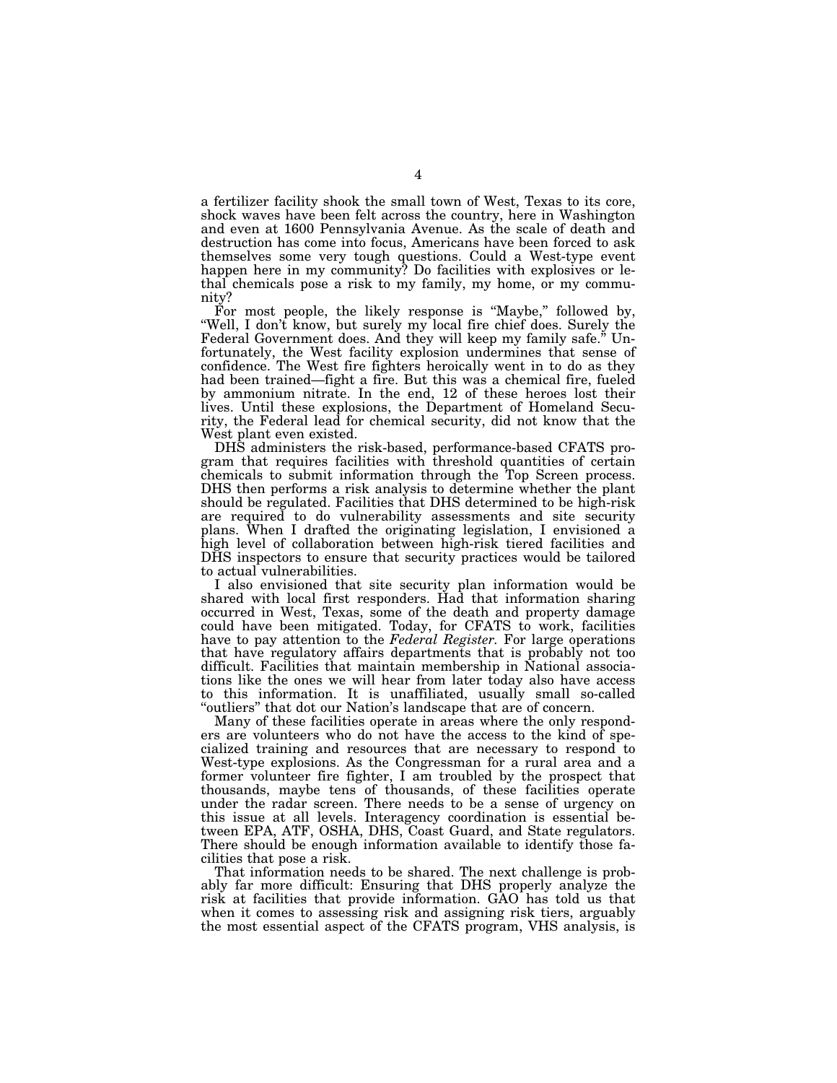a fertilizer facility shook the small town of West, Texas to its core, shock waves have been felt across the country, here in Washington and even at 1600 Pennsylvania Avenue. As the scale of death and destruction has come into focus, Americans have been forced to ask themselves some very tough questions. Could a West-type event happen here in my community? Do facilities with explosives or lethal chemicals pose a risk to my family, my home, or my community?

For most people, the likely response is "Maybe," followed by, "Well, I don't know, but surely my local fire chief does. Surely the Federal Government does. And they will keep my family safe.'' Unfortunately, the West facility explosion undermines that sense of confidence. The West fire fighters heroically went in to do as they had been trained—fight a fire. But this was a chemical fire, fueled by ammonium nitrate. In the end, 12 of these heroes lost their lives. Until these explosions, the Department of Homeland Security, the Federal lead for chemical security, did not know that the West plant even existed.

DHS administers the risk-based, performance-based CFATS program that requires facilities with threshold quantities of certain chemicals to submit information through the Top Screen process. DHS then performs a risk analysis to determine whether the plant should be regulated. Facilities that DHS determined to be high-risk are required to do vulnerability assessments and site security plans. When I drafted the originating legislation, I envisioned a high level of collaboration between high-risk tiered facilities and DHS inspectors to ensure that security practices would be tailored to actual vulnerabilities.

I also envisioned that site security plan information would be shared with local first responders. Had that information sharing occurred in West, Texas, some of the death and property damage could have been mitigated. Today, for CFATS to work, facilities have to pay attention to the *Federal Register.* For large operations that have regulatory affairs departments that is probably not too difficult. Facilities that maintain membership in National associations like the ones we will hear from later today also have access to this information. It is unaffiliated, usually small so-called "outliers" that dot our Nation's landscape that are of concern.

Many of these facilities operate in areas where the only responders are volunteers who do not have the access to the kind of specialized training and resources that are necessary to respond to West-type explosions. As the Congressman for a rural area and a former volunteer fire fighter, I am troubled by the prospect that thousands, maybe tens of thousands, of these facilities operate under the radar screen. There needs to be a sense of urgency on this issue at all levels. Interagency coordination is essential between EPA, ATF, OSHA, DHS, Coast Guard, and State regulators. There should be enough information available to identify those facilities that pose a risk.

That information needs to be shared. The next challenge is probably far more difficult: Ensuring that DHS properly analyze the risk at facilities that provide information. GAO has told us that when it comes to assessing risk and assigning risk tiers, arguably the most essential aspect of the CFATS program, VHS analysis, is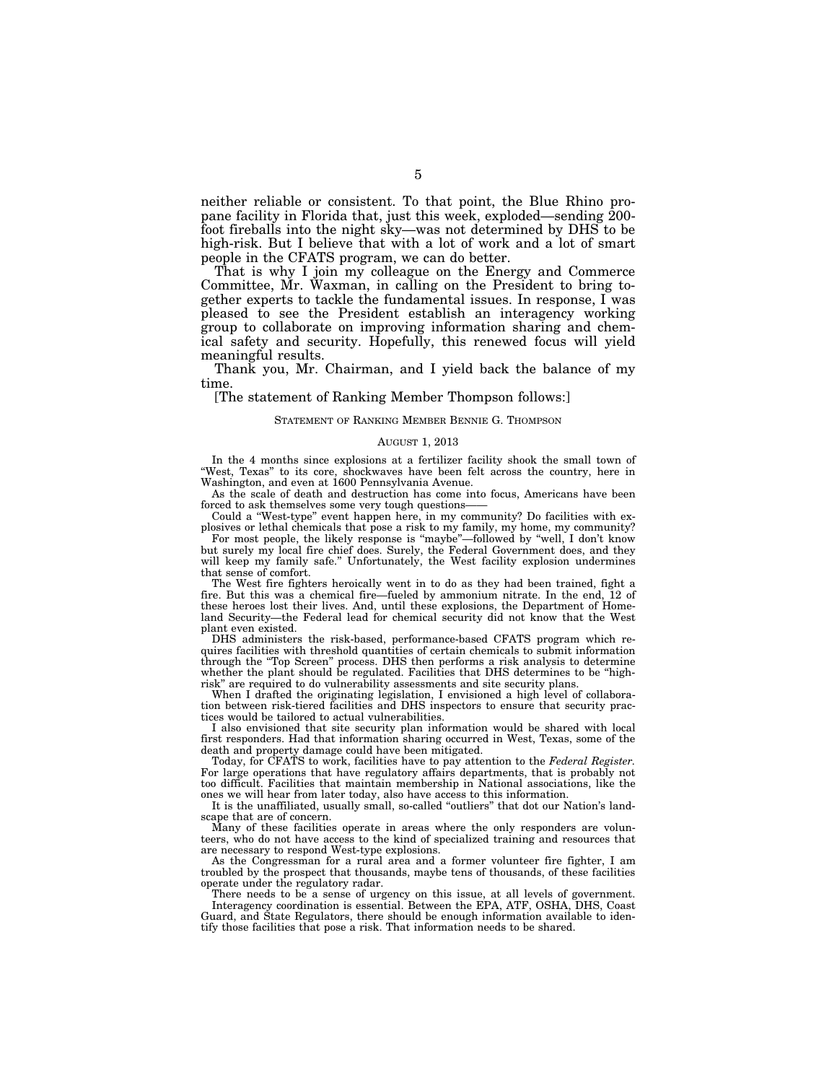neither reliable or consistent. To that point, the Blue Rhino propane facility in Florida that, just this week, exploded—sending 200 foot fireballs into the night sky—was not determined by DHS to be high-risk. But I believe that with a lot of work and a lot of smart people in the CFATS program, we can do better.

That is why I join my colleague on the Energy and Commerce Committee, Mr. Waxman, in calling on the President to bring together experts to tackle the fundamental issues. In response, I was pleased to see the President establish an interagency working group to collaborate on improving information sharing and chemical safety and security. Hopefully, this renewed focus will yield meaningful results.

Thank you, Mr. Chairman, and I yield back the balance of my time.

[The statement of Ranking Member Thompson follows:]

# STATEMENT OF RANKING MEMBER BENNIE G. THOMPSON

### AUGUST 1, 2013

In the 4 months since explosions at a fertilizer facility shook the small town of ''West, Texas'' to its core, shockwaves have been felt across the country, here in Washington, and even at 1600 Pennsylvania Avenue.

As the scale of death and destruction has come into focus, Americans have been forced to ask themselves some very tough questions-

Could a ''West-type'' event happen here, in my community? Do facilities with explosives or lethal chemicals that pose a risk to my family, my home, my community?

For most people, the likely response is "maybe"—followed by "well, I don't know but surely my local fire chief does. Surely, the Federal Government does, and they will keep my family safe.'' Unfortunately, the West facility explosion undermines that sense of comfort.

The West fire fighters heroically went in to do as they had been trained, fight a fire. But this was a chemical fire—fueled by ammonium nitrate. In the end, 12 of these heroes lost their lives. And, until these explosions, the Department of Homeland Security—the Federal lead for chemical security did not know that the West plant even existed.

DHS administers the risk-based, performance-based CFATS program which requires facilities with threshold quantities of certain chemicals to submit information through the "Top Screen" process. DHS then performs a risk analysis to determine whether the plant should be regulated. Facilities that DHS determines to be "highrisk'' are required to do vulnerability assessments and site security plans.

When I drafted the originating legislation, I envisioned a high level of collaboration between risk-tiered facilities and DHS inspectors to ensure that security practices would be tailored to actual vulnerabilities.

I also envisioned that site security plan information would be shared with local first responders. Had that information sharing occurred in West, Texas, some of the death and property damage could have been mitigated.

Today, for CFATS to work, facilities have to pay attention to the *Federal Register.*  For large operations that have regulatory affairs departments, that is probably not too difficult. Facilities that maintain membership in National associations, like the ones we will hear from later today, also have access to this information.

It is the unaffiliated, usually small, so-called ''outliers'' that dot our Nation's landscape that are of concern.

Many of these facilities operate in areas where the only responders are volunteers, who do not have access to the kind of specialized training and resources that are necessary to respond West-type explosions.

As the Congressman for a rural area and a former volunteer fire fighter, I am troubled by the prospect that thousands, maybe tens of thousands, of these facilities operate under the regulatory radar.

There needs to be a sense of urgency on this issue, at all levels of government. Interagency coordination is essential. Between the EPA, ATF, OSHA, DHS, Coast Guard, and State Regulators, there should be enough information available to identify those facilities that pose a risk. That information needs to be shared.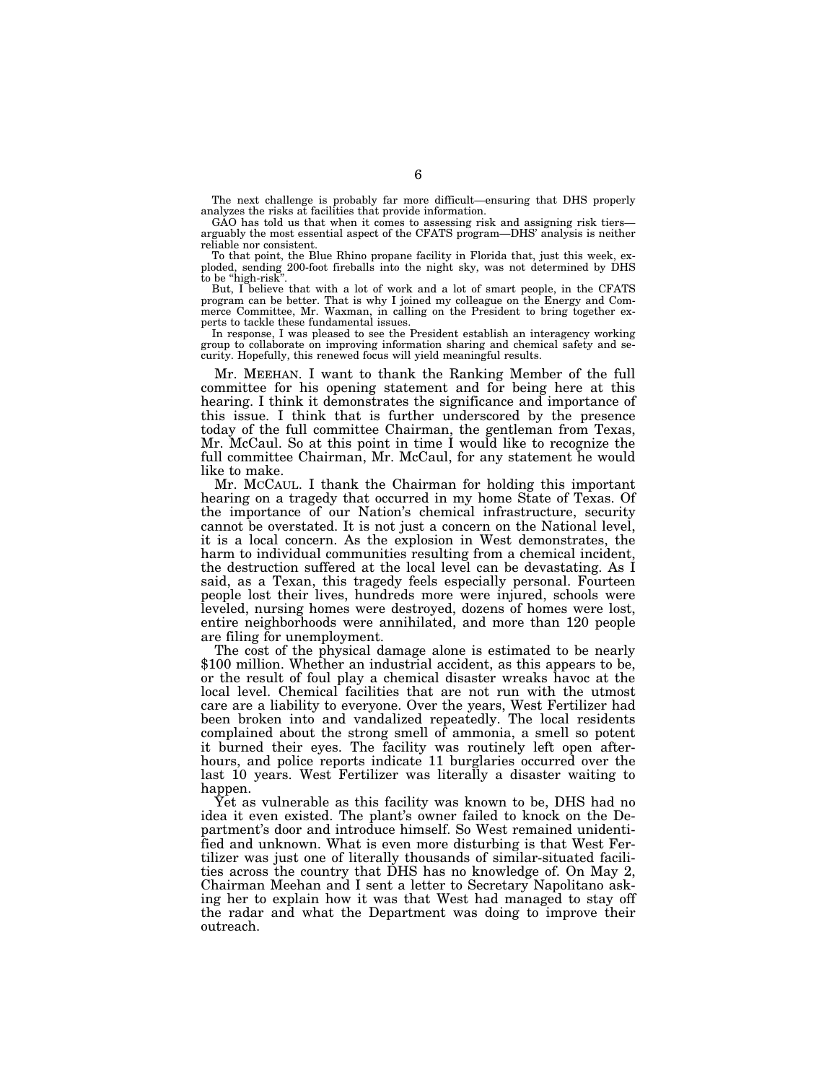The next challenge is probably far more difficult—ensuring that DHS properly analyzes the risks at facilities that provide information.

GAO has told us that when it comes to assessing risk and assigning risk tiers arguably the most essential aspect of the CFATS program—DHS' analysis is neither reliable nor consistent.

To that point, the Blue Rhino propane facility in Florida that, just this week, exploded, sending 200-foot fireballs into the night sky, was not determined by DHS to be "high-risk".

But, I believe that with a lot of work and a lot of smart people, in the CFATS program can be better. That is why I joined my colleague on the Energy and Commerce Committee, Mr. Waxman, in calling on the President to bring together experts to tackle these fundamental issues.

In response, I was pleased to see the President establish an interagency working group to collaborate on improving information sharing and chemical safety and security. Hopefully, this renewed focus will yield meaningful results.

Mr. MEEHAN. I want to thank the Ranking Member of the full committee for his opening statement and for being here at this hearing. I think it demonstrates the significance and importance of this issue. I think that is further underscored by the presence today of the full committee Chairman, the gentleman from Texas, Mr. McCaul. So at this point in time I would like to recognize the full committee Chairman, Mr. McCaul, for any statement he would like to make.

Mr. MCCAUL. I thank the Chairman for holding this important hearing on a tragedy that occurred in my home State of Texas. Of the importance of our Nation's chemical infrastructure, security cannot be overstated. It is not just a concern on the National level, it is a local concern. As the explosion in West demonstrates, the harm to individual communities resulting from a chemical incident, the destruction suffered at the local level can be devastating. As I said, as a Texan, this tragedy feels especially personal. Fourteen people lost their lives, hundreds more were injured, schools were leveled, nursing homes were destroyed, dozens of homes were lost, entire neighborhoods were annihilated, and more than 120 people are filing for unemployment.

The cost of the physical damage alone is estimated to be nearly \$100 million. Whether an industrial accident, as this appears to be, or the result of foul play a chemical disaster wreaks havoc at the local level. Chemical facilities that are not run with the utmost care are a liability to everyone. Over the years, West Fertilizer had been broken into and vandalized repeatedly. The local residents complained about the strong smell of ammonia, a smell so potent it burned their eyes. The facility was routinely left open afterhours, and police reports indicate 11 burglaries occurred over the last 10 years. West Fertilizer was literally a disaster waiting to happen.

Yet as vulnerable as this facility was known to be, DHS had no idea it even existed. The plant's owner failed to knock on the Department's door and introduce himself. So West remained unidentified and unknown. What is even more disturbing is that West Fertilizer was just one of literally thousands of similar-situated facilities across the country that DHS has no knowledge of. On May 2, Chairman Meehan and I sent a letter to Secretary Napolitano asking her to explain how it was that West had managed to stay off the radar and what the Department was doing to improve their outreach.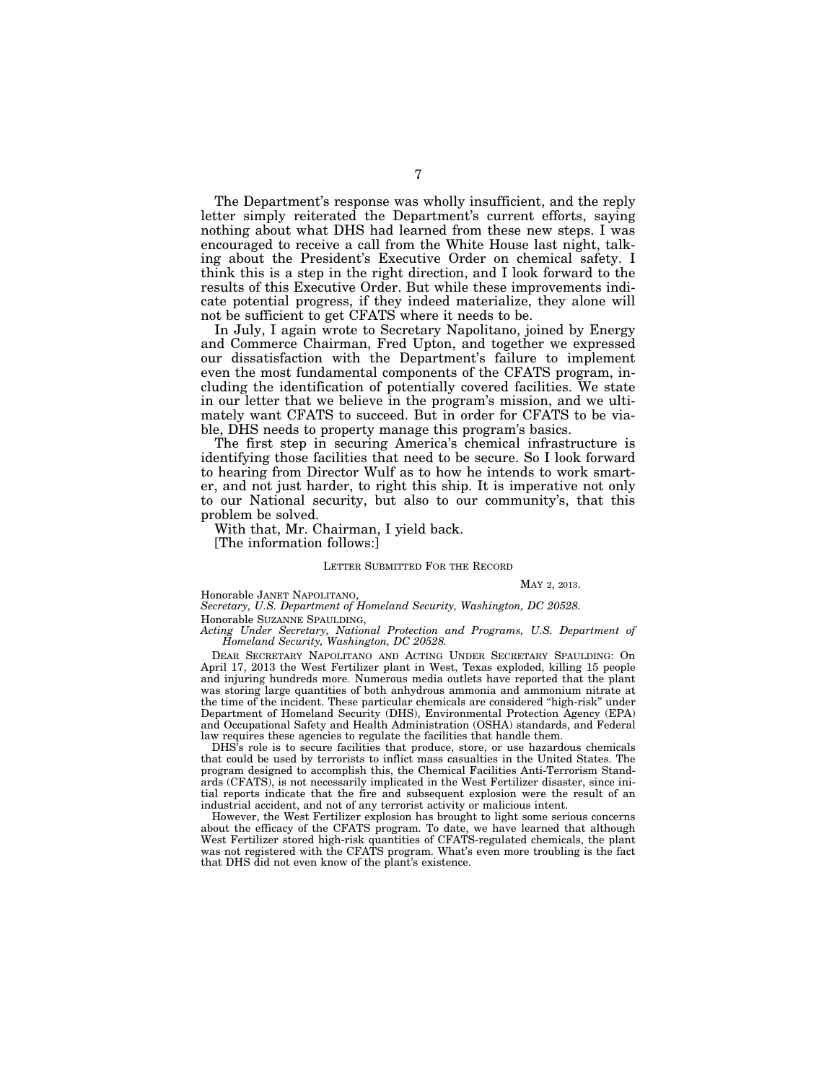The Department's response was wholly insufficient, and the reply letter simply reiterated the Department's current efforts, saying nothing about what DHS had learned from these new steps. I was encouraged to receive a call from the White House last night, talking about the President's Executive Order on chemical safety. I think this is a step in the right direction, and I look forward to the results of this Executive Order. But while these improvements indicate potential progress, if they indeed materialize, they alone will not be sufficient to get CFATS where it needs to be.

In July, I again wrote to Secretary Napolitano, joined by Energy and Commerce Chairman, Fred Upton, and together we expressed our dissatisfaction with the Department's failure to implement even the most fundamental components of the CFATS program, including the identification of potentially covered facilities. We state in our letter that we believe in the program's mission, and we ultimately want CFATS to succeed. But in order for CFATS to be viable, DHS needs to property manage this program's basics.

The first step in securing America's chemical infrastructure is identifying those facilities that need to be secure. So I look forward to hearing from Director Wulf as to how he intends to work smarter, and not just harder, to right this ship. It is imperative not only to our National security, but also to our community's, that this problem be solved.

With that, Mr. Chairman, I yield back.

[The information follows:]

# LETTER SUBMITTED FOR THE RECORD

## MAY 2, 2013.

Honorable JANET NAPOLITANO,

*Secretary, U.S. Department of Homeland Security, Washington, DC 20528.* 

Honorable SUZANNE SPAULDING,

*Acting Under Secretary, National Protection and Programs, U.S. Department of Homeland Security, Washington, DC 20528.* 

DEAR SECRETARY NAPOLITANO AND ACTING UNDER SECRETARY SPAULDING: On April 17, 2013 the West Fertilizer plant in West, Texas exploded, killing 15 people and injuring hundreds more. Numerous media outlets have reported that the plant was storing large quantities of both anhydrous ammonia and ammonium nitrate at the time of the incident. These particular chemicals are considered ''high-risk'' under Department of Homeland Security (DHS), Environmental Protection Agency (EPA) and Occupational Safety and Health Administration (OSHA) standards, and Federal law requires these agencies to regulate the facilities that handle them.

DHS's role is to secure facilities that produce, store, or use hazardous chemicals that could be used by terrorists to inflict mass casualties in the United States. The program designed to accomplish this, the Chemical Facilities Anti-Terrorism Standards (CFATS), is not necessarily implicated in the West Fertilizer disaster, since initial reports indicate that the fire and subsequent explosion were the result of an industrial accident, and not of any terrorist activity or malicious intent.

However, the West Fertilizer explosion has brought to light some serious concerns about the efficacy of the CFATS program. To date, we have learned that although West Fertilizer stored high-risk quantities of CFATS-regulated chemicals, the plant was not registered with the CFATS program. What's even more troubling is the fact that DHS did not even know of the plant's existence.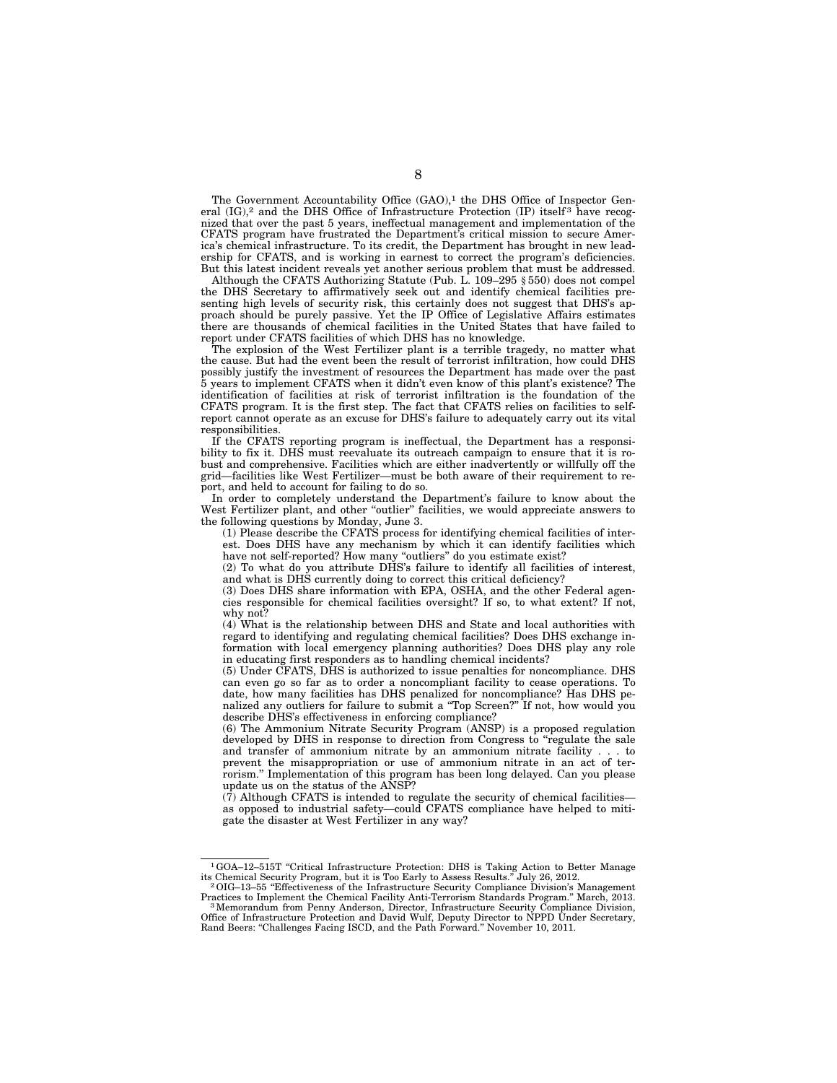The Government Accountability Office (GAO),<sup>1</sup> the DHS Office of Inspector General  $(IG)$ ,<sup>2</sup> and the DHS Office of Infrastructure Protection  $(IP)$  itself<sup>3</sup> have recognized that over the past 5 years, ineffectual management and implementation of the CFATS program have frustrated the Department's critical mission to secure America's chemical infrastructure. To its credit, the Department has brought in new leadership for CFATS, and is working in earnest to correct the program's deficiencies. But this latest incident reveals yet another serious problem that must be addressed.

Although the CFATS Authorizing Statute (Pub. L. 109–295 § 550) does not compel the DHS Secretary to affirmatively seek out and identify chemical facilities presenting high levels of security risk, this certainly does not suggest that DHS's approach should be purely passive. Yet the IP Office of Legislative Affairs estimates there are thousands of chemical facilities in the United States that have failed to report under CFATS facilities of which DHS has no knowledge.

The explosion of the West Fertilizer plant is a terrible tragedy, no matter what the cause. But had the event been the result of terrorist infiltration, how could DHS possibly justify the investment of resources the Department has made over the past 5 years to implement CFATS when it didn't even know of this plant's existence? The identification of facilities at risk of terrorist infiltration is the foundation of the CFATS program. It is the first step. The fact that CFATS relies on facilities to selfreport cannot operate as an excuse for DHS's failure to adequately carry out its vital responsibilities.

If the CFATS reporting program is ineffectual, the Department has a responsibility to fix it. DHS must reevaluate its outreach campaign to ensure that it is robust and comprehensive. Facilities which are either inadvertently or willfully off the grid—facilities like West Fertilizer—must be both aware of their requirement to report, and held to account for failing to do so.

In order to completely understand the Department's failure to know about the West Fertilizer plant, and other "outlier" facilities, we would appreciate answers to the following questions by Monday, June 3.

(1) Please describe the CFATS process for identifying chemical facilities of interest. Does DHS have any mechanism by which it can identify facilities which have not self-reported? How many "outliers" do you estimate exist?

(2) To what do you attribute DHS's failure to identify all facilities of interest, and what is DHS currently doing to correct this critical deficiency?

(3) Does DHS share information with EPA, OSHA, and the other Federal agencies responsible for chemical facilities oversight? If so, to what extent? If not, why not?

(4) What is the relationship between DHS and State and local authorities with regard to identifying and regulating chemical facilities? Does DHS exchange information with local emergency planning authorities? Does DHS play any role in educating first responders as to handling chemical incidents?

(5) Under CFATS, DHS is authorized to issue penalties for noncompliance. DHS can even go so far as to order a noncompliant facility to cease operations. To date, how many facilities has DHS penalized for noncompliance? Has DHS penalized any outliers for failure to submit a ''Top Screen?'' If not, how would you describe DHS's effectiveness in enforcing compliance?

(6) The Ammonium Nitrate Security Program (ANSP) is a proposed regulation developed by DHS in response to direction from Congress to ''regulate the sale and transfer of ammonium nitrate by an ammonium nitrate facility . . . to prevent the misappropriation or use of ammonium nitrate in an act of terrorism.'' Implementation of this program has been long delayed. Can you please update us on the status of the ANSP?

 $(7)$  Although CFATS is intended to regulate the security of chemical facilitiesas opposed to industrial safety—could CFATS compliance have helped to mitigate the disaster at West Fertilizer in any way?

 $1\,\mathrm{GOA}-12-515\mathrm{T}$  "Critical Infrastructure Protection: DHS is Taking Action to Better Manage its Chemical Security Program, but it is Too Early to Assess Results." July 26, 2012. its Chemical Security Program, but it is Too Early to Assess Results.'' July 26, 2012. 2OIG–13–55 ''Effectiveness of the Infrastructure Security Compliance Division's Management

Practices to Implement the Chemical Facility Anti-Terrorism Standards Program." March, 2013.<br><sup>3</sup>Memorandum from Penny Anderson, Director, Infrastructure Security Compliance Division, Office of Infrastructure Protection and David Wulf, Deputy Director to NPPD Under Secretary,

Rand Beers: ''Challenges Facing ISCD, and the Path Forward.'' November 10, 2011.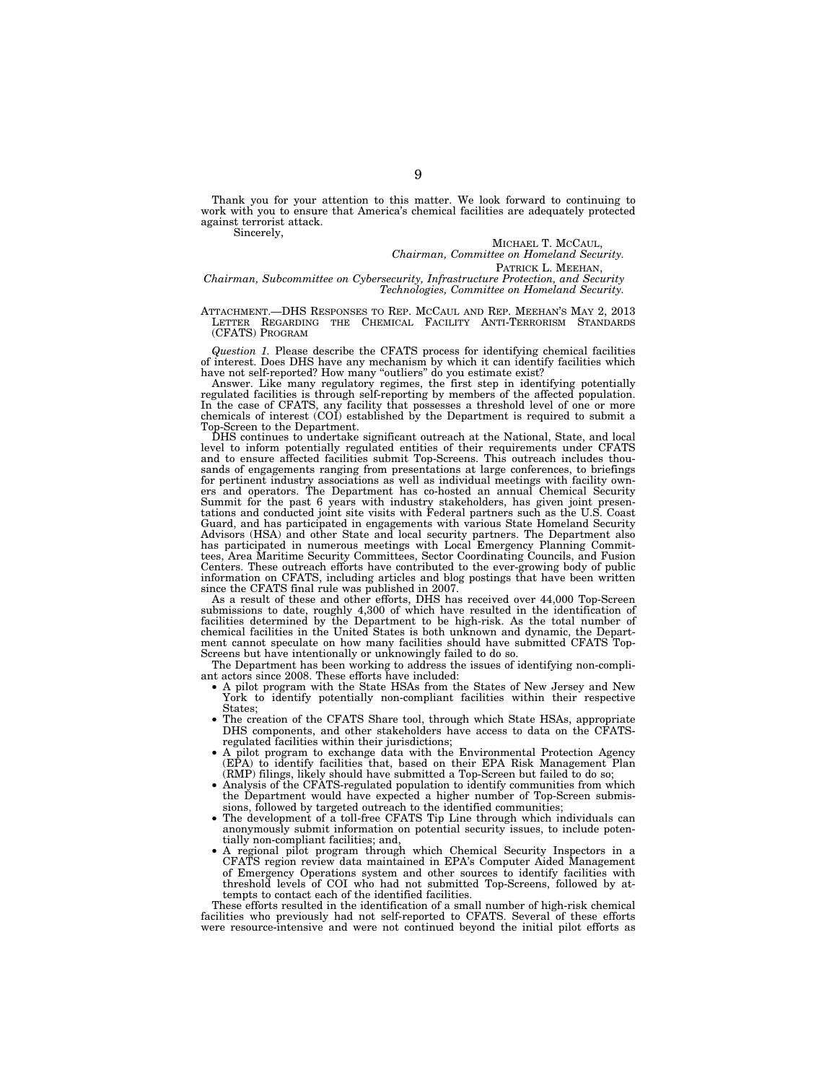Thank you for your attention to this matter. We look forward to continuing to work with you to ensure that America's chemical facilities are adequately protected against terrorist attack.

Sincerely,

MICHAEL T. MCCAUL,

*Chairman, Committee on Homeland Security.* 

PATRICK L. MEEHAN,

*Chairman, Subcommittee on Cybersecurity, Infrastructure Protection, and Security Technologies, Committee on Homeland Security.* 

ATTACHMENT.—DHS RESPONSES TO REP. MCCAUL AND REP. MEEHAN'S MAY 2, 2013 LETTER REGARDING THE CHEMICAL FACILITY ANTI-TERRORISM STANDARDS (CFATS) PROGRAM

*Question 1.* Please describe the CFATS process for identifying chemical facilities of interest. Does DHS have any mechanism by which it can identify facilities which have not self-reported? How many ''outliers'' do you estimate exist?

Answer. Like many regulatory regimes, the first step in identifying potentially regulated facilities is through self-reporting by members of the affected population. In the case of CFATS, any facility that possesses a threshold level of one or more chemicals of interest (COI) established by the Department is required to submit a Top-Screen to the Department.

DHS continues to undertake significant outreach at the National, State, and local level to inform potentially regulated entities of their requirements under CFATS and to ensure affected facilities submit Top-Screens. This outreach includes thousands of engagements ranging from presentations at large conferences, to briefings for pertinent industry associations as well as individual meetings with facility owners and operators. The Department has co-hosted an annual Chemical Security Summit for the past 6 years with industry stakeholders, has given joint presentations and conducted joint site visits with Federal partners such as the U.S. Coast Guard, and has participated in engagements with various State Homeland Security Advisors (HSA) and other State and local security partners. The Department also has participated in numerous meetings with Local Emergency Planning Committees, Area Maritime Security Committees, Sector Coordinating Councils, and Fusion Centers. These outreach efforts have contributed to the ever-growing body of public information on CFATS, including articles and blog postings that have been written since the CFATS final rule was published in 2007.

As a result of these and other efforts, DHS has received over 44,000 Top-Screen submissions to date, roughly 4,300 of which have resulted in the identification of facilities determined by the Department to be high-risk. As the total number of chemical facilities in the United States is both unknown and dynamic, the Department cannot speculate on how many facilities should have submitted CFATS Top-Screens but have intentionally or unknowingly failed to do so.

The Department has been working to address the issues of identifying non-compliant actors since 2008. These efforts have included:

- A pilot program with the State HSAs from the States of New Jersey and New York to identify potentially non-compliant facilities within their respective States;
- The creation of the CFATS Share tool, through which State HSAs, appropriate DHS components, and other stakeholders have access to data on the CFATSregulated facilities within their jurisdictions;
- A pilot program to exchange data with the Environmental Protection Agency (EPA) to identify facilities that, based on their EPA Risk Management Plan (RMP) filings, likely should have submitted a Top-Screen but failed to do so;
- Analysis of the CFATS-regulated population to identify communities from which the Department would have expected a higher number of Top-Screen submissions, followed by targeted outreach to the identified communities;
- The development of a toll-free CFATS Tip Line through which individuals can anonymously submit information on potential security issues, to include potentially non-compliant facilities; and,
- A regional pilot program through which Chemical Security Inspectors in a CFATS region review data maintained in EPA's Computer Aided Management of Emergency Operations system and other sources to identify facilities with threshold levels of COI who had not submitted Top-Screens, followed by attempts to contact each of the identified facilities.

These efforts resulted in the identification of a small number of high-risk chemical facilities who previously had not self-reported to CFATS. Several of these efforts were resource-intensive and were not continued beyond the initial pilot efforts as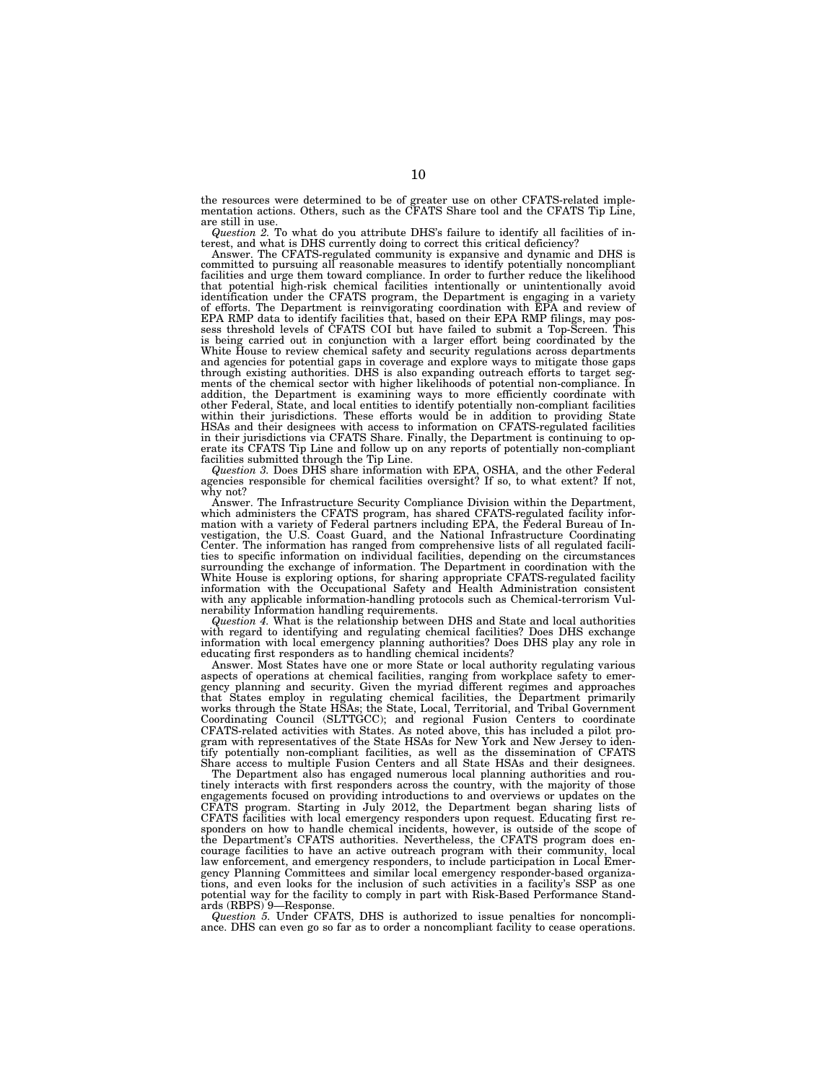the resources were determined to be of greater use on other CFATS-related imple-mentation actions. Others, such as the CFATS Share tool and the CFATS Tip Line, are still in use.

*Question 2.* To what do you attribute DHS's failure to identify all facilities of interest, and what is DHS currently doing to correct this critical deficiency?

Answer. The CFATS-regulated community is expansive and dynamic and DHS is committed to pursuing all reasonable measures to identify potentially noncompliant facilities and urge them toward compliance. In order to further reduce the likelihood that potential high-risk chemical facilities intentionally or unintentionally avoid identification under the CFATS program, the Department is engaging in a variety of efforts. The Department is reinvigorating coordination with EPA and review of EPA RMP data to identify facilities that, based on their EPA RMP filings, may pos-sess threshold levels of CFATS COI but have failed to submit a Top-Screen. This is being carried out in conjunction with a larger effort being coordinated by the White House to review chemical safety and security regulations across departments and agencies for potential gaps in coverage and explore ways to mitigate those gaps through existing authorities. DHS is also expanding outreach efforts to target segments of the chemical sector with higher likelihoods of potential non-compliance. In addition, the Department is examining ways to more efficiently coordinate with other Federal, State, and local entities to identify potentially non-compliant facilities within their jurisdictions. These efforts would be in addition to providing State HSAs and their designees with access to information on CFATS-regulated facilities in their jurisdictions via CFATS Share. Finally, the Department is continuing to operate its CFATS Tip Line and follow up on any reports of potentially non-compliant facilities submitted through the Tip Line.

*Question 3.* Does DHS share information with EPA, OSHA, and the other Federal agencies responsible for chemical facilities oversight? If so, to what extent? If not, why not?

Answer. The Infrastructure Security Compliance Division within the Department, which administers the CFATS program, has shared CFATS-regulated facility information with a variety of Federal partners including EPA, the Federal Bureau of In-<br>vestigation, the U.S. Coast Guard, and the National Infrastructure Coordinating<br>Center. The information has ranged from comprehensive lists ties to specific information on individual facilities, depending on the circumstances surrounding the exchange of information. The Department in coordination with the White House is exploring options, for sharing appropriate CFATS-regulated facility information with the Occupational Safety and Health Admini with any applicable information-handling protocols such as Chemical-terrorism Vulnerability Information handling requirements.

*Question 4.* What is the relationship between DHS and State and local authorities with regard to identifying and regulating chemical facilities? Does DHS exchange information with local emergency planning authorities? Does DHS play any role in educating first responders as to handling chemical incidents?

Answer. Most States have one or more State or local authority regulating various aspects of operations at chemical facilities, ranging from workplace safety to emergency planning and security. Given the myriad different regimes and approaches that States employ in regulating chemical facilities, the Department primarily works through the State HSAs; the State, Local, Territorial, and Tribal Government Coordinating Council (SLTTGCC); and regional Fusion Centers to coordinate CFATS-related activities with States. As noted above, this has included a pilot program with representatives of the State HSAs for New York and New Jersey to identify potentially non-compliant facilities, as well as the dissemination of CFATS Share access to multiple Fusion Centers and all State HSAs and their designees.

The Department also has engaged numerous local planning authorities and routinely interacts with first responders across the country, with the majority of those engagements focused on providing introductions to and overviews or updates on the CFATS program. Starting in July 2012, the Department began sharing lists of CFATS facilities with local emergency responders upon request. Educating first responders on how to handle chemical incidents, however, is outside of the scope of the Department's CFATS authorities. Nevertheless, the CFATS program does encourage facilities to have an active outreach program with their community, local law enforcement, and emergency responders, to include participation in Local Emergency Planning Committees and similar local emergency responder-based organizations, and even looks for the inclusion of such activities in a facility's SSP as one potential way for the facility to comply in part with Risk-Based Performance Standards (RBPS) 9—Response.

*Question 5.* Under CFATS, DHS is authorized to issue penalties for noncompliance. DHS can even go so far as to order a noncompliant facility to cease operations.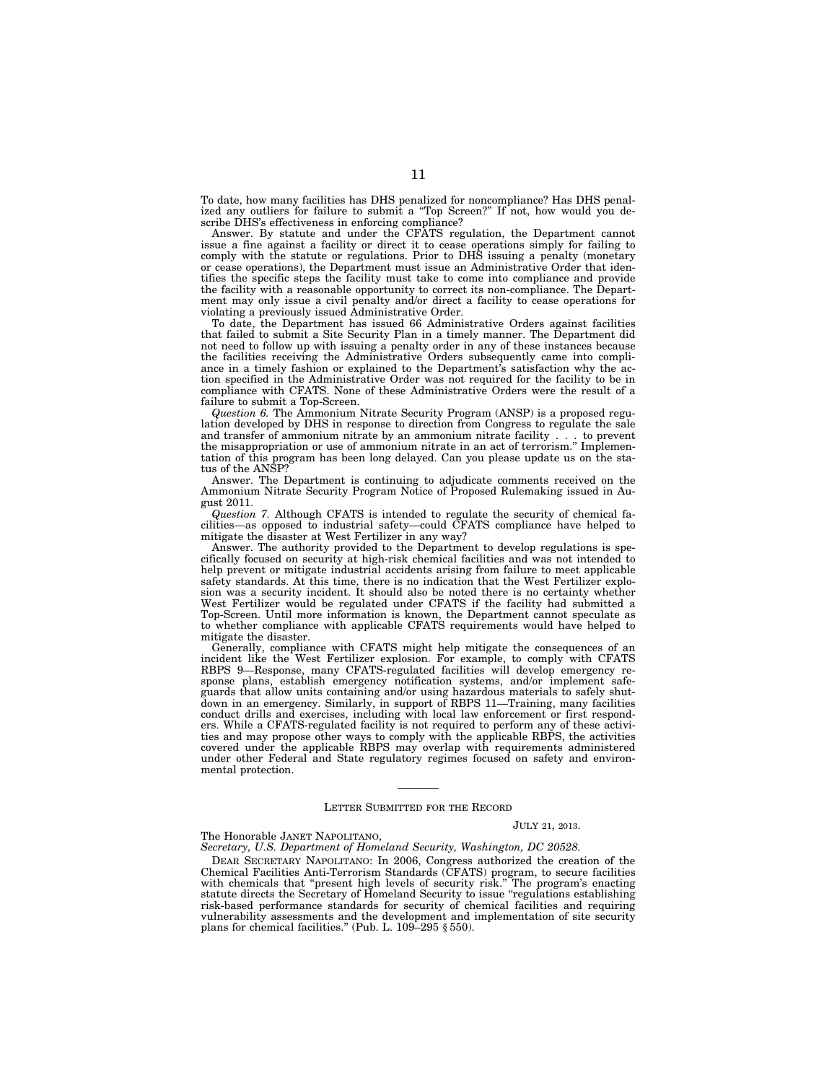To date, how many facilities has DHS penalized for noncompliance? Has DHS penalized any outliers for failure to submit a ''Top Screen?'' If not, how would you describe DHS's effectiveness in enforcing compliance?

Answer. By statute and under the CFATS regulation, the Department cannot issue a fine against a facility or direct it to cease operations simply for failing to comply with the statute or regulations. Prior to DHS issuing a penalty (monetary or cease operations), the Department must issue an Administrative Order that identifies the specific steps the facility must take to come into compliance and provide the facility with a reasonable opportunity to correct its non-compliance. The Department may only issue a civil penalty and/or direct a facility to cease operations for violating a previously issued Administrative Order.

To date, the Department has issued 66 Administrative Orders against facilities that failed to submit a Site Security Plan in a timely manner. The Department did not need to follow up with issuing a penalty order in any of these instances because the facilities receiving the Administrative Orders subsequently came into compliance in a timely fashion or explained to the Department's satisfaction why the action specified in the Administrative Order was not required for the facility to be in compliance with CFATS. None of these Administrative Orders were the result of a failure to submit a Top-Screen.

*Question 6.* The Ammonium Nitrate Security Program (ANSP) is a proposed regulation developed by DHS in response to direction from Congress to regulate the sale and transfer of ammonium nitrate by an ammonium nitrate facility . . . to prevent the misappropriation or use of ammonium nitrate in an act of terrorism.'' Implementation of this program has been long delayed. Can you please update us on the status of the ANSP?

Answer. The Department is continuing to adjudicate comments received on the Ammonium Nitrate Security Program Notice of Proposed Rulemaking issued in August 2011.

*Question 7.* Although CFATS is intended to regulate the security of chemical facilities—as opposed to industrial safety—could CFATS compliance have helped to mitigate the disaster at West Fertilizer in any way?

Answer. The authority provided to the Department to develop regulations is specifically focused on security at high-risk chemical facilities and was not intended to help prevent or mitigate industrial accidents arising from failure to meet applicable safety standards. At this time, there is no indication that the West Fertilizer explosion was a security incident. It should also be noted there is no certainty whether West Fertilizer would be regulated under CFATS if the facility had submitted a Top-Screen. Until more information is known, the Department cannot speculate as to whether compliance with applicable CFATS requirements would have helped to mitigate the disaster.

Generally, compliance with CFATS might help mitigate the consequences of an incident like the West Fertilizer explosion. For example, to comply with CFATS RBPS 9—Response, many CFATS-regulated facilities will develop emergency response plans, establish emergency notification systems, and/or implement safeguards that allow units containing and/or using hazardous materials to safely shutdown in an emergency. Similarly, in support of RBPS 11—Training, many facilities conduct drills and exercises, including with local law enforcement or first responders. While a CFATS-regulated facility is not required to perform any of these activities and may propose other ways to comply with the applicable RBPS, the activities covered under the applicable RBPS may overlap with requirements administered under other Federal and State regulatory regimes focused on safety and environmental protection.

### LETTER SUBMITTED FOR THE RECORD

## JULY 21, 2013.

# The Honorable JANET NAPOLITANO,

*Secretary, U.S. Department of Homeland Security, Washington, DC 20528.* 

DEAR SECRETARY NAPOLITANO: In 2006, Congress authorized the creation of the Chemical Facilities Anti-Terrorism Standards (CFATS) program, to secure facilities with chemicals that "present high levels of security risk." The program's enacting statute directs the Secretary of Homeland Security to issue "regulations establishing risk-based performance standards for security of chemical facilities and requiring vulnerability assessments and the development and implementation of site security plans for chemical facilities." (Pub. L.  $109-295 \text{ § } 550$ ).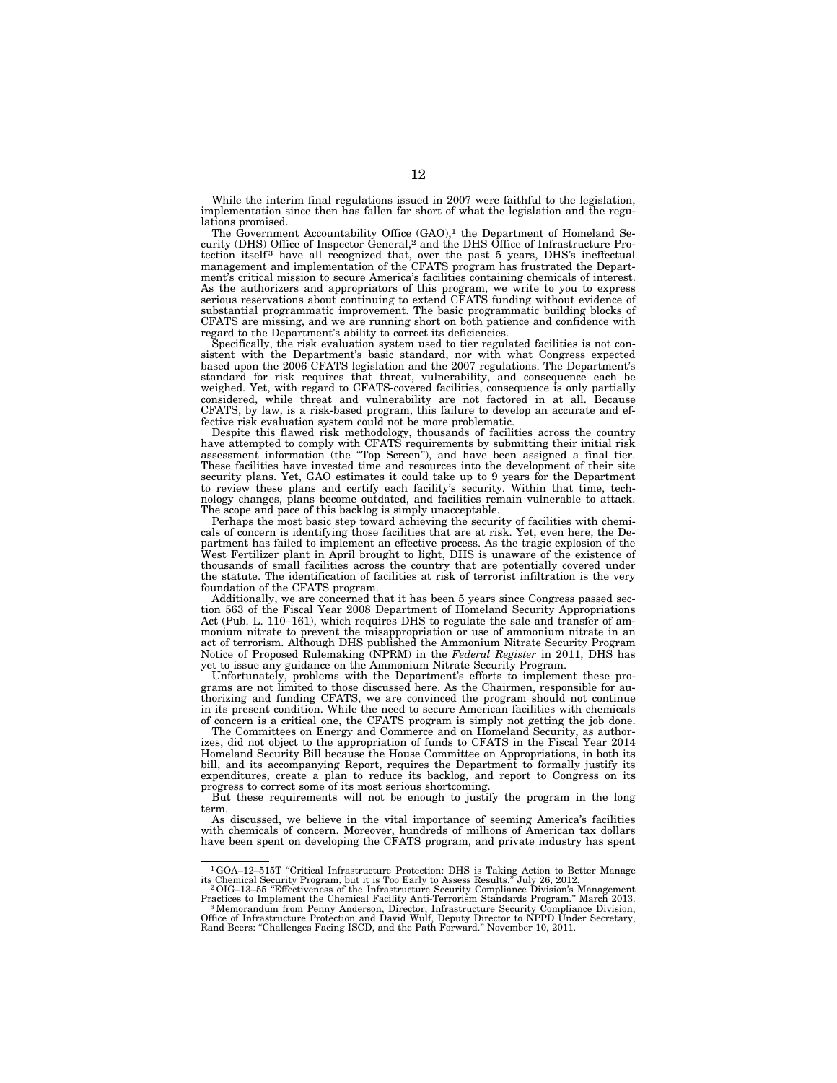While the interim final regulations issued in 2007 were faithful to the legislation, implementation since then has fallen far short of what the legislation and the regulations promised.

The Government Accountability Office  $(GAO)^1$  the Department of Homeland Security (DHS) Office of Inspector General,2 and the DHS Office of Infrastructure Protection itself<sup>3</sup> have all recognized that, over the past 5 years, DHS's ineffectual management and implementation of the CFATS program has frustrated the Department's critical mission to secure America's facilities containing chemicals of interest. As the authorizers and appropriators of this program, we write to you to express serious reservations about continuing to extend CFATS funding without evidence of substantial programmatic improvement. The basic programmatic building blocks of CFATS are missing, and we are running short on both patience and confidence with regard to the Department's ability to correct its deficiencies.

Specifically, the risk evaluation system used to tier regulated facilities is not consistent with the Department's basic standard, nor with what Congress expected based upon the 2006 CFATS legislation and the 2007 regulations. The Department's standard for risk requires that threat, vulnerability, and consequence each be weighed. Yet, with regard to CFATS-covered facilities, consequence is only partially considered, while threat and vulnerability are not factored in at all. Because CFATS, by law, is a risk-based program, this failure to develop an accurate and effective risk evaluation system could not be more problematic.

Despite this flawed risk methodology, thousands of facilities across the country have attempted to comply with CFATS requirements by submitting their initial risk assessment information (the ''Top Screen''), and have been assigned a final tier. These facilities have invested time and resources into the development of their site security plans. Yet, GAO estimates it could take up to 9 years for the Department to review these plans and certify each facility's security. Within that time, technology changes, plans become outdated, and facilities remain vulnerable to attack. The scope and pace of this backlog is simply unacceptable.

Perhaps the most basic step toward achieving the security of facilities with chemicals of concern is identifying those facilities that are at risk. Yet, even here, the Department has failed to implement an effective process. As the tragic explosion of the West Fertilizer plant in April brought to light, DHS is unaware of the existence of thousands of small facilities across the country that are potentially covered under the statute. The identification of facilities at risk of terrorist infiltration is the very foundation of the CFATS program.

Additionally, we are concerned that it has been 5 years since Congress passed section 563 of the Fiscal Year 2008 Department of Homeland Security Appropriations Act (Pub. L. 110–161), which requires DHS to regulate the sale and transfer of ammonium nitrate to prevent the misappropriation or use of ammonium nitrate in an act of terrorism. Although DHS published the Ammonium Nitrate Security Program Notice of Proposed Rulemaking (NPRM) in the *Federal Register* in 2011, DHS has yet to issue any guidance on the Ammonium Nitrate Security Program.

Unfortunately, problems with the Department's efforts to implement these programs are not limited to those discussed here. As the Chairmen, responsible for authorizing and funding CFATS, we are convinced the program should not continue in its present condition. While the need to secure American facilities with chemicals of concern is a critical one, the CFATS program is simply not getting the job done.

The Committees on Energy and Commerce and on Homeland Security, as authorizes, did not object to the appropriation of funds to CFATS in the Fiscal Year 2014 Homeland Security Bill because the House Committee on Appropriations, in both its bill, and its accompanying Report, requires the Department to formally justify its expenditures, create a plan to reduce its backlog, and report to Congress on its progress to correct some of its most serious shortcoming.

But these requirements will not be enough to justify the program in the long term.

As discussed, we believe in the vital importance of seeming America's facilities with chemicals of concern. Moreover, hundreds of millions of American tax dollars have been spent on developing the CFATS program, and private industry has spent

 $1\text{GOA}-12-515\text{T}$  "Critical Infrastructure Protection: DHS is Taking Action to Better Manage its Chemical Security Program, but it is Too Early to Assess Results." July 26, 2012.<br><sup>2</sup>OIG-13-55 "Effectiveness of the Infra

Practices to Implement the Chemical Facility Anti-Terrorism Standards Program." March 2013.<br><sup>3</sup>Memorandum from Penny Anderson, Director, Infrastructure Security Compliance Division,

Office of Infrastructure Protection and David Wulf, Deputy Director to NPPD Under Secretary, Rand Beers: ''Challenges Facing ISCD, and the Path Forward.'' November 10, 2011.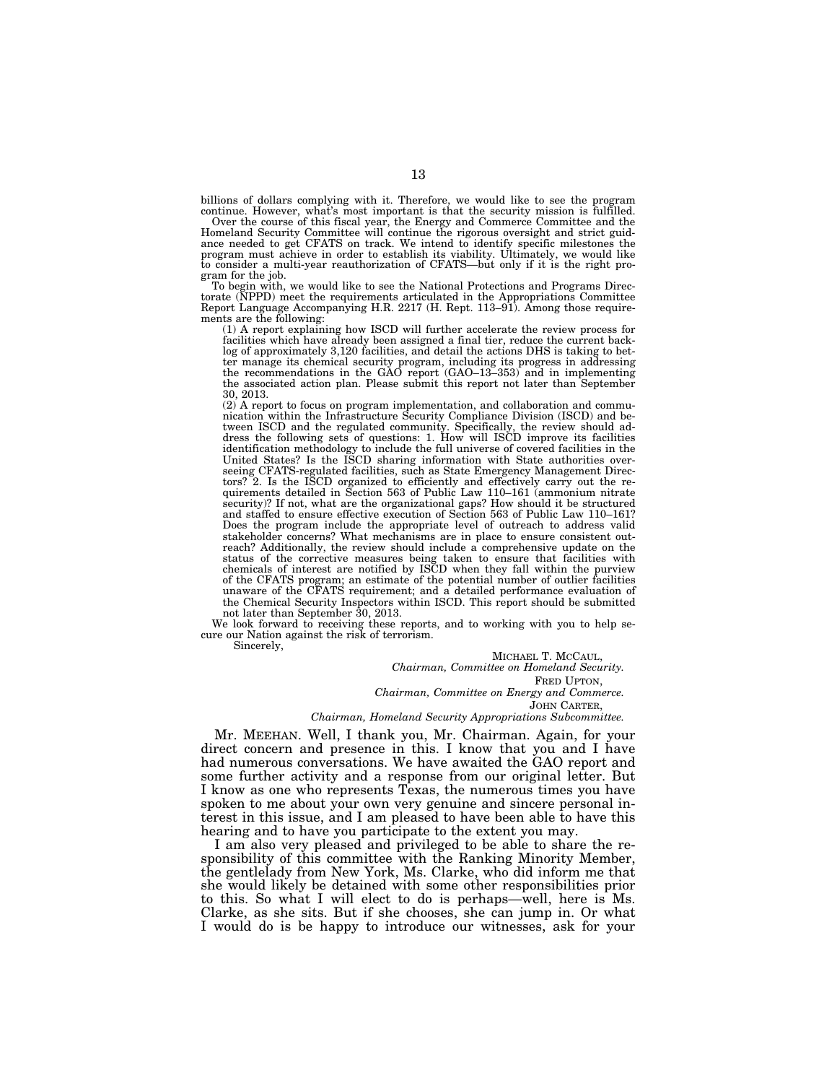billions of dollars complying with it. Therefore, we would like to see the program

continue. However, what's most important is that the security mission is fulfilled. Over the course of this fiscal year, the Energy and Commerce Committee and the Homeland Security Committee will continue the rigorous oversight and strict guidance needed to get CFATS on track. We intend to identify specific milestones the program must achieve in order to establish its viability. Ultimately, we would like to consider a multi-year reauthorization of CFATS—but only if it is the right program for the job.

To begin with, we would like to see the National Protections and Programs Directorate (NPPD) meet the requirements articulated in the Appropriations Committee Report Language Accompanying H.R. 2217 (H. Rept. 113–91). Among those requirements are the following:

(1) A report explaining how ISCD will further accelerate the review process for facilities which have already been assigned a final tier, reduce the current back-log of approximately 3,120 facilities, and detail the actions DHS is taking to better manage its chemical security program, including its progress in addressing the recommendations in the GAO report (GAO–13–353) and in implementing the associated action plan. Please submit this report not later than September 30, 2013.

(2) A report to focus on program implementation, and collaboration and commu-nication within the Infrastructure Security Compliance Division (ISCD) and between ISCD and the regulated community. Specifically, the review should address the following sets of questions: 1. How will ISCD improve its facilities identification methodology to include the full universe of covered facilities in the United States? Is the ISCD sharing information with State authorities overseeing CFATS-regulated facilities, such as State Emergency Management Directors? 2. Is the ISCD organized to efficiently and effectively carry out the requirements detailed in Section 563 of Public Law 110–161 (ammonium nitrate security)? If not, what are the organizational gaps? How should it be structured and staffed to ensure effective execution of Section 563 of Public Law 110–161? Does the program include the appropriate level of outreach to address valid stakeholder concerns? What mechanisms are in place to ensure consistent outreach? Additionally, the review should include a comprehensive update on the status of the corrective measures being taken to ensure that facilities with chemicals of interest are notified by ISCD when they fall within the purview of the CFATS program; an estimate of the potential number of outlier facilities unaware of the CFATS requirement; and a detailed performance evaluation of the Chemical Security Inspectors within ISCD. This report should be submitted not later than September 30, 2013.

We look forward to receiving these reports, and to working with you to help secure our Nation against the risk of terrorism.

Sincerely,

MICHAEL T. MCCAUL, *Chairman, Committee on Homeland Security.*  FRED UPTON, *Chairman, Committee on Energy and Commerce.*  JOHN CARTER, *Chairman, Homeland Security Appropriations Subcommittee.* 

Mr. MEEHAN. Well, I thank you, Mr. Chairman. Again, for your direct concern and presence in this. I know that you and I have had numerous conversations. We have awaited the GAO report and some further activity and a response from our original letter. But I know as one who represents Texas, the numerous times you have spoken to me about your own very genuine and sincere personal interest in this issue, and I am pleased to have been able to have this hearing and to have you participate to the extent you may.

I am also very pleased and privileged to be able to share the responsibility of this committee with the Ranking Minority Member, the gentlelady from New York, Ms. Clarke, who did inform me that she would likely be detained with some other responsibilities prior to this. So what I will elect to do is perhaps—well, here is Ms. Clarke, as she sits. But if she chooses, she can jump in. Or what I would do is be happy to introduce our witnesses, ask for your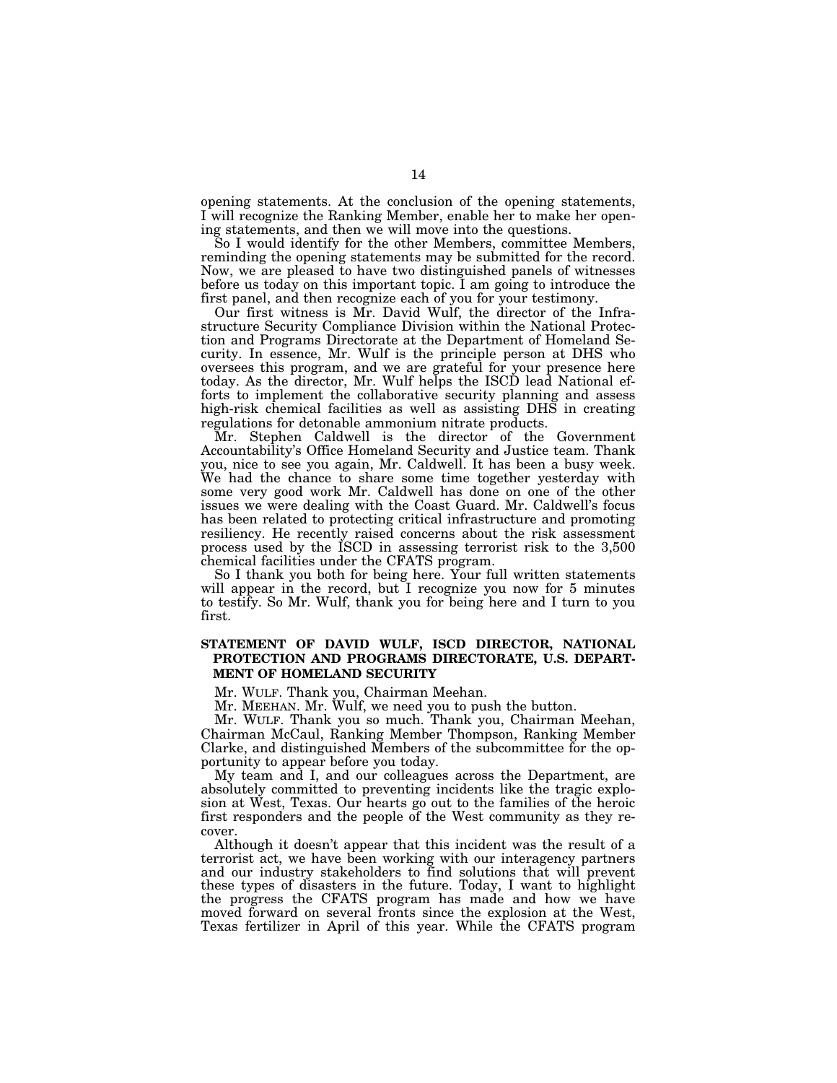opening statements. At the conclusion of the opening statements, I will recognize the Ranking Member, enable her to make her opening statements, and then we will move into the questions.

So I would identify for the other Members, committee Members, reminding the opening statements may be submitted for the record. Now, we are pleased to have two distinguished panels of witnesses before us today on this important topic. I am going to introduce the first panel, and then recognize each of you for your testimony.

Our first witness is Mr. David Wulf, the director of the Infrastructure Security Compliance Division within the National Protection and Programs Directorate at the Department of Homeland Security. In essence, Mr. Wulf is the principle person at DHS who oversees this program, and we are grateful for your presence here today. As the director, Mr. Wulf helps the ISCD lead National efforts to implement the collaborative security planning and assess high-risk chemical facilities as well as assisting DHS in creating regulations for detonable ammonium nitrate products.

Mr. Stephen Caldwell is the director of the Government Accountability's Office Homeland Security and Justice team. Thank you, nice to see you again, Mr. Caldwell. It has been a busy week. We had the chance to share some time together yesterday with some very good work Mr. Caldwell has done on one of the other issues we were dealing with the Coast Guard. Mr. Caldwell's focus has been related to protecting critical infrastructure and promoting resiliency. He recently raised concerns about the risk assessment process used by the ISCD in assessing terrorist risk to the 3,500 chemical facilities under the CFATS program.

So I thank you both for being here. Your full written statements will appear in the record, but I recognize you now for 5 minutes to testify. So Mr. Wulf, thank you for being here and I turn to you first.

# **STATEMENT OF DAVID WULF, ISCD DIRECTOR, NATIONAL PROTECTION AND PROGRAMS DIRECTORATE, U.S. DEPART-MENT OF HOMELAND SECURITY**

Mr. WULF. Thank you, Chairman Meehan.

Mr. MEEHAN. Mr. Wulf, we need you to push the button.

Mr. WULF. Thank you so much. Thank you, Chairman Meehan, Chairman McCaul, Ranking Member Thompson, Ranking Member Clarke, and distinguished Members of the subcommittee for the opportunity to appear before you today.

My team and I, and our colleagues across the Department, are absolutely committed to preventing incidents like the tragic explosion at West, Texas. Our hearts go out to the families of the heroic first responders and the people of the West community as they recover.

Although it doesn't appear that this incident was the result of a terrorist act, we have been working with our interagency partners and our industry stakeholders to find solutions that will prevent these types of disasters in the future. Today, I want to highlight the progress the CFATS program has made and how we have moved forward on several fronts since the explosion at the West, Texas fertilizer in April of this year. While the CFATS program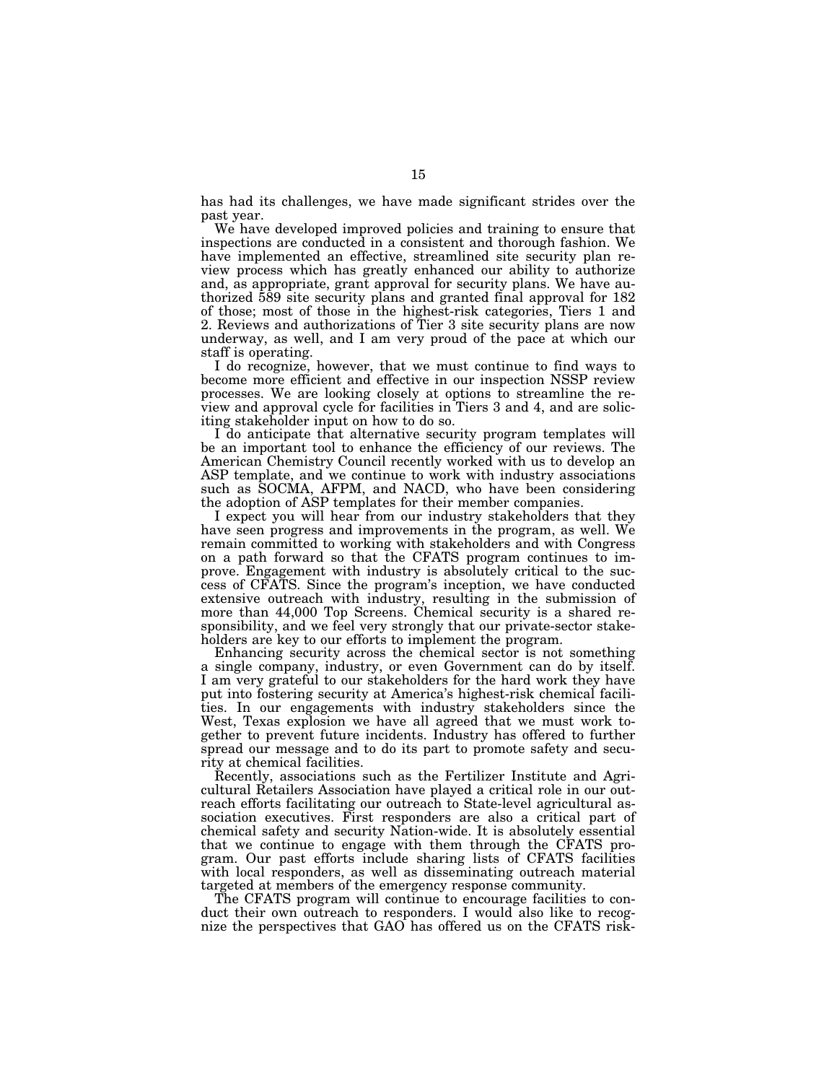has had its challenges, we have made significant strides over the past year.

We have developed improved policies and training to ensure that inspections are conducted in a consistent and thorough fashion. We have implemented an effective, streamlined site security plan review process which has greatly enhanced our ability to authorize and, as appropriate, grant approval for security plans. We have authorized 589 site security plans and granted final approval for 182 of those; most of those in the highest-risk categories, Tiers 1 and 2. Reviews and authorizations of Tier 3 site security plans are now underway, as well, and I am very proud of the pace at which our staff is operating.

I do recognize, however, that we must continue to find ways to become more efficient and effective in our inspection NSSP review processes. We are looking closely at options to streamline the review and approval cycle for facilities in Tiers 3 and 4, and are soliciting stakeholder input on how to do so.

I do anticipate that alternative security program templates will be an important tool to enhance the efficiency of our reviews. The American Chemistry Council recently worked with us to develop an ASP template, and we continue to work with industry associations such as SOCMA, AFPM, and NACD, who have been considering the adoption of ASP templates for their member companies.

I expect you will hear from our industry stakeholders that they have seen progress and improvements in the program, as well. We remain committed to working with stakeholders and with Congress on a path forward so that the CFATS program continues to improve. Engagement with industry is absolutely critical to the success of CFATS. Since the program's inception, we have conducted extensive outreach with industry, resulting in the submission of more than 44,000 Top Screens. Chemical security is a shared responsibility, and we feel very strongly that our private-sector stakeholders are key to our efforts to implement the program.

Enhancing security across the chemical sector is not something a single company, industry, or even Government can do by itself. I am very grateful to our stakeholders for the hard work they have put into fostering security at America's highest-risk chemical facilities. In our engagements with industry stakeholders since the West, Texas explosion we have all agreed that we must work together to prevent future incidents. Industry has offered to further spread our message and to do its part to promote safety and security at chemical facilities.

Recently, associations such as the Fertilizer Institute and Agricultural Retailers Association have played a critical role in our outreach efforts facilitating our outreach to State-level agricultural association executives. First responders are also a critical part of chemical safety and security Nation-wide. It is absolutely essential that we continue to engage with them through the CFATS program. Our past efforts include sharing lists of CFATS facilities with local responders, as well as disseminating outreach material targeted at members of the emergency response community.

The CFATS program will continue to encourage facilities to conduct their own outreach to responders. I would also like to recognize the perspectives that GAO has offered us on the CFATS risk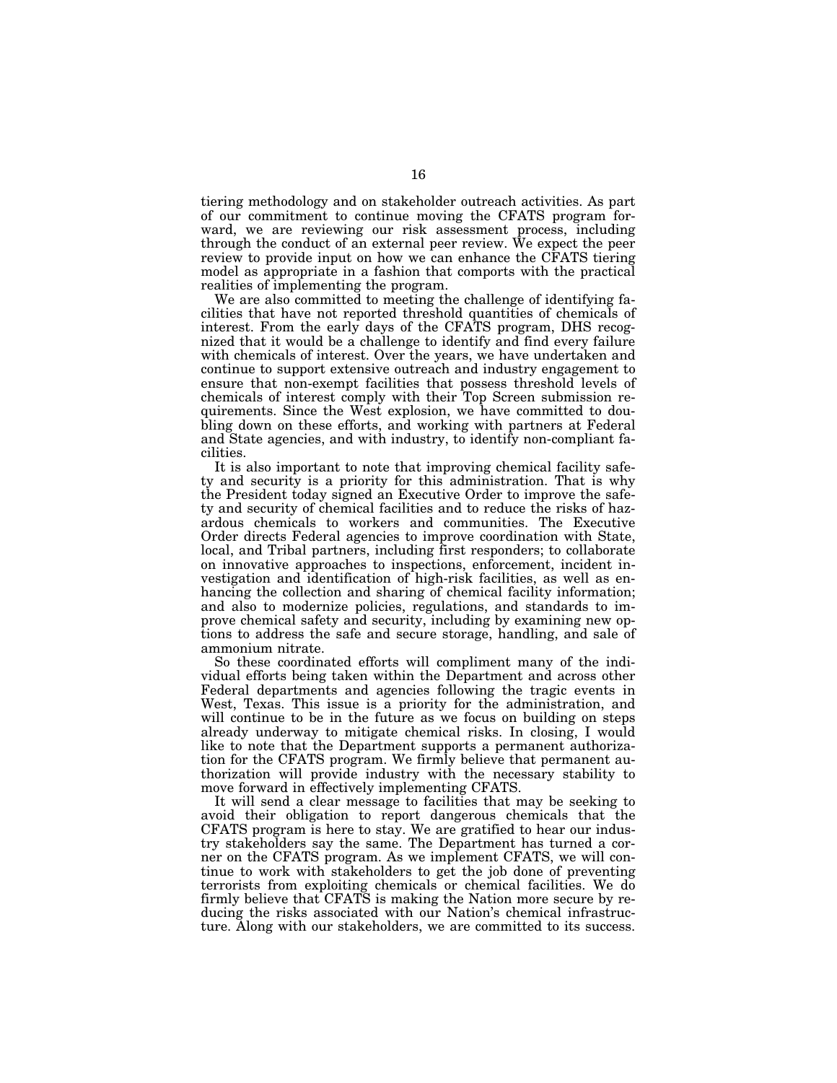tiering methodology and on stakeholder outreach activities. As part of our commitment to continue moving the CFATS program forward, we are reviewing our risk assessment process, including through the conduct of an external peer review. We expect the peer review to provide input on how we can enhance the CFATS tiering model as appropriate in a fashion that comports with the practical realities of implementing the program.

We are also committed to meeting the challenge of identifying facilities that have not reported threshold quantities of chemicals of interest. From the early days of the CFATS program, DHS recognized that it would be a challenge to identify and find every failure with chemicals of interest. Over the years, we have undertaken and continue to support extensive outreach and industry engagement to ensure that non-exempt facilities that possess threshold levels of chemicals of interest comply with their Top Screen submission requirements. Since the West explosion, we have committed to doubling down on these efforts, and working with partners at Federal and State agencies, and with industry, to identify non-compliant facilities.

It is also important to note that improving chemical facility safety and security is a priority for this administration. That is why the President today signed an Executive Order to improve the safety and security of chemical facilities and to reduce the risks of hazardous chemicals to workers and communities. The Executive Order directs Federal agencies to improve coordination with State, local, and Tribal partners, including first responders; to collaborate on innovative approaches to inspections, enforcement, incident investigation and identification of high-risk facilities, as well as enhancing the collection and sharing of chemical facility information; and also to modernize policies, regulations, and standards to improve chemical safety and security, including by examining new options to address the safe and secure storage, handling, and sale of ammonium nitrate.

So these coordinated efforts will compliment many of the individual efforts being taken within the Department and across other Federal departments and agencies following the tragic events in West, Texas. This issue is a priority for the administration, and will continue to be in the future as we focus on building on steps already underway to mitigate chemical risks. In closing, I would like to note that the Department supports a permanent authorization for the CFATS program. We firmly believe that permanent authorization will provide industry with the necessary stability to move forward in effectively implementing CFATS.

It will send a clear message to facilities that may be seeking to avoid their obligation to report dangerous chemicals that the CFATS program is here to stay. We are gratified to hear our industry stakeholders say the same. The Department has turned a corner on the CFATS program. As we implement CFATS, we will continue to work with stakeholders to get the job done of preventing terrorists from exploiting chemicals or chemical facilities. We do firmly believe that CFATS is making the Nation more secure by reducing the risks associated with our Nation's chemical infrastructure. Along with our stakeholders, we are committed to its success.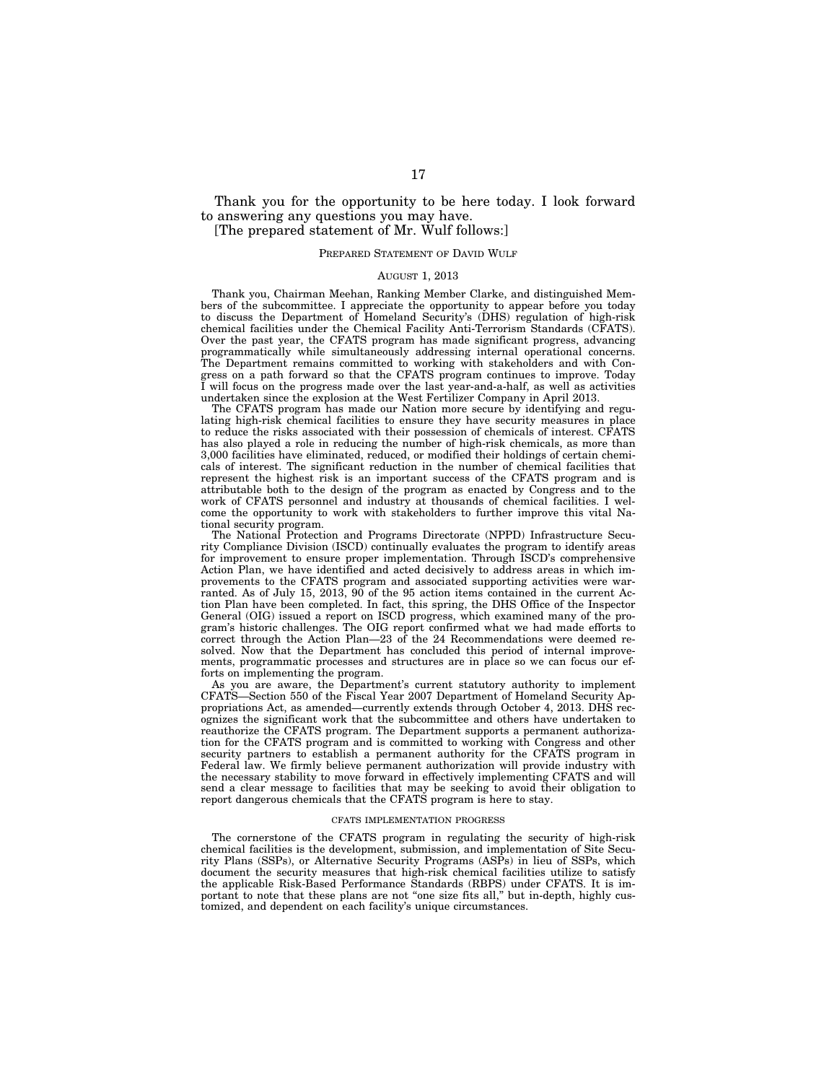Thank you for the opportunity to be here today. I look forward to answering any questions you may have. [The prepared statement of Mr. Wulf follows:]

# PREPARED STATEMENT OF DAVID WULF

# AUGUST 1, 2013

Thank you, Chairman Meehan, Ranking Member Clarke, and distinguished Members of the subcommittee. I appreciate the opportunity to appear before you today to discuss the Department of Homeland Security's (DHS) regulation of high-risk chemical facilities under the Chemical Facility Anti-Terrorism Standards (CFATS). Over the past year, the CFATS program has made significant progress, advancing programmatically while simultaneously addressing internal operational concerns. The Department remains committed to working with stakeholders and with Congress on a path forward so that the CFATS program continues to improve. Today I will focus on the progress made over the last year-and-a-half, as well as activities undertaken since the explosion at the West Fertilizer Company in April 2013.

The CFATS program has made our Nation more secure by identifying and regulating high-risk chemical facilities to ensure they have security measures in place to reduce the risks associated with their possession of chemicals of interest. CFATS has also played a role in reducing the number of high-risk chemicals, as more than 3,000 facilities have eliminated, reduced, or modified their holdings of certain chemicals of interest. The significant reduction in the number of chemical facilities that represent the highest risk is an important success of the CFATS program and is attributable both to the design of the program as enacted by Congress and to the work of CFATS personnel and industry at thousands of chemical facilities. I welcome the opportunity to work with stakeholders to further improve this vital National security program.

The National Protection and Programs Directorate (NPPD) Infrastructure Security Compliance Division (ISCD) continually evaluates the program to identify areas for improvement to ensure proper implementation. Through ISCD's comprehensive Action Plan, we have identified and acted decisively to address areas in which improvements to the CFATS program and associated supporting activities were warranted. As of July 15, 2013, 90 of the 95 action items contained in the current Action Plan have been completed. In fact, this spring, the DHS Office of the Inspector General (OIG) issued a report on ISCD progress, which examined many of the program's historic challenges. The OIG report confirmed what we had made efforts to correct through the Action Plan—23 of the 24 Recommendations were deemed resolved. Now that the Department has concluded this period of internal improvements, programmatic processes and structures are in place so we can focus our efforts on implementing the program.

As you are aware, the Department's current statutory authority to implement CFATS—Section 550 of the Fiscal Year 2007 Department of Homeland Security Appropriations Act, as amended—currently extends through October 4, 2013. DHS recognizes the significant work that the subcommittee and others have undertaken to reauthorize the CFATS program. The Department supports a permanent authorization for the CFATS program and is committed to working with Congress and other security partners to establish a permanent authority for the CFATS program in Federal law. We firmly believe permanent authorization will provide industry with the necessary stability to move forward in effectively implementing CFATS and will send a clear message to facilities that may be seeking to avoid their obligation to report dangerous chemicals that the CFATS program is here to stay.

## CFATS IMPLEMENTATION PROGRESS

The cornerstone of the CFATS program in regulating the security of high-risk chemical facilities is the development, submission, and implementation of Site Security Plans (SSPs), or Alternative Security Programs (ASPs) in lieu of SSPs, which document the security measures that high-risk chemical facilities utilize to satisfy the applicable Risk-Based Performance Standards (RBPS) under CFATS. It is important to note that these plans are not "one size fits all," but in-depth, highly customized, and dependent on each facility's unique circumstances.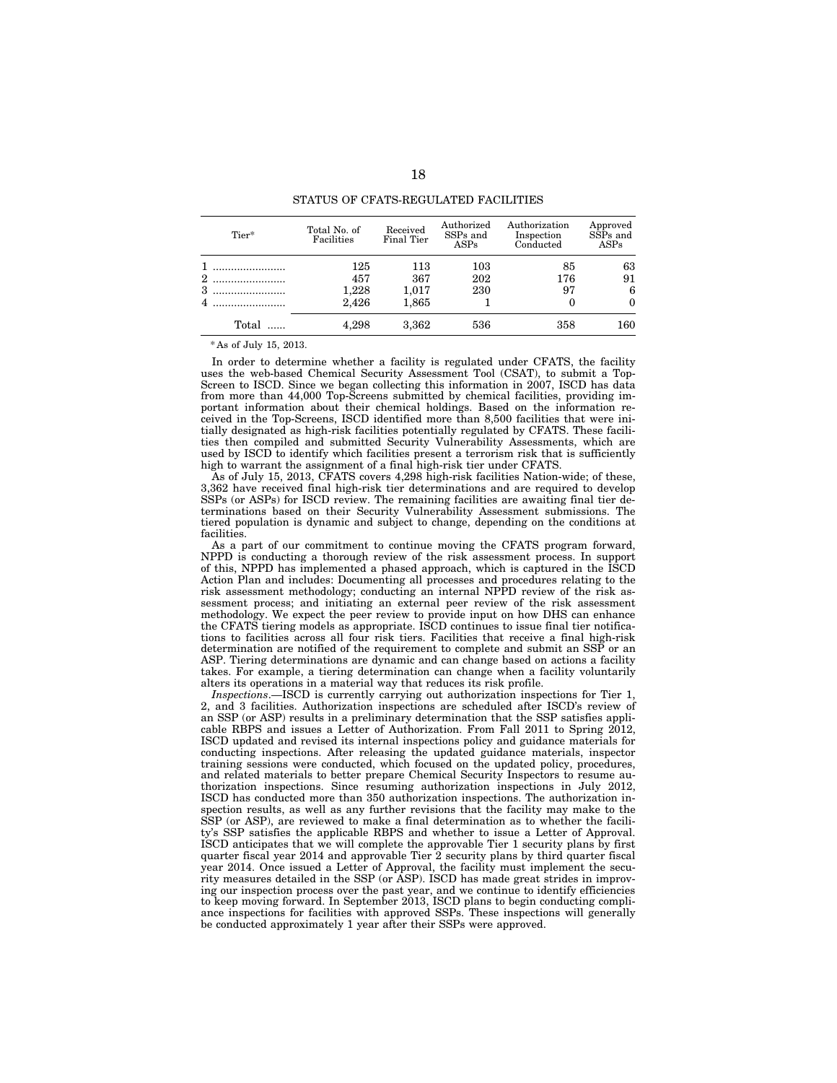| Tier* | Total No. of<br>Facilities | Received<br>Final Tier | Authorized<br>SSP <sub>s</sub> and<br>ASPs | Authorization<br>Inspection<br>Conducted | Approved<br>$S\bar{S}Ps$ and<br><b>ASPs</b> |
|-------|----------------------------|------------------------|--------------------------------------------|------------------------------------------|---------------------------------------------|
|       | 125                        | 113                    | 103                                        | 85                                       | 63                                          |
| 2     | 457                        | 367                    | 202                                        | 176                                      | 91                                          |
| 3     | 1,228                      | 1,017                  | 230                                        | 97                                       | 6                                           |
|       | 2,426                      | 1,865                  |                                            |                                          | $\Omega$                                    |
| Total | 4.298                      | 3,362                  | 536                                        | 358                                      | 160                                         |

STATUS OF CFATS-REGULATED FACILITIES

\* As of July 15, 2013.

In order to determine whether a facility is regulated under CFATS, the facility uses the web-based Chemical Security Assessment Tool (CSAT), to submit a Top-Screen to ISCD. Since we began collecting this information in 2007, ISCD has data from more than 44,000 Top-Screens submitted by chemical facilities, providing important information about their chemical holdings. Based on the information received in the Top-Screens, ISCD identified more than 8,500 facilities that were initially designated as high-risk facilities potentially regulated by CFATS. These facilities then compiled and submitted Security Vulnerability Assessments, which are used by ISCD to identify which facilities present a terrorism risk that is sufficiently high to warrant the assignment of a final high-risk tier under CFATS.

As of July 15, 2013, CFATS covers 4,298 high-risk facilities Nation-wide; of these, 3,362 have received final high-risk tier determinations and are required to develop SSPs (or ASPs) for ISCD review. The remaining facilities are awaiting final tier determinations based on their Security Vulnerability Assessment submissions. The tiered population is dynamic and subject to change, depending on the conditions at facilities.

As a part of our commitment to continue moving the CFATS program forward, NPPD is conducting a thorough review of the risk assessment process. In support of this, NPPD has implemented a phased approach, which is captured in the ISCD Action Plan and includes: Documenting all processes and procedures relating to the risk assessment methodology; conducting an internal NPPD review of the risk assessment process; and initiating an external peer review of the risk assessment methodology. We expect the peer review to provide input on how DHS can enhance the CFATS tiering models as appropriate. ISCD continues to issue final tier notifications to facilities across all four risk tiers. Facilities that receive a final high-risk determination are notified of the requirement to complete and submit an SSP or an ASP. Tiering determinations are dynamic and can change based on actions a facility takes. For example, a tiering determination can change when a facility voluntarily alters its operations in a material way that reduces its risk profile.

*Inspections*.—ISCD is currently carrying out authorization inspections for Tier 1, 2, and 3 facilities. Authorization inspections are scheduled after ISCD's review of an SSP (or ASP) results in a preliminary determination that the SSP satisfies applicable RBPS and issues a Letter of Authorization. From Fall 2011 to Spring 2012, ISCD updated and revised its internal inspections policy and guidance materials for conducting inspections. After releasing the updated guidance materials, inspector training sessions were conducted, which focused on the updated policy, procedures, and related materials to better prepare Chemical Security Inspectors to resume authorization inspections. Since resuming authorization inspections in July 2012, ISCD has conducted more than 350 authorization inspections. The authorization inspection results, as well as any further revisions that the facility may make to the SSP (or ASP), are reviewed to make a final determination as to whether the facility's SSP satisfies the applicable RBPS and whether to issue a Letter of Approval. ISCD anticipates that we will complete the approvable Tier 1 security plans by first quarter fiscal year 2014 and approvable Tier 2 security plans by third quarter fiscal year 2014. Once issued a Letter of Approval, the facility must implement the security measures detailed in the SSP (or ASP). ISCD has made great strides in improving our inspection process over the past year, and we continue to identify efficiencies to keep moving forward. In September 2013, ISCD plans to begin conducting compliance inspections for facilities with approved SSPs. These inspections will generally be conducted approximately 1 year after their SSPs were approved.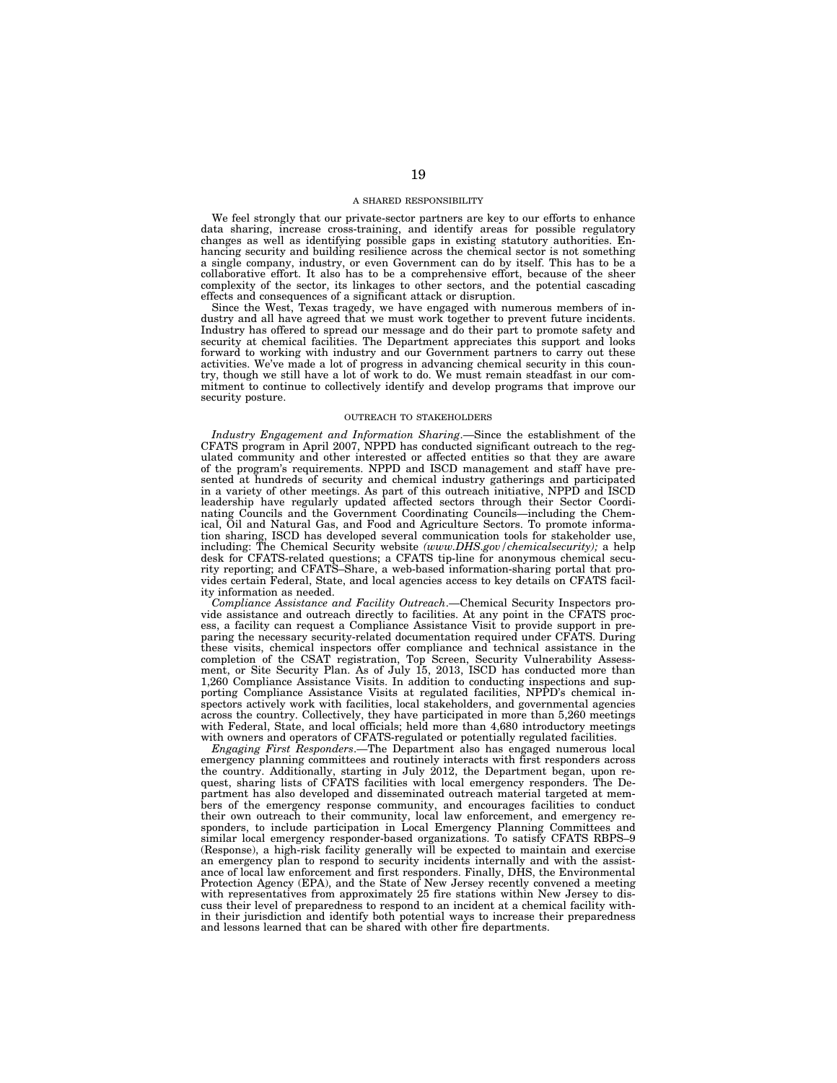# A SHARED RESPONSIBILITY

We feel strongly that our private-sector partners are key to our efforts to enhance data sharing, increase cross-training, and identify areas for possible regulatory changes as well as identifying possible gaps in existing statutory authorities. Enhancing security and building resilience across the chemical sector is not something a single company, industry, or even Government can do by itself. This has to be a collaborative effort. It also has to be a comprehensive effort, because of the sheer complexity of the sector, its linkages to other sectors, and the potential cascading effects and consequences of a significant attack or disruption.

Since the West, Texas tragedy, we have engaged with numerous members of industry and all have agreed that we must work together to prevent future incidents. Industry has offered to spread our message and do their part to promote safety and security at chemical facilities. The Department appreciates this support and looks forward to working with industry and our Government partners to carry out these activities. We've made a lot of progress in advancing chemical security in this country, though we still have a lot of work to do. We must remain steadfast in our commitment to continue to collectively identify and develop programs that improve our security posture.

### OUTREACH TO STAKEHOLDERS

*Industry Engagement and Information Sharing*.—Since the establishment of the CFATS program in April 2007, NPPD has conducted significant outreach to the regulated community and other interested or affected entities so that they are aware of the program's requirements. NPPD and ISCD management and staff have presented at hundreds of security and chemical industry gatherings and participated in a variety of other meetings. As part of this outreach initiative, NPPD and ISCD leadership have regularly updated affected sectors through their Sector Coordinating Councils and the Government Coordinating Councils—including the Chemical, Oil and Natural Gas, and Food and Agriculture Sectors. To promote information sharing, ISCD has developed several communication tools for stakeholder use, including: The Chemical Security website *(www.DHS.gov/chemicalsecurity);* a help desk for CFATS-related questions; a CFATS tip-line for anonymous chemical security reporting; and CFATS–Share, a web-based information-sharing portal that provides certain Federal, State, and local agencies access to key details on CFATS facility information as needed.

*Compliance Assistance and Facility Outreach*.—Chemical Security Inspectors provide assistance and outreach directly to facilities. At any point in the CFATS process, a facility can request a Compliance Assistance Visit to provide support in preparing the necessary security-related documentation required under CFATS. During these visits, chemical inspectors offer compliance and technical assistance in the completion of the CSAT registration, Top Screen, Security Vulnerability Assessment, or Site Security Plan. As of July 15, 2013, ISCD has conducted more than 1,260 Compliance Assistance Visits. In addition to conducting inspections and supporting Compliance Assistance Visits at regulated facilities, NPPD's chemical inspectors actively work with facilities, local stakeholders, and governmental agencies across the country. Collectively, they have participated in more than 5,260 meetings with Federal, State, and local officials; held more than 4,680 introductory meetings with owners and operators of CFATS-regulated or potentially regulated facilities.

*Engaging First Responders*.—The Department also has engaged numerous local emergency planning committees and routinely interacts with first responders across the country. Additionally, starting in July 2012, the Department began, upon request, sharing lists of CFATS facilities with local emergency responders. The Department has also developed and disseminated outreach material targeted at members of the emergency response community, and encourages facilities to conduct their own outreach to their community, local law enforcement, and emergency responders, to include participation in Local Emergency Planning Committees and similar local emergency responder-based organizations. To satisfy CFATS RBPS–9 (Response), a high-risk facility generally will be expected to maintain and exercise an emergency plan to respond to security incidents internally and with the assistance of local law enforcement and first responders. Finally, DHS, the Environmental Protection Agency (EPA), and the State of New Jersey recently convened a meeting with representatives from approximately 25 fire stations within New Jersey to discuss their level of preparedness to respond to an incident at a chemical facility within their jurisdiction and identify both potential ways to increase their preparedness and lessons learned that can be shared with other fire departments.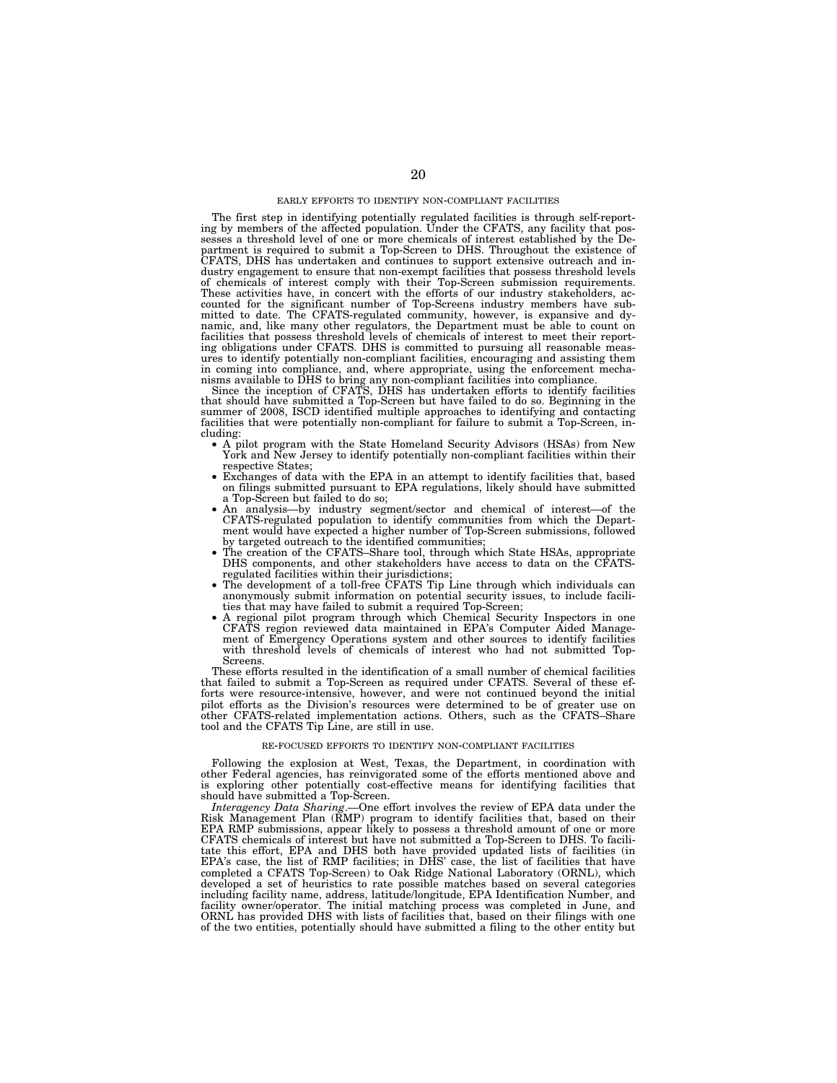# EARLY EFFORTS TO IDENTIFY NON-COMPLIANT FACILITIES

The first step in identifying potentially regulated facilities is through self-report-ing by members of the affected population. Under the CFATS, any facility that possesses a threshold level of one or more chemicals of interest established by the De-partment is required to submit a Top-Screen to DHS. Throughout the existence of CFATS, DHS has undertaken and continues to support extensive outreach and industry engagement to ensure that non-exempt facilities that possess threshold levels of chemicals of interest comply with their Top-Screen submission requirements. These activities have, in concert with the efforts of our industry stakeholders, accounted for the significant number of Top-Screens industry members have sub-mitted to date. The CFATS-regulated community, however, is expansive and dynamic, and, like many other regulators, the Department must be able to count on facilities that possess threshold levels of chemicals of interest to meet their reporting obligations under CFATS. DHS is committed to pursuing all reasonable measures to identify potentially non-compliant facilities, encouraging and assisting them

in coming into compliance, and, where appropriate, using the enforcement mechanisms available to DHS to bring any non-compliant facilities into compliance.<br>Since the inception of CFATS, DHS has undertaken efforts to identi summer of 2008, ISCD identified multiple approaches to identifying and contacting facilities that were potentially non-compliant for failure to submit a Top-Screen, in-<br>cluding:

- A pilot program with the State Homeland Security Advisors (HSAs) from New York and New Jersey to identify potentially non-compliant facilities within their respective States;
- respective States; Exchanges of data with the EPA in an attempt to identify facilities that, based on filings submitted pursuant to EPA regulations, likely should have submitted a Top-Screen but failed to do so; • An analysis—by industry segment/sector and chemical of interest—of the
- CFATS-regulated population to identify communities from which the Department would have expected a higher number of Top-Screen submissions, followed
- The creation of the CFATS–Share tool, through which State HSAs, appropriate DHS components, and other stakeholders have access to data on the CFATS-<br>regulated facilities within their jurisdictions:
- The development of a toll-free CFATS Tip Line through which individuals can anonymously submit information on potential security issues, to include facili-<br>ties that may have failed to submit a required Top-Screen;
- A regional pilot program through which Chemical Security Inspectors in one CFATS region reviewed data maintained in EPA's Computer Aided Management of Emergency Operations system and other sources to identify facilities with threshold levels of chemicals of interest who had not submitted Top-Screens.

These efforts resulted in the identification of a small number of chemical facilities that failed to submit a Top-Screen as required under CFATS. Several of these efforts were resource-intensive, however, and were not continued beyond the initial pilot efforts as the Division's resources were determined to be of greater use on other CFATS-related implementation actions. Others, such as the CFATS–Share tool and the CFATS Tip Line, are still in use.

## RE-FOCUSED EFFORTS TO IDENTIFY NON-COMPLIANT FACILITIES

Following the explosion at West, Texas, the Department, in coordination with other Federal agencies, has reinvigorated some of the efforts mentioned above and is exploring other potentially cost-effective means for identifying facilities that should have submitted a Top-Screen.

*Interagency Data Sharing*.—One effort involves the review of EPA data under the Risk Management Plan (RMP) program to identify facilities that, based on their EPA RMP submissions, appear likely to possess a threshold amount of one or more CFATS chemicals of interest but have not submitted a Top-Screen to DHS. To facilitate this effort, EPA and DHS both have provided updated lists of facilities (in EPA's case, the list of RMP facilities; in DHS' case, the list of facilities that have completed a CFATS Top-Screen) to Oak Ridge National Laboratory (ORNL), which developed a set of heuristics to rate possible matches based on several categories including facility name, address, latitude/longitude, EPA Identification Number, and facility owner/operator. The initial matching process was completed in June, and ORNL has provided DHS with lists of facilities that, based on their filings with one of the two entities, potentially should have submitted a filing to the other entity but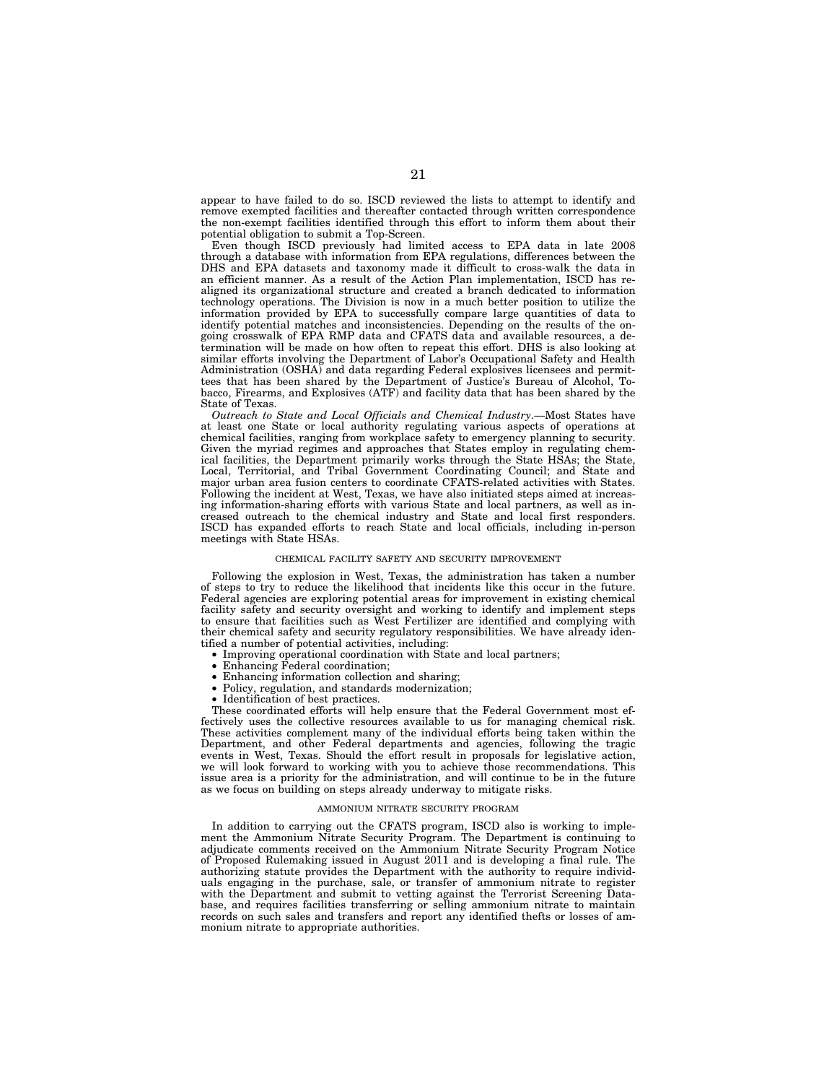appear to have failed to do so. ISCD reviewed the lists to attempt to identify and remove exempted facilities and thereafter contacted through written correspondence the non-exempt facilities identified through this effort to inform them about their potential obligation to submit a Top-Screen.

Even though ISCD previously had limited access to EPA data in late 2008 through a database with information from EPA regulations, differences between the DHS and EPA datasets and taxonomy made it difficult to cross-walk the data in an efficient manner. As a result of the Action Plan implementation, ISCD has realigned its organizational structure and created a branch dedicated to information technology operations. The Division is now in a much better position to utilize the information provided by EPA to successfully compare large quantities of data to identify potential matches and inconsistencies. Depending on the results of the ongoing crosswalk of EPA RMP data and CFATS data and available resources, a determination will be made on how often to repeat this effort. DHS is also looking at similar efforts involving the Department of Labor's Occupational Safety and Health Administration (OSHA) and data regarding Federal explosives licensees and permittees that has been shared by the Department of Justice's Bureau of Alcohol, Tobacco, Firearms, and Explosives (ATF) and facility data that has been shared by the State of Texas.

*Outreach to State and Local Officials and Chemical Industry*.—Most States have at least one State or local authority regulating various aspects of operations at chemical facilities, ranging from workplace safety to emergency planning to security. Given the myriad regimes and approaches that States employ in regulating chemical facilities, the Department primarily works through the State HSAs; the State, Local, Territorial, and Tribal Government Coordinating Council; and State and major urban area fusion centers to coordinate CFATS-related activities with States. Following the incident at West, Texas, we have also initiated steps aimed at increasing information-sharing efforts with various State and local partners, as well as increased outreach to the chemical industry and State and local first responders. ISCD has expanded efforts to reach State and local officials, including in-person meetings with State HSAs.

### CHEMICAL FACILITY SAFETY AND SECURITY IMPROVEMENT

Following the explosion in West, Texas, the administration has taken a number of steps to try to reduce the likelihood that incidents like this occur in the future. Federal agencies are exploring potential areas for improvement in existing chemical facility safety and security oversight and working to identify and implement steps to ensure that facilities such as West Fertilizer are identified and complying with their chemical safety and security regulatory responsibilities. We have already identified a number of potential activities, including:

- Improving operational coordination with State and local partners;<br>• Enhancing Federal coordination:
- Enhancing Federal coordination;
- Enhancing information collection and sharing;
- Policy, regulation, and standards modernization;
- Identification of best practices.

These coordinated efforts will help ensure that the Federal Government most effectively uses the collective resources available to us for managing chemical risk. These activities complement many of the individual efforts being taken within the Department, and other Federal departments and agencies, following the tragic events in West, Texas. Should the effort result in proposals for legislative action, we will look forward to working with you to achieve those recommendations. This issue area is a priority for the administration, and will continue to be in the future as we focus on building on steps already underway to mitigate risks.

### AMMONIUM NITRATE SECURITY PROGRAM

In addition to carrying out the CFATS program, ISCD also is working to implement the Ammonium Nitrate Security Program. The Department is continuing to adjudicate comments received on the Ammonium Nitrate Security Program Notice of Proposed Rulemaking issued in August 2011 and is developing a final rule. The authorizing statute provides the Department with the authority to require individuals engaging in the purchase, sale, or transfer of ammonium nitrate to register with the Department and submit to vetting against the Terrorist Screening Database, and requires facilities transferring or selling ammonium nitrate to maintain records on such sales and transfers and report any identified thefts or losses of ammonium nitrate to appropriate authorities.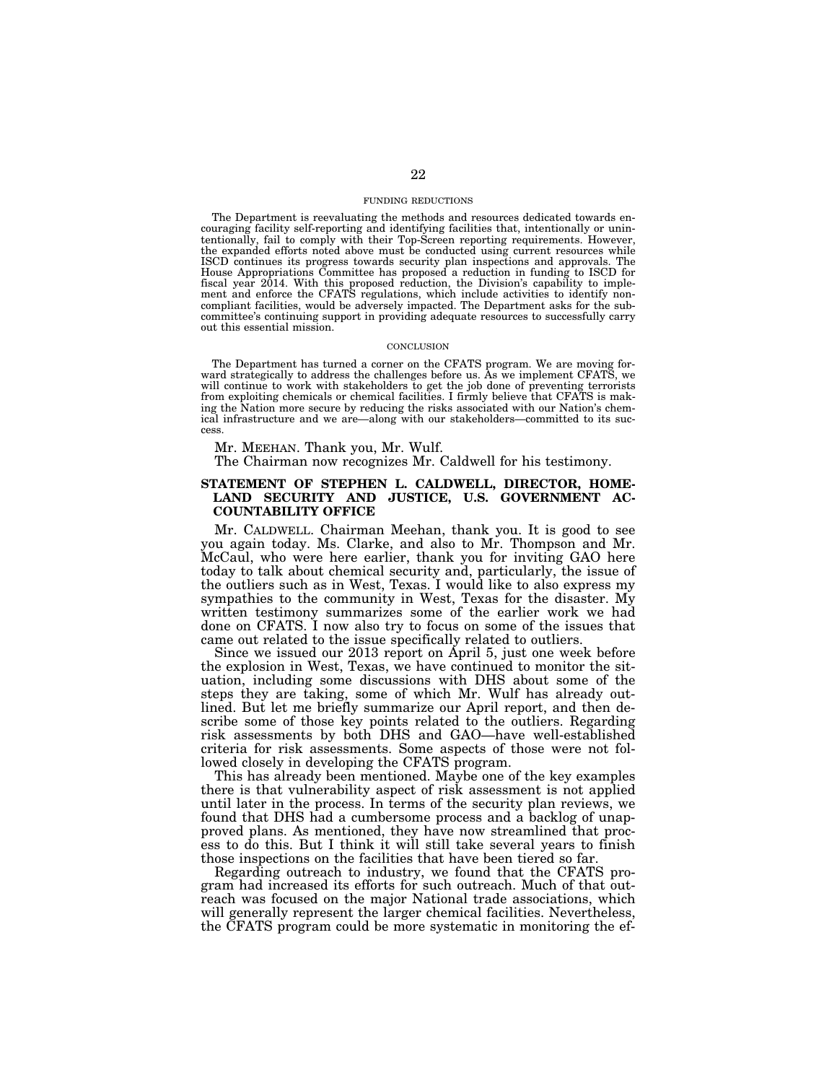# FUNDING REDUCTIONS

The Department is reevaluating the methods and resources dedicated towards encouraging facility self-reporting and identifying facilities that, intentionally or unintentionally, fail to comply with their Top-Screen reporting requirements. However, the expanded efforts noted above must be conducted using current resources while ISCD continues its progress towards security plan inspections and approvals. The House Appropriations Committee has proposed a reduction in funding to ISCD for fiscal year 2014. With this proposed reduction, the Division's capability to implement and enforce the CFATS regulations, which include activities to identify noncompliant facilities, would be adversely impacted. The Department asks for the subcommittee's continuing support in providing adequate resources to successfully carry out this essential mission.

# **CONCLUSION**

The Department has turned a corner on the CFATS program. We are moving forward strategically to address the challenges before us. As we implement CFATS, we will continue to work with stakeholders to get the job done of preventing terrorists from exploiting chemicals or chemical facilities. I firmly believe that CFATS is making the Nation more secure by reducing the risks associated with our Nation's chemical infrastructure and we are—along with our stakeholders—committed to its success.

Mr. MEEHAN. Thank you, Mr. Wulf.

The Chairman now recognizes Mr. Caldwell for his testimony.

# **STATEMENT OF STEPHEN L. CALDWELL, DIRECTOR, HOME-LAND SECURITY AND JUSTICE, U.S. GOVERNMENT AC-COUNTABILITY OFFICE**

Mr. CALDWELL. Chairman Meehan, thank you. It is good to see you again today. Ms. Clarke, and also to Mr. Thompson and Mr. McCaul, who were here earlier, thank you for inviting GAO here today to talk about chemical security and, particularly, the issue of the outliers such as in West, Texas. I would like to also express my sympathies to the community in West, Texas for the disaster. My written testimony summarizes some of the earlier work we had done on CFATS. I now also try to focus on some of the issues that came out related to the issue specifically related to outliers.

Since we issued our 2013 report on April 5, just one week before the explosion in West, Texas, we have continued to monitor the situation, including some discussions with DHS about some of the steps they are taking, some of which Mr. Wulf has already outlined. But let me briefly summarize our April report, and then describe some of those key points related to the outliers. Regarding risk assessments by both DHS and GAO—have well-established criteria for risk assessments. Some aspects of those were not followed closely in developing the CFATS program.

This has already been mentioned. Maybe one of the key examples there is that vulnerability aspect of risk assessment is not applied until later in the process. In terms of the security plan reviews, we found that DHS had a cumbersome process and a backlog of unapproved plans. As mentioned, they have now streamlined that process to do this. But I think it will still take several years to finish those inspections on the facilities that have been tiered so far.

Regarding outreach to industry, we found that the CFATS program had increased its efforts for such outreach. Much of that outreach was focused on the major National trade associations, which will generally represent the larger chemical facilities. Nevertheless, the CFATS program could be more systematic in monitoring the ef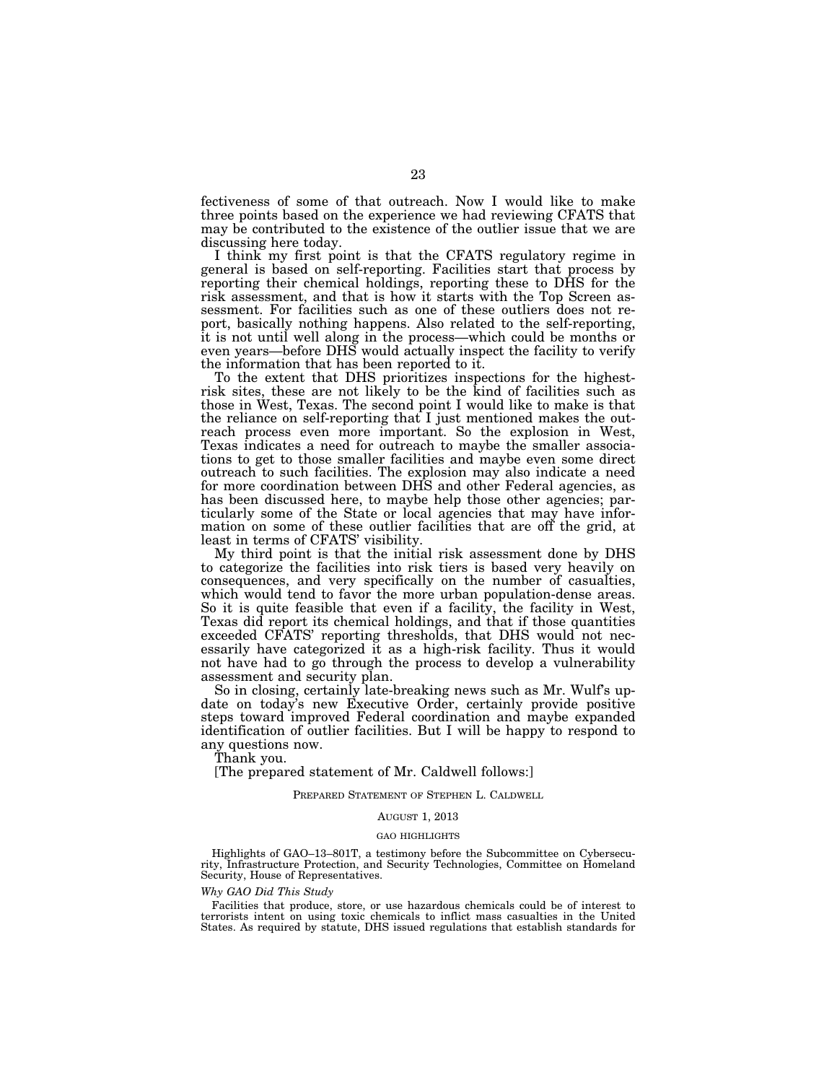fectiveness of some of that outreach. Now I would like to make three points based on the experience we had reviewing CFATS that may be contributed to the existence of the outlier issue that we are discussing here today.

I think my first point is that the CFATS regulatory regime in general is based on self-reporting. Facilities start that process by reporting their chemical holdings, reporting these to DHS for the risk assessment, and that is how it starts with the Top Screen assessment. For facilities such as one of these outliers does not report, basically nothing happens. Also related to the self-reporting, it is not until well along in the process—which could be months or even years—before DHS would actually inspect the facility to verify the information that has been reported to it.

To the extent that DHS prioritizes inspections for the highestrisk sites, these are not likely to be the kind of facilities such as those in West, Texas. The second point I would like to make is that the reliance on self-reporting that I just mentioned makes the outreach process even more important. So the explosion in West, Texas indicates a need for outreach to maybe the smaller associations to get to those smaller facilities and maybe even some direct outreach to such facilities. The explosion may also indicate a need for more coordination between DHS and other Federal agencies, as has been discussed here, to maybe help those other agencies; particularly some of the State or local agencies that may have information on some of these outlier facilities that are off the grid, at least in terms of CFATS' visibility.

My third point is that the initial risk assessment done by DHS to categorize the facilities into risk tiers is based very heavily on consequences, and very specifically on the number of casualties, which would tend to favor the more urban population-dense areas. So it is quite feasible that even if a facility, the facility in West, Texas did report its chemical holdings, and that if those quantities exceeded CFATS' reporting thresholds, that DHS would not necessarily have categorized it as a high-risk facility. Thus it would not have had to go through the process to develop a vulnerability assessment and security plan.

So in closing, certainly late-breaking news such as Mr. Wulf's update on today's new Executive Order, certainly provide positive steps toward improved Federal coordination and maybe expanded identification of outlier facilities. But I will be happy to respond to any questions now.

Thank you.

[The prepared statement of Mr. Caldwell follows:]

# PREPARED STATEMENT OF STEPHEN L. CALDWELL

### AUGUST 1, 2013

## GAO HIGHLIGHTS

Highlights of GAO–13–801T, a testimony before the Subcommittee on Cybersecurity, Infrastructure Protection, and Security Technologies, Committee on Homeland Security, House of Representatives.

## *Why GAO Did This Study*

Facilities that produce, store, or use hazardous chemicals could be of interest to terrorists intent on using toxic chemicals to inflict mass casualties in the United States. As required by statute, DHS issued regulations that establish standards for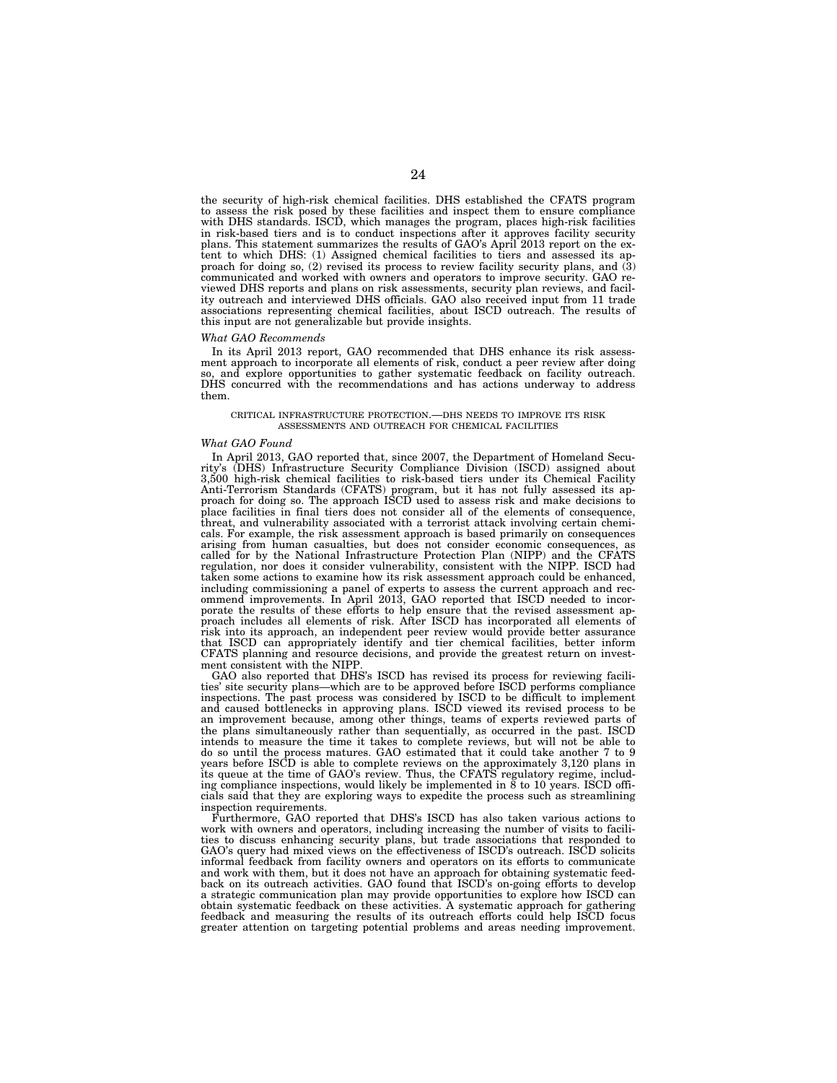the security of high-risk chemical facilities. DHS established the CFATS program to assess the risk posed by these facilities and inspect them to ensure compliance with DHS standards. ISCD, which manages the program, places high-risk facilities in risk-based tiers and is to conduct inspections after it approves facility security plans. This statement summarizes the results of GAO's April 2013 report on the extent to which DHS: (1) Assigned chemical facilities to tiers and assessed its approach for doing so, (2) revised its process to review facility security plans, and (3) communicated and worked with owners and operators to improve security. GAO reviewed DHS reports and plans on risk assessments, security plan reviews, and facility outreach and interviewed DHS officials. GAO also received input from 11 trade associations representing chemical facilities, about ISCD outreach. The results of this input are not generalizable but provide insights.

## *What GAO Recommends*

In its April 2013 report, GAO recommended that DHS enhance its risk assessment approach to incorporate all elements of risk, conduct a peer review after doing so, and explore opportunities to gather systematic feedback on facility outreach. DHS concurred with the recommendations and has actions underway to address them.

## CRITICAL INFRASTRUCTURE PROTECTION.—DHS NEEDS TO IMPROVE ITS RISK ASSESSMENTS AND OUTREACH FOR CHEMICAL FACILITIES

### *What GAO Found*

In April 2013, GAO reported that, since 2007, the Department of Homeland Security's (DHS) Infrastructure Security Compliance Division (ISCD) assigned about 3,500 high-risk chemical facilities to risk-based tiers under its Chemical Facility Anti-Terrorism Standards (CFATS) program, but it has not fully assessed its approach for doing so. The approach ISCD used to assess risk and make decisions to place facilities in final tiers does not consider all of the elements of consequence, threat, and vulnerability associated with a terrorist attack involving certain chemicals. For example, the risk assessment approach is based primarily on consequences arising from human casualties, but does not consider economic consequences, as called for by the National Infrastructure Protection Plan (NIPP) and the CFATS regulation, nor does it consider vulnerability, consistent with the NIPP. ISCD had taken some actions to examine how its risk assessment approach could be enhanced, including commissioning a panel of experts to assess the current approach and recommend improvements. In April 2013, GAO reported that ISCD needed to incorporate the results of these efforts to help ensure that the revised assessment approach includes all elements of risk. After ISCD has incorporated all elements of risk into its approach, an independent peer review would provide better assurance that ISCD can appropriately identify and tier chemical facilities, better inform CFATS planning and resource decisions, and provide the greatest return on investment consistent with the NIPP.

GAO also reported that DHS's ISCD has revised its process for reviewing facilities' site security plans—which are to be approved before ISCD performs compliance inspections. The past process was considered by ISCD to be difficult to implement and caused bottlenecks in approving plans. ISCD viewed its revised process to be an improvement because, among other things, teams of experts reviewed parts of the plans simultaneously rather than sequentially, as occurred in the past. ISCD intends to measure the time it takes to complete reviews, but will not be able to do so until the process matures. GAO estimated that it could take another 7 to 9 years before ISCD is able to complete reviews on the approximately 3,120 plans in its queue at the time of GAO's review. Thus, the CFATS regulatory regime, including compliance inspections, would likely be implemented in 8 to 10 years. ISCD officials said that they are exploring ways to expedite the process such as streamlining inspection requirements.

Furthermore, GAO reported that DHS's ISCD has also taken various actions to work with owners and operators, including increasing the number of visits to facilities to discuss enhancing security plans, but trade associations that responded to GAO's query had mixed views on the effectiveness of ISCD's outreach. ISCD solicits informal feedback from facility owners and operators on its efforts to communicate and work with them, but it does not have an approach for obtaining systematic feedback on its outreach activities. GAO found that ISCD's on-going efforts to develop a strategic communication plan may provide opportunities to explore how ISCD can obtain systematic feedback on these activities. A systematic approach for gathering feedback and measuring the results of its outreach efforts could help ISCD focus greater attention on targeting potential problems and areas needing improvement.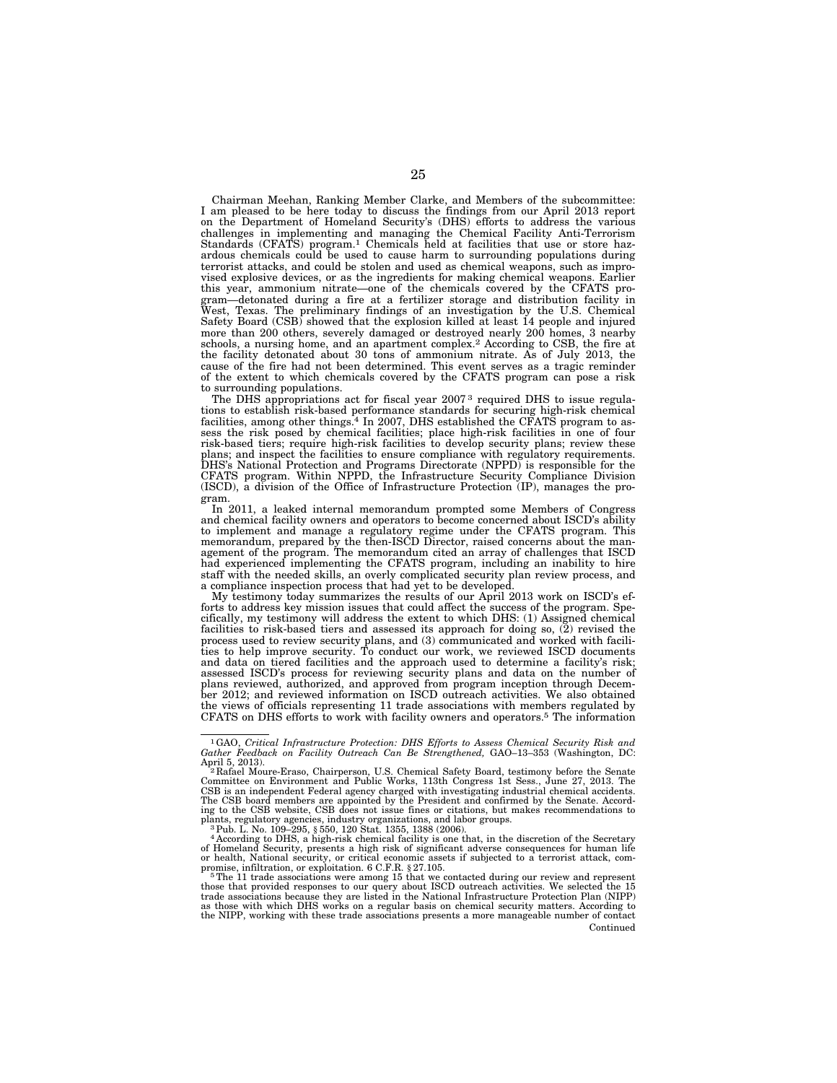Chairman Meehan, Ranking Member Clarke, and Members of the subcommittee: I am pleased to be here today to discuss the findings from our April 2013 report on the Department of Homeland Security's (DHS) efforts to address the various challenges in implementing and managing the Chemical Facility Anti-Terrorism Standards (CFATS) program.1 Chemicals held at facilities that use or store hazardous chemicals could be used to cause harm to surrounding populations during terrorist attacks, and could be stolen and used as chemical weapons, such as improvised explosive devices, or as the ingredients for making chemical weapons. Earlier this year, ammonium nitrate—one of the chemicals covered by the CFATS program—detonated during a fire at a fertilizer storage and distribution facility in West, Texas. The preliminary findings of an investigation by the U.S. Chemical Safety Board (CSB) showed that the explosion killed at least 14 people and injured more than 200 others, severely damaged or destroyed nearly 200 homes, 3 nearby schools, a nursing home, and an apartment complex.2 According to CSB, the fire at the facility detonated about 30 tons of ammonium nitrate. As of July 2013, the cause of the fire had not been determined. This event serves as a tragic reminder of the extent to which chemicals covered by the CFATS program can pose a risk to surrounding populations.

The DHS appropriations act for fiscal year 2007<sup>3</sup> required DHS to issue regulations to establish risk-based performance standards for securing high-risk chemical facilities, among other things.<sup>4</sup> In 2007, DHS established the CFATS program to assess the risk posed by chemical facilities; place high-risk facilities in one of four risk-based tiers; require high-risk facilities to develop security plans; review these plans; and inspect the facilities to ensure compliance with regulatory requirements. DHS's National Protection and Programs Directorate (NPPD) is responsible for the CFATS program. Within NPPD, the Infrastructure Security Compliance Division (ISCD), a division of the Office of Infrastructure Protection (IP), manages the program.

In 2011, a leaked internal memorandum prompted some Members of Congress and chemical facility owners and operators to become concerned about ISCD's ability to implement and manage a regulatory regime under the CFATS program. This memorandum, prepared by the then-ISCD Director, raised concerns about the management of the program. The memorandum cited an array of challenges that ISCD had experienced implementing the CFATS program, including an inability to hire staff with the needed skills, an overly complicated security plan review process, and a compliance inspection process that had yet to be developed.

My testimony today summarizes the results of our April 2013 work on ISCD's efforts to address key mission issues that could affect the success of the program. Specifically, my testimony will address the extent to which DHS: (1) Assigned chemical facilities to risk-based tiers and assessed its approach for doing so, (2) revised the process used to review security plans, and (3) communicated and worked with facilities to help improve security. To conduct our work, we reviewed ISCD documents and data on tiered facilities and the approach used to determine a facility's risk; assessed ISCD's process for reviewing security plans and data on the number of plans reviewed, authorized, and approved from program inception through December 2012; and reviewed information on ISCD outreach activities. We also obtained the views of officials representing 11 trade associations with members regulated by CFATS on DHS efforts to work with facility owners and operators.5 The information

plants, regulatory agencies, industry organizations, and labor groups.<br>
<sup>3</sup> Pub. L. No. 109–295, § 550, 120 Stat. 1355, 1388 (2006).<br>
<sup>4</sup> According to DHS, a high-risk chemical facility is one that, in the discretion of t

as those with which DHS works on a regular basis on chemical security matters. According to the NIPP, working with these trade associations presents a more manageable number of contact Continued

<sup>1</sup>GAO, *Critical Infrastructure Protection: DHS Efforts to Assess Chemical Security Risk and Gather Feedback on Facility Outreach Can Be Strengthened,* GAO–13–353 (Washington, DC:

April 5, 2013).<br><sup>2</sup> Rafael Moure-Eraso, Chairperson, U.S. Chemical Safety Board, testimony before the Senate<br>Committee on Environment and Public Works, 113th Congress 1st Sess., June 27, 2013. The<br>CSB is an independent Fed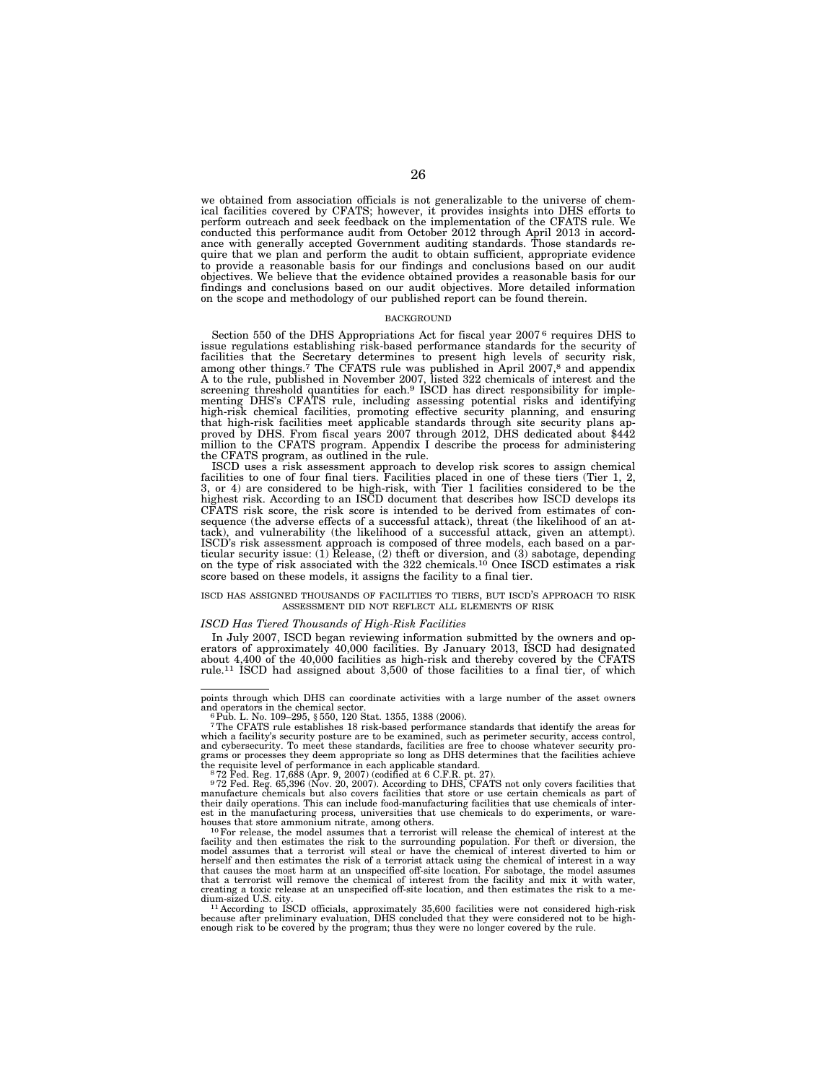we obtained from association officials is not generalizable to the universe of chemical facilities covered by CFATS; however, it provides insights into DHS efforts to perform outreach and seek feedback on the implementation of the CFATS rule. We conducted this performance audit from October 2012 through April 2013 in accordance with generally accepted Government auditing standards. Those standards require that we plan and perform the audit to obtain sufficient, appropriate evidence to provide a reasonable basis for our findings and conclusions based on our audit objectives. We believe that the evidence obtained provides a reasonable basis for our findings and conclusions based on our audit objectives. More detailed information on the scope and methodology of our published report can be found therein.

## **BACKGROUND**

Section 550 of the DHS Appropriations Act for fiscal year 2007<sup>6</sup> requires DHS to issue regulations establishing risk-based performance standards for the security of facilities that the Secretary determines to present high levels of security risk, among other things.<sup>7</sup> The CFATS rule was published in April 2007,<sup>8</sup> and appendix A to the rule, published in November 2007, listed 322 chemicals of interest and the screening threshold quantities for each.<sup>9</sup> ISCD has direct responsibility for implementing DHS's CFATS rule, including assessing potential risks and identifying high-risk chemical facilities, promoting effective security planning, and ensuring that high-risk facilities meet applicable standards through site security plans approved by DHS. From fiscal years 2007 through 2012, DHS dedicated about \$442 million to the CFATS program. Appendix I describe the process for administering the CFATS program, as outlined in the rule.

ISCD uses a risk assessment approach to develop risk scores to assign chemical facilities to one of four final tiers. Facilities placed in one of these tiers (Tier 1, 2, 3, or 4) are considered to be high-risk, with Tier 1 facilities considered to be the highest risk. According to an ISCD document that describes how ISCD develops its CFATS risk score, the risk score is intended to be derived from estimates of consequence (the adverse effects of a successful attack), threat (the likelihood of an attack), and vulnerability (the likelihood of a successful attack, given an attempt). ISCD's risk assessment approach is composed of three models, each based on a particular security issue: (1) Release, (2) theft or diversion, and (3) sabotage, depending on the type of risk associated with the 322 chemicals.10 Once ISCD estimates a risk score based on these models, it assigns the facility to a final tier.

# ISCD HAS ASSIGNED THOUSANDS OF FACILITIES TO TIERS, BUT ISCD'S APPROACH TO RISK ASSESSMENT DID NOT REFLECT ALL ELEMENTS OF RISK

## *ISCD Has Tiered Thousands of High-Risk Facilities*

In July 2007, ISCD began reviewing information submitted by the owners and operators of approximately 40,000 facilities. By January 2013, ISCD had designated about 4,400 of the 40,000 facilities as high-risk and thereby covered by the CFATS rule.11 ISCD had assigned about 3,500 of those facilities to a final tier, of which

points through which DHS can coordinate activities with a large number of the asset owners

and operators in the chemical sector. 6Pub. L. No. 109–295, § 550, 120 Stat. 1355, 1388 (2006). 7The CFATS rule establishes 18 risk-based performance standards that identify the areas for which a facility's security posture are to be examined, such as perimeter security, access control, and cybersecurity. To meet these standards, facilities are free to choose whatever security pro-grams or processes they deem appropriate so long as DHS determines that the facilities achieve

the requisite level of performance in each applicable standard.<br><sup>8</sup>72 Fed. Reg. 17,688 (Apr. 9, 2007) (codified at 6 C.F.R. pt. 27).<br><sup>972</sup> Fed. Reg. 65,396 (Nov. 20, 2007). According to DHS, CFATS not only covers facilitie their daily operations. This can include food-manufacturing facilities that use chemicals of interest in the manufacturing process, universities that use chemicals to do experiments, or ware-<br>houses that store ammonium nitrate, among others.

houses that store ammonium nitrate, among others.<br><sup>10</sup> For release, the model assumes that a terrorist will release the chemical of interest at the facility and then estimates the risk to the surrounding population. For th herself and then estimates the risk of a terrorist attack using the chemical of interest in a way that causes the most harm at an unspecified off-site location. For sabotage, the model assumes that a terrorist will remove the chemical of interest from the facility and mix it with water, creating a toxic release at an unspecified off-site location, and then estimates the risk to a me-

<sup>&</sup>lt;sup>11</sup> According to ISCD officials, approximately 35,600 facilities were not considered high-risk because after preliminary evaluation, DHS concluded that they were considered not to be high-enough risk to be covered by the program; thus they were no longer covered by the rule.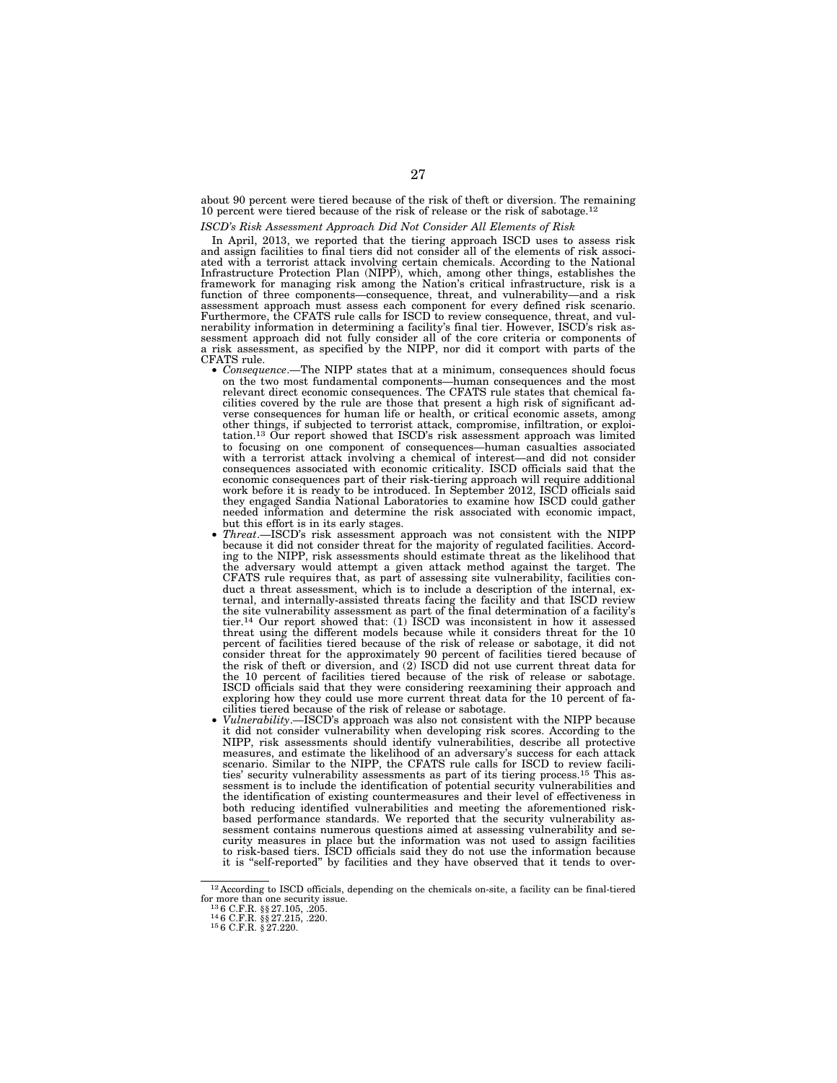about 90 percent were tiered because of the risk of theft or diversion. The remaining 10 percent were tiered because of the risk of release or the risk of sabotage.<sup>1</sup>

# *ISCD's Risk Assessment Approach Did Not Consider All Elements of Risk*

In April, 2013, we reported that the tiering approach ISCD uses to assess risk and assign facilities to final tiers did not consider all of the elements of risk associated with a terrorist attack involving certain chemicals. According to the National Infrastructure Protection Plan (NIPP), which, among other things, establishes the framework for managing risk among the Nation's critical function of three components—consequence, threat, and vulnerability—and a risk assessment approach must assess each component for every defined risk scenario. Furthermore, the CFATS rule calls for ISCD to review consequence, threat, and vulnerability information in determining a facility's final tier. However, ISCD's risk assessment approach did not fully consider all of the core criteria or components of a risk assessment, as specified by the NIPP, nor did it comport with parts of the

- *Consequence*.—The NIPP states that at a minimum, consequences should focus on the two most fundamental components—human consequences and the most relevant direct economic consequences. The CFATS rule states that chemical facilities covered by the rule are those that present a high risk of significant adverse consequences for human life or health, or critical economic assets, among other things, if subjected to terrorist attack, compromise, infiltration, or exploitation.13 Our report showed that ISCD's risk assessment approach was limited to focusing on one component of consequences—human casualties associated with a terrorist attack involving a chemical of interest—and did not consider consequences associated with economic criticality. ISCD officials said that the economic consequences part of their risk-tiering approach will require additional work before it is ready to be introduced. In September 2012, ISCD officials said they engaged Sandia National Laboratories to examine how ISCD could gather needed information and determine the risk associated with economic impact, but this effort is in its early stages.
- *Threat*.—ISCD's risk assessment approach was not consistent with the NIPP because it did not consider threat for the majority of regulated facilities. According to the NIPP, risk assessments should estimate threat as the likelihood that the adversary would attempt a given attack method against the target. The CFATS rule requires that, as part of assessing site vulnerability, facilities conduct a threat assessment, which is to include a description of the internal, external, and internally-assisted threats facing the facility and that ISCD review the site vulnerability assessment as part of the final determination of a facility's tier.14 Our report showed that: (1) ISCD was inconsistent in how it assessed threat using the different models because while it considers threat for the 10 percent of facilities tiered because of the risk of release or sabotage, it did not consider threat for the approximately 90 percent of facilities tiered because of the risk of theft or diversion, and (2) ISCD did not use current threat data for the 10 percent of facilities tiered because of the risk of release or sabotage. ISCD officials said that they were considering reexamining their approach and exploring how they could use more current threat data for the 10 percent of facilities tiered because of the risk of release or sabotage.
- *Vulnerability*.—ISCD's approach was also not consistent with the NIPP because it did not consider vulnerability when developing risk scores. According to the NIPP, risk assessments should identify vulnerabilities, describe all protective measures, and estimate the likelihood of an adversary's success for each attack scenario. Similar to the NIPP, the CFATS rule calls for ISCD to review facili-<br>ties' security vulnerability assessments as part of its tiering process.<sup>15</sup> This assessment is to include the identification of potential security vulnerabilities and the identification of existing countermeasures and their level of effectiveness in both reducing identified vulnerabilities and meeting the aforementioned riskbased performance standards. We reported that the security vulnerability assessment contains numerous questions aimed at assessing vulnerability and security measures in place but the information was not used to assign facilities to risk-based tiers. ISCD officials said they do not use the information because it is ''self-reported'' by facilities and they have observed that it tends to over-

<sup>12</sup> According to ISCD officials, depending on the chemicals on-site, a facility can be final-tiered for more than one security issue.<br>for more than one security issue.<br> $^{13}$  6 C.F.R. §§ 27.215, .220.<br> $^{15}$  6 C.F.R. § 27.220.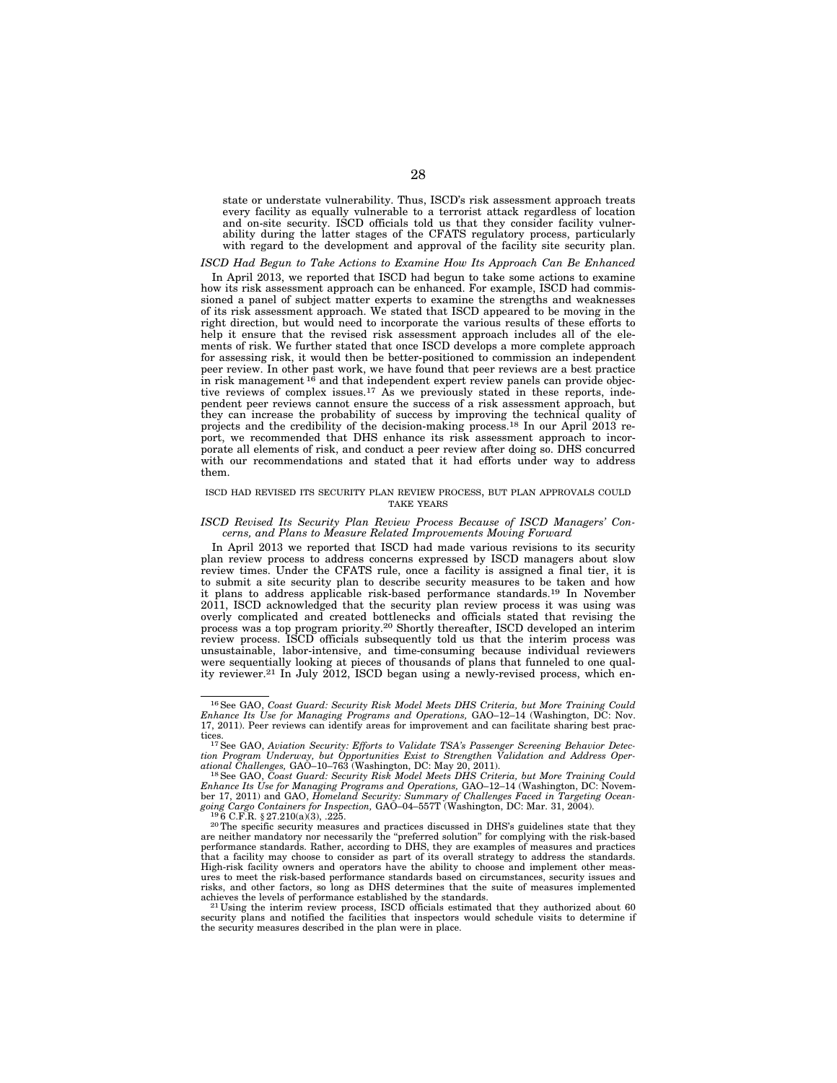state or understate vulnerability. Thus, ISCD's risk assessment approach treats every facility as equally vulnerable to a terrorist attack regardless of location and on-site security. ISCD officials told us that they consider facility vulnerability during the latter stages of the CFATS regulatory process, particularly with regard to the development and approval of the facility site security plan.

# *ISCD Had Begun to Take Actions to Examine How Its Approach Can Be Enhanced*

In April 2013, we reported that ISCD had begun to take some actions to examine how its risk assessment approach can be enhanced. For example, ISCD had commissioned a panel of subject matter experts to examine the strengths and weaknesses of its risk assessment approach. We stated that ISCD appeared to be moving in the right direction, but would need to incorporate the various results of these efforts to help it ensure that the revised risk assessment approach includes all of the elements of risk. We further stated that once ISCD develops a more complete approach for assessing risk, it would then be better-positioned to commission an independent peer review. In other past work, we have found that peer reviews are a best practice<br>in risk management <sup>16</sup> and that independent expert review panels can provide objective reviews of complex issues.17 As we previously stated in these reports, independent peer reviews cannot ensure the success of a risk assessment approach, but they can increase the probability of success by improving the technical quality of projects and the credibility of the decision-making process.<sup>18</sup> In our April 2013 report, we recommended that DHS enhance its risk assessment approach to incorporate all elements of risk, and conduct a peer review after doing so. DHS concurred with our recommendations and stated that it had efforts under way to address them.

# ISCD HAD REVISED ITS SECURITY PLAN REVIEW PROCESS, BUT PLAN APPROVALS COULD TAKE YEARS

## *ISCD Revised Its Security Plan Review Process Because of ISCD Managers' Concerns, and Plans to Measure Related Improvements Moving Forward*

In April 2013 we reported that ISCD had made various revisions to its security plan review process to address concerns expressed by ISCD managers about slow review times. Under the CFATS rule, once a facility is assigned a final tier, it is to submit a site security plan to describe security measures to be taken and how it plans to address applicable risk-based performance standards.19 In November 2011, ISCD acknowledged that the security plan review process it was using was overly complicated and created bottlenecks and officials stated that revising the process was a top program priority.20 Shortly thereafter, ISCD developed an interim review process. ISCD officials subsequently told us that the interim process was unsustainable, labor-intensive, and time-consuming because individual reviewers were sequentially looking at pieces of thousands of plans that funneled to one quality reviewer.<sup>21</sup> In July 2012, ISCD began using a newly-revised process, which en-

<sup>&</sup>lt;sup>16</sup> See GAO, Coast Guard: Security Risk Model Meets DHS Criteria, but More Training Could Enhance Its Use for Managing Programs and Operations, GAO-12-14 (Washington, DC: Nov. 17, 2011). Peer reviews can identify areas fo

tices.<br><sup>17</sup> See GAO, Aviation Security: Efforts to Validate TSA's Passenger Screening Behavior Detec-<br>tion Program Underway, but Opportunities Exist to Strengthen Validation and Address Oper-

<sup>&</sup>lt;sup>18</sup> See GAO, *Coast Guard: Security Risk Model Meets DHS Criteria, but More Training Could Enhance Its Use for Managing Programs and Operations,* GAO–12–14 (Washington, DC: November 17, 2011) and GAO, *Homeland Security: Summary of Challenges Faced in Targeting Ocean-*<br>going Cargo Containers for Inspection, GAO-04-557T (Washington, DC: Mar. 31, 2004).<br><sup>19</sup>6 C.F.R. § 27.210(a)(3), .225.<br><sup>20</sup> The s

are neither mandatory nor necessarily the ''preferred solution'' for complying with the risk-based performance standards. Rather, according to DHS, they are examples of measures and practices that a facility may choose to consider as part of its overall strategy to address the standards. High-risk facility owners and operators have the ability to choose and implement other measures to meet the risk-based performance standards based on circumstances, security issues and risks, and other factors, so long as DHS determines that the suite of measures implemented

achieves the levels of performance established by the standards.  $21$  Using the interim review process, ISCD officials estimated that they authorized about 60 security plans and notified the facilities that inspectors would schedule visits to determine if the security measures described in the plan were in place.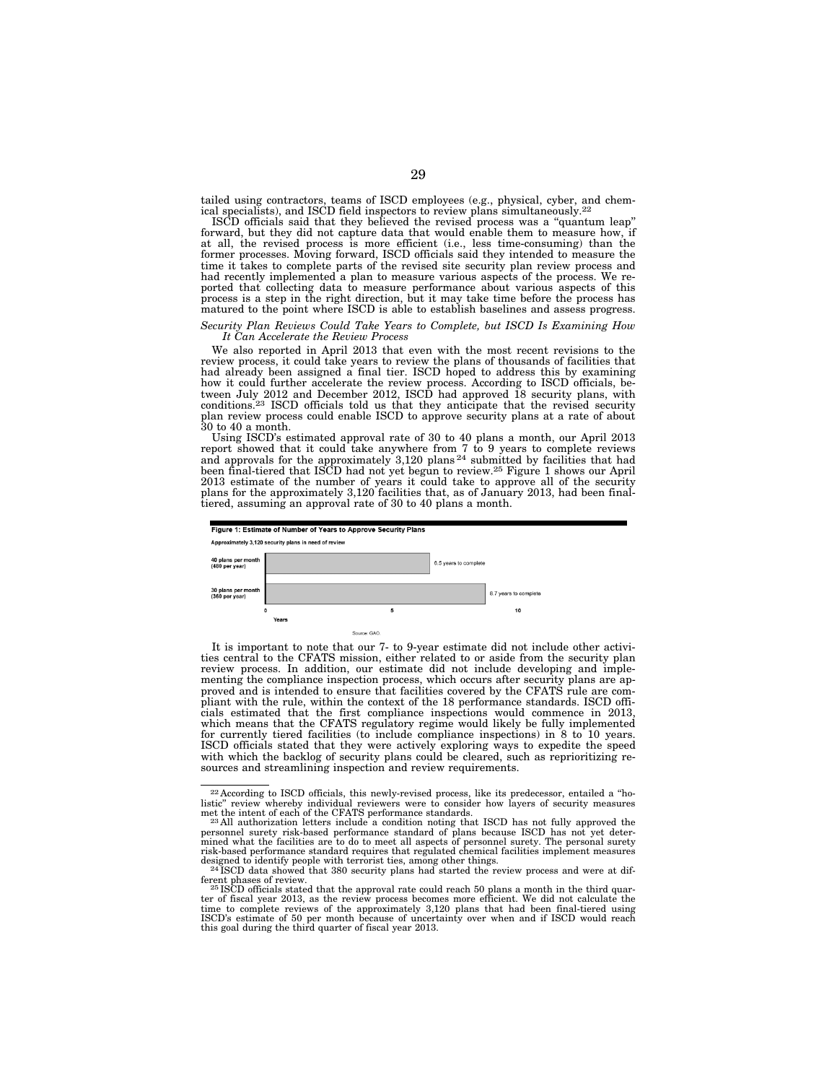tailed using contractors, teams of ISCD employees (e.g., physical, cyber, and chem-<br>ical specialists), and ISCD field inspectors to review plans simultaneously.<sup>22</sup>

ISCD officials said that they believed the revised process was a ''quantum leap'' forward, but they did not capture data that would enable them to measure how, if at all, the revised process is more efficient (i.e., less time-consuming) than the former processes. Moving forward, ISCD officials said they intended to measure the time it takes to complete parts of the revised site security plan review process and had recently implemented a plan to measure various aspects of the process. We reported that collecting data to measure performance about various aspects of this process is a step in the right direction, but it may take time before the process has matured to the point where ISCD is able to establish baselines and assess progress.

# *Security Plan Reviews Could Take Years to Complete, but ISCD Is Examining How It Can Accelerate the Review Process*

We also reported in April 2013 that even with the most recent revisions to the review process, it could take years to review the plans of thousands of facilities that had already been assigned a final tier. ISCD hoped to address this by examining how it could further accelerate the review process. According to ISCD officials, between July 2012 and December 2012, ISCD had approved 18 security plans, with conditions.23 ISCD officials told us that they anticipate that the revised security plan review process could enable ISCD to approve security plans at a rate of about 30 to 40 a month.

Using ISCD's estimated approval rate of 30 to 40 plans a month, our April 2013 report showed that it could take anywhere from 7 to 9 years to complete reviews and approvals for the approximately 3,120 plans 24 submitted by facilities that had been final-tiered that ISCD had not yet begun to review.25 Figure 1 shows our April 2013 estimate of the number of years it could take to approve all of the security plans for the approximately 3,120 facilities that, as of January 2013, had been finaltiered, assuming an approval rate of 30 to 40 plans a month.



It is important to note that our 7- to 9-year estimate did not include other activities central to the CFATS mission, either related to or aside from the security plan review process. In addition, our estimate did not include developing and implementing the compliance inspection process, which occurs after security plans are approved and is intended to ensure that facilities covered by the CFATS rule are compliant with the rule, within the context of the 18 performance standards. ISCD officials estimated that the first compliance inspections would commence in 2013, which means that the CFATS regulatory regime would likely be fully implemented for currently tiered facilities (to include compliance inspections) in 8 to 10 years. ISCD officials stated that they were actively exploring ways to expedite the speed with which the backlog of security plans could be cleared, such as reprioritizing resources and streamlining inspection and review requirements.

<sup>22</sup> According to ISCD officials, this newly-revised process, like its predecessor, entailed a ''holistic" review whereby individual reviewers were to consider how layers of security measures<br>met the intent of each of the CFATS performance standards.<br><sup>23</sup>All authorization letters include a condition noting that ISCD has

personnel surety risk-based performance standard of plans because ISCD has not yet deter-<br>mined what the facilities are to do to meet all aspects of personnel surety. The personal surety<br>risk-based performance standard req

designed to identify people with terrorist ties, among other things.<br><sup>24</sup> ISCD data showed that 380 security plans had started the review process and were at dif-<br>ferent phases of review.

ferent phases of review.<br><sup>25 I</sup>SCD officials stated that the approval rate could reach 50 plans a month in the third quar-<br>ter of fiscal year 2013, as the review process becomes more efficient. We did not calculate the time to complete reviews of the approximately 3,120 plans that had been final-tiered using ISCD's estimate of 50 per month because of uncertainty over when and if ISCD would reach this goal during the third quarter of fiscal year 2013.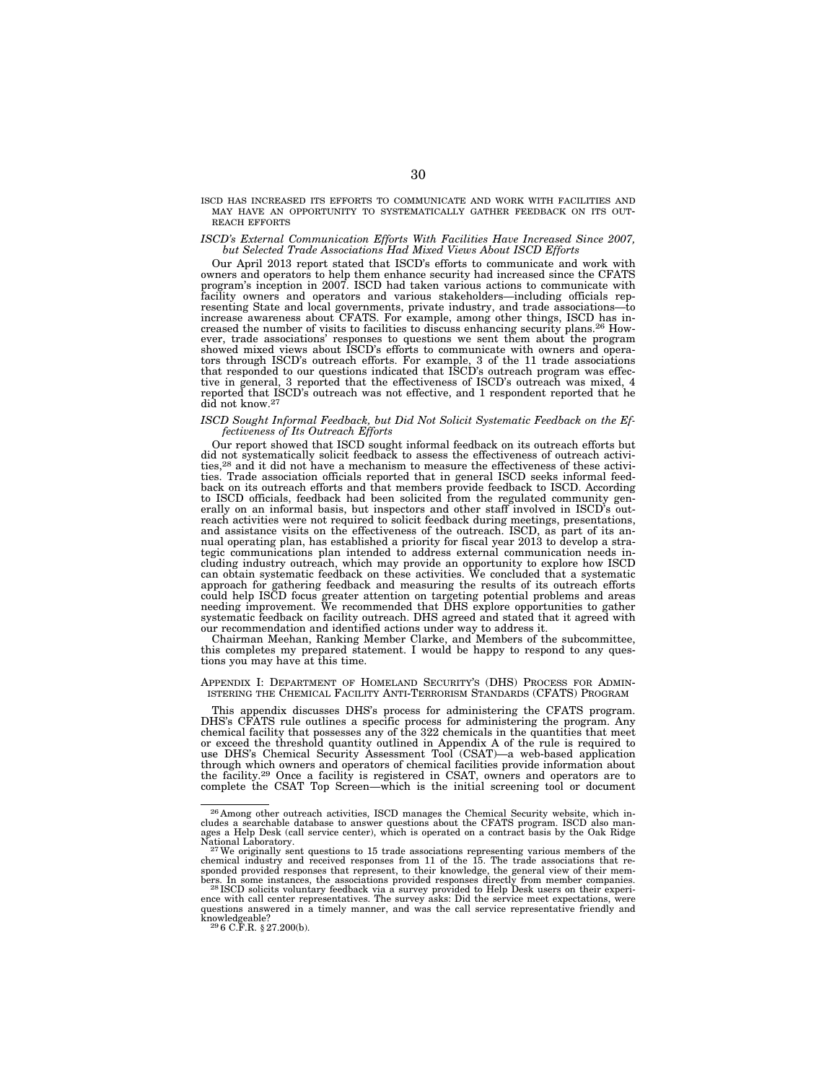ISCD HAS INCREASED ITS EFFORTS TO COMMUNICATE AND WORK WITH FACILITIES AND MAY HAVE AN OPPORTUNITY TO SYSTEMATICALLY GATHER FEEDBACK ON ITS OUT- REACH EFFORTS

# *ISCD's External Communication Efforts With Facilities Have Increased Since 2007, but Selected Trade Associations Had Mixed Views About ISCD Efforts*

Our April 2013 report stated that ISCD's efforts to communicate and work with owners and operators to help them enhance security had increased since the CFATS program's inception in 2007. ISCD had taken various actions to communicate with facility owners and operators and various stakeholders—including officials representing State and local governments, private industry, and trade associations—to increase awareness about CFATS. For example, among other things, ISCD has increased the number of visits to facilities to discuss enhancing security plans.26 However, trade associations' responses to questions we sent them about the program showed mixed views about ISCD's efforts to communicate with owners and operators through ISCD's outreach efforts. For example, 3 of the 11 trade associations that responded to our questions indicated that ISCD's outreach program was effective in general, 3 reported that the effectiveness of ISCD's outreach was mixed, 4 reported that ISCD's outreach was not effective, and 1 respondent reported that he did not know.27

# *ISCD Sought Informal Feedback, but Did Not Solicit Systematic Feedback on the Effectiveness of Its Outreach Efforts*

Our report showed that ISCD sought informal feedback on its outreach efforts but did not systematically solicit feedback to assess the effectiveness of outreach activities,28 and it did not have a mechanism to measure the effectiveness of these activities. Trade association officials reported that in general ISCD seeks informal feedback on its outreach efforts and that members provide feedback to ISCD. According to ISCD officials, feedback had been solicited from the regulated community generally on an informal basis, but inspectors and other staff involved in ISCD's outreach activities were not required to solicit feedback during meetings, presentations, and assistance visits on the effectiveness of the outreach. ISCD, as part of its annual operating plan, has established a priority for fiscal year 2013 to develop a strategic communications plan intended to address external communication needs including industry outreach, which may provide an opportunity to explore how ISCD can obtain systematic feedback on these activities. We concluded that a systematic approach for gathering feedback and measuring the results of its outreach efforts could help ISCD focus greater attention on targeting potential problems and areas needing improvement. We recommended that DHS explore opportunities to gather systematic feedback on facility outreach. DHS agreed and stated that it agreed with our recommendation and identified actions under way to address it.

Chairman Meehan, Ranking Member Clarke, and Members of the subcommittee, this completes my prepared statement. I would be happy to respond to any questions you may have at this time.

# APPENDIX I: DEPARTMENT OF HOMELAND SECURITY'S (DHS) PROCESS FOR ADMIN- ISTERING THE CHEMICAL FACILITY ANTI-TERRORISM STANDARDS (CFATS) PROGRAM

This appendix discusses DHS's process for administering the CFATS program.<br>DHS's CFATS rule outlines a specific process for administering the program. Any<br>chemical facility that possesses any of the 322 chemicals in the qu or exceed the threshold quantity outlined in Appendix A of the rule is required to use DHS's Chemical Security Assessment Tool (CSAT)—a web-based application through which owners and operators of chemical facilities provide information about the facility.29 Once a facility is registered in CSAT, owners and operators are to complete the CSAT Top Screen—which is the initial screening tool or document

<sup>26</sup> Among other outreach activities, ISCD manages the Chemical Security website, which includes a searchable database to answer questions about the CFATS program. ISCD also man-ages a Help Desk (call service center), which is operated on a contract basis by the Oak Ridge

<sup>&</sup>lt;sup>27</sup>We originally sent questions to 15 trade associations representing various members of the chemical industry and received responses from 11 of the 15. The trade associations that re-<br>sponded provided responses that represent, to their knowledge, the general view of their mem-<br>bers. In some instances, the associa

 $^{28}$  ISCD solicits voluntary feedback via a survey provided to Help Desk users on their experience with call center representatives. The survey asks: Did the service meet expectations, were questions answered in a timely manner, and was the call service representative friendly and  $k$ nowledgeable?<br><sup>29</sup> 6 C.F.R. § 27.200(b).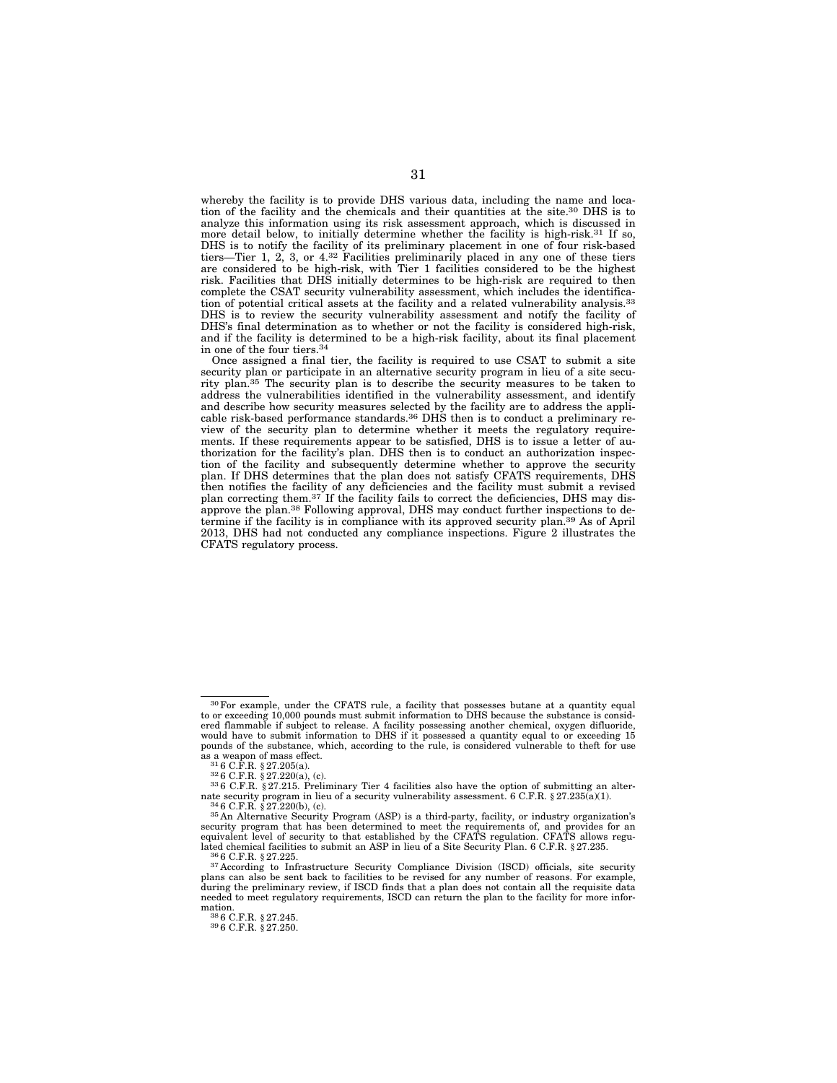whereby the facility is to provide DHS various data, including the name and location of the facility and the chemicals and their quantities at the site.30 DHS is to analyze this information using its risk assessment approach, which is discussed in more detail below, to initially determine whether the facility is high-risk.<sup>31</sup> If so, DHS is to notify the facility of its preliminary placement in one of four risk-based tiers—Tier 1, 2, 3, or 4.32 Facilities preliminarily placed in any one of these tiers are considered to be high-risk, with Tier 1 facilities considered to be the highest risk. Facilities that DHS initially determines to be high-risk are required to then complete the CSAT security vulnerability assessment, which includes the identification of potential critical assets at the facility and a related vulnerability analysis.33 DHS is to review the security vulnerability assessment and notify the facility of DHS's final determination as to whether or not the facility is considered high-risk, and if the facility is determined to be a high-risk facility, about its final placement in one of the four tiers.34

Once assigned a final tier, the facility is required to use CSAT to submit a site security plan or participate in an alternative security program in lieu of a site security plan.35 The security plan is to describe the security measures to be taken to address the vulnerabilities identified in the vulnerability assessment, and identify and describe how security measures selected by the facility are to address the applicable risk-based performance standards.36 DHS then is to conduct a preliminary review of the security plan to determine whether it meets the regulatory requirements. If these requirements appear to be satisfied, DHS is to issue a letter of authorization for the facility's plan. DHS then is to conduct an authorization inspection of the facility and subsequently determine whether to approve the security plan. If DHS determines that the plan does not satisfy CFATS requirements, DHS then notifies the facility of any deficiencies and the facility must submit a revised plan correcting them.<sup>37</sup> If the facility fails to correct the deficiencies, DHS may disapprove the plan.<sup>38</sup> Following approval, DHS may conduct further inspections to determine if the facility is in compliance with its approved security plan.39 As of April 2013, DHS had not conducted any compliance inspections. Figure 2 illustrates the CFATS regulatory process.

<sup>30</sup>For example, under the CFATS rule, a facility that possesses butane at a quantity equal to or exceeding 10,000 pounds must submit information to DHS because the substance is considered flammable if subject to release. A facility possessing another chemical, oxygen difluoride, would have to submit information to DHS if it possessed a quantity equal to or exceeding 15 pounds of the substance, which, according to the rule, is considered vulnerable to theft for use

<sup>&</sup>lt;sup>31</sup> 6 C.F.R. § 27.205(a).<br><sup>32</sup> 6 C.F.R. § 27.220(a), (c). 33 6 C.F.R. § 27.215. Preliminary Tier 4 facilities also have the option of submitting an alter-<br><sup>33</sup> 6 C.F.R. § 27.215. Preliminary Tier 4 facilities also have t nate security program in lieu of a security vulnerability assessment. 6 C.F.R. § 27.235(a)(1).  $346$  C.F.R. § 27.220(b), (c).  $35$  An Alternative Security Program (ASP) is a third-party, facility, or industry organization

security program that has been determined to meet the requirements of, and provides for an equivalent level of security to that established by the CFATS regulation. CFATS allows regulated chemical facilities to submit an ASP in lieu of a Site Security Plan. 6 C.F.R. § 27.235.<br><sup>36</sup> 6 C.F.R. § 27.225.<br><sup>37</sup> According to Infrastructure Security Compliance Division (ISCD) officials, site security

plans can also be sent back to facilities to be revised for any number of reasons. For example, during the preliminary review, if ISCD finds that a plan does not contain all the requisite data needed to meet regulatory requirements, ISCD can return the plan to the facility for more infor-

<sup>38 6</sup> C.F.R. § 27.245.<br>39 6 C.F.R. § 27.250.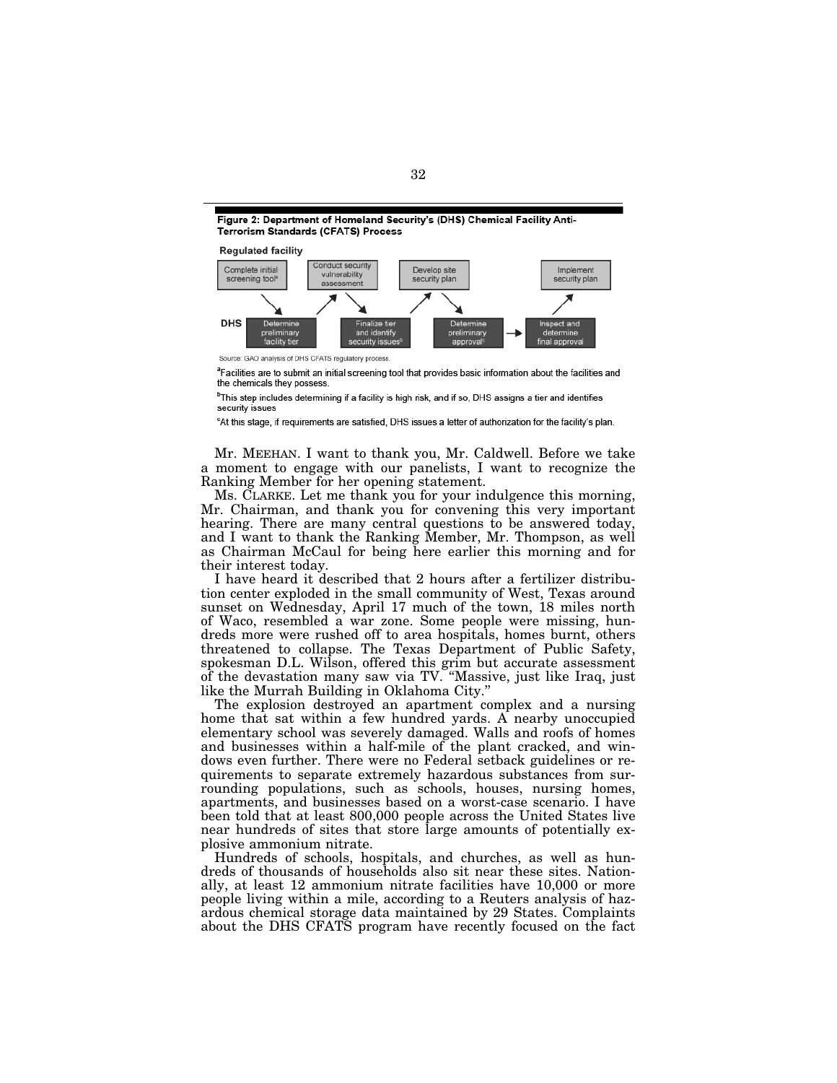Figure 2: Department of Homeland Security's (DHS) Chemical Facility Anti-**Terrorism Standards (CFATS) Process** 



<sup>a</sup>Facilities are to submit an initial screening tool that provides basic information about the facilities and the chemicals they possess

<sup>b</sup>This step includes determining if a facility is high risk, and if so, DHS assigns a tier and identifies security issues

<sup>c</sup>At this stage, if requirements are satisfied, DHS issues a letter of authorization for the facility's plan.

Mr. MEEHAN. I want to thank you, Mr. Caldwell. Before we take a moment to engage with our panelists, I want to recognize the Ranking Member for her opening statement.

Ms. CLARKE. Let me thank you for your indulgence this morning, Mr. Chairman, and thank you for convening this very important hearing. There are many central questions to be answered today, and I want to thank the Ranking Member, Mr. Thompson, as well as Chairman McCaul for being here earlier this morning and for their interest today.

I have heard it described that 2 hours after a fertilizer distribution center exploded in the small community of West, Texas around sunset on Wednesday, April 17 much of the town, 18 miles north of Waco, resembled a war zone. Some people were missing, hundreds more were rushed off to area hospitals, homes burnt, others threatened to collapse. The Texas Department of Public Safety, spokesman D.L. Wilson, offered this grim but accurate assessment of the devastation many saw via TV. ''Massive, just like Iraq, just like the Murrah Building in Oklahoma City.''

The explosion destroyed an apartment complex and a nursing home that sat within a few hundred yards. A nearby unoccupied elementary school was severely damaged. Walls and roofs of homes and businesses within a half-mile of the plant cracked, and windows even further. There were no Federal setback guidelines or requirements to separate extremely hazardous substances from surrounding populations, such as schools, houses, nursing homes, apartments, and businesses based on a worst-case scenario. I have been told that at least 800,000 people across the United States live near hundreds of sites that store large amounts of potentially explosive ammonium nitrate.

Hundreds of schools, hospitals, and churches, as well as hundreds of thousands of households also sit near these sites. Nationally, at least 12 ammonium nitrate facilities have 10,000 or more people living within a mile, according to a Reuters analysis of hazardous chemical storage data maintained by 29 States. Complaints about the DHS CFATS program have recently focused on the fact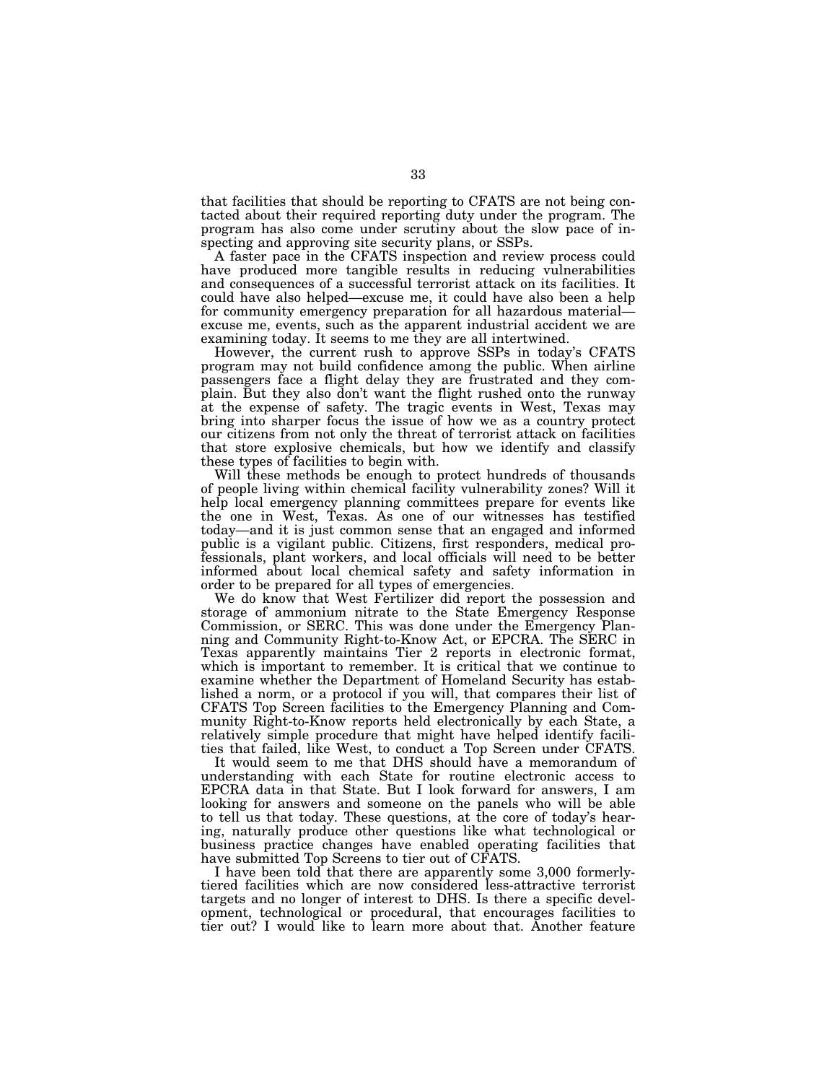that facilities that should be reporting to CFATS are not being contacted about their required reporting duty under the program. The program has also come under scrutiny about the slow pace of inspecting and approving site security plans, or SSPs.

A faster pace in the CFATS inspection and review process could have produced more tangible results in reducing vulnerabilities and consequences of a successful terrorist attack on its facilities. It could have also helped—excuse me, it could have also been a help for community emergency preparation for all hazardous material excuse me, events, such as the apparent industrial accident we are examining today. It seems to me they are all intertwined.

However, the current rush to approve SSPs in today's CFATS program may not build confidence among the public. When airline passengers face a flight delay they are frustrated and they complain. But they also don't want the flight rushed onto the runway at the expense of safety. The tragic events in West, Texas may bring into sharper focus the issue of how we as a country protect our citizens from not only the threat of terrorist attack on facilities that store explosive chemicals, but how we identify and classify these types of facilities to begin with.

Will these methods be enough to protect hundreds of thousands of people living within chemical facility vulnerability zones? Will it help local emergency planning committees prepare for events like the one in West, Texas. As one of our witnesses has testified today—and it is just common sense that an engaged and informed public is a vigilant public. Citizens, first responders, medical professionals, plant workers, and local officials will need to be better informed about local chemical safety and safety information in order to be prepared for all types of emergencies.

We do know that West Fertilizer did report the possession and storage of ammonium nitrate to the State Emergency Response Commission, or SERC. This was done under the Emergency Planning and Community Right-to-Know Act, or EPCRA. The SERC in Texas apparently maintains Tier 2 reports in electronic format, which is important to remember. It is critical that we continue to examine whether the Department of Homeland Security has established a norm, or a protocol if you will, that compares their list of CFATS Top Screen facilities to the Emergency Planning and Community Right-to-Know reports held electronically by each State, a relatively simple procedure that might have helped identify facilities that failed, like West, to conduct a Top Screen under CFATS.

It would seem to me that DHS should have a memorandum of understanding with each State for routine electronic access to EPCRA data in that State. But I look forward for answers, I am looking for answers and someone on the panels who will be able to tell us that today. These questions, at the core of today's hearing, naturally produce other questions like what technological or business practice changes have enabled operating facilities that have submitted Top Screens to tier out of CFATS.

I have been told that there are apparently some 3,000 formerlytiered facilities which are now considered less-attractive terrorist targets and no longer of interest to DHS. Is there a specific development, technological or procedural, that encourages facilities to tier out? I would like to learn more about that. Another feature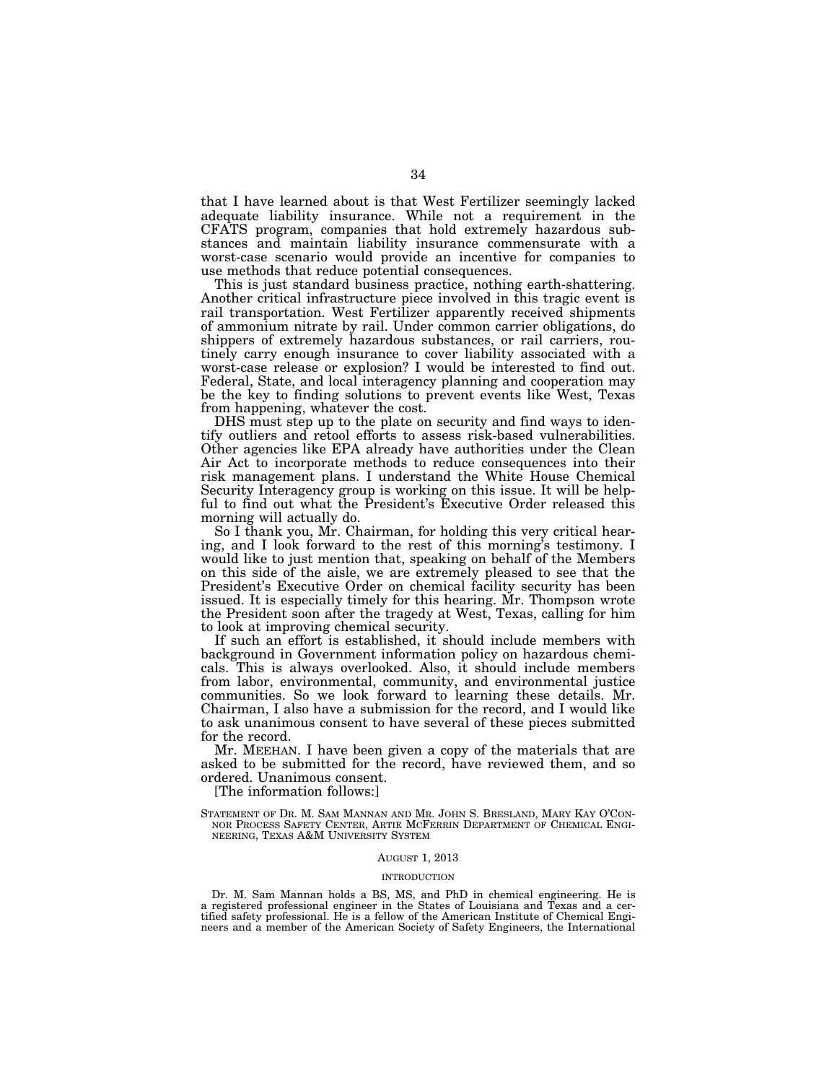that I have learned about is that West Fertilizer seemingly lacked adequate liability insurance. While not a requirement in the CFATS program, companies that hold extremely hazardous substances and maintain liability insurance commensurate with a worst-case scenario would provide an incentive for companies to use methods that reduce potential consequences.

This is just standard business practice, nothing earth-shattering. Another critical infrastructure piece involved in this tragic event is rail transportation. West Fertilizer apparently received shipments of ammonium nitrate by rail. Under common carrier obligations, do shippers of extremely hazardous substances, or rail carriers, routinely carry enough insurance to cover liability associated with a worst-case release or explosion? I would be interested to find out. Federal, State, and local interagency planning and cooperation may be the key to finding solutions to prevent events like West, Texas from happening, whatever the cost.

DHS must step up to the plate on security and find ways to identify outliers and retool efforts to assess risk-based vulnerabilities. Other agencies like EPA already have authorities under the Clean Air Act to incorporate methods to reduce consequences into their risk management plans. I understand the White House Chemical Security Interagency group is working on this issue. It will be helpful to find out what the President's Executive Order released this morning will actually do.

So I thank you, Mr. Chairman, for holding this very critical hearing, and I look forward to the rest of this morning's testimony. I would like to just mention that, speaking on behalf of the Members on this side of the aisle, we are extremely pleased to see that the President's Executive Order on chemical facility security has been issued. It is especially timely for this hearing. Mr. Thompson wrote the President soon after the tragedy at West, Texas, calling for him to look at improving chemical security.

If such an effort is established, it should include members with background in Government information policy on hazardous chemicals. This is always overlooked. Also, it should include members from labor, environmental, community, and environmental justice communities. So we look forward to learning these details. Mr. Chairman, I also have a submission for the record, and I would like to ask unanimous consent to have several of these pieces submitted for the record.

Mr. MEEHAN. I have been given a copy of the materials that are asked to be submitted for the record, have reviewed them, and so ordered. Unanimous consent.

[The information follows:]

# AUGUST 1, 2013

# INTRODUCTION

Dr. M. Sam Mannan holds a BS, MS, and PhD in chemical engineering. He is a registered professional engineer in the States of Louisiana and Texas and a certified safety professional. He is a fellow of the American Institute of Chemical Engineers and a member of the American Society of Safety Engineers, the International

STATEMENT OF DR. M. SAM MANNAN AND MR. JOHN S. BRESLAND, MARY KAY O'CON-NOR PROCESS SAFETY CENTER, ARTIE MCFERRIN DEPARTMENT OF CHEMICAL ENGI-NEERING, TEXAS A&M UNIVERSITY SYSTEM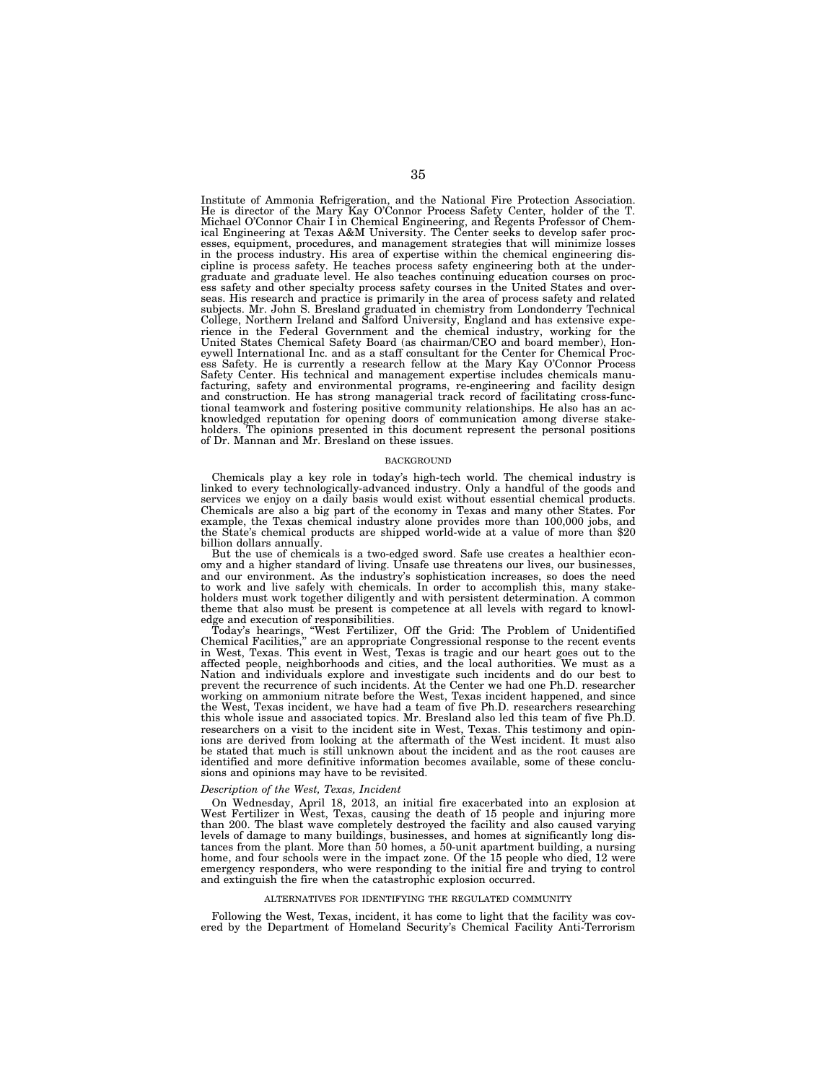Institute of Ammonia Refrigeration, and the National Fire Protection Association. He is director of the Mary Kay O'Connor Process Safety Center, holder of the T. Michael O'Connor Chair I in Chemical Engineering, and Regents Professor of Chemical Engineering at Texas A&M University. The Center seeks to develop safer processes, equipment, procedures, and management strategies that will minimize losses in the process industry. His area of expertise within the chemical engineering discipline is process safety. He teaches process safety engineering both at the undergraduate and graduate level. He also teaches continuing education courses on process safety and other specialty process safety courses in the United States and overseas. His research and practice is primarily in the area of process safety and related subjects. Mr. John S. Bresland graduated in chemistry from Londonderry Technical College, Northern Ireland and Salford University, England and has extensive experience in the Federal Government and the chemical industry, working for the United States Chemical Safety Board (as chairman/CEO and board member), Honeywell International Inc. and as a staff consultant for the Center for Chemical Process Safety. He is currently a research fellow at the Mary Kay O'Connor Process Safety Center. His technical and management expertise includes chemicals manufacturing, safety and environmental programs, re-engineering and facility design and construction. He has strong managerial track record of facilitating cross-functional teamwork and fostering positive community relationships. He also has an acknowledged reputation for opening doors of communication among diverse stakeholders. The opinions presented in this document represent the personal positions of Dr. Mannan and Mr. Bresland on these issues.

#### BACKGROUND

Chemicals play a key role in today's high-tech world. The chemical industry is linked to every technologically-advanced industry. Only a handful of the goods and services we enjoy on a daily basis would exist without essential chemical products. Chemicals are also a big part of the economy in Texas and many other States. For example, the Texas chemical industry alone provides more than 100,000 jobs, and the State's chemical products are shipped world-wide at a value of more than \$20 billion dollars annually.

But the use of chemicals is a two-edged sword. Safe use creates a healthier economy and a higher standard of living. Unsafe use threatens our lives, our businesses, and our environment. As the industry's sophistication increases, so does the need to work and live safely with chemicals. In order to accomplish this, many stakeholders must work together diligently and with persistent determination. A common theme that also must be present is competence at all levels with regard to knowledge and execution of responsibilities.

Today's hearings, ''West Fertilizer, Off the Grid: The Problem of Unidentified Chemical Facilities,'' are an appropriate Congressional response to the recent events in West, Texas. This event in West, Texas is tragic and our heart goes out to the affected people, neighborhoods and cities, and the local authorities. We must as a Nation and individuals explore and investigate such incidents and do our best to prevent the recurrence of such incidents. At the Center we had one Ph.D. researcher working on ammonium nitrate before the West, Texas incident happened, and since the West, Texas incident, we have had a team of five Ph.D. researchers researching this whole issue and associated topics. Mr. Bresland also led this team of five Ph.D. researchers on a visit to the incident site in West, Texas. This testimony and opinions are derived from looking at the aftermath of the West incident. It must also be stated that much is still unknown about the incident and as the root causes are identified and more definitive information becomes available, some of these conclusions and opinions may have to be revisited.

### *Description of the West, Texas, Incident*

On Wednesday, April 18, 2013, an initial fire exacerbated into an explosion at West Fertilizer in West, Texas, causing the death of 15 people and injuring more than 200. The blast wave completely destroyed the facility and also caused varying levels of damage to many buildings, businesses, and homes at significantly long distances from the plant. More than 50 homes, a 50-unit apartment building, a nursing home, and four schools were in the impact zone. Of the 15 people who died, 12 were emergency responders, who were responding to the initial fire and trying to control and extinguish the fire when the catastrophic explosion occurred.

#### ALTERNATIVES FOR IDENTIFYING THE REGULATED COMMUNITY

Following the West, Texas, incident, it has come to light that the facility was covered by the Department of Homeland Security's Chemical Facility Anti-Terrorism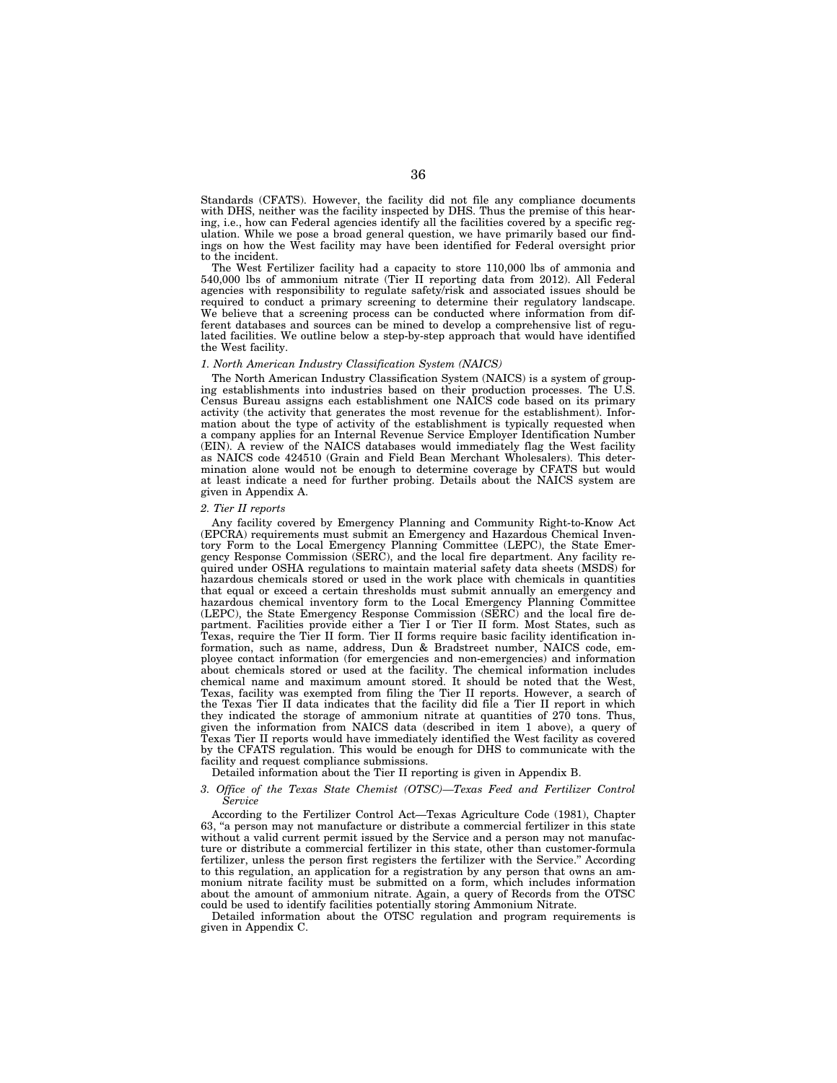Standards (CFATS). However, the facility did not file any compliance documents with DHS, neither was the facility inspected by DHS. Thus the premise of this hearing, i.e., how can Federal agencies identify all the facilities covered by a specific regulation. While we pose a broad general question, we have primarily based our findings on how the West facility may have been identified for Federal oversight prior to the incident.

The West Fertilizer facility had a capacity to store 110,000 lbs of ammonia and 540,000 lbs of ammonium nitrate (Tier II reporting data from 2012). All Federal agencies with responsibility to regulate safety/risk and associated issues should be required to conduct a primary screening to determine their regulatory landscape. We believe that a screening process can be conducted where information from different databases and sources can be mined to develop a comprehensive list of regulated facilities. We outline below a step-by-step approach that would have identified the West facility.

#### *1. North American Industry Classification System (NAICS)*

The North American Industry Classification System (NAICS) is a system of grouping establishments into industries based on their production processes. The U.S. Census Bureau assigns each establishment one NAICS code based on its primary activity (the activity that generates the most revenue for the establishment). Information about the type of activity of the establishment is typically requested when a company applies for an Internal Revenue Service Employer Identification Number (EIN). A review of the NAICS databases would immediately flag the West facility as NAICS code 424510 (Grain and Field Bean Merchant Wholesalers). This determination alone would not be enough to determine coverage by CFATS but would at least indicate a need for further probing. Details about the NAICS system are given in Appendix A.

## *2. Tier II reports*

Any facility covered by Emergency Planning and Community Right-to-Know Act (EPCRA) requirements must submit an Emergency and Hazardous Chemical Inventory Form to the Local Emergency Planning Committee (LEPC), the State Emergency Response Commission (SERC), and the local fire department. Any facility required under OSHA regulations to maintain material safety data sheets (MSDS) for hazardous chemicals stored or used in the work place with chemicals in quantities that equal or exceed a certain thresholds must submit annually an emergency and hazardous chemical inventory form to the Local Emergency Planning Committee (LEPC), the State Emergency Response Commission (SERC) and the local fire department. Facilities provide either a Tier I or Tier II form. Most States, such as Texas, require the Tier II form. Tier II forms require basic facility identification information, such as name, address, Dun & Bradstreet number, NAICS code, employee contact information (for emergencies and non-emergencies) and information about chemicals stored or used at the facility. The chemical information includes chemical name and maximum amount stored. It should be noted that the West, Texas, facility was exempted from filing the Tier II reports. However, a search of the Texas Tier II data indicates that the facility did file a Tier II report in which they indicated the storage of ammonium nitrate at quantities of 270 tons. Thus, given the information from NAICS data (described in item 1 above), a query of Texas Tier II reports would have immediately identified the West facility as covered by the CFATS regulation. This would be enough for DHS to communicate with the facility and request compliance submissions.

# Detailed information about the Tier II reporting is given in Appendix B.

#### 3. Office of the Texas State Chemist (OTSC)—Texas Feed and Fertilizer Control *Service*

According to the Fertilizer Control Act—Texas Agriculture Code (1981), Chapter 63, "a person may not manufacture or distribute a commercial fertilizer in this state without a valid current permit issued by the Service and a person may not manufacture or distribute a commercial fertilizer in this state, other than customer-formula fertilizer, unless the person first registers the fertilizer with the Service.'' According to this regulation, an application for a registration by any person that owns an ammonium nitrate facility must be submitted on a form, which includes information about the amount of ammonium nitrate. Again, a query of Records from the OTSC could be used to identify facilities potentially storing Ammonium Nitrate.

Detailed information about the OTSC regulation and program requirements is given in Appendix C.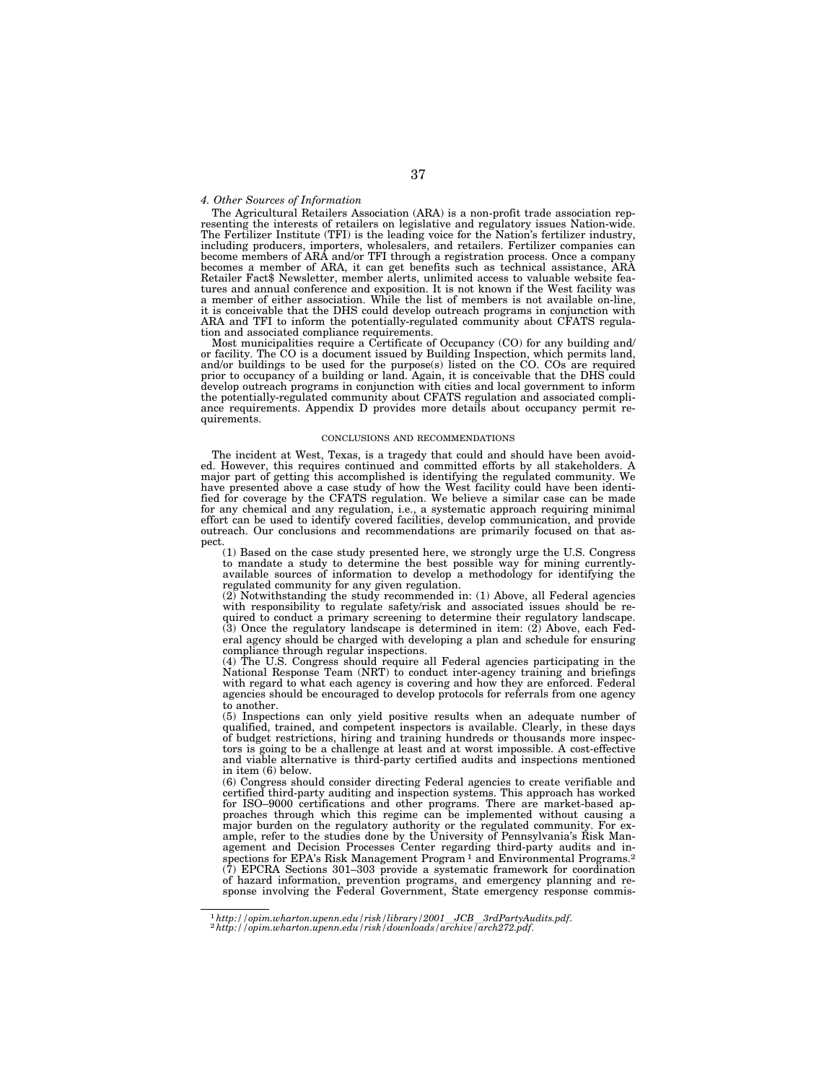## *4. Other Sources of Information*

The Agricultural Retailers Association (ARA) is a non-profit trade association representing the interests of retailers on legislative and regulatory issues Nation-wide. The Fertilizer Institute (TFI) is the leading voice for the Nation's fertilizer industry, including producers, importers, wholesalers, and retailers. Fertilizer companies can become members of ARA and/or TFI through a registration process. Once a company becomes a member of ARA, it can get benefits such as technical assistance, ARA Retailer Fact\$ Newsletter, member alerts, unlimited access to valuable website features and annual conference and exposition. It is not known if the West facility was a member of either association. While the list of members is not available on-line, it is conceivable that the DHS could develop outreach programs in conjunction with ARA and TFI to inform the potentially-regulated community about CFATS regulation and associated compliance requirements.

Most municipalities require a Certificate of Occupancy (CO) for any building and/ or facility. The CO is a document issued by Building Inspection, which permits land, and/or buildings to be used for the purpose(s) listed on the CO. COs are required prior to occupancy of a building or land. Again, it is conceivable that the DHS could develop outreach programs in conjunction with cities and local government to inform the potentially-regulated community about CFATS regulation and associated compliance requirements. Appendix D provides more details about occupancy permit requirements.

#### CONCLUSIONS AND RECOMMENDATIONS

The incident at West, Texas, is a tragedy that could and should have been avoided. However, this requires continued and committed efforts by all stakeholders. A major part of getting this accomplished is identifying the regulated community. We have presented above a case study of how the West facility could have been identified for coverage by the CFATS regulation. We believe a similar case can be made for any chemical and any regulation, i.e., a systematic approach requiring minimal effort can be used to identify covered facilities, develop communication, and provide outreach. Our conclusions and recommendations are primarily focused on that aspect.

(1) Based on the case study presented here, we strongly urge the U.S. Congress<br>to mandate a study to determine the best possible way for mining currently-<br>available sources of information to develop a methodology for ident regulated community for any given regulation. (2) Notwithstanding the study recommended in: (1) Above, all Federal agencies

with responsibility to regulate safety/risk and associated issues should be required to conduct a primary screening to determine their regulatory landscape. (3) Once the regulatory landscape is determined in item: (2) Above, each Federal agency should be charged with developing a plan and schedule for ensuring compliance through regular inspections.

(4) The U.S. Congress should require all Federal agencies participating in the National Response Team (NRT) to conduct inter-agency training and briefings with regard to what each agency is covering and how they are enforced. Federal agencies should be encouraged to develop protocols for referrals from one agency to another.

(5) Inspections can only yield positive results when an adequate number of qualified, trained, and competent inspectors is available. Clearly, in these days of budget restrictions, hiring and training hundreds or thousands more inspectors is going to be a challenge at least and at worst impossible. A cost-effective and viable alternative is third-party certified audits and inspections mentioned in item (6) below.

(6) Congress should consider directing Federal agencies to create verifiable and certified third-party auditing and inspection systems. This approach has worked for ISO–9000 certifications and other programs. There are market-based approaches through which this regime can be implemented without causing a major burden on the regulatory authority or the regulated community. For example, refer to the studies done by the University of Pennsylvania's Risk Management and Decision Processes Center regarding third-party audits and inspections for EPA's Risk Management Program<sup>1</sup> and Environmental Programs.<sup>2</sup> (7) EPCRA Sections 301–303 provide a systematic framework for coordination of hazard information, prevention programs, and emergency planning and response involving the Federal Government, State emergency response commis-

<sup>1</sup>*http://opim.wharton.upenn.edu/risk/library/2001*l*JCB*l*3rdPartyAudits.pdf*. 2*http://opim.wharton.upenn.edu/risk/downloads/archive/arch272.pdf*.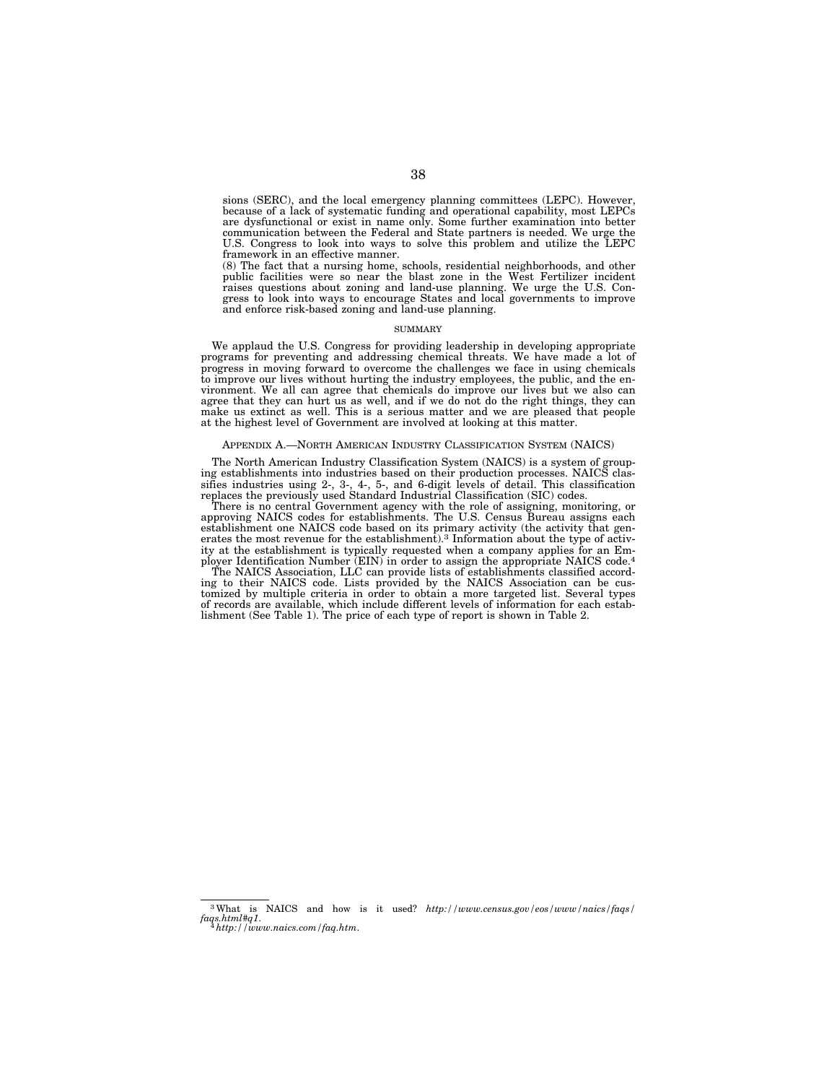sions (SERC), and the local emergency planning committees (LEPC). However, because of a lack of systematic funding and operational capability, most LEPCs are dysfunctional or exist in name only. Some further examination into better communication between the Federal and State partners is needed. We urge the U.S. Congress to look into ways to solve this problem and utilize the LEPC framework in an effective manner.

(8) The fact that a nursing home, schools, residential neighborhoods, and other public facilities were so near the blast zone in the West Fertilizer incident raises questions about zoning and land-use planning. We urge the U.S. Congress to look into ways to encourage States and local governments to improve and enforce risk-based zoning and land-use planning.

## **SUMMARY**

We applaud the U.S. Congress for providing leadership in developing appropriate programs for preventing and addressing chemical threats. We have made a lot of progress in moving forward to overcome the challenges we face in using chemicals to improve our lives without hurting the industry employees, the public, and the environment. We all can agree that chemicals do improve our lives but we also can agree that they can hurt us as well, and if we do not do the right things, they can make us extinct as well. This is a serious matter and we are pleased that people at the highest level of Government are involved at looking at this matter.

### APPENDIX A.—NORTH AMERICAN INDUSTRY CLASSIFICATION SYSTEM (NAICS)

The North American Industry Classification System (NAICS) is a system of grouping establishments into industries based on their production processes. NAICS classifies industries using 2-, 3-, 4-, 5-, and 6-digit levels of detail. This classification replaces the previously used Standard Industrial Classification (SIC) codes.

There is no central Government agency with the role of assigning, monitoring, or approving NAICS codes for establishments. The U.S. Census Bureau assigns each establishment one NAICS code based on its primary activity (the activity that generates the most revenue for the establishment).<sup>3</sup> Information about the type of activity at the establishment is typically requested when a company applies for an Employer Identification Number (EIN) in order to assign the appropriate NAICS code.4

The NAICS Association, LLC can provide lists of establishments classified according to their NAICS code. Lists provided by the NAICS Association can be customized by multiple criteria in order to obtain a more targeted list. Several types of records are available, which include different levels of information for each establishment (See Table 1). The price of each type of report is shown in Table 2.

3What is NAICS and how is it used? *http://www.census.gov/eos/www/naics/faqs/ faqs.html#q1*. 4*http://www.naics.com/faq.htm*.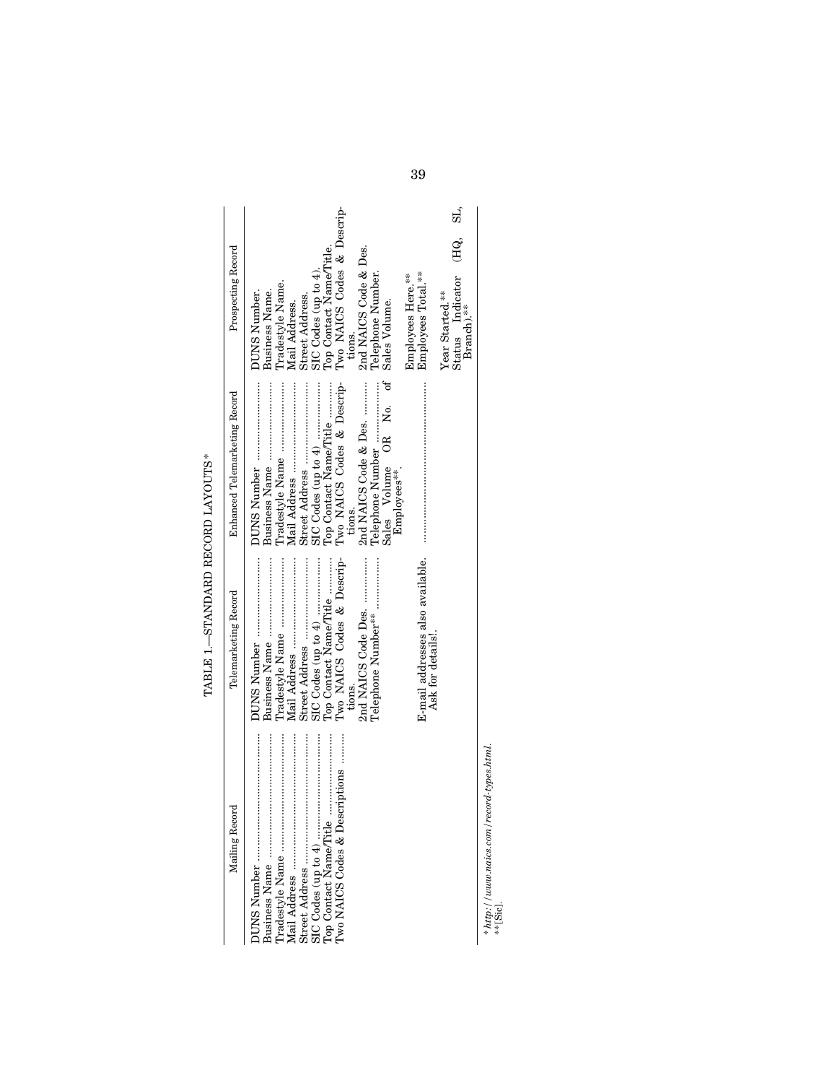| 2<br>2<br>2<br>$\frac{1}{2}$<br>י<br>ו                                                 |
|----------------------------------------------------------------------------------------|
| י במה הה<br>ה                                                                          |
| ֧֧֧֧֧֦֧֧֧֦֧֧֦֧֦֧֦֧֦֧֧֧֧֧֛֧֧ׅ֧֛֚֓֓֝֬֝֓֓֝֓֝֓֝֬֝֓֝֓֓֝֓֝֓֓֜֓֓֜֓<br>í<br> <br> <br> }<br>f, |
| <b>TARIE</b> 1                                                                         |

 $\ddot{\phantom{a}}$ 

| Mailing Record | Telemarketing Record                                 | Enhanced Telemarketing Record                                                                        | Prospecting Record                                                                     |           |
|----------------|------------------------------------------------------|------------------------------------------------------------------------------------------------------|----------------------------------------------------------------------------------------|-----------|
|                | Iradestyle Name                                      |                                                                                                      | Tradestyle Name.<br>Business Name.<br>DUNS Number.<br>Street Address.<br>Mail Address. |           |
|                | Iwo NAICS Codes & Descrip-<br>Top Contact Name/Title | Two NAICS Codes & Descrip-<br>Top Contact Name/Title                                                 | Two NAICS Codes & Descrip-<br>Top Contact Name/Title.<br>SIC Codes (up to 4).          |           |
|                | 2nd NAICS Code Des.<br>Felephone Number**<br>tions.  | t<br>J<br>2nd NAICS Code & Des.<br>Telephone Number<br>Sales Volume OR No.<br>Employees***<br>tions. | 2nd NAICS Code & Des.<br>Telephone Number.<br>Sales Volume.<br>tions.                  |           |
|                | E-mail addresses also available.<br>Ask for details! |                                                                                                      | Employees Total.**<br>Employees Here.**                                                |           |
|                |                                                      |                                                                                                      | Status Indicator<br>Year Started.**<br>Branch).**                                      | SL,<br>Œ. |

 $^{*http://}_{*}$  [Sic]. *http://www.naics.com/record-types.html*.

39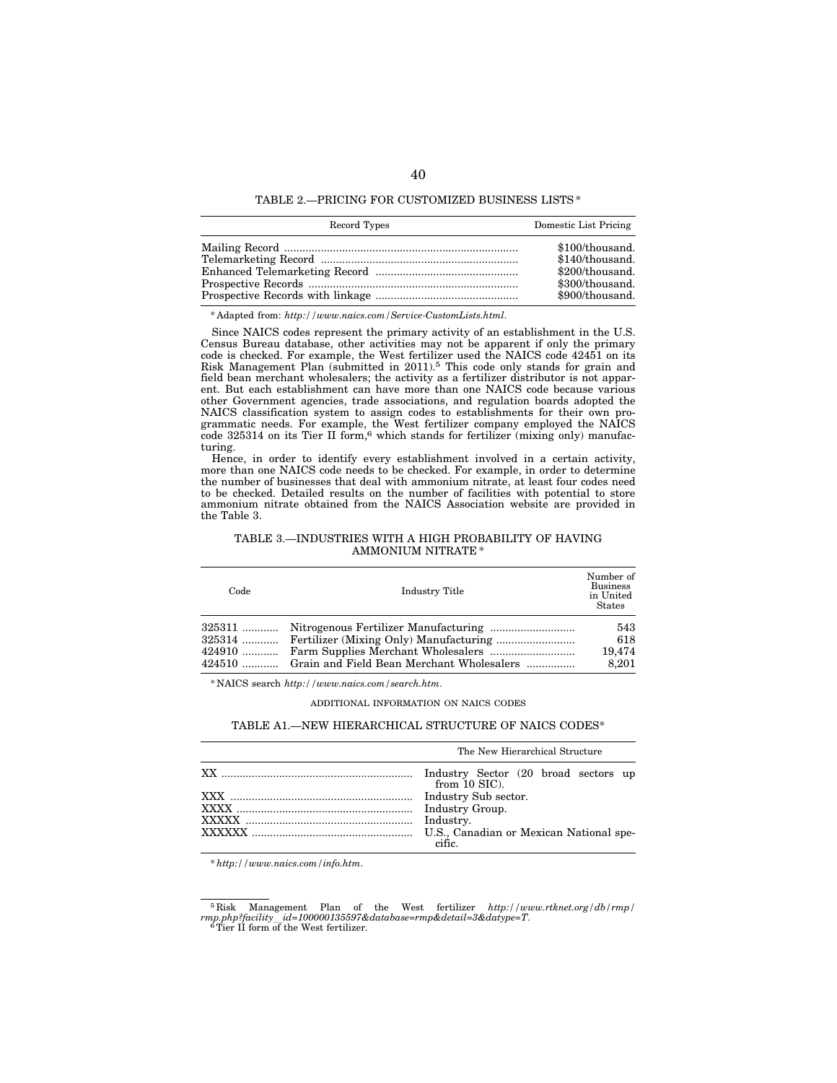TABLE 2.—PRICING FOR CUSTOMIZED BUSINESS LISTS \*

| Record Types                                                                                                                                                                                                                                                                                                                                                                                                                                                         | Domestic List Pricing |
|----------------------------------------------------------------------------------------------------------------------------------------------------------------------------------------------------------------------------------------------------------------------------------------------------------------------------------------------------------------------------------------------------------------------------------------------------------------------|-----------------------|
|                                                                                                                                                                                                                                                                                                                                                                                                                                                                      | \$100/thousand.       |
| $\label{eq:rele} \textbf{Telemarketing Record}\quad\textit{}\quad\textit{}\quad\textit{}\quad\textit{}\quad\textit{}\quad\textit{}\quad\textit{}\quad\textit{}\quad\textit{}\quad\textit{}\quad\textit{}\quad\textit{}\quad\textit{}\quad\textit{}\quad\textit{}\quad\textit{}\quad\textit{}\quad\textit{}\quad\textit{}\quad\textit{}\quad\textit{}\quad\textit{}\quad\textit{}\quad\textit{}\quad\textit{}\quad\textit{}\quad\textit{}\quad\textit{}\quad\textit{$ | \$140/thousand.       |
|                                                                                                                                                                                                                                                                                                                                                                                                                                                                      | \$200/thousand.       |
|                                                                                                                                                                                                                                                                                                                                                                                                                                                                      | \$300/thousand.       |
|                                                                                                                                                                                                                                                                                                                                                                                                                                                                      | \$900/thousand.       |

\* Adapted from: *http://www.naics.com/Service-CustomLists.html*.

Since NAICS codes represent the primary activity of an establishment in the U.S. Census Bureau database, other activities may not be apparent if only the primary code is checked. For example, the West fertilizer used the NAICS code 42451 on its Risk Management Plan (submitted in 2011).5 This code only stands for grain and field bean merchant wholesalers; the activity as a fertilizer distributor is not apparent. But each establishment can have more than one NAICS code because various other Government agencies, trade associations, and regulation boards adopted the NAICS classification system to assign codes to establishments for their own programmatic needs. For example, the West fertilizer company employed the NAICS  $\overline{\text{code}}$  325314 on its Tier II form,<sup>6</sup> which stands for fertilizer (mixing only) manufacturing.

Hence, in order to identify every establishment involved in a certain activity, more than one NAICS code needs to be checked. For example, in order to determine the number of businesses that deal with ammonium nitrate, at least four codes need to be checked. Detailed results on the number of facilities with potential to store ammonium nitrate obtained from the NAICS Association website are provided in the Table 3.

TABLE 3.—INDUSTRIES WITH A HIGH PROBABILITY OF HAVING AMMONIUM NITRATE \*

| Code     | Industry Title                            | Number of<br><b>Business</b><br>in United<br><b>States</b> |
|----------|-------------------------------------------|------------------------------------------------------------|
| $325311$ |                                           | 543                                                        |
|          |                                           | 618                                                        |
| $424910$ |                                           | 19.474                                                     |
| 424510   | Grain and Field Bean Merchant Wholesalers | 8.201                                                      |

\* NAICS search *http://www.naics.com/search.htm*.

ADDITIONAL INFORMATION ON NAICS CODES

### TABLE A1.—NEW HIERARCHICAL STRUCTURE OF NAICS CODES\*

| The New Hierarchical Structure                          |  |  |  |  |  |  |
|---------------------------------------------------------|--|--|--|--|--|--|
| Industry Sector (20 broad sectors up<br>from $10$ SIC). |  |  |  |  |  |  |
| Industry Sub sector.                                    |  |  |  |  |  |  |
| Industry Group.                                         |  |  |  |  |  |  |
| Industry.                                               |  |  |  |  |  |  |
| U.S., Canadian or Mexican National spe-                 |  |  |  |  |  |  |

*\* http://www.naics.com/info.htm*.

<sup>5</sup> Risk Management Plan of the West fertilizer *http://www.rtknet.org/db/rmp/ rmp.php?facility*l*id=100000135597&database=rmp&detail=3&datype=T*. 6Tier II form of the West fertilizer.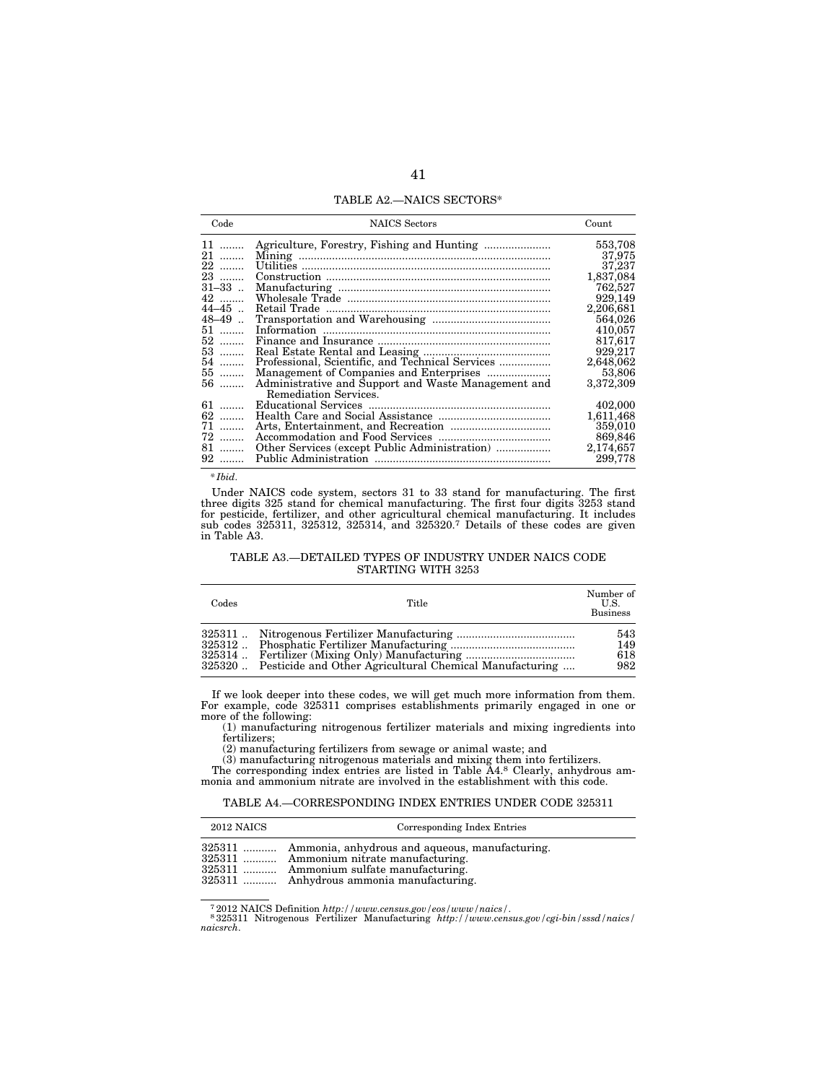TABLE A2.—NAICS SECTORS\*

| Code      | <b>NAICS</b> Sectors                                                                                                                                                                                                                                                                                                                                                                                                | Count     |
|-----------|---------------------------------------------------------------------------------------------------------------------------------------------------------------------------------------------------------------------------------------------------------------------------------------------------------------------------------------------------------------------------------------------------------------------|-----------|
| $11$      |                                                                                                                                                                                                                                                                                                                                                                                                                     | 553,708   |
| 21        |                                                                                                                                                                                                                                                                                                                                                                                                                     | 37,975    |
| 22        |                                                                                                                                                                                                                                                                                                                                                                                                                     | 37,237    |
| 23        |                                                                                                                                                                                                                                                                                                                                                                                                                     | 1,837,084 |
| $31 - 33$ |                                                                                                                                                                                                                                                                                                                                                                                                                     | 762,527   |
| 42        |                                                                                                                                                                                                                                                                                                                                                                                                                     | 929,149   |
| $44 - 45$ |                                                                                                                                                                                                                                                                                                                                                                                                                     | 2,206,681 |
| $48 - 49$ |                                                                                                                                                                                                                                                                                                                                                                                                                     | 564,026   |
| 51        | $\label{eq:3} \mbox{Information}\quad \  \  \, \ldots \  \  \, \ldots \  \  \, \ldots \  \  \, \ldots \  \  \, \ldots \  \  \, \ldots \  \  \, \ldots \  \  \, \ldots \  \  \, \ldots \  \  \, \ldots \  \  \, \ldots \  \  \, \ldots \  \  \, \ldots \  \  \, \ldots \  \  \, \ldots \  \  \, \ldots \  \  \, \ldots \  \  \, \ldots \  \  \, \ldots \  \  \, \ldots \  \  \, \ldots \  \  \, \ldots \  \  \, \ld$ | 410,057   |
| 52        |                                                                                                                                                                                                                                                                                                                                                                                                                     | 817,617   |
| 53        |                                                                                                                                                                                                                                                                                                                                                                                                                     | 929,217   |
| 54.       | Professional, Scientific, and Technical Services                                                                                                                                                                                                                                                                                                                                                                    | 2,648,062 |
| 55        |                                                                                                                                                                                                                                                                                                                                                                                                                     | 53,806    |
| 56        | Administrative and Support and Waste Management and                                                                                                                                                                                                                                                                                                                                                                 | 3,372,309 |
|           | Remediation Services.                                                                                                                                                                                                                                                                                                                                                                                               |           |
| $61$      |                                                                                                                                                                                                                                                                                                                                                                                                                     | 402,000   |
| 62        |                                                                                                                                                                                                                                                                                                                                                                                                                     | 1,611,468 |
| $71$      |                                                                                                                                                                                                                                                                                                                                                                                                                     | 359,010   |
| 72        |                                                                                                                                                                                                                                                                                                                                                                                                                     | 869,846   |
| 81        |                                                                                                                                                                                                                                                                                                                                                                                                                     | 2,174,657 |
| 92        |                                                                                                                                                                                                                                                                                                                                                                                                                     | 299,778   |
|           |                                                                                                                                                                                                                                                                                                                                                                                                                     |           |

*\* Ibid*.

Under NAICS code system, sectors 31 to 33 stand for manufacturing. The first three digits 325 stand for chemical manufacturing. The first four digits 3253 stand for pesticide, fertilizer, and other agricultural chemical manufacturing. It includes sub codes 325311, 325312, 325314, and 325320.7 Details of these codes are given in Table A3.

# TABLE A3.—DETAILED TYPES OF INDUSTRY UNDER NAICS CODE STARTING WITH 3253

| Codes | Title                                                           | Number of<br>U.S.<br><b>Business</b> |
|-------|-----------------------------------------------------------------|--------------------------------------|
|       | 325320  Pesticide and Other Agricultural Chemical Manufacturing | 543<br>149<br>618<br>982             |

If we look deeper into these codes, we will get much more information from them. For example, code 325311 comprises establishments primarily engaged in one or more of the following:

(1) manufacturing nitrogenous fertilizer materials and mixing ingredients into fertilizers;

(2) manufacturing fertilizers from sewage or animal waste; and

(3) manufacturing nitrogenous materials and mixing them into fertilizers. The corresponding index entries are listed in Table A4.8 Clearly, anhydrous ammonia and ammonium nitrate are involved in the establishment with this code.

# TABLE A4.—CORRESPONDING INDEX ENTRIES UNDER CODE 325311

| 2012 NAICS |  |  |  | Corresponding Index Entries |  |
|------------|--|--|--|-----------------------------|--|
|            |  |  |  |                             |  |

325311 ........... Ammonia, anhydrous and aqueous, manufacturing.

325311 ........... Ammonium nitrate manufacturing.

Ammonium sulfate manufacturing.

325311 ........... Anhydrous ammonia manufacturing.

<sup>7</sup> 2012 NAICS Definition *http://www.census.gov/eos/www/naics/*. 8 325311 Nitrogenous Fertilizer Manufacturing *http://www.census.gov/cgi-bin/sssd/naics/ naicsrch*.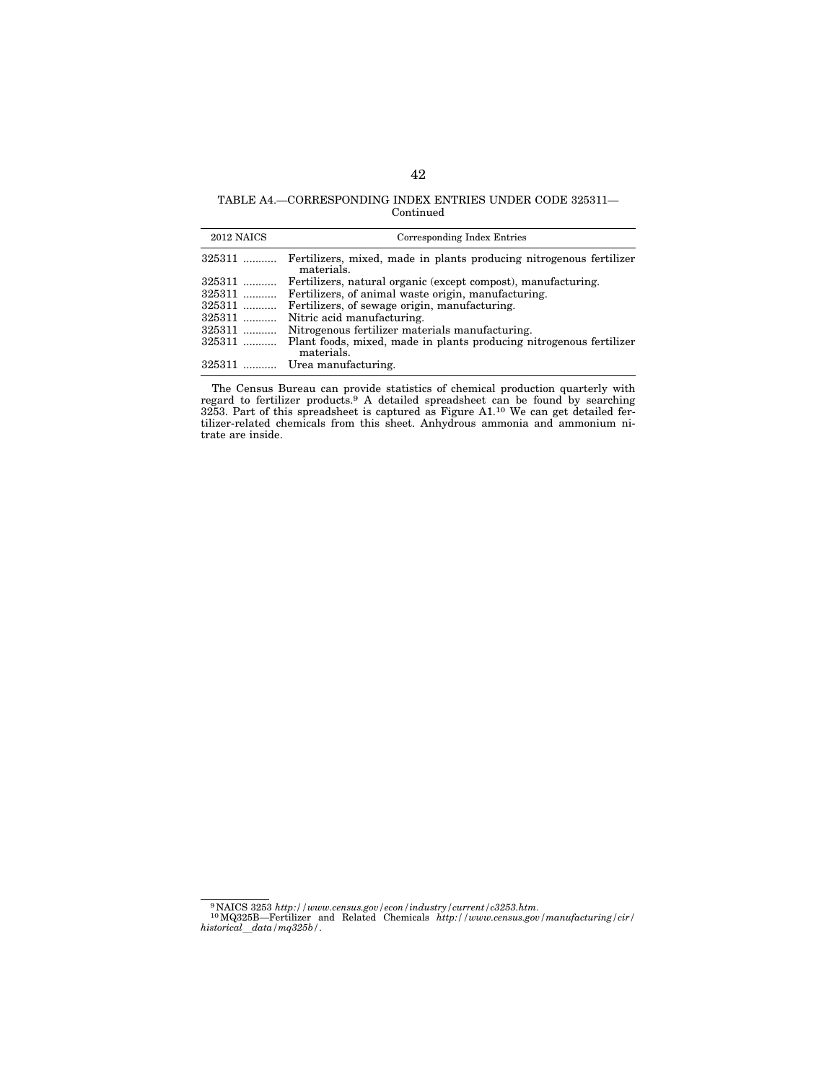# TABLE A4.—CORRESPONDING INDEX ENTRIES UNDER CODE 325311— Continued

| 2012 NAICS | Corresponding Index Entries                                                       |
|------------|-----------------------------------------------------------------------------------|
| 325311     | Fertilizers, mixed, made in plants producing nitrogenous fertilizer<br>materials. |
| 325311     | Fertilizers, natural organic (except compost), manufacturing.                     |
| $325311$   | Fertilizers, of animal waste origin, manufacturing.                               |
| $325311$   | Fertilizers, of sewage origin, manufacturing.                                     |
| $325311$   | Nitric acid manufacturing.                                                        |
| $325311$   | Nitrogenous fertilizer materials manufacturing.                                   |
| $325311$   | Plant foods, mixed, made in plants producing nitrogenous fertilizer<br>materials. |
|            | 325311  Urea manufacturing.                                                       |

The Census Bureau can provide statistics of chemical production quarterly with regard to fertilizer products.9 A detailed spreadsheet can be found by searching  $3253$ . Part of this spreadsheet is captured as Figure A1.<sup>10</sup> We can get detailed fertilizer-related chemicals from this sheet. Anhydrous ammonia and ammonium nitrate are inside.

<sup>9</sup> NAICS 3253 *http://www.census.gov/econ/industry/current/c3253.htm*. 10MQ325B—Fertilizer and Related Chemicals *http://www.census.gov/manufacturing/cir/ historical*l*data/mq325b/*.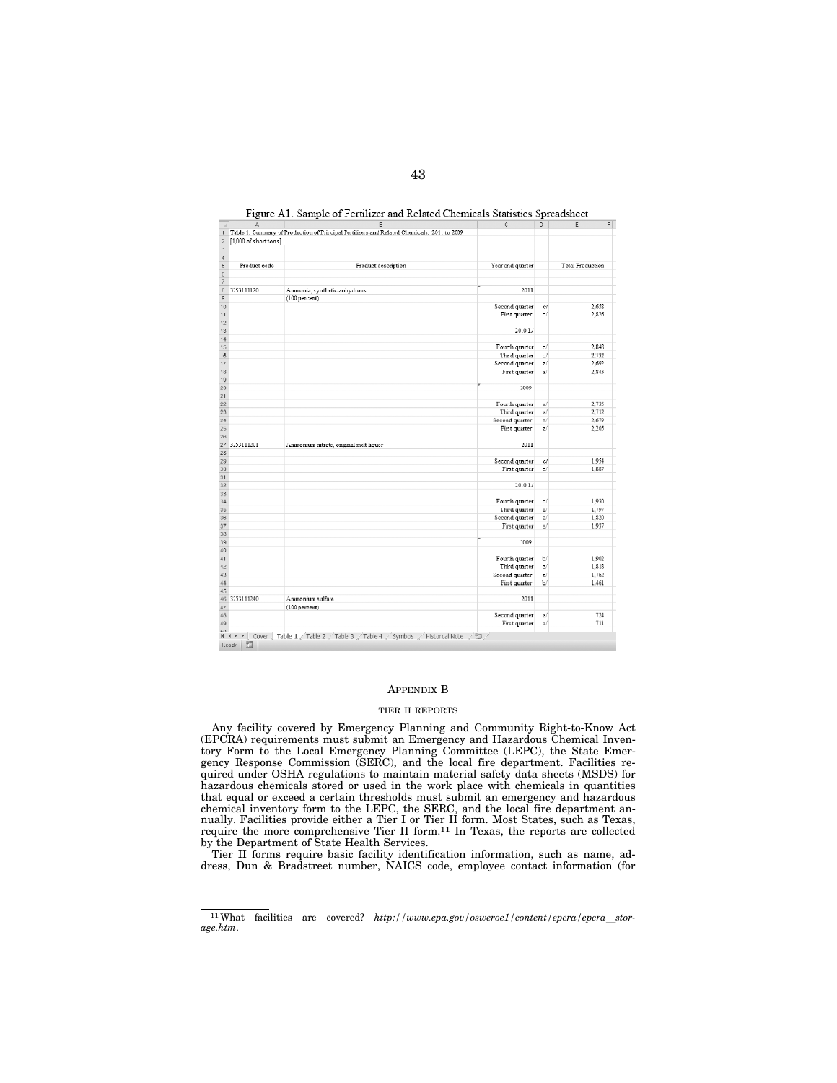| A<br>$\boldsymbol{A}$                   | B                                                                                           | C                | D              | E                       |
|-----------------------------------------|---------------------------------------------------------------------------------------------|------------------|----------------|-------------------------|
| 1                                       | Table 1. Summary of Production of Principal Fertilizers and Related Chemicals: 2011 to 2009 |                  |                |                         |
| [1,000 of short tons]<br>$\overline{z}$ |                                                                                             |                  |                |                         |
| 3                                       |                                                                                             |                  |                |                         |
| 4                                       |                                                                                             |                  |                |                         |
| $\overline{5}$<br>Product code          | Product description                                                                         | Year and quarter |                | <b>Total Production</b> |
| 6                                       |                                                                                             |                  |                |                         |
| 7                                       |                                                                                             |                  |                |                         |
| 8<br>3253111120                         | Ammonia, synthetic anhydrous                                                                | 2011             |                |                         |
| 9                                       | (100 percent)                                                                               |                  |                |                         |
| 10                                      |                                                                                             | Second quarter   | o              | 2,658                   |
| 11                                      |                                                                                             | First quarter    | c              | 2,826                   |
| 12                                      |                                                                                             |                  |                |                         |
| 13                                      |                                                                                             | 2010 L/          |                |                         |
| 14                                      |                                                                                             |                  |                |                         |
| 15                                      |                                                                                             | Fourth quarter   | c              | 2,848                   |
| 18                                      |                                                                                             | Thand quarter    | c              | 2,732                   |
| 17                                      |                                                                                             | Second quarter   | a/             | 2.692                   |
| 18                                      |                                                                                             | First quarter    | zí.            | 2,843                   |
| 19                                      |                                                                                             |                  |                |                         |
| 20                                      |                                                                                             | 2009             |                |                         |
| 21                                      |                                                                                             |                  |                |                         |
| 22                                      |                                                                                             | Fourth quarter   | a/             | 2,735                   |
| 23                                      |                                                                                             | Third quarter    | a)             | 2,712                   |
| 24                                      |                                                                                             | Second quarter   | a.             | 2,679                   |
| 25                                      |                                                                                             | First quarter    | a              | 2,205                   |
| 26                                      |                                                                                             |                  |                |                         |
| 27<br>3253111201                        | Ammonium nitrate, original melt liquor                                                      | 2011             |                |                         |
| 28                                      |                                                                                             |                  |                |                         |
| 29                                      |                                                                                             | Second quarter   | d              | 1,954                   |
| 30                                      |                                                                                             | First quarter    | c              | 1,887                   |
| 31                                      |                                                                                             |                  |                |                         |
| 32                                      |                                                                                             | $2010 \text{ L}$ |                |                         |
| 33                                      |                                                                                             |                  |                |                         |
| 34                                      |                                                                                             | Fourth quarter   | $\epsilon$     | 1.930                   |
| 35                                      |                                                                                             | Third quarter    | c              | 1,797                   |
| 38                                      |                                                                                             | Second quarter   | $\overline{a}$ | 1,820                   |
| 37                                      |                                                                                             | First quarter    | $\mathbf{a}$   | 1,937                   |
| 38                                      |                                                                                             |                  |                |                         |
| 39                                      |                                                                                             | 2009             |                |                         |
| 40                                      |                                                                                             |                  |                |                         |
| 41                                      |                                                                                             | Fourth quarter   | $\mathbf b$    | 1,902                   |
| 42                                      |                                                                                             | Third quarter    | a              | 1,818                   |
| 43                                      |                                                                                             | Second quarter   | aí             | 1,762                   |
| 44                                      |                                                                                             | First quarter    | ы              | 1,461                   |
| 45                                      |                                                                                             |                  |                |                         |
| 3253111240<br>46                        | Ammonium sulfate                                                                            | 2011             |                |                         |
| 47                                      | $(100$ percent)                                                                             |                  |                |                         |
| 48                                      |                                                                                             | Second quarter   | ۵ĺ             | 724                     |
| 49                                      |                                                                                             | First quarter    | a              | 711                     |
|                                         |                                                                                             |                  |                |                         |

Figure A1. Sample of Fertilizer and Related Chemicals Statistics Spreadsheet

# APPENDIX B

#### TIER II REPORTS

Any facility covered by Emergency Planning and Community Right-to-Know Act (EPCRA) requirements must submit an Emergency and Hazardous Chemical Inventory Form to the Local Emergency Planning Committee (LEPC), the State Emergency Response Commission (SERC), and the local fire department. Facilities required under OSHA regulations to maintain material safety data sheets (MSDS) for hazardous chemicals stored or used in the work place with chemicals in quantities that equal or exceed a certain thresholds must submit an emergency and hazardous chemical inventory form to the LEPC, the SERC, and the local fire department annually. Facilities provide either a Tier I or Tier II form. Most States, such as Texas, require the more comprehensive Tier II form.11 In Texas, the reports are collected by the Department of State Health Services.

Tier II forms require basic facility identification information, such as name, address, Dun & Bradstreet number, NAICS code, employee contact information (for

<sup>&</sup>lt;sup>11</sup>What facilities are covered? http://www.epa.gov/osweroe1/content/epcra/epcra\_stor*age.htm*.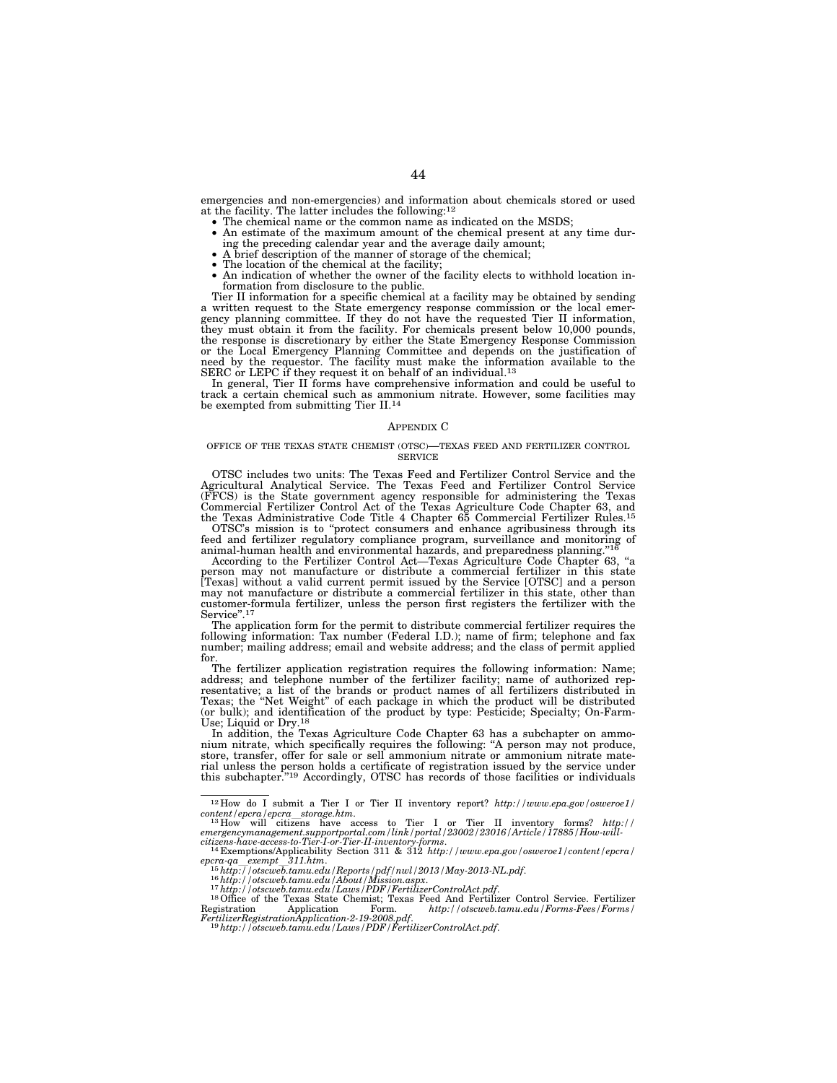emergencies and non-emergencies) and information about chemicals stored or used

- at the facility. The latter includes the following:<sup>12</sup>  $\bullet$  The chemical name or the common name as indicated on the MSDS;
	- An estimate of the maximum amount of the chemical present at any time during the preceding calendar year and the average daily amount;
	-
	-
	- A brief description of the manner of storage of the chemical;<br>• The location of the chemical at the facility;<br>• An indication of whether the owner of the facility elects to withhold location information from disclosure to the public.

Tier II information for a specific chemical at a facility may be obtained by sending a written request to the State emergency response commission or the local emergency planning committee. If they do not have the requested Tier II information, they must obtain it from the facility. For chemicals present below 10,000 pounds, the response is discretionary by either the State Emergency Response Commission or the Local Emergency Planning Committee and depends on the justification of need by the requestor. The facility must make the information available to the SERC or LEPC if they request it on behalf of an individual.13

In general, Tier II forms have comprehensive information and could be useful to track a certain chemical such as ammonium nitrate. However, some facilities may be exempted from submitting Tier II.14

## APPENDIX C

#### OFFICE OF THE TEXAS STATE CHEMIST (OTSC)—TEXAS FEED AND FERTILIZER CONTROL SERVICE

OTSC includes two units: The Texas Feed and Fertilizer Control Service and the Agricultural Analytical Service. The Texas Feed and Fertilizer Control Service<br>(FFCS) is the State government agency responsible for administering the Texas<br>Commercial Fertilizer Control Act of the Texas Agriculture Code C

OTSC's mission is to ''protect consumers and enhance agribusiness through its feed and fertilizer regulatory compliance program, surveillance and monitoring of animal-human health and environmental hazards, and preparedness planning."<sup>16</sup><br>According to the Fertilizer Control Act—Texas Agriculture Code Chapter 63, "a

person may not manufacture or distribute a commercial fertilizer in this state<br>[Texas] without a valid current permit issued by the Service [OTSC] and a person<br>may not manufacture or distribute a commercial fertilizer in t customer-formula fertilizer, unless the person first registers the fertilizer with the Service".<sup>1</sup>

The application form for the permit to distribute commercial fertilizer requires the following information: Tax number (Federal I.D.); name of firm; telephone and fax number; mailing address; email and website address; and the class of permit applied

for.<br>The fertilizer application registration requires the following information: Name;<br>address; and telephone number of the fertilizer facility; name of authorized rep-<br>resentative; a list of the brands or product names of (or bulk); and identification of the product by type: Pesticide; Specialty; On-Farm-Use; Liquid or Dry.<sup>18</sup><br>In addition, the Texas Agriculture Code Chapter 63 has a subchapter on ammo-

nium nitrate, which specifically requires the following: ''A person may not produce, store, transfer, offer for sale or sell ammonium nitrate or ammonium nitrate material unless the person holds a certificate of registration issued by the service under this subchapter.''19 Accordingly, OTSC has records of those facilities or individuals

<sup>12</sup> How do I submit a Tier I or Tier II inventory report? *http://www.epa.gov/osweroe1/* 

*content/epcra/epcra*l*storage.htm*. 13 How will citizens have access to Tier I or Tier II inventory forms? *http:// emergencymanagement.supportportal.com/link/portal/23002/23016/Article/17885/How-will-citizens-have-access-to-Tier-I-or-Tier-II-inventory-forms*. 14 Exemptions/Applicability Section 311 & 312 *http://www.epa.gov/osweroe1/content/epcra/* 

 $\begin{array}{l} \textit{epcra-qa\_exempt\_311.htm.}\\ 15 \; \textit{http://otsweb.tamu.edu/Reports/pdf/nwl/2013/May-2013-NL.pdf}.\\ 16 \; \textit{http://otsweb.tamu.edu/About/Mission.aspx.}\\ 17 \; \textit{http://otsweb.tamu.edu/Laws/PDF/FertilizerControlAct.pdf}.\\ 18 \; \textit{http://otsweb.tamu.edu/Laws/PDF/FertilizerControlAct.pdf}.\\ 18 \; \textit{r1-cas State Chemistry/Resus} \\ \textit{Registration} \end{array}$ 

*FertilizerRegistrationApplication-2-19-2008.pdf*. 19*http://otscweb.tamu.edu/Laws/PDF/FertilizerControlAct.pdf*.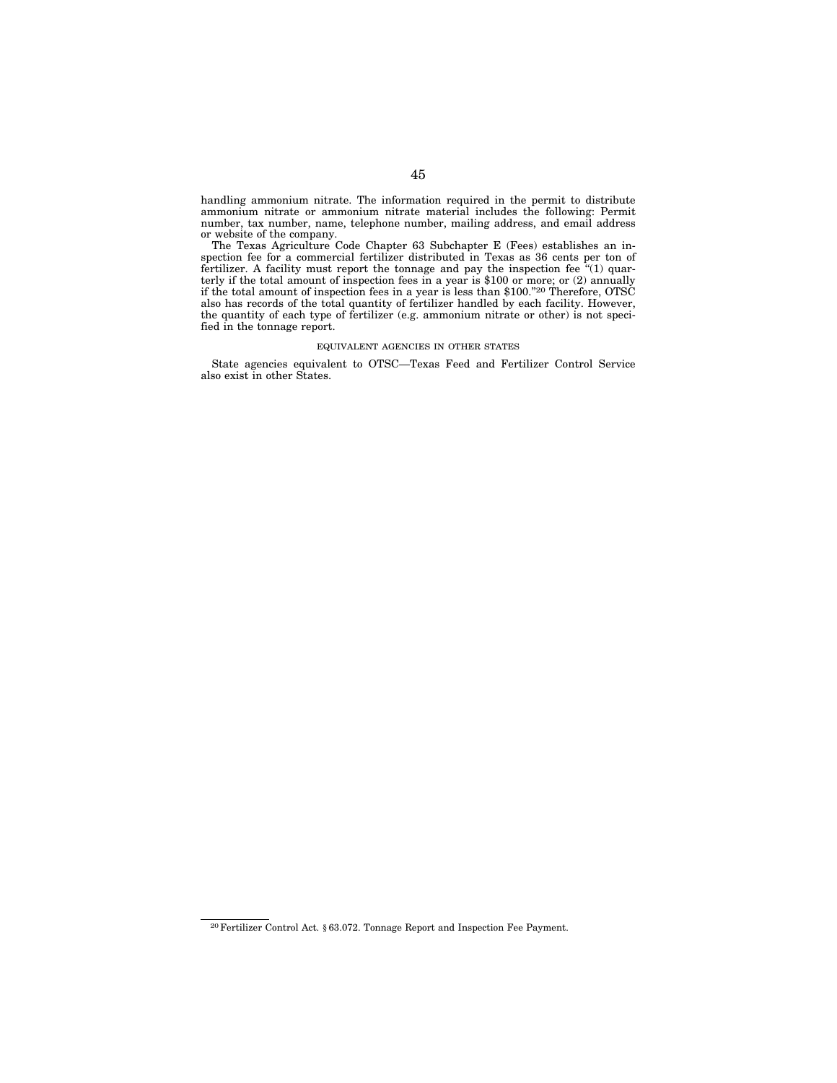handling ammonium nitrate. The information required in the permit to distribute ammonium nitrate or ammonium nitrate material includes the following: Permit number, tax number, name, telephone number, mailing address, and email address or website of the company.

The Texas Agriculture Code Chapter 63 Subchapter E (Fees) establishes an inspection fee for a commercial fertilizer distributed in Texas as 36 cents per ton of fertilizer. A facility must report the tonnage and pay the inspection fee ''(1) quarterly if the total amount of inspection fees in a year is \$100 or more; or (2) annually if the total amount of inspection fees in a year is less than \$100.''20 Therefore, OTSC also has records of the total quantity of fertilizer handled by each facility. However, the quantity of each type of fertilizer (e.g. ammonium nitrate or other) is not specified in the tonnage report.

# EQUIVALENT AGENCIES IN OTHER STATES

State agencies equivalent to OTSC—Texas Feed and Fertilizer Control Service also exist in other States.

<sup>20</sup>Fertilizer Control Act. § 63.072. Tonnage Report and Inspection Fee Payment.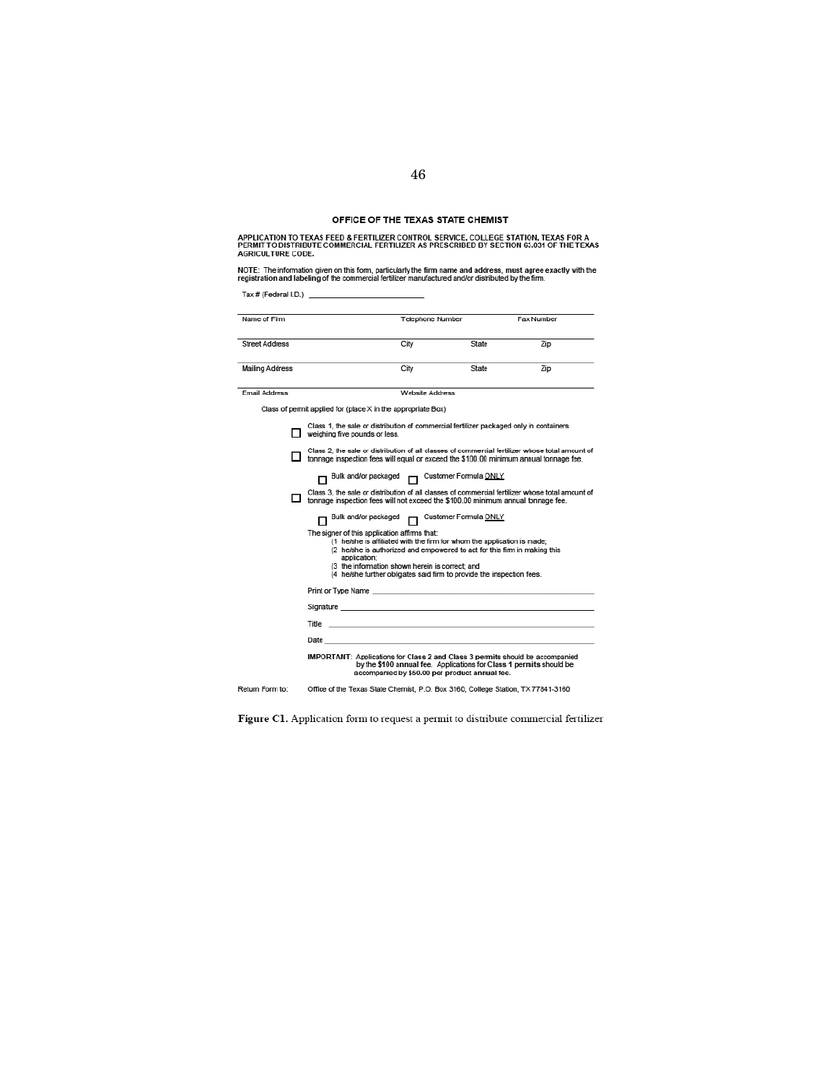# OFFICE OF THE TEXAS STATE CHEMIST

APPLICATION TO TEXAS FEED & FERTILIZER CONTROL SERVICE, COLLEGE STATION, TEXAS FOR A<br>PERMIT TO DISTRIBUTE COMMERCIAL FERTILIZER AS PRESCRIBED BY SECTION 63.031 OF THE TEXAS<br>AGRICULTURE CODE.

NO PERMIT TO DISTRIBUTE COMMERCIAL FERTILIZER AS PRESCRIBED BY SECTION 63.031 OF THE TEXAS<br>AGRICULTURE CODE.<br>NOTE: The information given on this form, particularly the firm name and address, must agree exactly with the<br>regist

'."(f\_'.o.) \_\_\_\_\_\_\_\_\_\_ \_

| Name of Firm           |                                                              | <b>Telephone Number</b>                                                                                                                                                                                                                                                                                                                   |       | <b>Fax Number</b>                                                                               |
|------------------------|--------------------------------------------------------------|-------------------------------------------------------------------------------------------------------------------------------------------------------------------------------------------------------------------------------------------------------------------------------------------------------------------------------------------|-------|-------------------------------------------------------------------------------------------------|
| <b>Street Address</b>  |                                                              | City                                                                                                                                                                                                                                                                                                                                      | State | Zip                                                                                             |
| <b>Mailing Address</b> |                                                              | City                                                                                                                                                                                                                                                                                                                                      | State | Zip                                                                                             |
| <b>Email Address</b>   |                                                              | Website Address                                                                                                                                                                                                                                                                                                                           |       |                                                                                                 |
|                        | Class of permit applied for (place X in the appropriate Box) |                                                                                                                                                                                                                                                                                                                                           |       |                                                                                                 |
|                        | weighing five pounds or less.                                | Class 1, the sale or distribution of commercial fertilizer packaged only in containers                                                                                                                                                                                                                                                    |       |                                                                                                 |
|                        |                                                              | tonnage inspection fees will equal or exceed the \$100.00 minimum annual tonnage fee.                                                                                                                                                                                                                                                     |       | Class 2, the sale or distribution of all classes of commercial fertilizer whose total amount of |
|                        | The signer of this application affirms that:<br>application: | Bulk and/or packaged no Customer Formula ONLY<br>tonnage inspection fees will not exceed the \$100.00 minimum annual tonnage fee.<br>Bulk and/or packaged   Customer Formula ONLY<br>(1 he/she is affiliated with the firm for whom the application is made;<br>(2 he/she is authorized and empowered to act for this firm in making this |       | Class 3, the sale or distribution of all classes of commercial fertilizer whose total amount of |
|                        |                                                              | (3 the information shown herein is correct and<br>(4 he/she further obligates said firm to provide the inspection fees.)                                                                                                                                                                                                                  |       |                                                                                                 |
|                        |                                                              | Print or Type Name and the contract of the contract of the contract of the contract of the contract of the contract of the contract of the contract of the contract of the contract of the contract of the contract of the con                                                                                                            |       |                                                                                                 |
|                        |                                                              | Signature <b>Structure</b> and the structure of the structure of the structure of the structure of the structure of the                                                                                                                                                                                                                   |       |                                                                                                 |
|                        |                                                              | Title <b>Contract Contract Contract Contract Contract Contract Contract Contract Contract Contract Contract Contract Contract Contract Contract Contract Contract Contract Contract Contract Contract Contract Contract Contract</b>                                                                                                      |       |                                                                                                 |
|                        |                                                              | Date and the contract of the contract of the contract of the contract of the contract of the contract of the contract of the contract of the contract of the contract of the contract of the contract of the contract of the c                                                                                                            |       |                                                                                                 |
|                        |                                                              | <b>IMPORTANT:</b> Applications for Class 2 and Class 3 permits should be accompanied<br>by the \$100 annual fee. Applications for Class 1 permits should be<br>accompanied by \$50.00 per product annual fee.                                                                                                                             |       |                                                                                                 |
| Return Form to:        |                                                              | Office of the Texas State Chemist, P.O. Box 3160, College Station, TX 77841-3160                                                                                                                                                                                                                                                          |       |                                                                                                 |
|                        |                                                              |                                                                                                                                                                                                                                                                                                                                           |       |                                                                                                 |

Figure C1. Application form to request a permit to distribute commercial fertilizer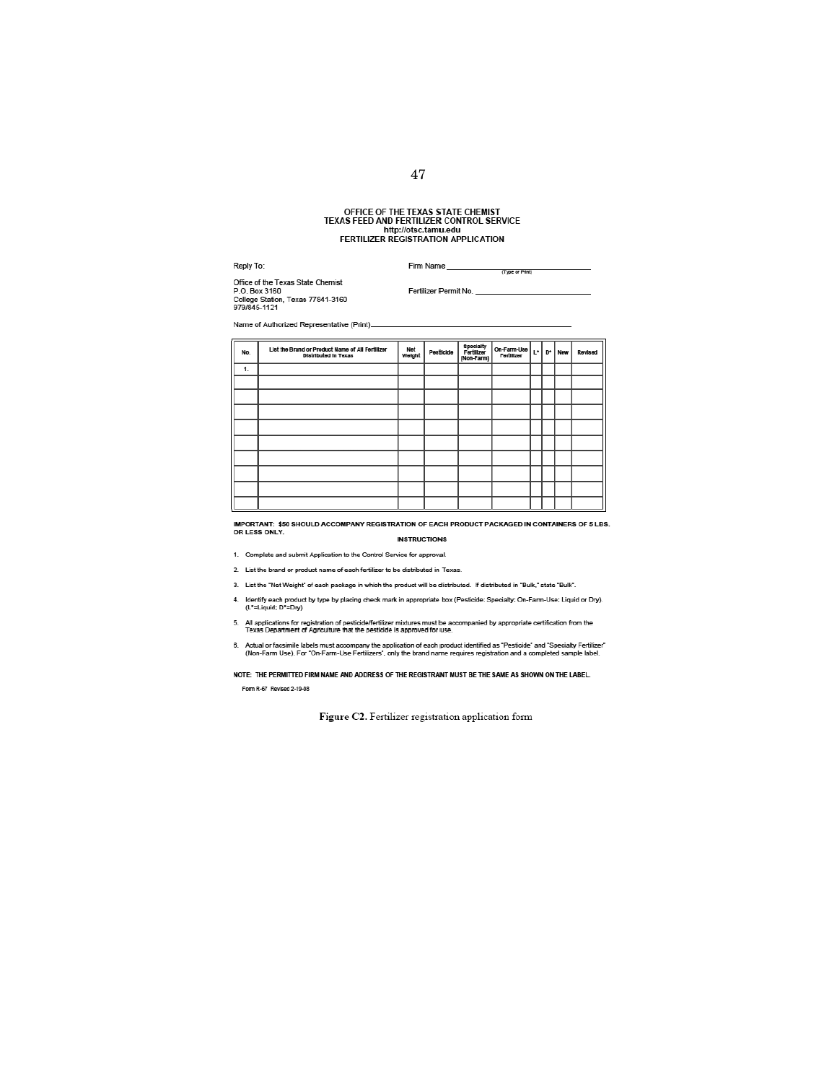# OfFICE OF THE TEXAS STATE CHEMIST TEXAS FEED AND FERTILIZER CONTROl SERVICE http://otsc.tamu.edu<br>FERTILIZER REGISTRATION APPLICATION

, .. ". nn~ \_\_\_\_\_\_\_\_\_ -,,, .. .-\_\_\_\_\_\_\_\_ \_\_

ottIce 01 !he Texas \_ a-.er.- --- <sup>P</sup> .O. 60. <sup>3160</sup>f \_\_ No \_\_\_\_\_\_\_\_\_\_\_\_\_\_\_\_\_\_\_ \_\_ CoIeQe \_ . Texao 77841-3160 91!JI8oI 11 21

| 9/9/645-1121 |                                                                                 |               |           |                                       |                           |       |    |     |         |
|--------------|---------------------------------------------------------------------------------|---------------|-----------|---------------------------------------|---------------------------|-------|----|-----|---------|
|              | Name of Authorized Representative (Print)_                                      |               |           |                                       |                           |       |    |     |         |
| No.          | List the Brand or Product Name of All Fertilizer<br><b>Distributed In Texas</b> | Net<br>Weight | Pesticide | Specialty<br>Fertilizer<br>(Non-Farm) | On-Farm-Use<br>Fertilizer | $L^*$ | D* | New | Revised |
| 1.           |                                                                                 |               |           |                                       |                           |       |    |     |         |
|              |                                                                                 |               |           |                                       |                           |       |    |     |         |
|              |                                                                                 |               |           |                                       |                           |       |    |     |         |
|              |                                                                                 |               |           |                                       |                           |       |    |     |         |
|              |                                                                                 |               |           |                                       |                           |       |    |     |         |
|              |                                                                                 |               |           |                                       |                           |       |    |     |         |
|              |                                                                                 |               |           |                                       |                           |       |    |     |         |
|              |                                                                                 |               |           |                                       |                           |       |    |     |         |
|              |                                                                                 |               |           |                                       |                           |       |    |     |         |
|              |                                                                                 |               |           |                                       |                           |       |    |     |         |

IMPORTANT: \$50 SHOULD ACCOMPANY REGISTRATION OF EACH PRODUCT PACKAGED IN CONTAINERS OF 5 LBS.<br>OR LESS ONLY. **INSTRUCTIONS** 

1. Complete and submit Application to the Control Service for approval.<br>2. List the brand or product name of each fertilizer to be distributed in Texas.

3. List the "Net Weight" of each package in which the product will be distributed. If distributed in "Bulk," state "Bulk".

2. List the trand or product name or each tertilizer to be distributed in Texas.<br>3. List the "Net Weight" of each package in which the product will be distributed. If distributed in "Bulk," state "Bulk".<br>4. Identify each p

- 5. All applications for registration of pesticide/fertilizer mixtures must be accompanied by appropriate certification from the<br>Texas Department of Agriculture that the pesticide is approved for use.<br>6. Actual or facsimile
- 

NOTE: THE PERMITTED FIRM NAME AND ADDRESS OF THE REGISTRANT MUST BE THE SAME AS SHOWN ON THE LABEL. Form R-67 Revised 2-19-08

Figure C2. Fertilizer registration application form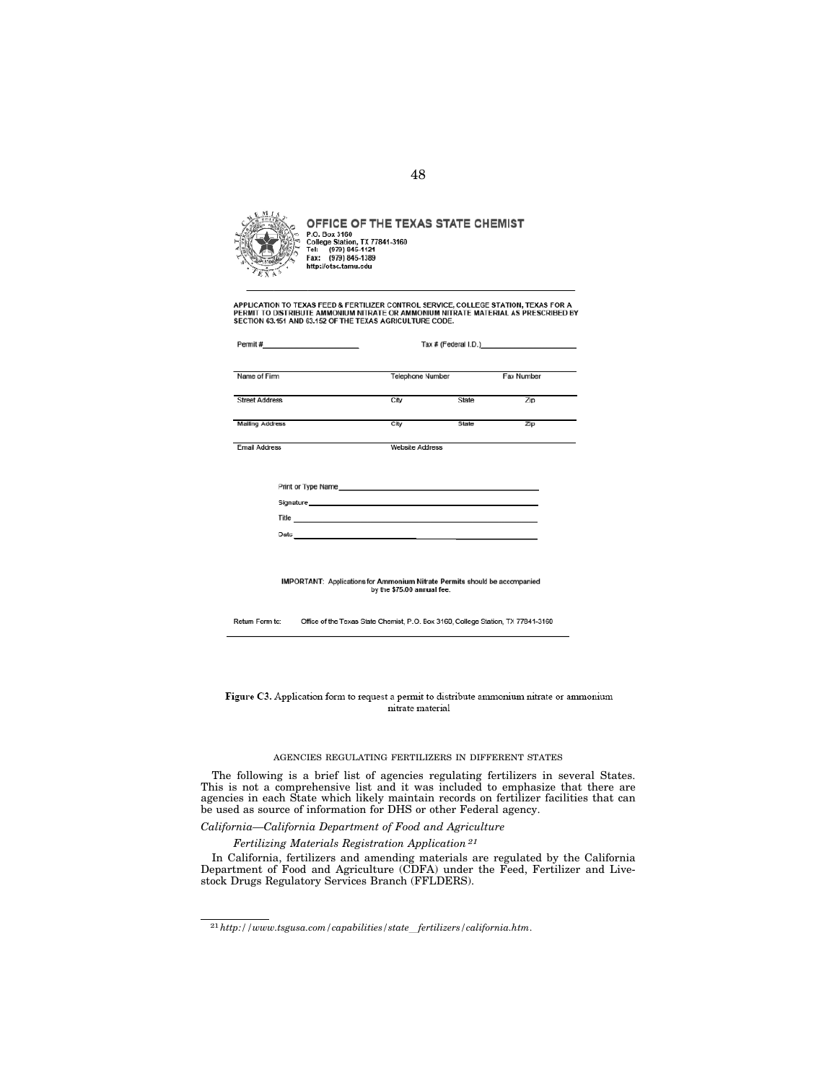

OFFICE OF THE TEXAS STATE CHEMIST P.O. Box 3160<br>College Station, TX 77841-3160<br>Tel: (979) 845-1121<br>Fax: (979) 845-1389 http://otsc.tamu.edu

APPLICATION TO TEXAS FEED & FERTILIZER CONTROL SERVICE, COLLEGE STATION, TEXAS FOR A<br>PERMIT TO DISTRIBUTE AMMONIUM NITRATE OR AMMONIUM NITRATE MATERIAL AS PRESCRIBED BY<br>SECTION 63.151 AND 63.152 OF THE TEXAS AGRICULTURE CO

 $\mathcal{L}$ 

| Permit #___________________________ |                                                                                                                                                                                                                                      |                         |     |  |  |  |
|-------------------------------------|--------------------------------------------------------------------------------------------------------------------------------------------------------------------------------------------------------------------------------------|-------------------------|-----|--|--|--|
| Name of Firm                        |                                                                                                                                                                                                                                      | <b>Telephone Number</b> |     |  |  |  |
| <b>Street Address</b>               | City                                                                                                                                                                                                                                 | State                   | Zip |  |  |  |
|                                     |                                                                                                                                                                                                                                      |                         |     |  |  |  |
| Mailing Address                     | City                                                                                                                                                                                                                                 | State                   | Zip |  |  |  |
| <b>Email Address</b>                | <b>Website Address</b>                                                                                                                                                                                                               |                         |     |  |  |  |
|                                     |                                                                                                                                                                                                                                      |                         |     |  |  |  |
|                                     | Print or Type Name experience and the state of the state of the state of the state of the state of the state of the state of the state of the state of the state of the state of the state of the state of the state of the st       |                         |     |  |  |  |
|                                     |                                                                                                                                                                                                                                      |                         |     |  |  |  |
|                                     | Title <b>Contract Contract Contract Contract Contract Contract Contract Contract Contract Contract Contract Contract Contract Contract Contract Contract Contract Contract Contract Contract Contract Contract Contract Contract</b> |                         |     |  |  |  |
|                                     |                                                                                                                                                                                                                                      |                         |     |  |  |  |
|                                     |                                                                                                                                                                                                                                      |                         |     |  |  |  |
|                                     |                                                                                                                                                                                                                                      |                         |     |  |  |  |
|                                     | <b>IMPORTANT:</b> Applications for Ammonium Nitrate Permits should be accompanied                                                                                                                                                    |                         |     |  |  |  |
|                                     | by the \$75.00 annual fee.                                                                                                                                                                                                           |                         |     |  |  |  |
|                                     |                                                                                                                                                                                                                                      |                         |     |  |  |  |

Return Form to: Office of the Texas State Chemist, P.O. Box 3160, College Station, TX 77841-3160

Figure C3. Application form to request a permit to distribute ammonium nitrate or ammonium nitrate material

# AGENCIES REGULATING FERTILIZERS IN DIFFERENT STATES

The following is a brief list of agencies regulating fertilizers in several States. This is not a comprehensive list and it was included to emphasize that there are agencies in each State which likely maintain records on fertilizer facilities that can be used as source of information for DHS or other Federal agency.

# *California—California Department of Food and Agriculture*

*Fertilizing Materials Registration Application 21*

In California, fertilizers and amending materials are regulated by the California Department of Food and Agriculture (CDFA) under the Feed, Fertilizer and Livestock Drugs Regulatory Services Branch (FFLDERS).

<sup>21</sup>*http://www.tsgusa.com/capabilities/state*l*fertilizers/california.htm*.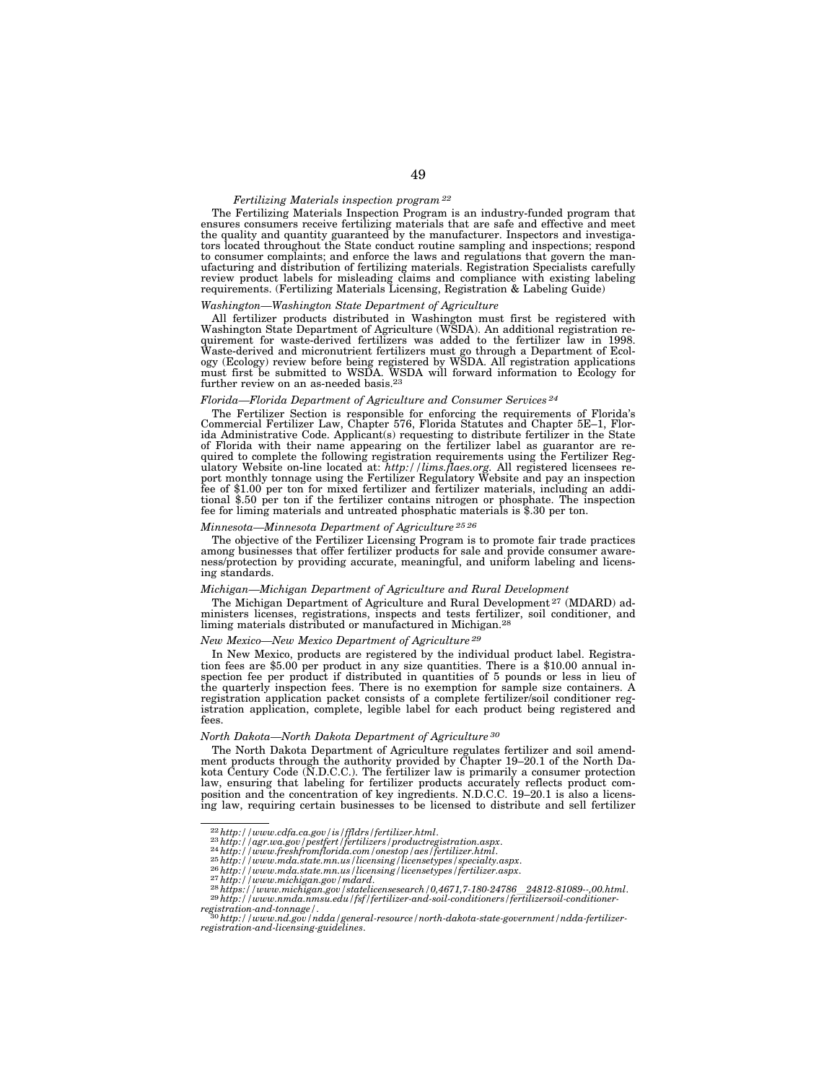# *Fertilizing Materials inspection program 22*

The Fertilizing Materials Inspection Program is an industry-funded program that ensures consumers receive fertilizing materials that are safe and effective and meet the quality and quantity guaranteed by the manufacturer. Inspectors and investigators located throughout the State conduct routine sampling and inspections; respond to consumer complaints; and enforce the laws and regulations that govern the manufacturing and distribution of fertilizing materials. Registration Specialists carefully review product labels for misleading claims and compliance with existing labeling requirements. (Fertilizing Materials Licensing, Registration & Labeling Guide)

# *Washington—Washington State Department of Agriculture*

All fertilizer products distributed in Washington must first be registered with Washington State Department of Agriculture (WSDA). An additional registration requirement for waste-derived fertilizers was added to the fertilizer law in 1998.<br>Waste-derived and micronutrient fertilizers must go through a Department of Ecol-<br>ogy (Ecology) review before being registered by WSDA. All r further review on an as-needed basis.23

## *Florida—Florida Department of Agriculture and Consumer Services 24*

The Fertilizer Section is responsible for enforcing the requirements of Florida's Commercial Fertilizer Law, Chapter 576, Florida Statutes and Chapter 5E–1, Florida Administrative Code. Applicant(s) requesting to distribute fertilizer in the State of Florida with their name appearing on the fertilizer label as guarantor are re-quired to complete the following registration requirements using the Fertilizer Regulatory Website on-line located at: *http://lims.flaes.org.* All registered licensees re-port monthly tonnage using the Fertilizer Regulatory Website and pay an inspection fee of \$1.00 per ton for mixed fertilizer and fertilizer materials, including an additional \$.50 per ton if the fertilizer contains nitrogen or phosphate. The inspection fee for liming materials and untreated phosphatic materials is \$.30 per ton.

# *Minnesota—Minnesota Department of Agriculture 25 26*

The objective of the Fertilizer Licensing Program is to promote fair trade practices among businesses that offer fertilizer products for sale and provide consumer awareness/protection by providing accurate, meaningful, and uniform labeling and licensing standards.

### *Michigan—Michigan Department of Agriculture and Rural Development*

The Michigan Department of Agriculture and Rural Development 27 (MDARD) administers licenses, registrations, inspects and tests fertilizer, soil conditioner, and liming materials distributed or manufactured in Michigan.28

#### *New Mexico—New Mexico Department of Agriculture 29*

In New Mexico, products are registered by the individual product label. Registration fees are \$5.00 per product in any size quantities. There is a \$10.00 annual inspection fee per product if distributed in quantities of 5 pounds or less in lieu of the quarterly inspection fees. There is no exemption for sample size containers. A registration application packet consists of a complete fertilizer/soil conditioner registration application, complete, legible label for each product being registered and fees.

# *North Dakota—North Dakota Department of Agriculture 30*

The North Dakota Department of Agriculture regulates fertilizer and soil amendment products through the authority provided by Chapter 19–20.1 of the North Dakota Century Code (N.D.C.C.). The fertilizer law is primarily a consumer protection law, ensuring that labeling for fertilizer products accurately reflects product composition and the concentration of key ingredients. N.D.C.C. 19–20.1 is also a licensing law, requiring certain businesses to be licensed to distribute and sell fertilizer

<sup>22</sup>*http://www.cdfa.ca.gov/is/ffldrs/fertilizer.html*. 23*http://agr.wa.gov/pestfert/fertilizers/productregistration.aspx*. 24*http://www.freshfromflorida.com/onestop/aes/fertilizer.html*. 25*http://www.mda.state.mn.us/licensing/licensetypes/specialty.aspx*. 26*http://www.mda.state.mn.us/licensing/licensetypes/fertilizer.aspx*. 27*http://www.michigan.gov/mdard*. 28*https://www.michigan.gov/statelicensesearch/0,4671,7-180-24786*l*24812-81089--,00.html*. 29*http://www.nmda.nmsu.edu/fsf/fertilizer-and-soil-conditioners/fertilizersoil-conditioner-*

*registration-and-tonnage/*. 30*http://www.nd.gov/ndda/general-resource/north-dakota-state-government/ndda-fertilizer-registration-and-licensing-guidelines*.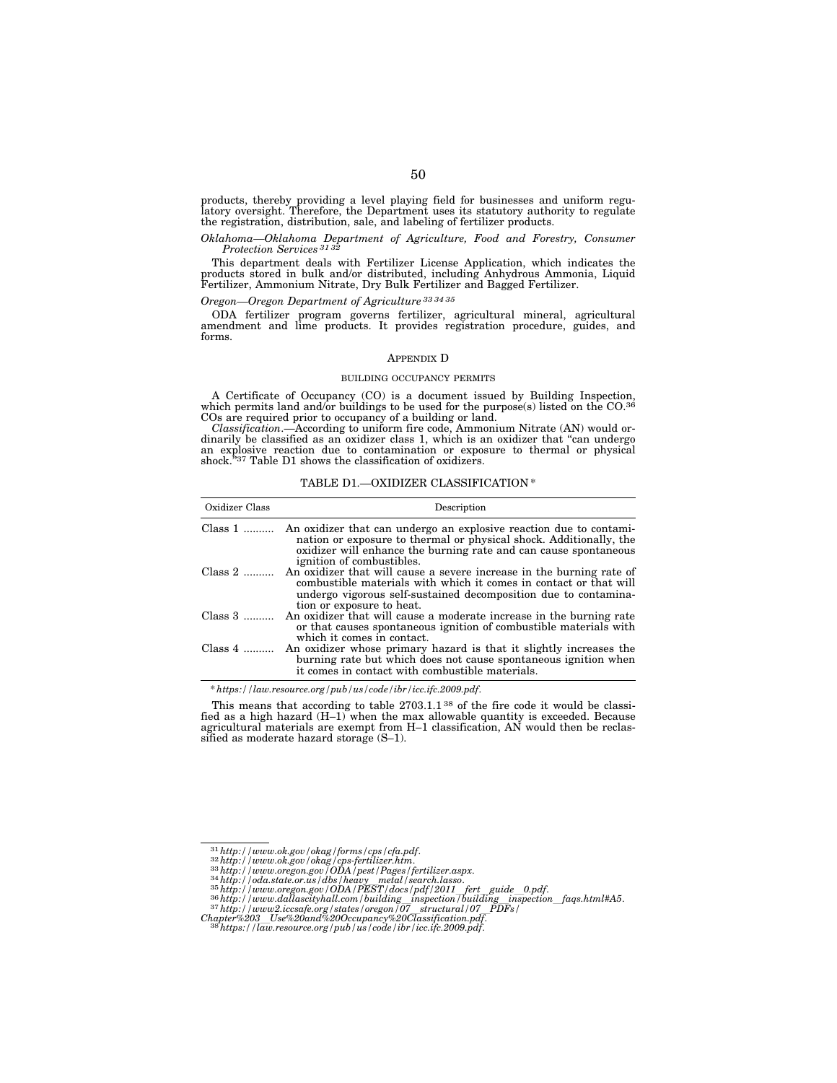products, thereby providing a level playing field for businesses and uniform regulatory oversight. Therefore, the Department uses its statutory authority to regulate the registration, distribution, sale, and labeling of fertilizer products.

### *Oklahoma—Oklahoma Department of Agriculture, Food and Forestry, Consumer Protection Services 31 32*

This department deals with Fertilizer License Application, which indicates the products stored in bulk and/or distributed, including Anhydrous Ammonia, Liquid Fertilizer, Ammonium Nitrate, Dry Bulk Fertilizer and Bagged Fertilizer.

*Oregon—Oregon Department of Agriculture 33 34 35*

ODA fertilizer program governs fertilizer, agricultural mineral, agricultural amendment and lime products. It provides registration procedure, guides, and forms.

## APPENDIX D

### BUILDING OCCUPANCY PERMITS

A Certificate of Occupancy (CO) is a document issued by Building Inspection, which permits land and/or buildings to be used for the purpose(s) listed on the CO.36 COs are required prior to occupancy of a building or land.

*Classification*.—According to uniform fire code, Ammonium Nitrate (AN) would ordinarily be classified as an oxidizer class 1, which is an oxidizer that "can undergo an explosive reaction due to contamination or exposure to thermal or physical shock."<sup>37</sup> Table D1 shows the classification of oxidizers.

TABLE D1.—OXIDIZER CLASSIFICATION \*

| Oxidizer Class | Description                                                                                                                                                                                                                               |  |  |
|----------------|-------------------------------------------------------------------------------------------------------------------------------------------------------------------------------------------------------------------------------------------|--|--|
| $Class 1$      | An oxidizer that can undergo an explosive reaction due to contami-<br>nation or exposure to thermal or physical shock. Additionally, the<br>oxidizer will enhance the burning rate and can cause spontaneous<br>ignition of combustibles. |  |  |
| Class $2$      | An oxidizer that will cause a severe increase in the burning rate of<br>combustible materials with which it comes in contact or that will<br>undergo vigorous self-sustained decomposition due to contamina-<br>tion or exposure to heat. |  |  |
| $Class 3$      | An oxidizer that will cause a moderate increase in the burning rate<br>or that causes spontaneous ignition of combustible materials with<br>which it comes in contact.                                                                    |  |  |
| Class $4$      | An oxidizer whose primary hazard is that it slightly increases the<br>burning rate but which does not cause spontaneous ignition when<br>it comes in contact with combustible materials.                                                  |  |  |

\* *https://law.resource.org/pub/us/code/ibr/icc.ifc.2009.pdf*.

This means that according to table 2703.1.1 38 of the fire code it would be classified as a high hazard (H–1) when the max allowable quantity is exceeded. Because agricultural materials are exempt from H–1 classification, AN would then be reclassified as moderate hazard storage (S–1).

<sup>&</sup>lt;sup>31</sup> http://www.ok.gov/okag/forms/cps/cfa.pdf.<br><sup>32</sup> http://www.ok.gov/okag/cps-fertilizer.htm.<br><sup>33</sup> http://www.orgon.gov/ODA/pest/Pages/fertilizer.aspx.<br><sup>34</sup> http://oda.state.or.us/dbs/heavy\_metal/search.lasso.<br><sup>35</sup> http:

*Chapter%203*l*Use%20and%20Occupancy%20Classification.pdf*. 38*https://law.resource.org/pub/us/code/ibr/icc.ifc.2009.pdf*.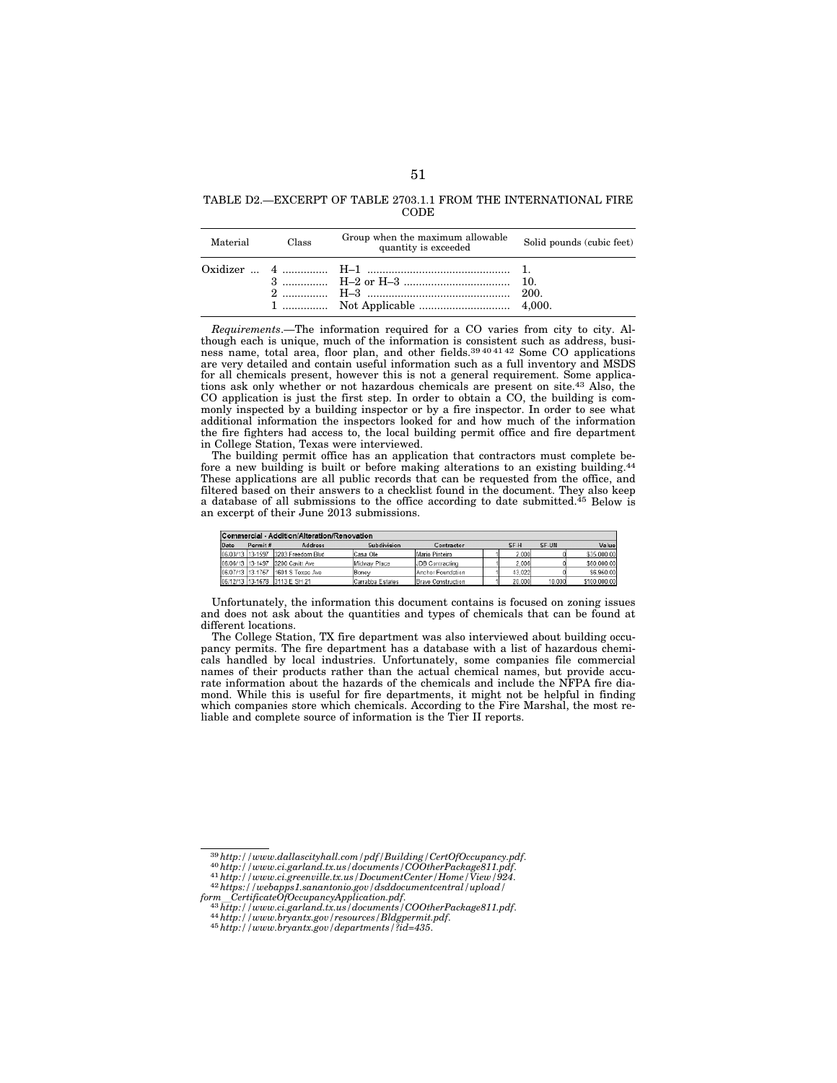# TABLE D2.—EXCERPT OF TABLE 2703.1.1 FROM THE INTERNATIONAL FIRE CODE

| Material | Class | Group when the maximum allowable<br>quantity is exceeded | Solid pounds (cubic feet) |  |
|----------|-------|----------------------------------------------------------|---------------------------|--|
|          |       |                                                          |                           |  |

*Requirements*.—The information required for a CO varies from city to city. Although each is unique, much of the information is consistent such as address, busi-<br>ness name, total area, floor plan, and other fields.<sup>39404142</sup> Some CO applications are very detailed and contain useful information such as a full inventory and MSDS for all chemicals present, however this is not a general requirement. Some applications ask only whether or not hazardous chemicals are present on site.43 Also, the CO application is just the first step. In order to obtain a CO, the building is commonly inspected by a building inspector or by a fire inspector. In order to see what additional information the inspectors looked for and how much of the information the fire fighters had access to, the local building permit office and fire department in College Station, Texas were interviewed.

The building permit office has an application that contractors must complete before a new building is built or before making alterations to an existing building.<sup>44</sup> These applications are all public records that can be requested from the office, and filtered based on their answers to a checklist found in the document. They also keep a database of all submissions to the office according to date submitted.45 Below is an excerpt of their June 2013 submissions.

| Commercial - Addition/Alteration/Renovation |         |                                    |                  |                           |  |        |        |              |  |
|---------------------------------------------|---------|------------------------------------|------------------|---------------------------|--|--------|--------|--------------|--|
| Date                                        | Permit# | <b>Address</b>                     | Subdivision      | Contractor                |  | SF-H   | SF-UN  | Value        |  |
|                                             |         | 06/03/13 13-1597 3203 Freedom Blvd | Casa Ole         | Mario Pinteiro            |  | 2.000  |        | \$35,000.00  |  |
|                                             |         | 06/06/13 13-1497 3200 Cavitt Ave   | Midway Place     | JDB Contracting           |  | 2.006  |        | \$60,000.00  |  |
| 06/07/13 13-1757                            |         | 1601 S Texas Ave                   | Boney            | Anchor Foundation         |  | 43.022 |        | \$6,950.00   |  |
|                                             |         | 06/12/13 13-1678 3113 E SH 21      | Carrabba Estates | <b>Bravo Construction</b> |  | 20,000 | 10.000 | \$100.000.00 |  |

Unfortunately, the information this document contains is focused on zoning issues and does not ask about the quantities and types of chemicals that can be found at different locations.

The College Station, TX fire department was also interviewed about building occupancy permits. The fire department has a database with a list of hazardous chemicals handled by local industries. Unfortunately, some companies file commercial names of their products rather than the actual chemical names, but provide accurate information about the hazards of the chemicals and include the NFPA fire diamond. While this is useful for fire departments, it might not be helpful in finding which companies store which chemicals. According to the Fire Marshal, the most reliable and complete source of information is the Tier II reports.

 $\frac{39\,http://www.dallascityhall.com/pdf/Building/CertOfOccupancy.pdf}{40\,http://www.ci.greland.txt.us/documents/COOtherPackage811.pdf}$ <br> $\frac{40\,http://www.ci.greenville.txt.us/locumentCenter/Home/Vieu/924}{41\,http://www.ci.greenville.txt.us/DocumentCenter/Home/Vieu/924}.$ reading the complete the proposal control of the certificate Of Decupancy Application. pdf.<br>  $^{43}$  http://www.ci.garland.tx.us/documents/COOtherPackage811.pdf.<br>  $^{44}$  http://www.bryantx.gov/resources/Bldgpermit.pdf.<br>  $^{4$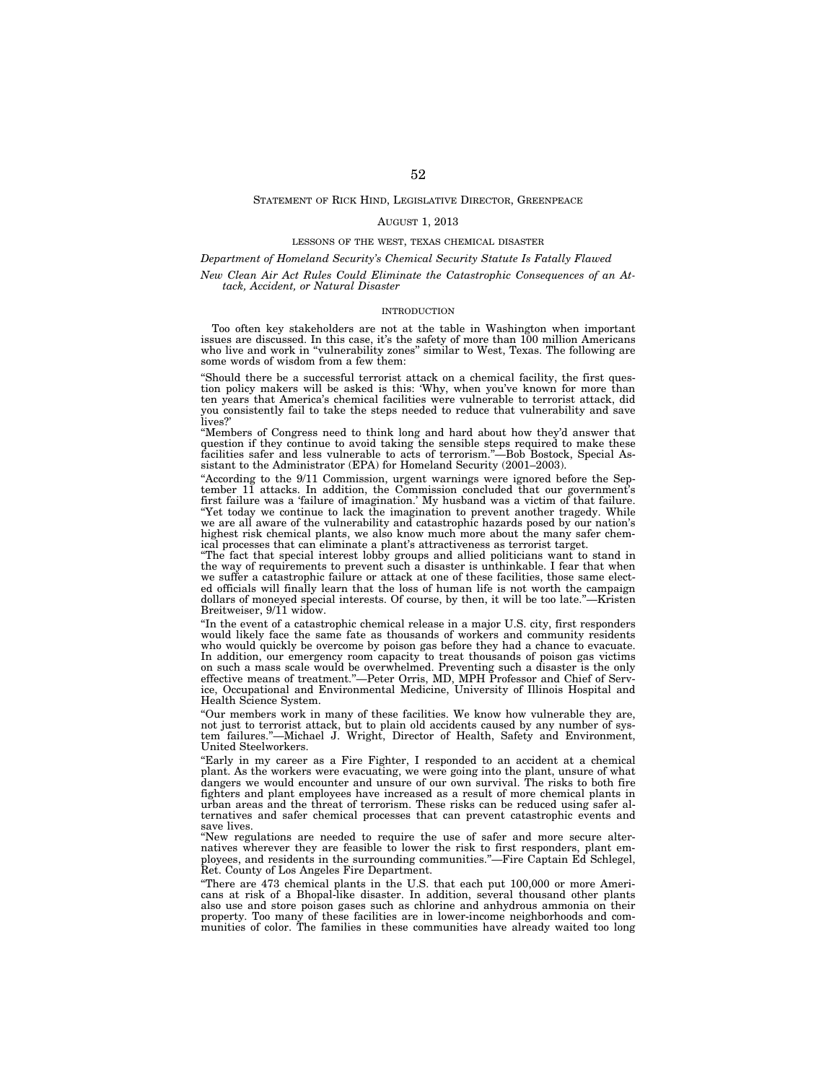# STATEMENT OF RICK HIND, LEGISLATIVE DIRECTOR, GREENPEACE

### AUGUST 1, 2013

## LESSONS OF THE WEST, TEXAS CHEMICAL DISASTER

#### *Department of Homeland Security's Chemical Security Statute Is Fatally Flawed*

# *New Clean Air Act Rules Could Eliminate the Catastrophic Consequences of an Attack, Accident, or Natural Disaster*

## INTRODUCTION

Too often key stakeholders are not at the table in Washington when important issues are discussed. In this case, it's the safety of more than 100 million Americans who live and work in ''vulnerability zones'' similar to West, Texas. The following are some words of wisdom from a few them:

''Should there be a successful terrorist attack on a chemical facility, the first question policy makers will be asked is this: 'Why, when you've known for more than ten years that America's chemical facilities were vulnerable to terrorist attack, did you consistently fail to take the steps needed to reduce that vulnerability and save lives?'

''Members of Congress need to think long and hard about how they'd answer that question if they continue to avoid taking the sensible steps required to make these facilities safer and less vulnerable to acts of terrorism.''—Bob Bostock, Special Assistant to the Administrator (EPA) for Homeland Security (2001–2003).

"According to the 9/11 Commission, urgent warnings were ignored before the September 11 attacks. In addition, the Commission concluded that our government's first failure was a 'failure of imagination.' My husband was a victim of that failure. ''Yet today we continue to lack the imagination to prevent another tragedy. While we are all aware of the vulnerability and catastrophic hazards posed by our nation's highest risk chemical plants, we also know much more about the many safer chemical processes that can eliminate a plant's attractiveness as terrorist target.

''The fact that special interest lobby groups and allied politicians want to stand in the way of requirements to prevent such a disaster is unthinkable. I fear that when we suffer a catastrophic failure or attack at one of these facilities, those same elected officials will finally learn that the loss of human life is not worth the campaign dollars of moneyed special interests. Of course, by then, it will be too late."—Kristen Breitweiser, 9/11 widow.

"In the event of a catastrophic chemical release in a major U.S. city, first responders would likely face the same fate as thousands of workers and community residents who would quickly be overcome by poison gas before they had a chance to evacuate. In addition, our emergency room capacity to treat thousands of poison gas victims on such a mass scale would be overwhelmed. Preventing such a disaster is the only effective means of treatment.''—Peter Orris, MD, MPH Professor and Chief of Service, Occupational and Environmental Medicine, University of Illinois Hospital and Health Science System.

''Our members work in many of these facilities. We know how vulnerable they are, not just to terrorist attack, but to plain old accidents caused by any number of system failures.''—Michael J. Wright, Director of Health, Safety and Environment, United Steelworkers.

''Early in my career as a Fire Fighter, I responded to an accident at a chemical plant. As the workers were evacuating, we were going into the plant, unsure of what dangers we would encounter and unsure of our own survival. The risks to both fire fighters and plant employees have increased as a result of more chemical plants in urban areas and the threat of terrorism. These risks can be reduced using safer alternatives and safer chemical processes that can prevent catastrophic events and save lives.

''New regulations are needed to require the use of safer and more secure alternatives wherever they are feasible to lower the risk to first responders, plant employees, and residents in the surrounding communities.''—Fire Captain Ed Schlegel, Ret. County of Los Angeles Fire Department.

''There are 473 chemical plants in the U.S. that each put 100,000 or more Americans at risk of a Bhopal-like disaster. In addition, several thousand other plants also use and store poison gases such as chlorine and anhydrous ammonia on their property. Too many of these facilities are in lower-income neighborhoods and communities of color. The families in these communities have already waited too long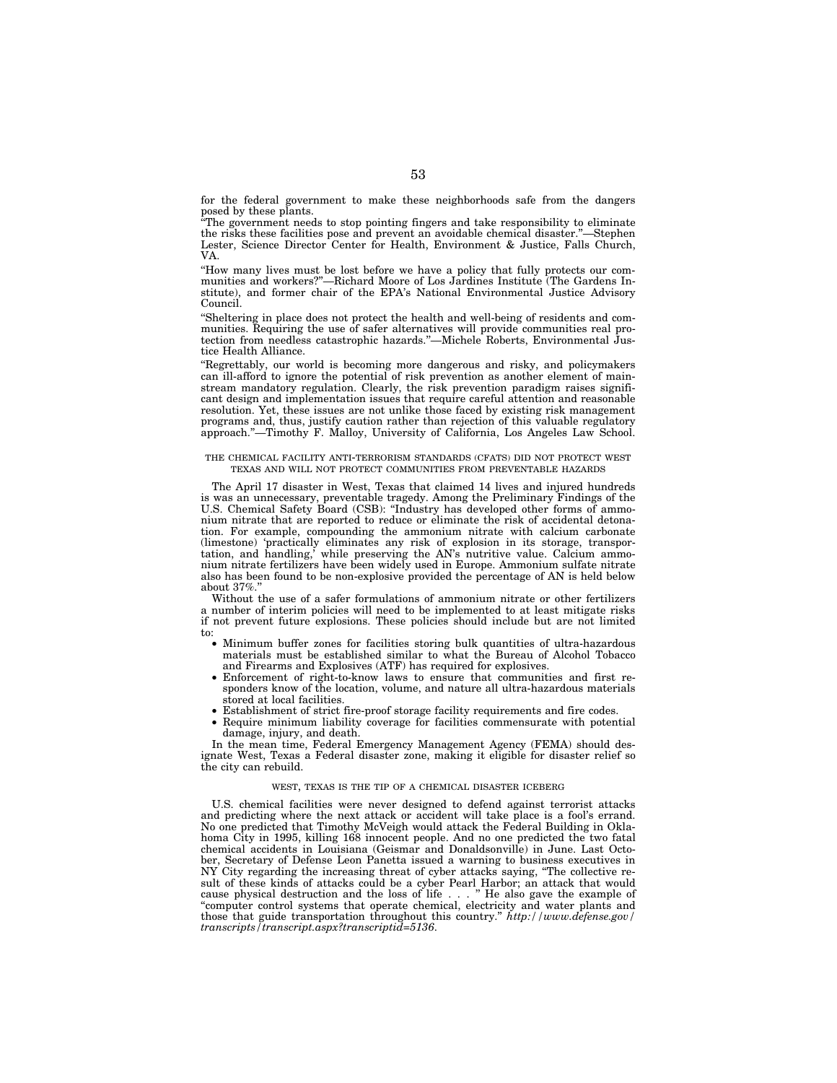for the federal government to make these neighborhoods safe from the dangers posed by these plants.

''The government needs to stop pointing fingers and take responsibility to eliminate the risks these facilities pose and prevent an avoidable chemical disaster.''—Stephen Lester, Science Director Center for Health, Environment & Justice, Falls Church, VA.

''How many lives must be lost before we have a policy that fully protects our communities and workers?''—Richard Moore of Los Jardines Institute (The Gardens Institute), and former chair of the EPA's National Environmental Justice Advisory Council.

''Sheltering in place does not protect the health and well-being of residents and communities. Requiring the use of safer alternatives will provide communities real protection from needless catastrophic hazards.''—Michele Roberts, Environmental Justice Health Alliance.

''Regrettably, our world is becoming more dangerous and risky, and policymakers can ill-afford to ignore the potential of risk prevention as another element of mainstream mandatory regulation. Clearly, the risk prevention paradigm raises significant design and implementation issues that require careful attention and reasonable resolution. Yet, these issues are not unlike those faced by existing risk management programs and, thus, justify caution rather than rejection of this valuable regulatory approach.''—Timothy F. Malloy, University of California, Los Angeles Law School.

### THE CHEMICAL FACILITY ANTI-TERRORISM STANDARDS (CFATS) DID NOT PROTECT WEST TEXAS AND WILL NOT PROTECT COMMUNITIES FROM PREVENTABLE HAZARDS

The April 17 disaster in West, Texas that claimed 14 lives and injured hundreds is was an unnecessary, preventable tragedy. Among the Preliminary Findings of the U.S. Chemical Safety Board (CSB): ''Industry has developed other forms of ammonium nitrate that are reported to reduce or eliminate the risk of accidental detonation. For example, compounding the ammonium nitrate with calcium carbonate (limestone) 'practically eliminates any risk of explosion in its storage, transportation, and handling,' while preserving the AN's nutritive value. Calcium ammonium nitrate fertilizers have been widely used in Europe. Ammonium sulfate nitrate also has been found to be non-explosive provided the percentage of AN is held below about 37%.''

Without the use of a safer formulations of ammonium nitrate or other fertilizers a number of interim policies will need to be implemented to at least mitigate risks if not prevent future explosions. These policies should include but are not limited to:

- Minimum buffer zones for facilities storing bulk quantities of ultra-hazardous materials must be established similar to what the Bureau of Alcohol Tobacco and Firearms and Explosives (ATF) has required for explosives.
- Enforcement of right-to-know laws to ensure that communities and first responders know of the location, volume, and nature all ultra-hazardous materials stored at local facilities.
- Establishment of strict fire-proof storage facility requirements and fire codes.
- Require minimum liability coverage for facilities commensurate with potential damage, injury, and death.

In the mean time, Federal Emergency Management Agency (FEMA) should designate West, Texas a Federal disaster zone, making it eligible for disaster relief so the city can rebuild.

#### WEST, TEXAS IS THE TIP OF A CHEMICAL DISASTER ICEBERG

U.S. chemical facilities were never designed to defend against terrorist attacks and predicting where the next attack or accident will take place is a fool's errand. No one predicted that Timothy McVeigh would attack the Federal Building in Oklahoma City in 1995, killing 168 innocent people. And no one predicted the two fatal chemical accidents in Louisiana (Geismar and Donaldsonville) in June. Last October, Secretary of Defense Leon Panetta issued a warning to business executives in NY City regarding the increasing threat of cyber attacks saying, ''The collective result of these kinds of attacks could be a cyber Pearl Harbor; an attack that would cause physical destruction and the loss of life . . . '' He also gave the example of ''computer control systems that operate chemical, electricity and water plants and those that guide transportation throughout this country.'' *http://www.defense.gov/ transcripts/transcript.aspx?transcriptid=5136*.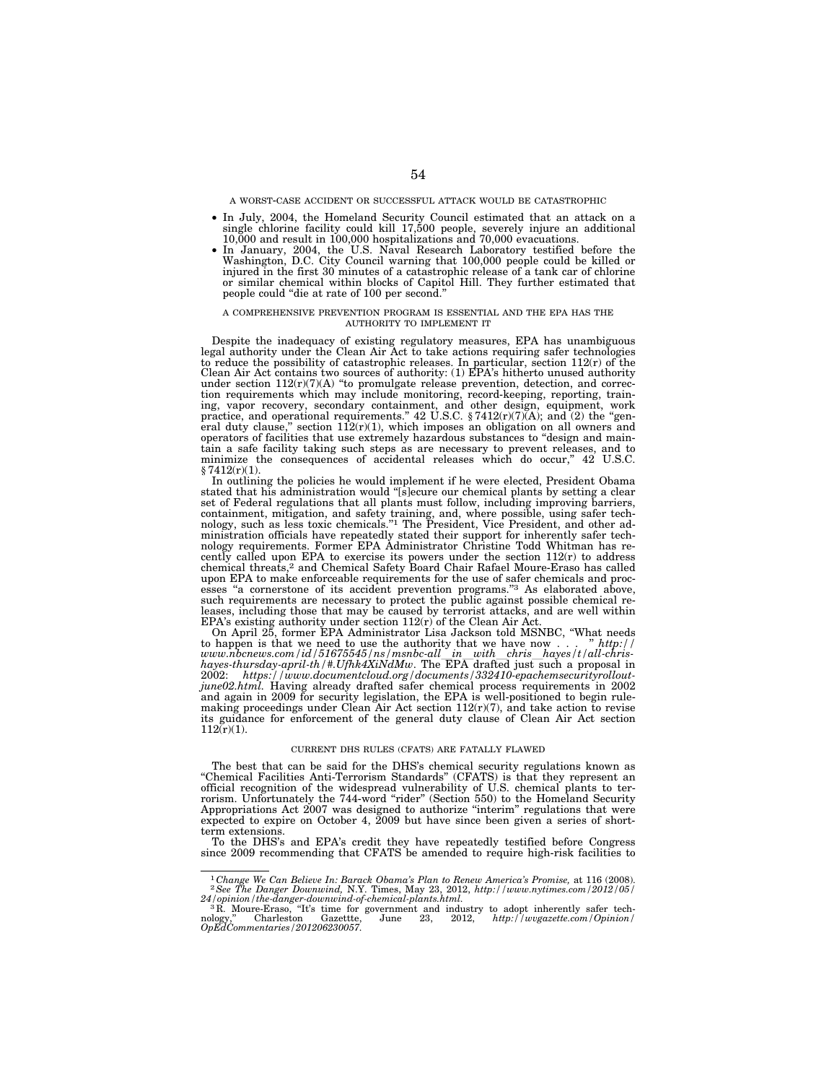A WORST-CASE ACCIDENT OR SUCCESSFUL ATTACK WOULD BE CATASTROPHIC

- In July, 2004, the Homeland Security Council estimated that an attack on a single chlorine facility could kill 17,500 people, severely injure an additional 10,000 hospitalizations and 70,000 hospital 70,000 hospital 70,0
- Washington, D.C. City Council warning that 100,000 people could be killed or injured in the first 30 minutes of a catastrophic release of a tank car of chlorine or similar chemical within blocks of Capitol Hill. They further estimated that people could ''die at rate of 100 per second.''

### A COMPREHENSIVE PREVENTION PROGRAM IS ESSENTIAL AND THE EPA HAS THE AUTHORITY TO IMPLEMENT IT

Despite the inadequacy of existing regulatory measures, EPA has unambiguous legal authority under the Clean Air Act to take actions requiring safer technologies to reduce the possibility of catastrophic releases. In particular, section 112(r) of the Clean Air Act contains two sources of authority: (1) EPA's hitherto unused authority under section  $112(r)(7)(A)$  "to promulgate release prevention, detection, and correction requirements which may include monitoring, record-keeping, reporting, training, vapor recovery, secondary containment, and other design, equipment, work practice, and operational requirements."  $42 \text{ U.S.C. } \frac{8}{4}7412$ eral duty clause," section  $112(r)(1)$ , which imposes an obligation on all owners and operators of facilities that use extremely hazardous substances to "design and maintain a safe facility taking such steps as are necessary to prevent releases, and to minimize the consequences of accidental releases which do occur,'' 42 U.S.C.  $§ 7412(r)(1).$ 

In outlining the policies he would implement if he were elected, President Obama stated that his administration would ''[s]ecure our chemical plants by setting a clear set of Federal regulations that all plants must follow, including improving barriers, containment, mitigation, and safety training, and, where possible, using safer tech-nology, such as less toxic chemicals.''1 The President, Vice President, and other administration officials have repeatedly stated their support for inherently safer technology requirements. Former EPA Administrator Christine Todd Whitman has recently called upon EPA to exercise its powers under the section 112(r) to address<br>chemical threats,<sup>2</sup> and Chemical Safety Board Chair Rafael Moure-Eraso has called upon EPA to make enforceable requirements for the use of safer chemicals and processes "a cornerstone of its accident prevention programs."<sup>3</sup> As elaborated above, such requirements are necessary to protect the public against possible chemical re-leases, including those that may be caused by terrorist attacks, and are well within

EPA's existing authority under section 112(r) of the Clean Air Act. On April 25, former EPA Administrator Lisa Jackson told MSNBC, ''What needs to happen is that we need to use the authority that we have now . . . " http://<br>www.nbcnews.com/id/51675545/ns/msnbc-all\_in\_with\_chris\_hayes/t/all-chris-<br>hayes-thursday-april-th/#.Ufhk4XiNdMw. The EPA drafted just such a *june02.html.* Having already drafted safer chemical process requirements in 2002 and again in 2009 for security legislation, the EPA is well-positioned to begin rulemaking proceedings under Clean Air Act section  $112(r)(7)$ , and take action to revise its guidance for enforcement of the general duty clause of Clean Air Act section  $112(r)(1)$ .

#### CURRENT DHS RULES (CFATS) ARE FATALLY FLAWED

The best that can be said for the DHS's chemical security regulations known as "Chemical Facilities Anti-Terrorism Standards" (CFATS) is that they represent an official recognition of the widespread vulnerability of U.S. chemical plants to ter-rorism. Unfortunately the 744-word ''rider'' (Section 550) to the Homeland Security Appropriations Act 2007 was designed to authorize ''interim'' regulations that were expected to expire on October 4, 2009 but have since been given a series of shortterm extensions.

To the DHS's and EPA's credit they have repeatedly testified before Congress since 2009 recommending that CFATS be amended to require high-risk facilities to

<sup>1</sup> *Change We Can Believe In: Barack Obama's Plan to Renew America's Promise,* at 116 (2008). 2*See The Danger Downwind,* N.Y. Times, May 23, 2012, *http://www.nytimes.com/2012/05/* 

 $24$  /opinion/the-danger-downwind-of-chemical-plants.html.<br>
<sup>3</sup> R. Moure-Eraso, "It's time for government and industry to adopt inherently safer tech-<br>
nology," Charleston Gazettte, June 23, 2012, http://wvgazette.com/Opi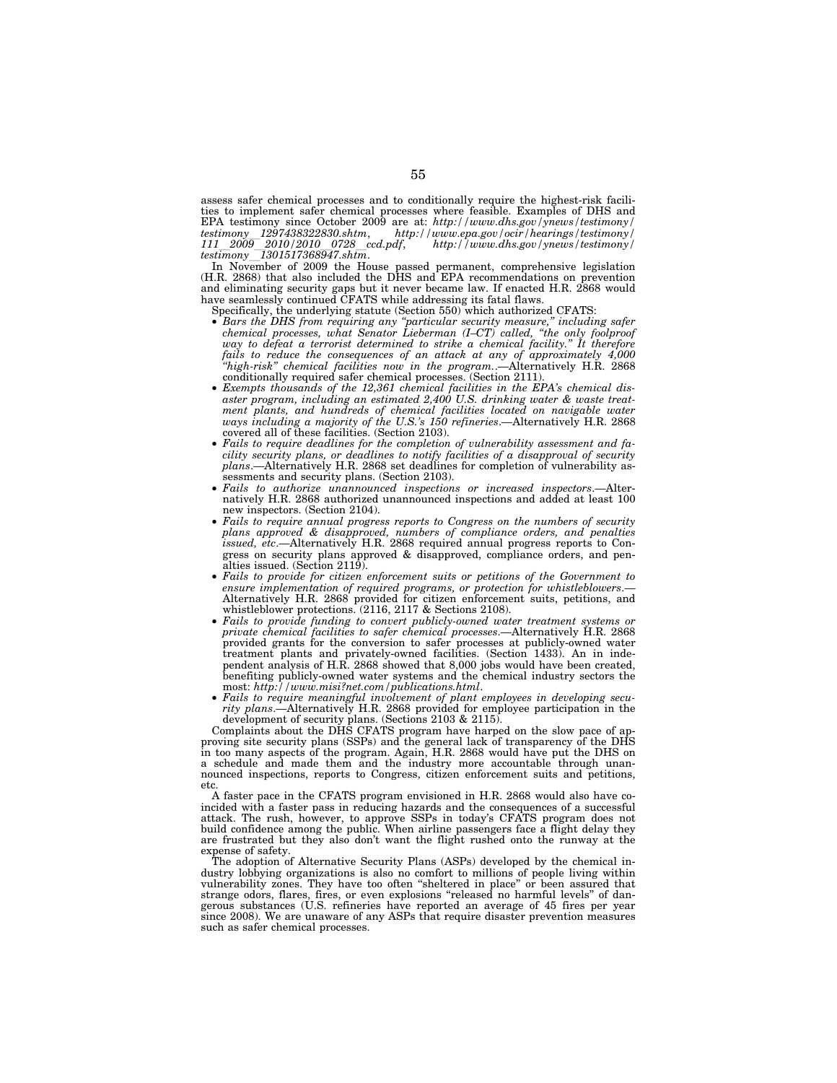assess safer chemical processes and to conditionally require the highest-risk facilities to implement safer chemical processes where feasible. Examples of DHS and EPA testimony since October 2009 are at: *http://www.dhs.gov/ynews/testimony/ testimony*l*1297438322830.shtm*, *http://www.epa.gov/ocir/hearings/testimony/ <sup>111</sup>*l*2009*l*2010/2010*l*0728*l*ccd.pdf*, *http://www.dhs.gov/ynews/testimony/ testimony*l*1301517368947.shtm*.

In November of 2009 the House passed permanent, comprehensive legislation (H.R. 2868) that also included the DHS and EPA recommendations on prevention and eliminating security gaps but it never became law. If enacted H.R. 2868 would have seamlessly continued CFATS while addressing its fatal flaws.

- Specifically, the underlying statute (Section 550) which authorized CFATS:
- *Bars the DHS from requiring any ''particular security measure,'' including safer chemical processes, what Senator Lieberman (I–CT) called, ''the only foolproof*  way to defeat a terrorist determined to strike a chemical facility." It therefore *fails to reduce the consequences of an attack at any of approximately 4,000 ''high-risk'' chemical facilities now in the program.*.—Alternatively H.R. 2868 conditionally required safer chemical processes. (Section 2111).
- *Exempts thousands of the 12,361 chemical facilities in the EPA's chemical disaster program, including an estimated 2,400 U.S. drinking water & waste treatment plants, and hundreds of chemical facilities located on navigable water ways including a majority of the U.S.'s 150 refineries*.—Alternatively H.R. 2868 covered all of these facilities. (Section 2103).
- *Fails to require deadlines for the completion of vulnerability assessment and facility security plans, or deadlines to notify facilities of a disapproval of security plans*.—Alternatively H.R. 2868 set deadlines for completion of vulnerability assessments and security plans. (Section 2103).
- *Fails to authorize unannounced inspections or increased inspectors*.—Alternatively H.R. 2868 authorized unannounced inspections and added at least 100 new inspectors. (Section 2104).
- *Fails to require annual progress reports to Congress on the numbers of security plans approved & disapproved, numbers of compliance orders, and penalties issued, etc*.—Alternatively H.R. 2868 required annual progress reports to Congress on security plans approved & disapproved, compliance orders, and penalties issued. (Section 2119).
- *Fails to provide for citizen enforcement suits or petitions of the Government to ensure implementation of required programs, or protection for whistleblowers*.— Alternatively H.R. 2868 provided for citizen enforcement suits, petitions, and whistleblower protections. (2116, 2117 & Sections 2108).
- *Fails to provide funding to convert publicly-owned water treatment systems or private chemical facilities to safer chemical processes*.—Alternatively H.R. 2868 provided grants for the conversion to safer processes at publicly-owned water treatment plants and privately-owned facilities. (Section 1433). An in independent analysis of H.R. 2868 showed that 8,000 jobs would have been created, benefiting publicly-owned water systems and the chemical industry sectors the most: *http://www.misi?net.com/publications.html*.
- *Fails to require meaningful involvement of plant employees in developing security plans*.—Alternatively H.R. 2868 provided for employee participation in the development of security plans. (Sections 2103 & 2115).

Complaints about the DHS CFATS program have harped on the slow pace of approving site security plans (SSPs) and the general lack of transparency of the DHS in too many aspects of the program. Again, H.R. 2868 would have put the DHS on a schedule and made them and the industry more accountable through unannounced inspections, reports to Congress, citizen enforcement suits and petitions, etc.

A faster pace in the CFATS program envisioned in H.R. 2868 would also have coincided with a faster pass in reducing hazards and the consequences of a successful attack. The rush, however, to approve SSPs in today's CFATS program does not build confidence among the public. When airline passengers face a flight delay they are frustrated but they also don't want the flight rushed onto the runway at the expense of safety.

The adoption of Alternative Security Plans (ASPs) developed by the chemical industry lobbying organizations is also no comfort to millions of people living within vulnerability zones. They have too often ''sheltered in place'' or been assured that strange odors, flares, fires, or even explosions ''released no harmful levels'' of dangerous substances (U.S. refineries have reported an average of 45 fires per year since 2008). We are unaware of any ASPs that require disaster prevention measures such as safer chemical processes.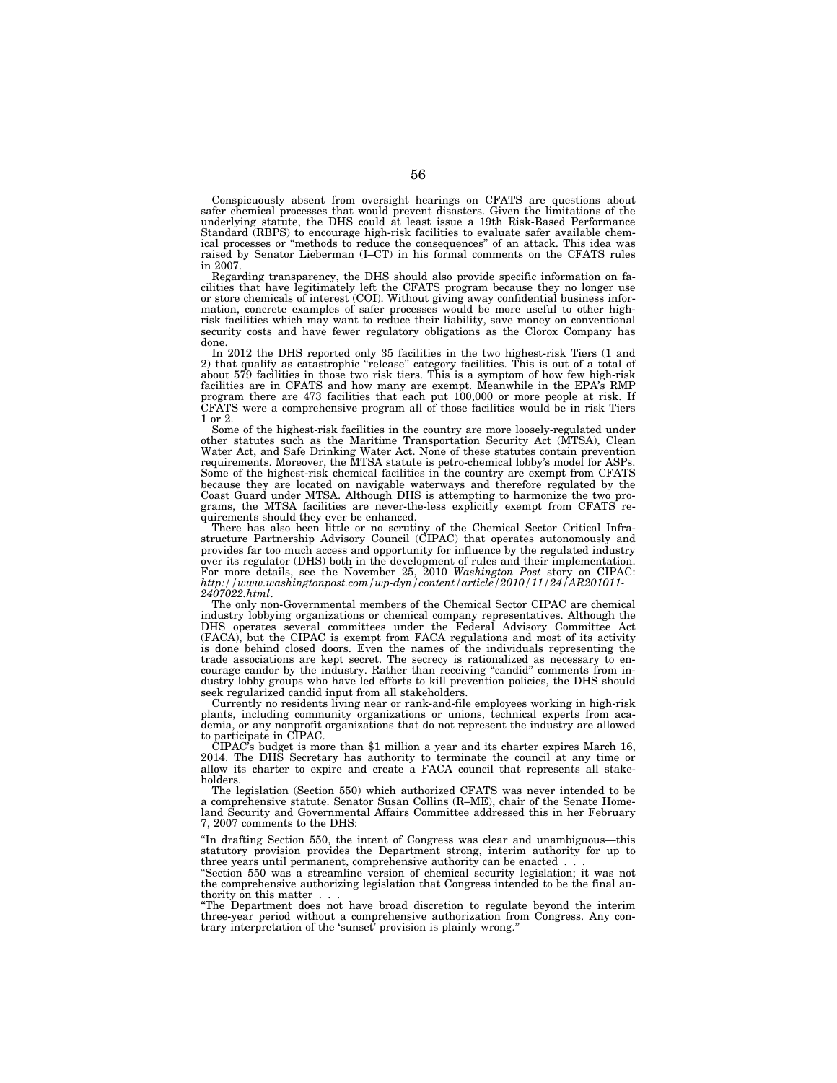Conspicuously absent from oversight hearings on CFATS are questions about safer chemical processes that would prevent disasters. Given the limitations of the underlying statute, the DHS could at least issue a 19th Risk-Based Performance Standard (RBPS) to encourage high-risk facilities to evaluate safer available chemical processes or ''methods to reduce the consequences'' of an attack. This idea was raised by Senator Lieberman (I–CT) in his formal comments on the CFATS rules in 2007.

Regarding transparency, the DHS should also provide specific information on facilities that have legitimately left the CFATS program because they no longer use or store chemicals of interest (COI). Without giving away confidential business information, concrete examples of safer processes would be more useful to other highrisk facilities which may want to reduce their liability, save money on conventional security costs and have fewer regulatory obligations as the Clorox Company has done.

In 2012 the DHS reported only 35 facilities in the two highest-risk Tiers (1 and 2) that qualify as catastrophic ''release'' category facilities. This is out of a total of about 579 facilities in those two risk tiers. This is a symptom of how few high-risk facilities are in CFATS and how many are exempt. Meanwhile in the EPA's RMP program there are 473 facilities that each put 100,000 or more people at risk. If CFATS were a comprehensive program all of those facilities would be in risk Tiers 1 or 2.

Some of the highest-risk facilities in the country are more loosely-regulated under other statutes such as the Maritime Transportation Security Act (MTSA), Clean Water Act, and Safe Drinking Water Act. None of these statutes contain prevention requirements. Moreover, the MTSA statute is petro-chemical lobby's model for ASPs. Some of the highest-risk chemical facilities in the country are exempt from CFATS because they are located on navigable waterways and therefore regulated by the Coast Guard under MTSA. Although DHS is attempting to harmonize the two programs, the MTSA facilities are never-the-less explicitly exempt from CFATS requirements should they ever be enhanced.

There has also been little or no scrutiny of the Chemical Sector Critical Infrastructure Partnership Advisory Council (CIPAC) that operates autonomously and provides far too much access and opportunity for influence by the regulated industry over its regulator (DHS) both in the development of rules and their implementation. For more details, see the November 25, 2010 *Washington Post* story on CIPAC: *http://www.washingtonpost.com/wp-dyn/content/article/2010/11/24/AR201011- 2407022.html*.

The only non-Governmental members of the Chemical Sector CIPAC are chemical industry lobbying organizations or chemical company representatives. Although the DHS operates several committees under the Federal Advisory Committee Act (FACA), but the CIPAC is exempt from FACA regulations and most of its activity is done behind closed doors. Even the names of the individuals representing the trade associations are kept secret. The secrecy is rationalized as necessary to encourage candor by the industry. Rather than receiving ''candid'' comments from industry lobby groups who have led efforts to kill prevention policies, the DHS should seek regularized candid input from all stakeholders.

Currently no residents living near or rank-and-file employees working in high-risk plants, including community organizations or unions, technical experts from academia, or any nonprofit organizations that do not represent the industry are allowed to participate in CIPAC.

 $CIPAC's$  budget is more than \$1 million a year and its charter expires March 16, 2014. The DHS Secretary has authority to terminate the council at any time or allow its charter to expire and create a FACA council that represents all stakeholders.

The legislation (Section 550) which authorized CFATS was never intended to be a comprehensive statute. Senator Susan Collins (R–ME), chair of the Senate Homeland Security and Governmental Affairs Committee addressed this in her February 7, 2007 comments to the DHS:

''In drafting Section 550, the intent of Congress was clear and unambiguous—this statutory provision provides the Department strong, interim authority for up to three years until permanent, comprehensive authority can be enacted...

''Section 550 was a streamline version of chemical security legislation; it was not the comprehensive authorizing legislation that Congress intended to be the final authority on this matter...

''The Department does not have broad discretion to regulate beyond the interim three-year period without a comprehensive authorization from Congress. Any contrary interpretation of the 'sunset' provision is plainly wrong.''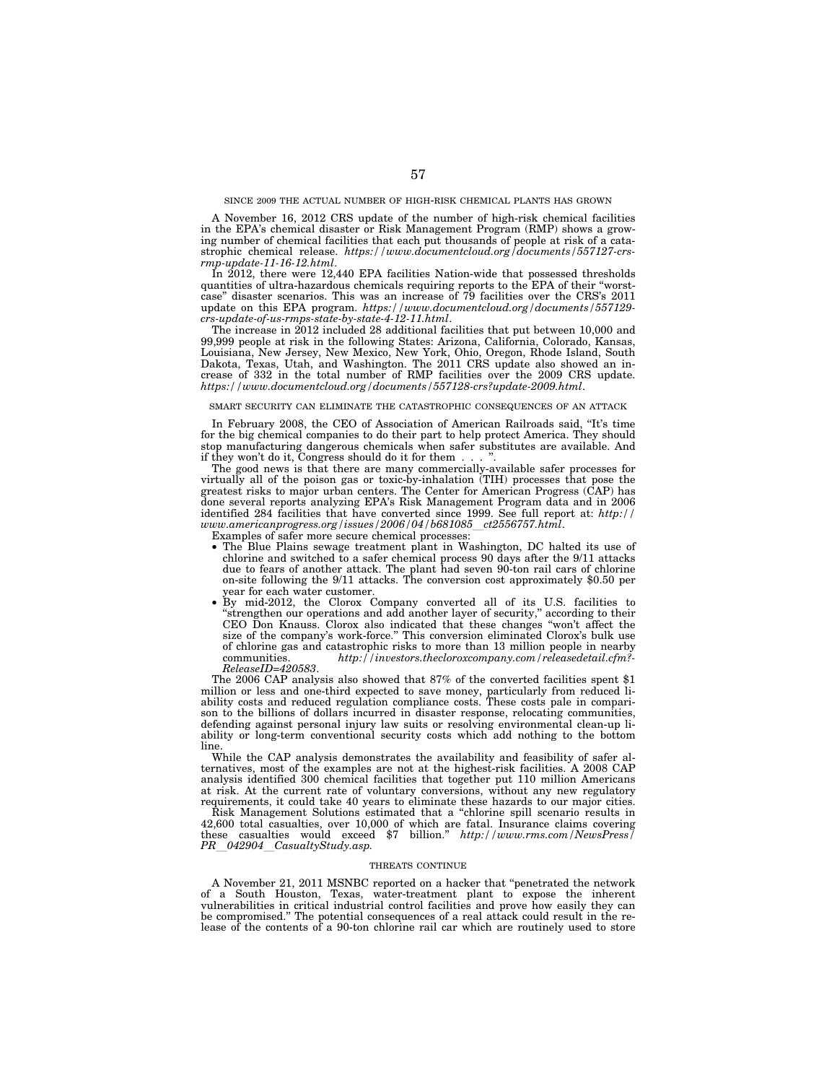## SINCE 2009 THE ACTUAL NUMBER OF HIGH-RISK CHEMICAL PLANTS HAS GROWN

A November 16, 2012 CRS update of the number of high-risk chemical facilities in the EPA's chemical disaster or Risk Management Program (RMP) shows a growing number of chemical facilities that each put thousands of people at risk of a catastrophic chemical release. *https://www.documentcloud.org/documents/557127-crsrmp-update-11-16-12.html*.

In 2012, there were 12,440 EPA facilities Nation-wide that possessed thresholds quantities of ultra-hazardous chemicals requiring reports to the EPA of their ''worstcase'' disaster scenarios. This was an increase of 79 facilities over the CRS's 2011 update on this EPA program. *https://www.documentcloud.org/documents/557129 crs-update-of-us-rmps-state-by-state-4-12-11.html*.

The increase in 2012 included 28 additional facilities that put between 10,000 and 99,999 people at risk in the following States: Arizona, California, Colorado, Kansas, Louisiana, New Jersey, New Mexico, New York, Ohio, Oregon, Rhode Island, South Dakota, Texas, Utah, and Washington. The 2011 CRS update also showed an increase of 332 in the total number of RMP facilities over the 2009 CRS update. *https://www.documentcloud.org/documents/557128-crs?update-2009.html*.

# SMART SECURITY CAN ELIMINATE THE CATASTROPHIC CONSEQUENCES OF AN ATTACK

In February 2008, the CEO of Association of American Railroads said, ''It's time for the big chemical companies to do their part to help protect America. They should stop manufacturing dangerous chemicals when safer substitutes are available. And if they won't do it, Congress should do it for them...

The good news is that there are many commercially-available safer processes for virtually all of the poison gas or toxic-by-inhalation (TIH) processes that pose the greatest risks to major urban centers. The Center for American Progress (CAP) has done several reports analyzing EPA's Risk Management Program data and in 2006 identified 284 facilities that have converted since 1999. See full report at: *http:// www.americanprogress.org/issues/2006/04/b681085*l*ct2556757.html*.

Examples of safer more secure chemical processes:

- The Blue Plains sewage treatment plant in Washington, DC halted its use of chlorine and switched to a safer chemical process 90 days after the 9/11 attacks due to fears of another attack. The plant had seven 90-ton rail cars of chlorine on-site following the 9/11 attacks. The conversion cost approximately \$0.50 per year for each water customer.
- By mid-2012, the Clorox Company converted all of its U.S. facilities to ''strengthen our operations and add another layer of security,'' according to their CEO Don Knauss. Clorox also indicated that these changes ''won't affect the size of the company's work-force.'' This conversion eliminated Clorox's bulk use of chlorine gas and catastrophic risks to more than 13 million people in nearby communities. *http://investors.thecloroxcompany.com/releasedetail.cfm?- ReleaseID=420583*.

The 2006 CAP analysis also showed that 87% of the converted facilities spent \$1 million or less and one-third expected to save money, particularly from reduced liability costs and reduced regulation compliance costs. These costs pale in comparison to the billions of dollars incurred in disaster response, relocating communities, defending against personal injury law suits or resolving environmental clean-up liability or long-term conventional security costs which add nothing to the bottom line.

While the CAP analysis demonstrates the availability and feasibility of safer alternatives, most of the examples are not at the highest-risk facilities. A 2008 CAP analysis identified 300 chemical facilities that together put 110 million Americans at risk. At the current rate of voluntary conversions, without any new regulatory requirements, it could take 40 years to eliminate these hazards to our major cities.

Risk Management Solutions estimated that a "chlorine spill scenario results in 42,600 total casualties, over 10,000 of which are fatal. Insurance claims covering these casualties would exceed \$7 billion.'' *http://www.rms.com/NewsPress/ PR*l*042904*l*CasualtyStudy.asp.* 

#### THREATS CONTINUE

A November 21, 2011 MSNBC reported on a hacker that ''penetrated the network of a South Houston, Texas, water-treatment plant to expose the inherent vulnerabilities in critical industrial control facilities and prove how easily they can be compromised.'' The potential consequences of a real attack could result in the release of the contents of a 90-ton chlorine rail car which are routinely used to store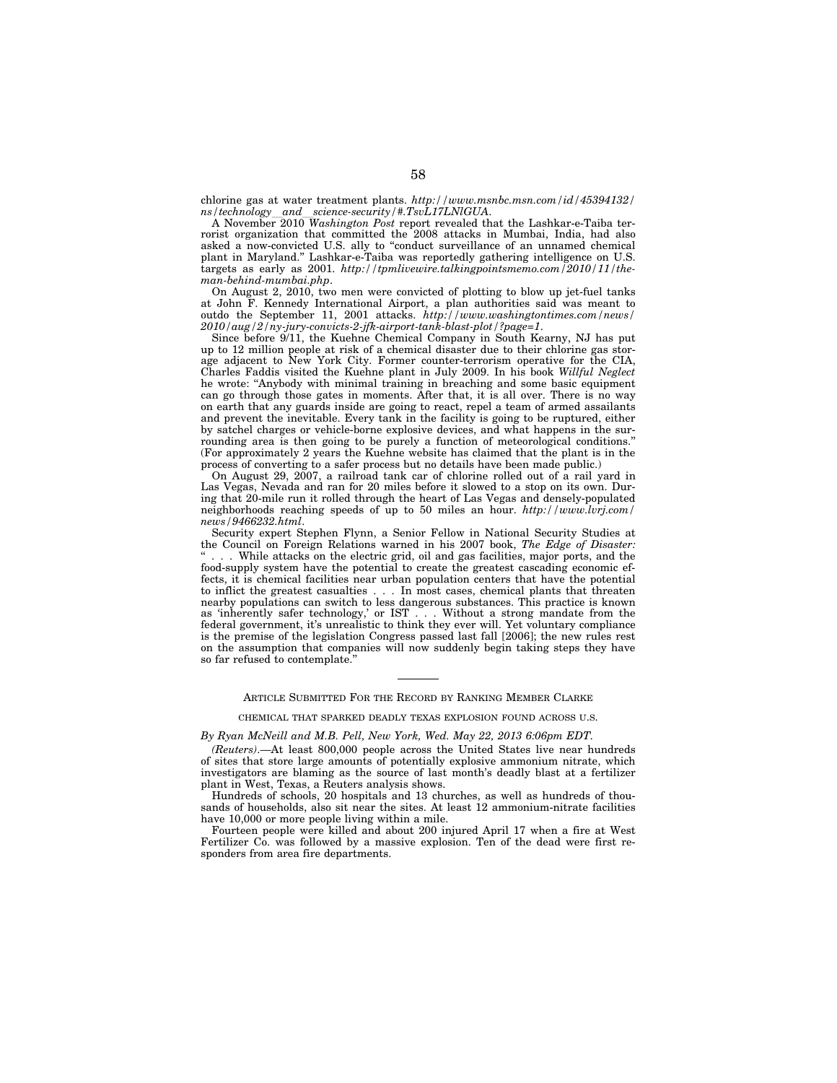chlorine gas at water treatment plants. *http://www.msnbc.msn.com/id/45394132/* 

*ns/technology*l*and*l*science-security/#.TsvL17LNlGUA*. A November 2010 *Washington Post* report revealed that the Lashkar-e-Taiba terrorist organization that committed the 2008 attacks in Mumbai, India, had also asked a now-convicted U.S. ally to ''conduct surveillance of an unnamed chemical plant in Maryland.'' Lashkar-e-Taiba was reportedly gathering intelligence on U.S. targets as early as 2001. *http://tpmlivewire.talkingpointsmemo.com/2010/11/theman-behind-mumbai.php*.

On August 2, 2010, two men were convicted of plotting to blow up jet-fuel tanks at John F. Kennedy International Airport, a plan authorities said was meant to outdo the September 11, 2001 attacks. *http://www.washingtontimes.com/news/ 2010/aug/2/ny-jury-convicts-2-jfk-airport-tank-blast-plot/?page=1*.

Since before 9/11, the Kuehne Chemical Company in South Kearny, NJ has put up to 12 million people at risk of a chemical disaster due to their chlorine gas storage adjacent to New York City. Former counter-terrorism operative for the CIA, Charles Faddis visited the Kuehne plant in July 2009. In his book *Willful Neglect*  he wrote: ''Anybody with minimal training in breaching and some basic equipment can go through those gates in moments. After that, it is all over. There is no way on earth that any guards inside are going to react, repel a team of armed assailants and prevent the inevitable. Every tank in the facility is going to be ruptured, either by satchel charges or vehicle-borne explosive devices, and what happens in the surrounding area is then going to be purely a function of meteorological conditions.'' (For approximately 2 years the Kuehne website has claimed that the plant is in the process of converting to a safer process but no details have been made public.)

On August 29, 2007, a railroad tank car of chlorine rolled out of a rail yard in Las Vegas, Nevada and ran for 20 miles before it slowed to a stop on its own. During that 20-mile run it rolled through the heart of Las Vegas and densely-populated neighborhoods reaching speeds of up to 50 miles an hour. *http://www.lvrj.com/ news/9466232.html*.

Security expert Stephen Flynn, a Senior Fellow in National Security Studies at the Council on Foreign Relations warned in his 2007 book, *The Edge of Disaster:*  . While attacks on the electric grid, oil and gas facilities, major ports, and the food-supply system have the potential to create the greatest cascading economic effects, it is chemical facilities near urban population centers that have the potential to inflict the greatest casualties . . . In most cases, chemical plants that threaten nearby populations can switch to less dangerous substances. This practice is known as 'inherently safer technology,' or IST... Without a strong mandate from the federal government, it's unrealistic to think they ever will. Yet voluntary compliance is the premise of the legislation Congress passed last fall [2006]; the new rules rest on the assumption that companies will now suddenly begin taking steps they have so far refused to contemplate."

# ARTICLE SUBMITTED FOR THE RECORD BY RANKING MEMBER CLARKE

#### CHEMICAL THAT SPARKED DEADLY TEXAS EXPLOSION FOUND ACROSS U.S.

# *By Ryan McNeill and M.B. Pell, New York, Wed. May 22, 2013 6:06pm EDT.*

*(Reuters)*.—At least 800,000 people across the United States live near hundreds of sites that store large amounts of potentially explosive ammonium nitrate, which investigators are blaming as the source of last month's deadly blast at a fertilizer plant in West, Texas, a Reuters analysis shows.

Hundreds of schools, 20 hospitals and 13 churches, as well as hundreds of thousands of households, also sit near the sites. At least 12 ammonium-nitrate facilities have 10,000 or more people living within a mile.

Fourteen people were killed and about 200 injured April 17 when a fire at West Fertilizer Co. was followed by a massive explosion. Ten of the dead were first responders from area fire departments.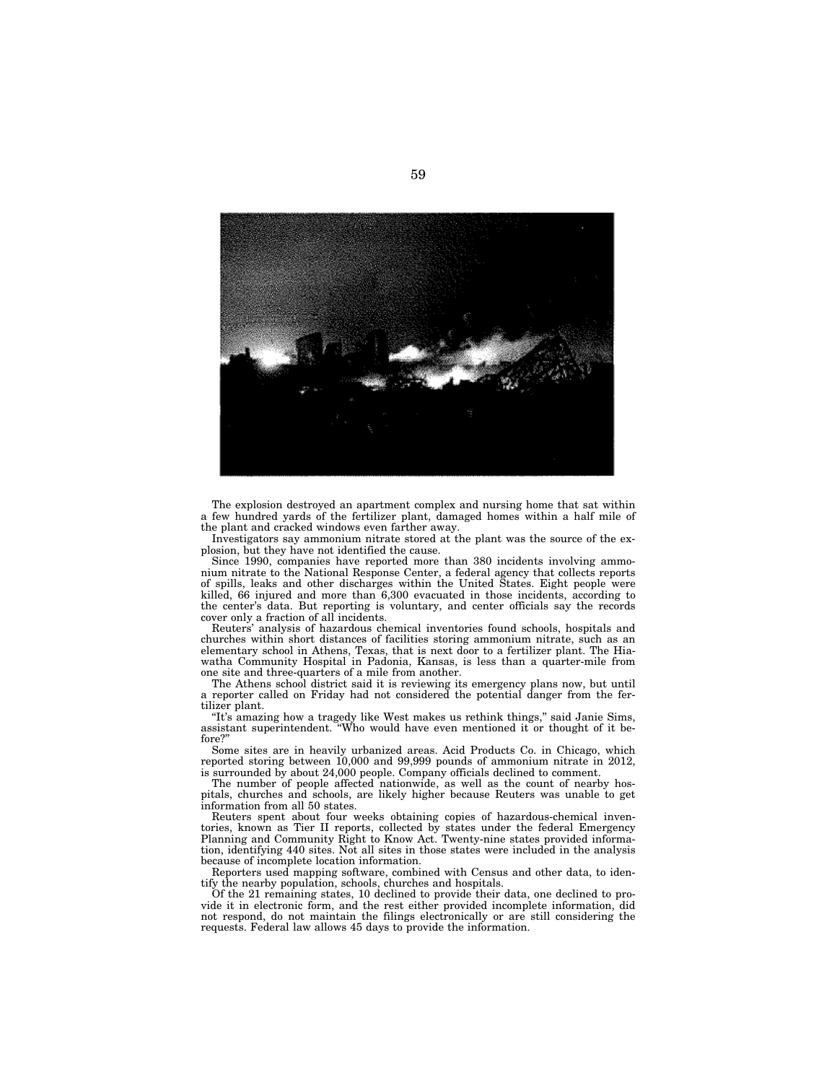

The explosion destroyed an apartment complex and nursing home that sat within a few hundred yards of the fertilizer plant, damaged homes within a half mile of the plant and cracked windows even farther away.

Investigators say ammonium nitrate stored at the plant was the source of the explosion, but they have not identified the cause.

Since 1990, companies have reported more than 380 incidents involving ammonium nitrate to the National Response Center, a federal agency that collects reports of spills, leaks and other discharges within the United States. Eight people were killed, 66 injured and more than 6,300 evacuated in those incidents, according to the center's data. But reporting is voluntary, and center officials say the records cover only a fraction of all incidents.

Reuters' analysis of hazardous chemical inventories found schools, hospitals and churches within short distances of facilities storing ammonium nitrate, such as an elementary school in Athens, Texas, that is next door to a fertilizer plant. The Hiawatha Community Hospital in Padonia, Kansas, is less than a quarter-mile from one site and three-quarters of a mile from another.

The Athens school district said it is reviewing its emergency plans now, but until a reporter called on Friday had not considered the potential danger from the fertilizer plant.

''It's amazing how a tragedy like West makes us rethink things,'' said Janie Sims, assistant superintendent. ''Who would have even mentioned it or thought of it before?'

Some sites are in heavily urbanized areas. Acid Products Co. in Chicago, which reported storing between 10,000 and 99,999 pounds of ammonium nitrate in 2012, is surrounded by about 24,000 people. Company officials declined to comment.

The number of people affected nationwide, as well as the count of nearby hospitals, churches and schools, are likely higher because Reuters was unable to get information from all 50 states.

Reuters spent about four weeks obtaining copies of hazardous-chemical inventories, known as Tier II reports, collected by states under the federal Emergency Planning and Community Right to Know Act. Twenty-nine states provided information, identifying 440 sites. Not all sites in those states were included in the analysis because of incomplete location information.

Reporters used mapping software, combined with Census and other data, to identify the nearby population, schools, churches and hospitals.

Of the 21 remaining states, 10 declined to provide their data, one declined to provide it in electronic form, and the rest either provided incomplete information, did not respond, do not maintain the filings electronically or are still considering the requests. Federal law allows 45 days to provide the information.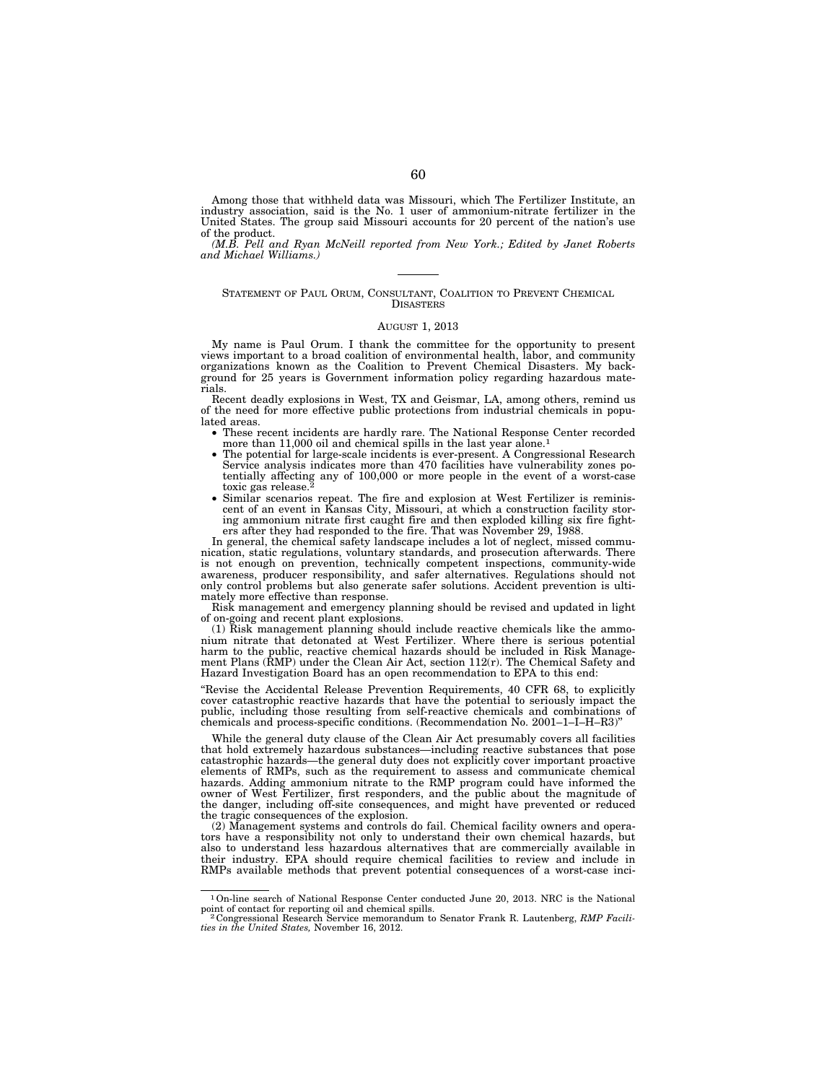Among those that withheld data was Missouri, which The Fertilizer Institute, an industry association, said is the No. 1 user of ammonium-nitrate fertilizer in the United States. The group said Missouri accounts for 20 percent of the nation's use of the product.

*(M.B. Pell and Ryan McNeill reported from New York.; Edited by Janet Roberts and Michael Williams.)* 

## STATEMENT OF PAUL ORUM, CONSULTANT, COALITION TO PREVENT CHEMICAL **DISASTERS**

#### AUGUST 1, 2013

My name is Paul Orum. I thank the committee for the opportunity to present views important to a broad coalition of environmental health, labor, and community organizations known as the Coalition to Prevent Chemical Disasters. My background for 25 years is Government information policy regarding hazardous materials.

Recent deadly explosions in West, TX and Geismar, LA, among others, remind us of the need for more effective public protections from industrial chemicals in populated areas.

- These recent incidents are hardly rare. The National Response Center recorded more than 11,000 oil and chemical spills in the last year alone.1
- The potential for large-scale incidents is ever-present. A Congressional Research Service analysis indicates more than 470 facilities have vulnerability zones potentially affecting any of 100,000 or more people in the event of a worst-case toxic gas release.<sup>2</sup>
- Similar scenarios repeat. The fire and explosion at West Fertilizer is reminiscent of an event in Kansas City, Missouri, at which a construction facility storing ammonium nitrate first caught fire and then exploded killing six fire fighters after they had responded to the fire. That was November 29, 1988.

In general, the chemical safety landscape includes a lot of neglect, missed communication, static regulations, voluntary standards, and prosecution afterwards. There is not enough on prevention, technically competent inspections, community-wide awareness, producer responsibility, and safer alternatives. Regulations should not only control problems but also generate safer solutions. Accident prevention is ultimately more effective than response.

Risk management and emergency planning should be revised and updated in light of on-going and recent plant explosions.

(1) Risk management planning should include reactive chemicals like the ammonium nitrate that detonated at West Fertilizer. Where there is serious potential harm to the public, reactive chemical hazards should be included in Risk Management Plans (RMP) under the Clean Air Act, section 112(r). The Chemical Safety and Hazard Investigation Board has an open recommendation to EPA to this end:

''Revise the Accidental Release Prevention Requirements, 40 CFR 68, to explicitly cover catastrophic reactive hazards that have the potential to seriously impact the public, including those resulting from self-reactive chemicals and combinations of chemicals and process-specific conditions. (Recommendation No. 2001–1–I–H–R3)'

While the general duty clause of the Clean Air Act presumably covers all facilities that hold extremely hazardous substances—including reactive substances that pose catastrophic hazards—the general duty does not explicitly cover important proactive elements of RMPs, such as the requirement to assess and communicate chemical hazards. Adding ammonium nitrate to the RMP program could have informed the owner of West Fertilizer, first responders, and the public about the magnitude of the danger, including off-site consequences, and might have prevented or reduced the tragic consequences of the explosion.

(2) Management systems and controls do fail. Chemical facility owners and operators have a responsibility not only to understand their own chemical hazards, but also to understand less hazardous alternatives that are commercially available in their industry. EPA should require chemical facilities to review and include in RMPs available methods that prevent potential consequences of a worst-case inci-

<sup>1</sup>On-line search of National Response Center conducted June 20, 2013. NRC is the National

point of contact for reporting oil and chemical spills.<br><sup>2</sup> Congressional Research Service memorandum to Senator Frank R. Lautenberg, *RMP Facili-*<br>*ties in the United States*, November 16, 2012.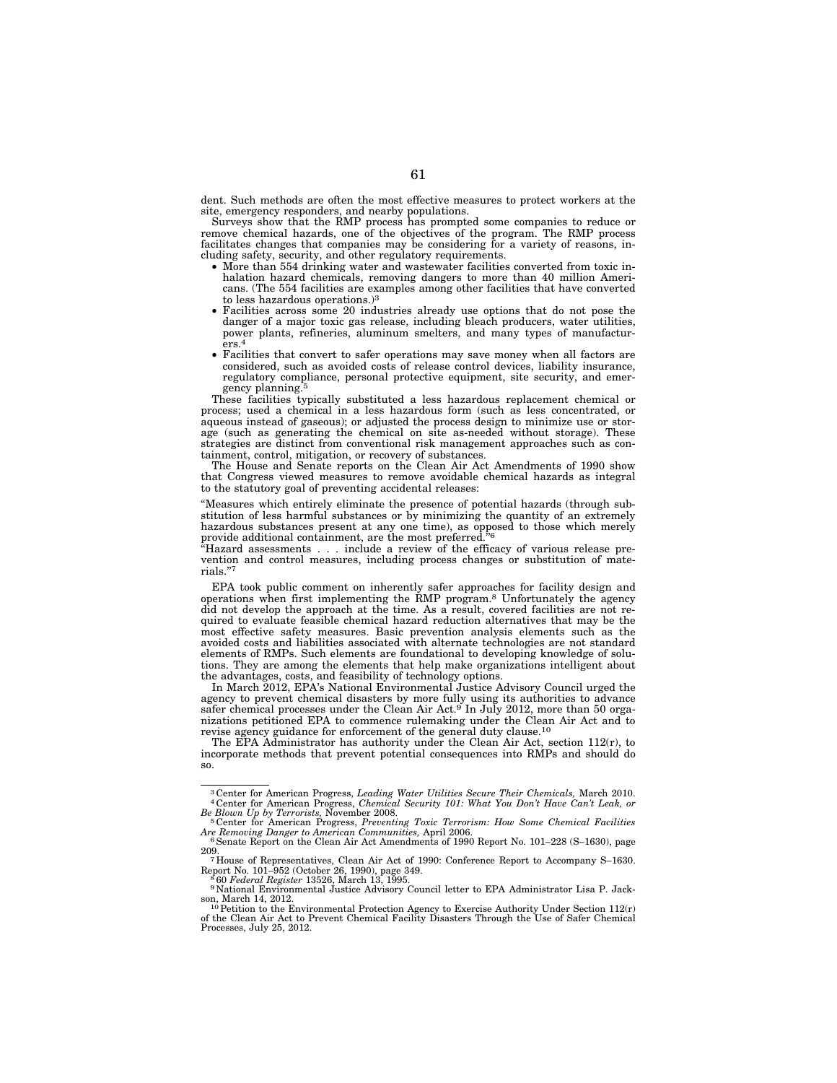dent. Such methods are often the most effective measures to protect workers at the site, emergency responders, and nearby populations.

Surveys show that the RMP process has prompted some companies to reduce or remove chemical hazards, one of the objectives of the program. The RMP process facilitates changes that companies may be considering for a variety of reasons, including safety, security, and other regulatory requirements.

- More than 554 drinking water and wastewater facilities converted from toxic inhalation hazard chemicals, removing dangers to more than 40 million Americans. (The 554 facilities are examples among other facilities that have converted to less hazardous operations.)3
- Facilities across some 20 industries already use options that do not pose the danger of a major toxic gas release, including bleach producers, water utilities, power plants, refineries, aluminum smelters, and many types of manufacturers.4
- Facilities that convert to safer operations may save money when all factors are considered, such as avoided costs of release control devices, liability insurance, regulatory compliance, personal protective equipment, site security, and emergency planning.5

These facilities typically substituted a less hazardous replacement chemical or process; used a chemical in a less hazardous form (such as less concentrated, or aqueous instead of gaseous); or adjusted the process design to minimize use or storage (such as generating the chemical on site as-needed without storage). These strategies are distinct from conventional risk management approaches such as containment, control, mitigation, or recovery of substances.

The House and Senate reports on the Clean Air Act Amendments of 1990 show that Congress viewed measures to remove avoidable chemical hazards as integral to the statutory goal of preventing accidental releases:

''Measures which entirely eliminate the presence of potential hazards (through substitution of less harmful substances or by minimizing the quantity of an extremely hazardous substances present at any one time), as opposed to those which merely provide additional containment, are the most preferred.''6

'Hazard assessments . . . include a review of the efficacy of various release prevention and control measures, including process changes or substitution of materials.'

EPA took public comment on inherently safer approaches for facility design and operations when first implementing the RMP program.8 Unfortunately the agency did not develop the approach at the time. As a result, covered facilities are not required to evaluate feasible chemical hazard reduction alternatives that may be the most effective safety measures. Basic prevention analysis elements such as the avoided costs and liabilities associated with alternate technologies are not standard elements of RMPs. Such elements are foundational to developing knowledge of solutions. They are among the elements that help make organizations intelligent about the advantages, costs, and feasibility of technology options.

In March 2012, EPA's National Environmental Justice Advisory Council urged the agency to prevent chemical disasters by more fully using its authorities to advance safer chemical processes under the Clean Air Act.<sup>9</sup> In July 2012, more than 50 organizations petitioned EPA to commence rulemaking under the Clean Air Act and to revise agency guidance for enforcement of the general duty clause.10

The EPA Administrator has authority under the Clean Air Act, section 112(r), to incorporate methods that prevent potential consequences into RMPs and should do so.

<sup>3</sup> Center for American Progress, *Leading Water Utilities Secure Their Chemicals,* March 2010. 4 Center for American Progress, *Chemical Security 101: What You Don't Have Can't Leak, or Be Blown Up by Terrorists,* November 2008. 5 Center for American Progress, *Preventing Toxic Terrorism: How Some Chemical Facilities* 

*Are Removing Danger to American Communities, April 2006.*<br>
<sup>4</sup> Senate Report on the Clean Air Act Amendments of 1990 Report No. 101–228 (S–1630), page 209.

<sup>209. 7</sup> House of Representatives, Clean Air Act of 1990: Conference Report to Accompany S–1630.

Report No. 101–952 (October 26, 1990), page 349.<br><sup>8</sup> 60 *Federal Register* 13526, March 13, 1995.<br><sup>9</sup> National Environmental Justice Advisory Council letter to EPA Administrator Lisa P. Jack-

<sup>&</sup>lt;sup>9</sup> National Environmental Justice Advisory Council letter to EPA Administrator Lisa P. Jackson, March 14, 2012.<br><sup>10</sup> Petition to the Environmental Protection Agency to Exercise Authority Under Section 112(r)

of the Clean Air Act to Prevent Chemical Facility Disasters Through the Use of Safer Chemical Processes, July 25, 2012.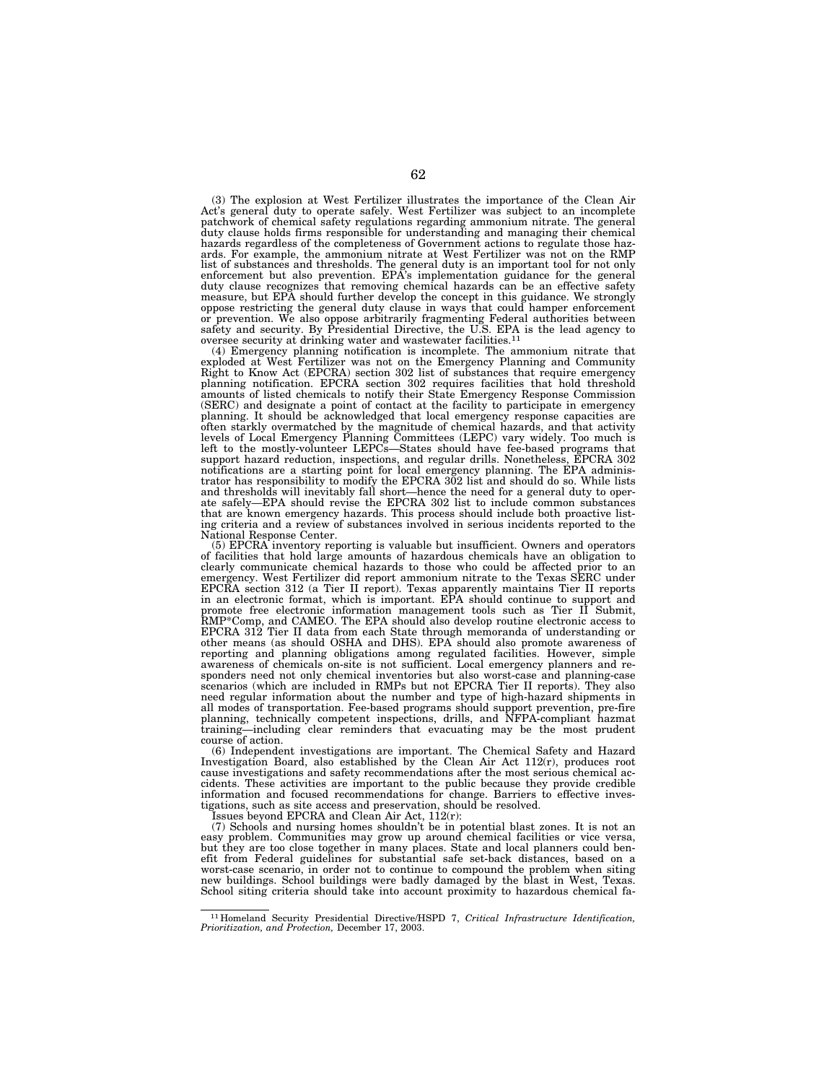(3) The explosion at West Fertilizer illustrates the importance of the Clean Air Act's general duty to operate safely. West Fertilizer was subject to an incomplete patchwork of chemical safety regulations regarding ammonium nitrate. The general duty clause holds firms responsible for understanding and managing their chemical hazards regardless of the completeness of Government actions to regulate those hazards. For example, the ammonium nitrate at West Fertilizer was not on the RMP list of substances and thresholds. The general duty is an important tool for not only enforcement but also prevention. EPA's implementation guidance for the general duty clause recognizes that removing chemical hazards can be an effective safety measure, but EPA should further develop the concept in this guidance. We strongly oppose restricting the general duty clause in ways that could hamper enforcement or prevention. We also oppose arbitrarily fragmenting Federal authorities between safety and security. By Presidential Directive, the U.S. EPA is the lead agency to oversee security at drinking water and wastewater facilities.11

(4) Emergency planning notification is incomplete. The ammonium nitrate that exploded at West Fertilizer was not on the Emergency Planning and Community Right to Know Act (EPCRA) section 302 list of substances that require emergency planning notification. EPCRA section 302 requires facilities that hold threshold amounts of listed chemicals to notify their State Emergency Response Commission (SERC) and designate a point of contact at the facility to participate in emergency planning. It should be acknowledged that local emergency response capacities are often starkly overmatched by the magnitude of chemical hazards, and that activity levels of Local Emergency Planning Committees (LEPC) vary widely. Too much is left to the mostly-volunteer LEPCs—States should have fee-based programs that support hazard reduction, inspections, and regular drills. Nonetheless, EPCRA 302 notifications are a starting point for local emergency planning. The EPA adminis-trator has responsibility to modify the EPCRA 302 list and should do so. While lists and thresholds will inevitably fall short—hence the need for a general duty to oper-ate safely—EPA should revise the EPCRA 302 list to include common substances that are known emergency hazards. This process should include both proactive listing criteria and a review of substances involved in serious incidents reported to the National Response Center.

(5) EPCRA inventory reporting is valuable but insufficient. Owners and operators of facilities that hold large amounts of hazardous chemicals have an obligation to clearly communicate chemical hazards to those who could be affected prior to an emergency. West Fertilizer did report ammonium nitrate to the Texas SERC under EPCRA section 312 (a Tier II report). Texas apparently maintains Tier II reports<br>in an electronic format, which is important. EPA should continue to support and<br>promote free electronic information management tools such as other means (as should OSHA and DHS). EPA should also promote awareness of reporting and planning obligations among regulated facilities. However, simple awareness of chemicals on-site is not sufficient. Local emergency planners and responders need not only chemical inventories but also worst-case and planning-case scenarios (which are included in RMPs but not EPCRA Tier II reports). They also need regular information about the number and type of high-hazard shipments in all modes of transportation. Fee-based programs should support prevention, pre-fire planning, technically competent inspections, drills, and NFPA-compliant hazmat training—including clear reminders that evacuating may be the most prudent course of action.

(6) Independent investigations are important. The Chemical Safety and Hazard Investigation Board, also established by the Clean Air Act 112(r), produces root cause investigations and safety recommendations after the most serious chemical accidents. These activities are important to the public because they provide credible information and focused recommendations for change. Barriers to effective investigations, such as site access and preservation, should be resolved.

Issues beyond EPCRA and Clean Air Act,  $112(r)$ :

(7) Schools and nursing homes shouldn't be in potential blast zones. It is not an easy problem. Communities may grow up around chemical facilities or vice versa, but they are too close together in many places. State and local planners could benefit from Federal guidelines for substantial safe set-back distances, based on a worst-case scenario, in order not to continue to compound the problem when siting new buildings. School buildings were badly damaged by the blast in West, Texas. School siting criteria should take into account proximity to hazardous chemical fa-

<sup>11</sup> Homeland Security Presidential Directive/HSPD 7, *Critical Infrastructure Identification, Prioritization, and Protection,* December 17, 2003.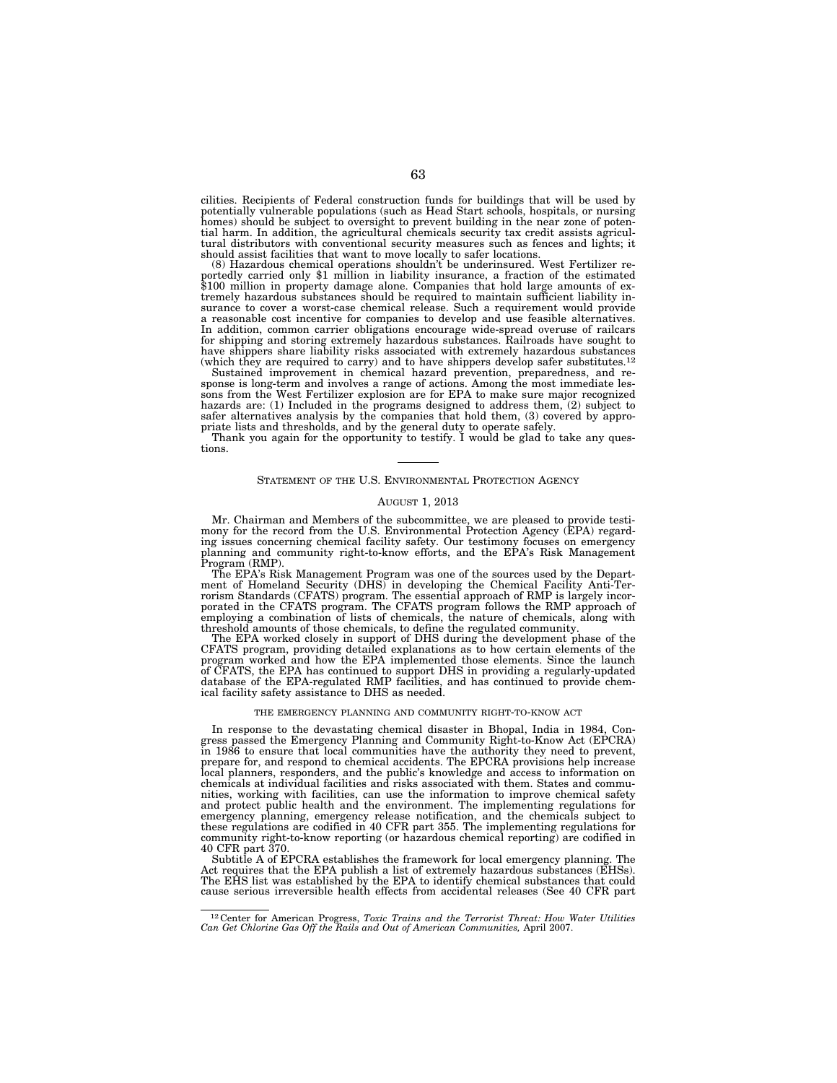cilities. Recipients of Federal construction funds for buildings that will be used by potentially vulnerable populations (such as Head Start schools, hospitals, or nursing homes) should be subject to oversight to prevent building in the near zone of potential harm. In addition, the agricultural chemicals security tax credit assists agricultural distributors with conventional security measures such as fences and lights; it

should assist facilities that want to move locally to safer locations.<br>(8) Hazardous chemical operations shouldn't be underinsured. West Fertilizer re-(8) Hazardous chemical operations shouldn't be underinsured. West Fertilizer reportedly carried only \$1 million in liability insurance, a fraction of the estimated \$100 million in property damage alone. Companies that hold tremely hazardous substances should be required to maintain sufficient liability insurance to cover a worst-case chemical release. Such a requirement would provide a reasonable cost incentive for companies to develop and use feasible alternatives. In addition, common carrier obligations encourage wide-spread overuse of railcars for shipping and storing extremely hazardous substances. Railroads have sought to have shippers share liability risks associated with extremely hazardous substances (which they are required to carry) and to have shippers develop safer substitutes.12 Sustained improvement in chemical hazard prevention, preparedness, and re-

sponse is long-term and involves a range of actions. Among the most immediate les-sons from the West Fertilizer explosion are for EPA to make sure major recognized hazards are: (1) Included in the programs designed to address them, (2) subject to safer alternatives analysis by the companies that hold them, (3) covered by appro-

priate lists and thresholds, and by the general duty to operate safely. Thank you again for the opportunity to testify. I would be glad to take any questions.

### STATEMENT OF THE U.S. ENVIRONMENTAL PROTECTION AGENCY

### AUGUST 1, 2013

Mr. Chairman and Members of the subcommittee, we are pleased to provide testi-mony for the record from the U.S. Environmental Protection Agency (EPA) regarding issues concerning chemical facility safety. Our testimony focuses on emergency planning and community right-to-know efforts, and the EPA's Risk Management Program (RMP).

The EPA's Risk Management Program was one of the sources used by the Department of Homeland Security (DHS) in developing the Chemical Facility Anti-Ter-rorism Standards (CFATS) program. The essential approach of RMP is largely incorporated in the CFATS program. The CFATS program follows the RMP approach of employing a combination of lists of chemicals, the nature of chemicals, along with threshold amounts of those chemicals, to define the regulated community.

The EPA worked closely in support of DHS during the development phase of the CFATS program, providing detailed explanations as to how certain elements of the program worked and how the EPA implemented those elements. Since the launch of CFATS, the EPA has continued to support DHS in providing a regularly-updated database of the EPA-regulated RMP facilities, and has continued to provide chemical facility safety assistance to DHS as needed.

## THE EMERGENCY PLANNING AND COMMUNITY RIGHT-TO-KNOW ACT

In response to the devastating chemical disaster in Bhopal, India in 1984, Con-gress passed the Emergency Planning and Community Right-to-Know Act (EPCRA) in 1986 to ensure that local communities have the authority they need to prevent, prepare for, and respond to chemical accidents. The EPCRA provisions help increase<br>local planners, responders, and the public's knowledge and access to information on<br>chemicals at individual facilities and risks associated nities, working with facilities, can use the information to improve chemical safety and protect public health and the environment. The implementing regulations for emergency planning, emergency release notification, and the chemicals subject to these regulations are codified in 40 CFR part 355. The implementing regulations for community right-to-know reporting (or hazardous chemical reporting) are codified in 40 CFR part 370.

Subtitle A of EPCRA establishes the framework for local emergency planning. The Act requires that the EPA publish a list of extremely hazardous substances (EHSs). The EHS list was established by the EPA to identify chemical substances that could cause serious irreversible health effects from accidental releases (See 40 CFR part

<sup>12</sup> Center for American Progress, *Toxic Trains and the Terrorist Threat: How Water Utilities Can Get Chlorine Gas Off the Rails and Out of American Communities,* April 2007.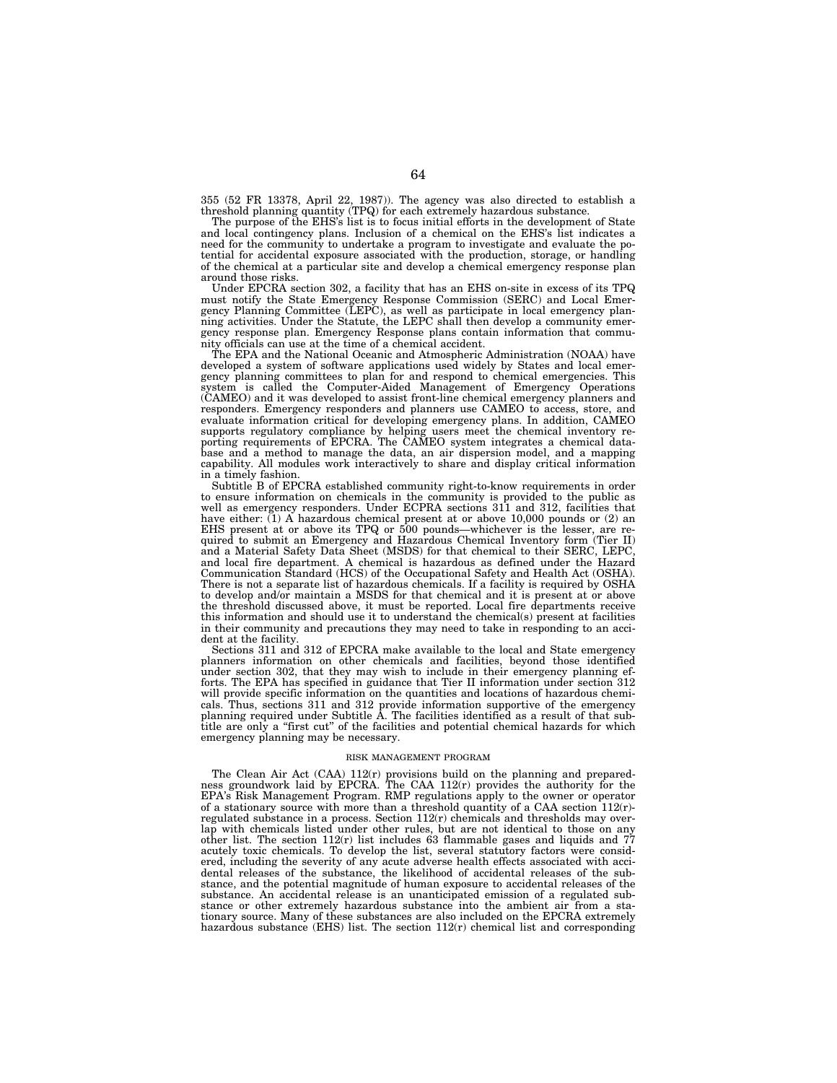355 (52 FR 13378, April 22, 1987)). The agency was also directed to establish a threshold planning quantity (TPQ) for each extremely hazardous substance.

The purpose of the EHS's list is to focus initial efforts in the development of State and local contingency plans. Inclusion of a chemical on the EHS's list indicates a need for the community to undertake a program to investigate and evaluate the potential for accidental exposure associated with the production, storage, or handling of the chemical at a particular site and develop a chemical emergency response plan around those risks.

Under EPCRA section 302, a facility that has an EHS on-site in excess of its TPQ must notify the State Emergency Response Commission (SERC) and Local Emergency Planning Committee (LEPC), as well as participate in local emergency planning activities. Under the Statute, the LEPC shall then develop a community emergency response plan. Emergency Response plans contain information that community officials can use at the time of a chemical accident.

The EPA and the National Oceanic and Atmospheric Administration (NOAA) have developed a system of software applications used widely by States and local emergency planning committees to plan for and respond to chemical emergencies. This system is called the Computer-Aided Management of Emergency Operations (CAMEO) and it was developed to assist front-line chemical emergency planners and responders. Emergency responders and planners use CAMEO to access, store, and evaluate information critical for developing emergency plans. In addition, CAMEO supports regulatory compliance by helping users meet the chemical inventory reporting requirements of EPCRA. The CAMEO system integrates a chemical database and a method to manage the data, an air dispersion model, and a mapping capability. All modules work interactively to share and display critical information in a timely fashion.

Subtitle B of EPCRA established community right-to-know requirements in order to ensure information on chemicals in the community is provided to the public as well as emergency responders. Under ECPRA sections 311 and 312, facilities that have either:  $(1)$  A hazardous chemical present at or above 10,000 pounds or  $(2)$  an EHS present at or above its TPQ or 500 pounds—whichever is the lesser, are required to submit an Emergency and Hazardous Chemical Inventory form (Tier II) and a Material Safety Data Sheet (MSDS) for that chemical to their SERC, LEPC, and local fire department. A chemical is hazardous as defined under the Hazard Communication Standard (HCS) of the Occupational Safety and Health Act (OSHA). There is not a separate list of hazardous chemicals. If a facility is required by OSHA to develop and/or maintain a MSDS for that chemical and it is present at or above the threshold discussed above, it must be reported. Local fire departments receive this information and should use it to understand the chemical(s) present at facilities in their community and precautions they may need to take in responding to an accident at the facility.

Sections 311 and 312 of EPCRA make available to the local and State emergency planners information on other chemicals and facilities, beyond those identified under section 302, that they may wish to include in their emergency planning efforts. The EPA has specified in guidance that Tier II information under section 312 will provide specific information on the quantities and locations of hazardous chemicals. Thus, sections 311 and 312 provide information supportive of the emergency planning required under Subtitle A. The facilities identified as a result of that subtitle are only a ''first cut'' of the facilities and potential chemical hazards for which emergency planning may be necessary.

#### RISK MANAGEMENT PROGRAM

The Clean Air Act (CAA) 112(r) provisions build on the planning and preparedness groundwork laid by EPCRA. The CAA  $112(r)$  provides the authority for the EPA's Risk Management Program. RMP regulations apply to the owner or operator of a stationary source with more than a threshold quantity of a CAA section 112(r) regulated substance in a process. Section 112(r) chemicals and thresholds may overlap with chemicals listed under other rules, but are not identical to those on any other list. The section  $112(r)$  list includes 63 flammable gases and liquids and 77 acutely toxic chemicals. To develop the list, several statutory factors were considered, including the severity of any acute adverse health effects associated with accidental releases of the substance, the likelihood of accidental releases of the substance, and the potential magnitude of human exposure to accidental releases of the substance. An accidental release is an unanticipated emission of a regulated substance or other extremely hazardous substance into the ambient air from a stationary source. Many of these substances are also included on the EPCRA extremely hazardous substance (EHS) list. The section  $112(r)$  chemical list and corresponding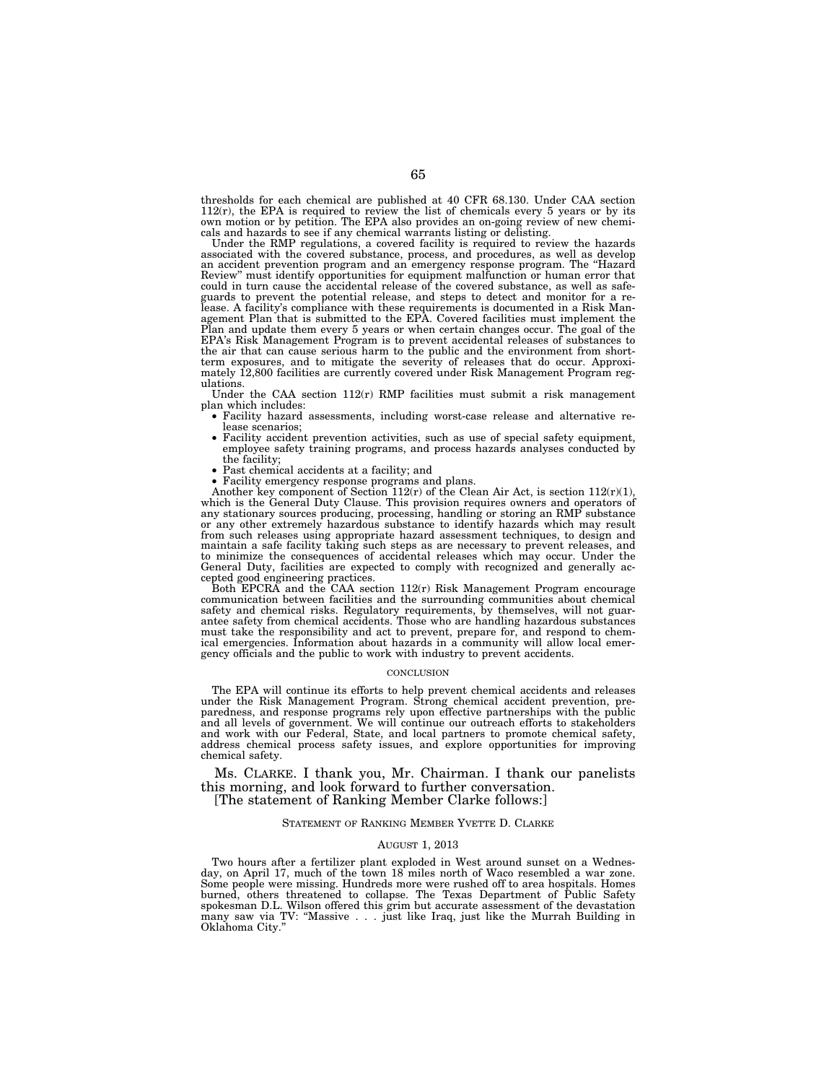thresholds for each chemical are published at 40 CFR 68.130. Under CAA section  $112(r)$ , the EPA is required to review the list of chemicals every 5 years or by its own motion or by petition. The EPA also provides an on-going review of new chemicals and hazards to see if any chemical warrants listing or delisting.

Under the RMP regulations, a covered facility is required to review the hazards associated with the covered substance, process, and procedures, as well as develop an accident prevention program and an emergency response program. The ''Hazard Review'' must identify opportunities for equipment malfunction or human error that could in turn cause the accidental release of the covered substance, as well as safeguards to prevent the potential release, and steps to detect and monitor for a re-lease. A facility's compliance with these requirements is documented in a Risk Management Plan that is submitted to the EPA. Covered facilities must implement the Plan and update them every 5 years or when certain changes occur. The goal of the EPA's Risk Management Program is to prevent accidental releases of substances to the air that can cause serious harm to the public and the environment from shortterm exposures, and to mitigate the severity of releases that do occur. Approxi-mately 12,800 facilities are currently covered under Risk Management Program regulations.

Under the CAA section  $112(r)$  RMP facilities must submit a risk management plan which includes:

- Facility hazard assessments, including worst-case release and alternative re-
- Facility accident prevention activities, such as use of special safety equipment, employee safety training programs, and process hazards analyses conducted by the facility:
- 
- the facility; Past chemical accidents at a facility; and Facility emergency response programs and plans.

Another key component of Section  $112(r)$  of the Clean Air Act, is section  $112(r)(1)$ , which is the General Duty Clause. This provision requires owners and operators of any stationary sources producing, processing, handling or storing an RMP substance or any other extremely hazardous substance to identify hazards which may result from such releases using appropriate hazard assessment techniques, to design and maintain a safe facility taking such steps as are necessary to prevent releases, and to minimize the consequences of accidental releases which may occur. Under the General Duty, facilities are expected to comply with recognized and generally accepted good engineering practices.

Both EPCRA and the CAA section  $112(r)$  Risk Management Program encourage communication between facilities and the surrounding communities about chemical<br>safety and chemical risks. Regulatory requirements, by themselves, will not guar-<br>antee safety from chemical accidents. Those who are handling must take the responsibility and act to prevent, prepare for, and respond to chemical emergencies. Information about hazards in a community will allow local emergency officials and the public to work with industry to prevent accidents.

#### **CONCLUSION**

The EPA will continue its efforts to help prevent chemical accidents and releases<br>under the Risk Management Program. Strong chemical accident prevention, pre-<br>paredness, and response programs rely upon effective partnershi and all levels of government. We will continue our outreach efforts to stakeholders<br>and work with our Federal, State, and local partners to promote chemical safety,<br>address chemical process safety issues, and explore oppor chemical safety.

Ms. CLARKE. I thank you, Mr. Chairman. I thank our panelists this morning, and look forward to further conversation. [The statement of Ranking Member Clarke follows:]

# STATEMENT OF RANKING MEMBER YVETTE D. CLARKE

## AUGUST 1, 2013

Two hours after a fertilizer plant exploded in West around sunset on a Wednes-day, on April 17, much of the town 18 miles north of Waco resembled a war zone. Some people were missing. Hundreds more were rushed off to area hospitals. Homes burned, others threatened to collapse. The Texas Department of Public Safety spokesman D.L. Wilson offered this grim but accurate assessment of the devastation many saw via TV: "Massive . . . just like Iraq, just like the Murrah Building in Oklahoma City.''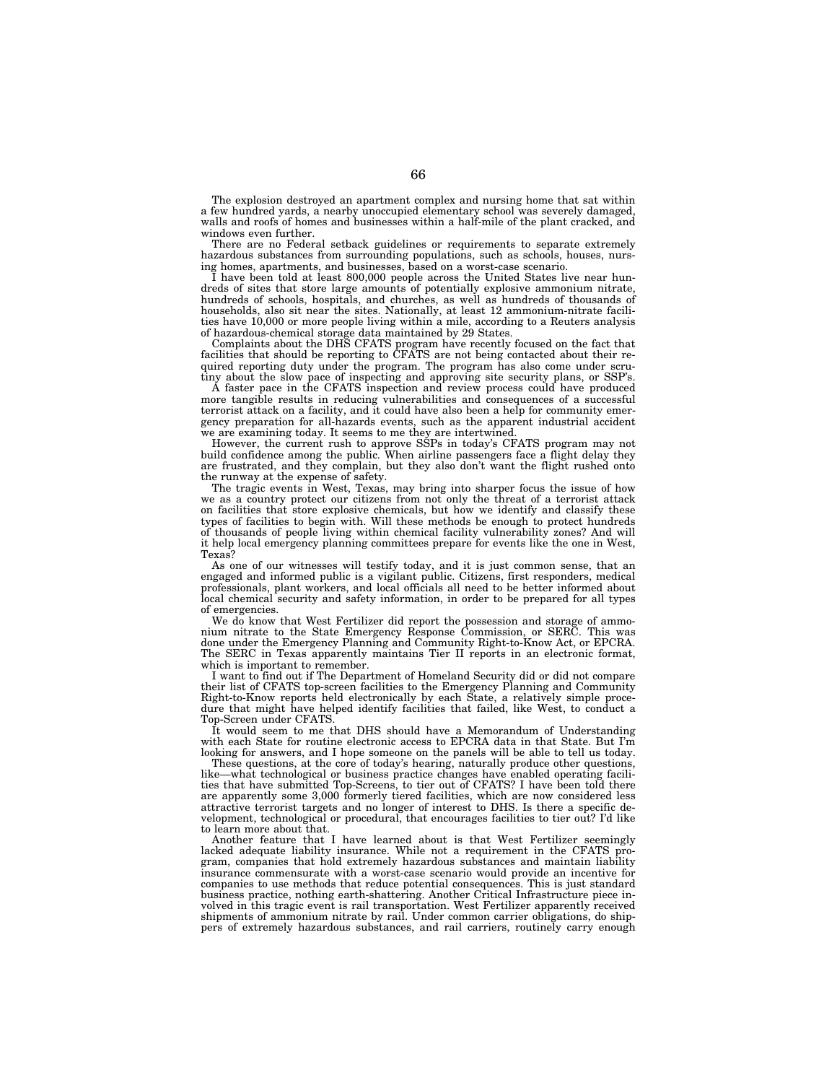The explosion destroyed an apartment complex and nursing home that sat within a few hundred yards, a nearby unoccupied elementary school was severely damaged, walls and roofs of homes and businesses within a half-mile of the plant cracked, and windows even further.

There are no Federal setback guidelines or requirements to separate extremely hazardous substances from surrounding populations, such as schools, houses, nursing homes, apartments, and businesses, based on a worst-case scenario.

I have been told at least 800,000 people across the United States live near hundreds of sites that store large amounts of potentially explosive ammonium nitrate, hundreds of schools, hospitals, and churches, as well as hundreds of thousands of households, also sit near the sites. Nationally, at least 12 ammonium-nitrate facilities have 10,000 or more people living within a mile, according to a Reuters analysis of hazardous-chemical storage data maintained by 29 States.

Complaints about the DHS CFATS program have recently focused on the fact that facilities that should be reporting to CFATS are not being contacted about their required reporting duty under the program. The program has also come under scrutiny about the slow pace of inspecting and approving site security plans, or SSP's.

A faster pace in the CFATS inspection and review process could have produced more tangible results in reducing vulnerabilities and consequences of a successful terrorist attack on a facility, and it could have also been a help for community emergency preparation for all-hazards events, such as the apparent industrial accident we are examining today. It seems to me they are intertwined.

However, the current rush to approve SSPs in today's CFATS program may not build confidence among the public. When airline passengers face a flight delay they are frustrated, and they complain, but they also don't want the flight rushed onto the runway at the expense of safety.

The tragic events in West, Texas, may bring into sharper focus the issue of how we as a country protect our citizens from not only the threat of a terrorist attack on facilities that store explosive chemicals, but how we identify and classify these types of facilities to begin with. Will these methods be enough to protect hundreds of thousands of people living within chemical facility vulnerability zones? And will it help local emergency planning committees prepare for events like the one in West, Texas?

As one of our witnesses will testify today, and it is just common sense, that an engaged and informed public is a vigilant public. Citizens, first responders, medical professionals, plant workers, and local officials all need to be better informed about local chemical security and safety information, in order to be prepared for all types of emergencies.

We do know that West Fertilizer did report the possession and storage of ammonium nitrate to the State Emergency Response Commission, or SERC. This was done under the Emergency Planning and Community Right-to-Know Act, or EPCRA. The SERC in Texas apparently maintains Tier II reports in an electronic format, which is important to remember.

I want to find out if The Department of Homeland Security did or did not compare their list of CFATS top-screen facilities to the Emergency Planning and Community Right-to-Know reports held electronically by each State, a relatively simple procedure that might have helped identify facilities that failed, like West, to conduct a Top-Screen under CFATS.

It would seem to me that DHS should have a Memorandum of Understanding with each State for routine electronic access to EPCRA data in that State. But I'm looking for answers, and I hope someone on the panels will be able to tell us today.

These questions, at the core of today's hearing, naturally produce other questions, like—what technological or business practice changes have enabled operating facilities that have submitted Top-Screens, to tier out of CFATS? I have been told there are apparently some 3,000 formerly tiered facilities, which are now considered less attractive terrorist targets and no longer of interest to DHS. Is there a specific development, technological or procedural, that encourages facilities to tier out? I'd like to learn more about that.

Another feature that I have learned about is that West Fertilizer seemingly lacked adequate liability insurance. While not a requirement in the CFATS program, companies that hold extremely hazardous substances and maintain liability insurance commensurate with a worst-case scenario would provide an incentive for companies to use methods that reduce potential consequences. This is just standard business practice, nothing earth-shattering. Another Critical Infrastructure piece involved in this tragic event is rail transportation. West Fertilizer apparently received shipments of ammonium nitrate by rail. Under common carrier obligations, do shippers of extremely hazardous substances, and rail carriers, routinely carry enough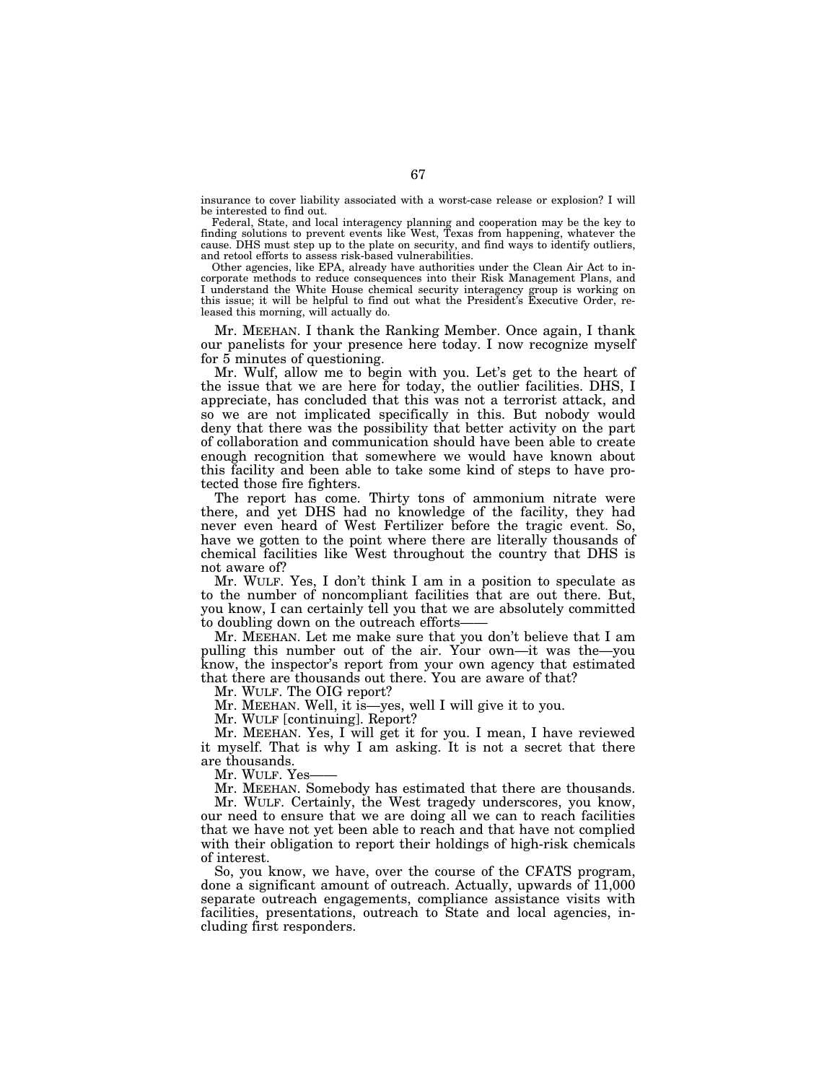insurance to cover liability associated with a worst-case release or explosion? I will be interested to find out.

Federal, State, and local interagency planning and cooperation may be the key to finding solutions to prevent events like West, Texas from happening, whatever the cause. DHS must step up to the plate on security, and find ways to identify outliers, and retool efforts to assess risk-based vulnerabilities.

Other agencies, like EPA, already have authorities under the Clean Air Act to incorporate methods to reduce consequences into their Risk Management Plans, and I understand the White House chemical security interagency group is working on this issue; it will be helpful to find out what the President's Executive Order, released this morning, will actually do.

Mr. MEEHAN. I thank the Ranking Member. Once again, I thank our panelists for your presence here today. I now recognize myself for 5 minutes of questioning.

Mr. Wulf, allow me to begin with you. Let's get to the heart of the issue that we are here for today, the outlier facilities. DHS, I appreciate, has concluded that this was not a terrorist attack, and so we are not implicated specifically in this. But nobody would deny that there was the possibility that better activity on the part of collaboration and communication should have been able to create enough recognition that somewhere we would have known about this facility and been able to take some kind of steps to have protected those fire fighters.

The report has come. Thirty tons of ammonium nitrate were there, and yet DHS had no knowledge of the facility, they had never even heard of West Fertilizer before the tragic event. So, have we gotten to the point where there are literally thousands of chemical facilities like West throughout the country that DHS is not aware of?

Mr. WULF. Yes, I don't think I am in a position to speculate as to the number of noncompliant facilities that are out there. But, you know, I can certainly tell you that we are absolutely committed to doubling down on the outreach efforts-

Mr. MEEHAN. Let me make sure that you don't believe that I am pulling this number out of the air. Your own—it was the—you know, the inspector's report from your own agency that estimated that there are thousands out there. You are aware of that?

Mr. WULF. The OIG report?

Mr. MEEHAN. Well, it is—yes, well I will give it to you.

Mr. WULF [continuing]. Report?

Mr. MEEHAN. Yes, I will get it for you. I mean, I have reviewed it myself. That is why I am asking. It is not a secret that there are thousands.

Mr. WULF. Yes-

Mr. MEEHAN. Somebody has estimated that there are thousands. Mr. WULF. Certainly, the West tragedy underscores, you know, our need to ensure that we are doing all we can to reach facilities that we have not yet been able to reach and that have not complied with their obligation to report their holdings of high-risk chemicals of interest.

So, you know, we have, over the course of the CFATS program, done a significant amount of outreach. Actually, upwards of 11,000 separate outreach engagements, compliance assistance visits with facilities, presentations, outreach to State and local agencies, including first responders.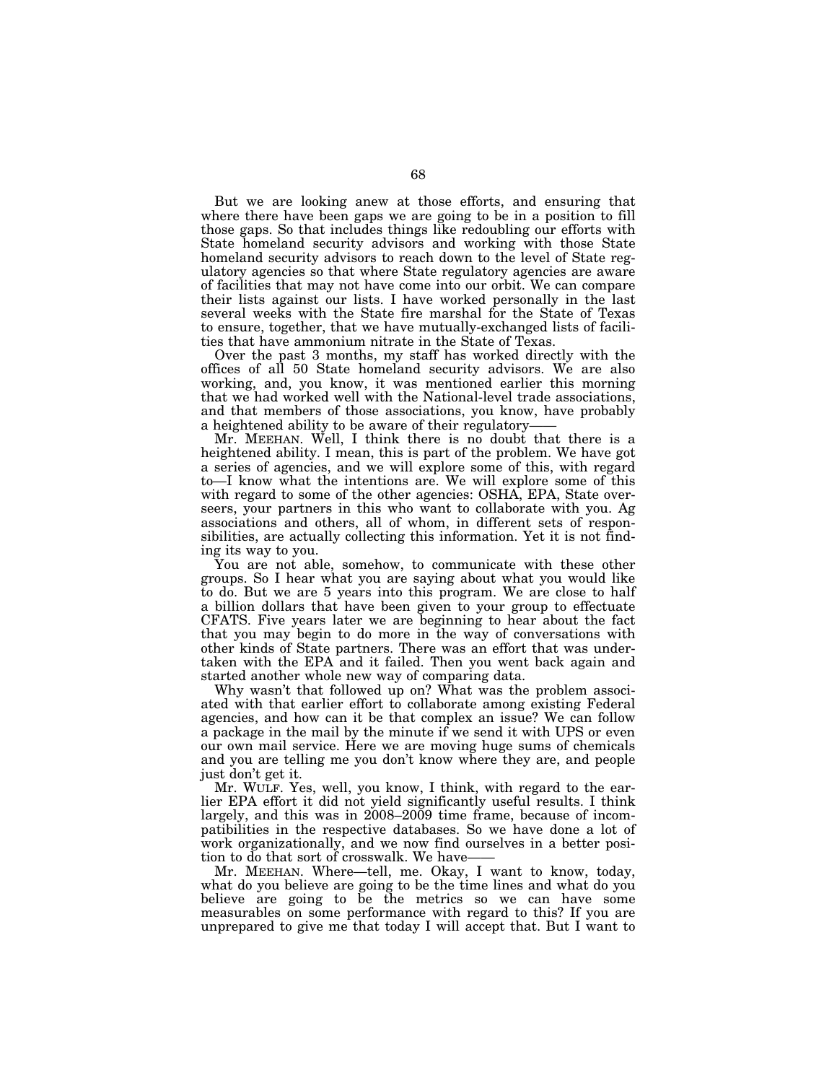But we are looking anew at those efforts, and ensuring that where there have been gaps we are going to be in a position to fill those gaps. So that includes things like redoubling our efforts with State homeland security advisors and working with those State homeland security advisors to reach down to the level of State regulatory agencies so that where State regulatory agencies are aware of facilities that may not have come into our orbit. We can compare their lists against our lists. I have worked personally in the last several weeks with the State fire marshal for the State of Texas to ensure, together, that we have mutually-exchanged lists of facilities that have ammonium nitrate in the State of Texas.

Over the past 3 months, my staff has worked directly with the offices of all 50 State homeland security advisors. We are also working, and, you know, it was mentioned earlier this morning that we had worked well with the National-level trade associations, and that members of those associations, you know, have probably a heightened ability to be aware of their regulatory—

Mr. MEEHAN. Well, I think there is no doubt that there is a heightened ability. I mean, this is part of the problem. We have got a series of agencies, and we will explore some of this, with regard to—I know what the intentions are. We will explore some of this with regard to some of the other agencies: OSHA, EPA, State overseers, your partners in this who want to collaborate with you. Ag associations and others, all of whom, in different sets of responsibilities, are actually collecting this information. Yet it is not finding its way to you.

You are not able, somehow, to communicate with these other groups. So I hear what you are saying about what you would like to do. But we are 5 years into this program. We are close to half a billion dollars that have been given to your group to effectuate CFATS. Five years later we are beginning to hear about the fact that you may begin to do more in the way of conversations with other kinds of State partners. There was an effort that was undertaken with the EPA and it failed. Then you went back again and started another whole new way of comparing data.

Why wasn't that followed up on? What was the problem associated with that earlier effort to collaborate among existing Federal agencies, and how can it be that complex an issue? We can follow a package in the mail by the minute if we send it with UPS or even our own mail service. Here we are moving huge sums of chemicals and you are telling me you don't know where they are, and people just don't get it.

Mr. WULF. Yes, well, you know, I think, with regard to the earlier EPA effort it did not yield significantly useful results. I think largely, and this was in 2008–2009 time frame, because of incompatibilities in the respective databases. So we have done a lot of work organizationally, and we now find ourselves in a better position to do that sort of crosswalk. We have——

Mr. MEEHAN. Where—tell, me. Okay, I want to know, today, what do you believe are going to be the time lines and what do you believe are going to be the metrics so we can have some measurables on some performance with regard to this? If you are unprepared to give me that today I will accept that. But I want to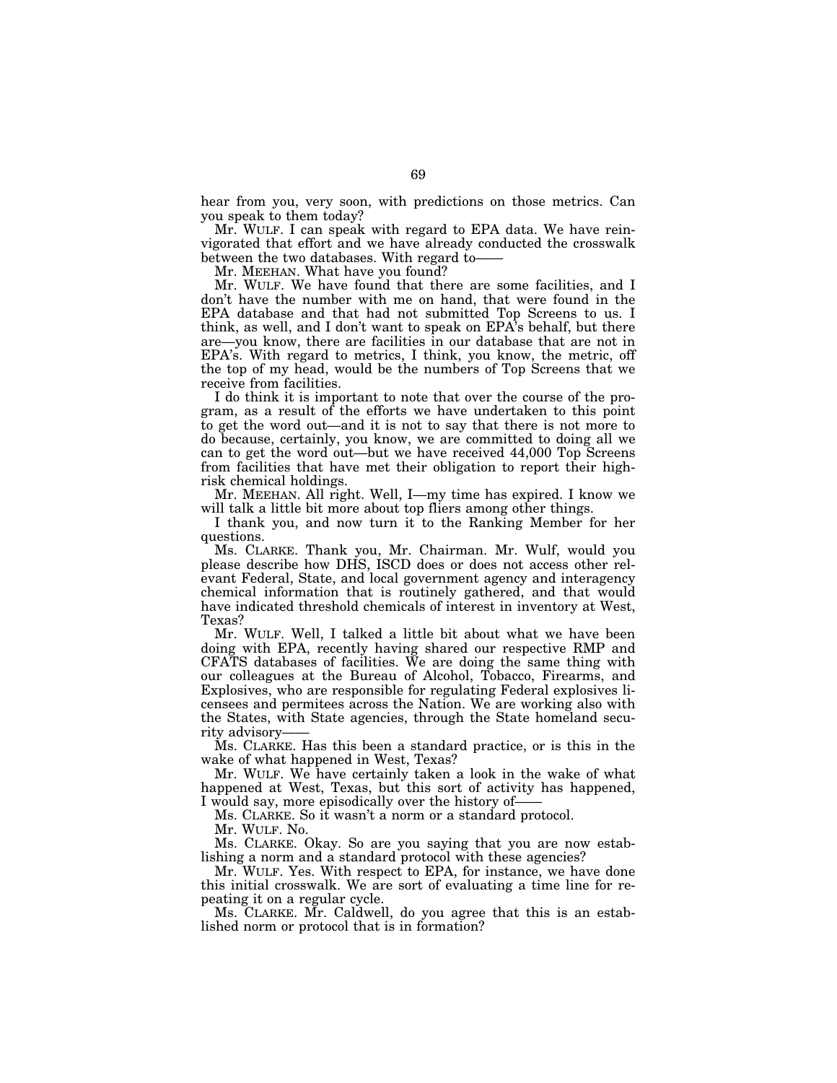hear from you, very soon, with predictions on those metrics. Can you speak to them today?

Mr. WULF. I can speak with regard to EPA data. We have reinvigorated that effort and we have already conducted the crosswalk between the two databases. With regard to——

Mr. MEEHAN. What have you found?

Mr. WULF. We have found that there are some facilities, and I don't have the number with me on hand, that were found in the EPA database and that had not submitted Top Screens to us. I think, as well, and I don't want to speak on EPA's behalf, but there are—you know, there are facilities in our database that are not in EPA's. With regard to metrics, I think, you know, the metric, off the top of my head, would be the numbers of Top Screens that we receive from facilities.

I do think it is important to note that over the course of the program, as a result of the efforts we have undertaken to this point to get the word out—and it is not to say that there is not more to do because, certainly, you know, we are committed to doing all we can to get the word out—but we have received 44,000 Top Screens from facilities that have met their obligation to report their highrisk chemical holdings.

Mr. MEEHAN. All right. Well, I—my time has expired. I know we will talk a little bit more about top fliers among other things.

I thank you, and now turn it to the Ranking Member for her questions.

Ms. CLARKE. Thank you, Mr. Chairman. Mr. Wulf, would you please describe how DHS, ISCD does or does not access other relevant Federal, State, and local government agency and interagency chemical information that is routinely gathered, and that would have indicated threshold chemicals of interest in inventory at West, Texas?

Mr. WULF. Well, I talked a little bit about what we have been doing with EPA, recently having shared our respective RMP and CFATS databases of facilities. We are doing the same thing with our colleagues at the Bureau of Alcohol, Tobacco, Firearms, and Explosives, who are responsible for regulating Federal explosives licensees and permitees across the Nation. We are working also with the States, with State agencies, through the State homeland security advisory-

Ms. CLARKE. Has this been a standard practice, or is this in the wake of what happened in West, Texas?

Mr. WULF. We have certainly taken a look in the wake of what happened at West, Texas, but this sort of activity has happened, I would say, more episodically over the history of-

Ms. CLARKE. So it wasn't a norm or a standard protocol.

Mr. WULF. No.

Ms. CLARKE. Okay. So are you saying that you are now establishing a norm and a standard protocol with these agencies?

Mr. WULF. Yes. With respect to EPA, for instance, we have done this initial crosswalk. We are sort of evaluating a time line for repeating it on a regular cycle.

Ms. CLARKE. Mr. Caldwell, do you agree that this is an established norm or protocol that is in formation?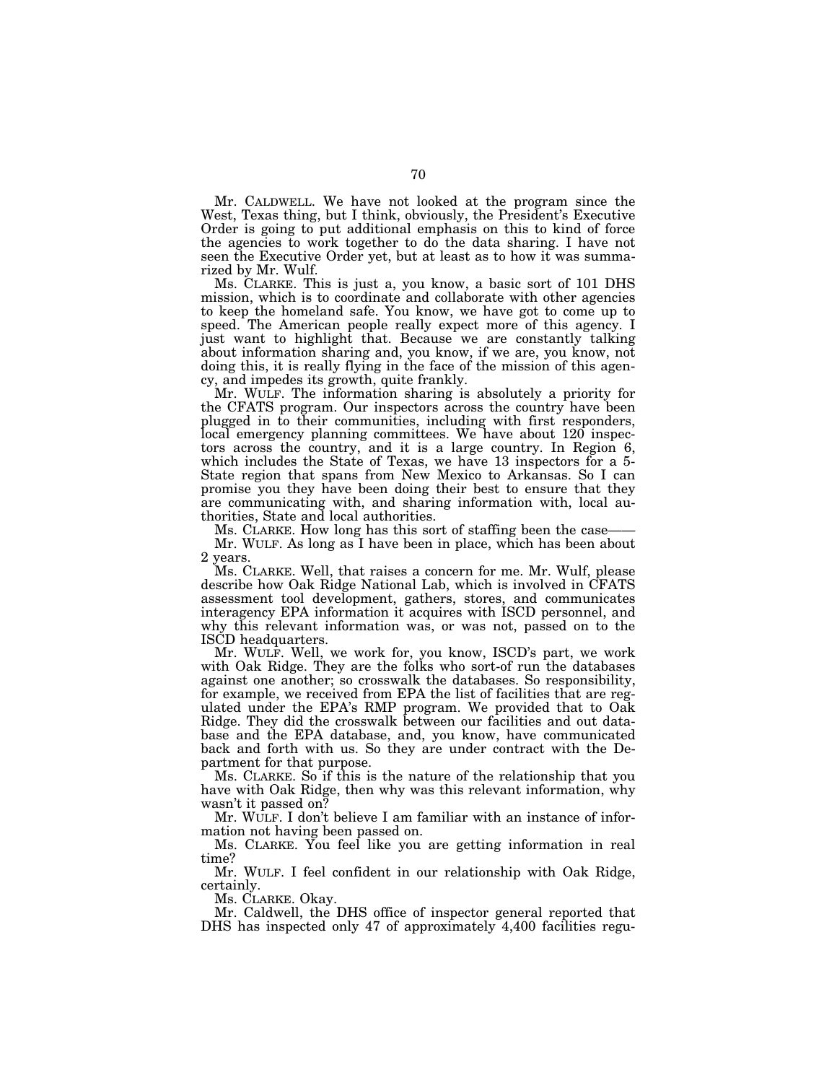Mr. CALDWELL. We have not looked at the program since the West, Texas thing, but I think, obviously, the President's Executive Order is going to put additional emphasis on this to kind of force the agencies to work together to do the data sharing. I have not seen the Executive Order yet, but at least as to how it was summarized by Mr. Wulf.

Ms. CLARKE. This is just a, you know, a basic sort of 101 DHS mission, which is to coordinate and collaborate with other agencies to keep the homeland safe. You know, we have got to come up to speed. The American people really expect more of this agency. I just want to highlight that. Because we are constantly talking about information sharing and, you know, if we are, you know, not doing this, it is really flying in the face of the mission of this agency, and impedes its growth, quite frankly.

Mr. WULF. The information sharing is absolutely a priority for the CFATS program. Our inspectors across the country have been plugged in to their communities, including with first responders, local emergency planning committees. We have about 120 inspectors across the country, and it is a large country. In Region 6, which includes the State of Texas, we have 13 inspectors for a 5- State region that spans from New Mexico to Arkansas. So I can promise you they have been doing their best to ensure that they are communicating with, and sharing information with, local authorities, State and local authorities.

Ms. CLARKE. How long has this sort of staffing been the case-

Mr. WULF. As long as I have been in place, which has been about 2 years.

Ms. CLARKE. Well, that raises a concern for me. Mr. Wulf, please describe how Oak Ridge National Lab, which is involved in CFATS assessment tool development, gathers, stores, and communicates interagency EPA information it acquires with ISCD personnel, and why this relevant information was, or was not, passed on to the ISCD headquarters.

Mr. WULF. Well, we work for, you know, ISCD's part, we work with Oak Ridge. They are the folks who sort-of run the databases against one another; so crosswalk the databases. So responsibility, for example, we received from EPA the list of facilities that are regulated under the EPA's RMP program. We provided that to Oak Ridge. They did the crosswalk between our facilities and out database and the EPA database, and, you know, have communicated back and forth with us. So they are under contract with the Department for that purpose.

Ms. CLARKE. So if this is the nature of the relationship that you have with Oak Ridge, then why was this relevant information, why wasn't it passed on?

Mr. WULF. I don't believe I am familiar with an instance of information not having been passed on.

Ms. CLARKE. You feel like you are getting information in real time?

Mr. WULF. I feel confident in our relationship with Oak Ridge, certainly.

Ms. CLARKE. Okay.

Mr. Caldwell, the DHS office of inspector general reported that DHS has inspected only 47 of approximately 4,400 facilities regu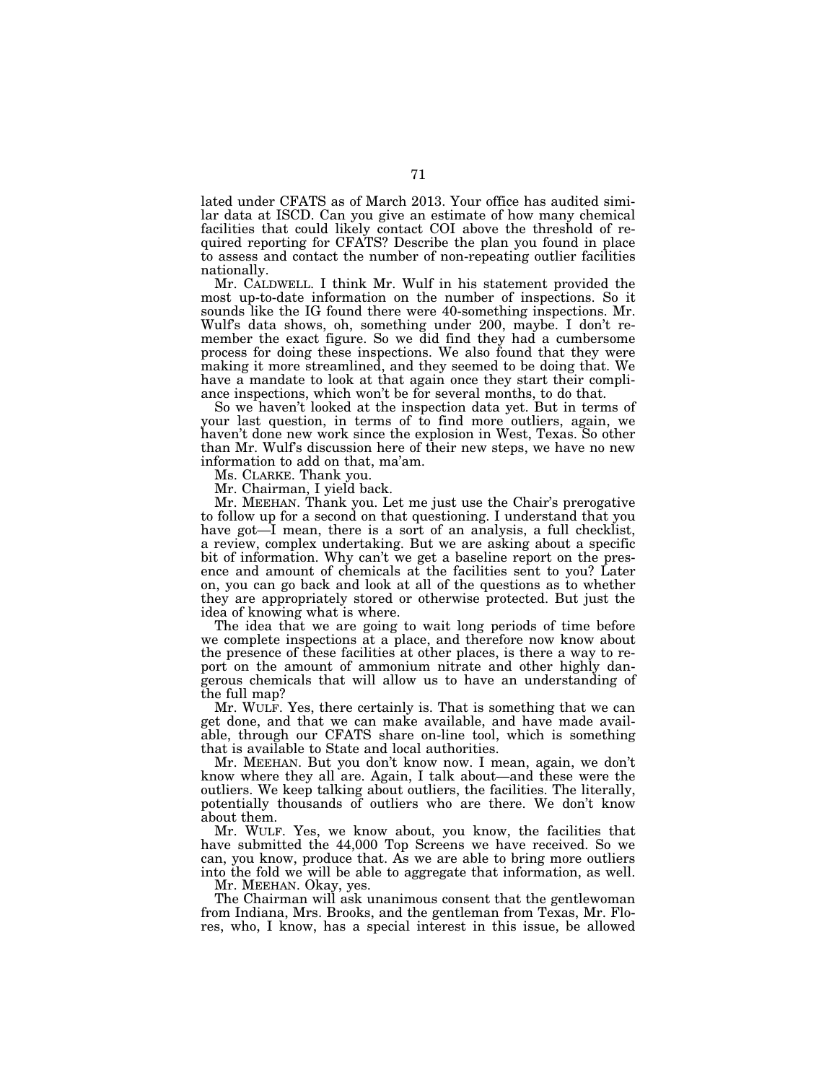lated under CFATS as of March 2013. Your office has audited similar data at ISCD. Can you give an estimate of how many chemical facilities that could likely contact COI above the threshold of required reporting for CFATS? Describe the plan you found in place to assess and contact the number of non-repeating outlier facilities nationally.

Mr. CALDWELL. I think Mr. Wulf in his statement provided the most up-to-date information on the number of inspections. So it sounds like the IG found there were 40-something inspections. Mr. Wulf's data shows, oh, something under 200, maybe. I don't remember the exact figure. So we did find they had a cumbersome process for doing these inspections. We also found that they were making it more streamlined, and they seemed to be doing that. We have a mandate to look at that again once they start their compliance inspections, which won't be for several months, to do that.

So we haven't looked at the inspection data yet. But in terms of your last question, in terms of to find more outliers, again, we haven't done new work since the explosion in West, Texas. So other than Mr. Wulf's discussion here of their new steps, we have no new information to add on that, ma'am.

Ms. CLARKE. Thank you.

Mr. Chairman, I yield back.

Mr. MEEHAN. Thank you. Let me just use the Chair's prerogative to follow up for a second on that questioning. I understand that you have got—I mean, there is a sort of an analysis, a full checklist, a review, complex undertaking. But we are asking about a specific bit of information. Why can't we get a baseline report on the presence and amount of chemicals at the facilities sent to you? Later on, you can go back and look at all of the questions as to whether they are appropriately stored or otherwise protected. But just the idea of knowing what is where.

The idea that we are going to wait long periods of time before we complete inspections at a place, and therefore now know about the presence of these facilities at other places, is there a way to report on the amount of ammonium nitrate and other highly dangerous chemicals that will allow us to have an understanding of the full map?

Mr. WULF. Yes, there certainly is. That is something that we can get done, and that we can make available, and have made available, through our CFATS share on-line tool, which is something that is available to State and local authorities.

Mr. MEEHAN. But you don't know now. I mean, again, we don't know where they all are. Again, I talk about—and these were the outliers. We keep talking about outliers, the facilities. The literally, potentially thousands of outliers who are there. We don't know about them.

Mr. WULF. Yes, we know about, you know, the facilities that have submitted the 44,000 Top Screens we have received. So we can, you know, produce that. As we are able to bring more outliers into the fold we will be able to aggregate that information, as well.

Mr. MEEHAN. Okay, yes.

The Chairman will ask unanimous consent that the gentlewoman from Indiana, Mrs. Brooks, and the gentleman from Texas, Mr. Flores, who, I know, has a special interest in this issue, be allowed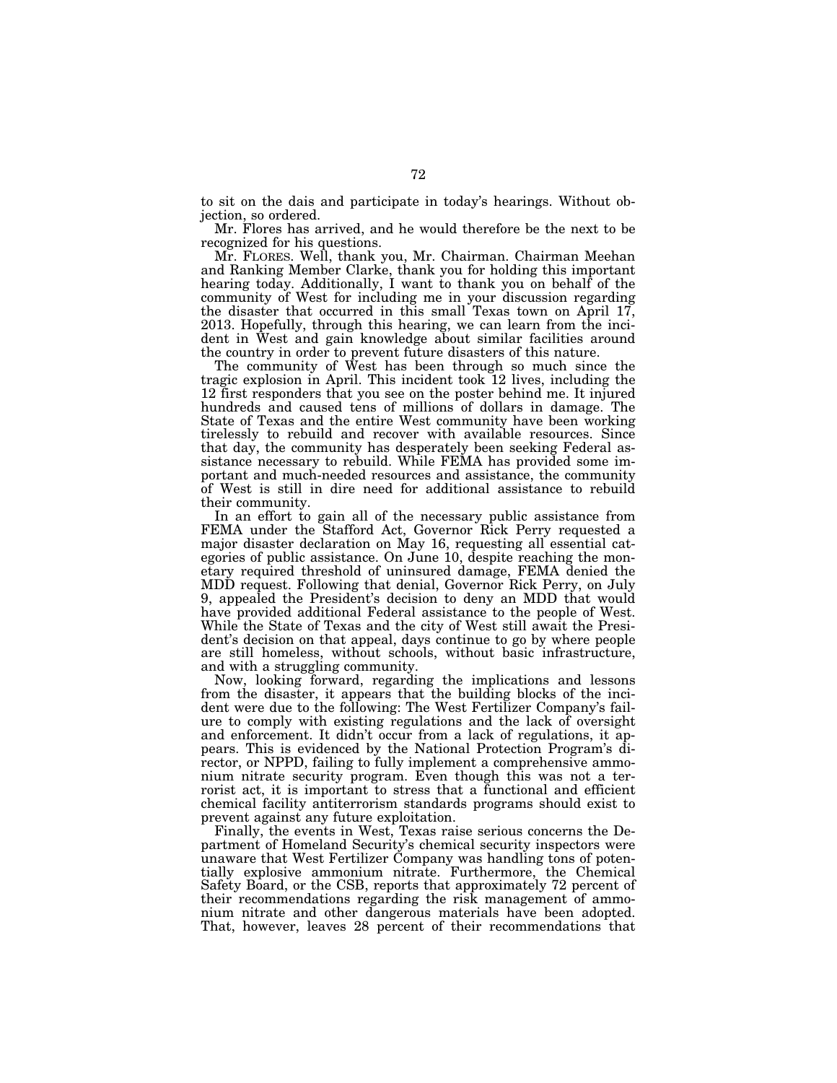to sit on the dais and participate in today's hearings. Without objection, so ordered.

Mr. Flores has arrived, and he would therefore be the next to be recognized for his questions.

Mr. FLORES. Well, thank you, Mr. Chairman. Chairman Meehan and Ranking Member Clarke, thank you for holding this important hearing today. Additionally, I want to thank you on behalf of the community of West for including me in your discussion regarding the disaster that occurred in this small Texas town on April 17, 2013. Hopefully, through this hearing, we can learn from the incident in West and gain knowledge about similar facilities around the country in order to prevent future disasters of this nature.

The community of West has been through so much since the tragic explosion in April. This incident took 12 lives, including the 12 first responders that you see on the poster behind me. It injured hundreds and caused tens of millions of dollars in damage. The State of Texas and the entire West community have been working tirelessly to rebuild and recover with available resources. Since that day, the community has desperately been seeking Federal assistance necessary to rebuild. While FEMA has provided some important and much-needed resources and assistance, the community of West is still in dire need for additional assistance to rebuild their community.

In an effort to gain all of the necessary public assistance from FEMA under the Stafford Act, Governor Rick Perry requested a major disaster declaration on May 16, requesting all essential categories of public assistance. On June 10, despite reaching the monetary required threshold of uninsured damage, FEMA denied the MDD request. Following that denial, Governor Rick Perry, on July 9, appealed the President's decision to deny an MDD that would have provided additional Federal assistance to the people of West. While the State of Texas and the city of West still await the President's decision on that appeal, days continue to go by where people are still homeless, without schools, without basic infrastructure, and with a struggling community.

Now, looking forward, regarding the implications and lessons from the disaster, it appears that the building blocks of the incident were due to the following: The West Fertilizer Company's failure to comply with existing regulations and the lack of oversight and enforcement. It didn't occur from a lack of regulations, it appears. This is evidenced by the National Protection Program's director, or NPPD, failing to fully implement a comprehensive ammonium nitrate security program. Even though this was not a terrorist act, it is important to stress that a functional and efficient chemical facility antiterrorism standards programs should exist to prevent against any future exploitation.

Finally, the events in West, Texas raise serious concerns the Department of Homeland Security's chemical security inspectors were unaware that West Fertilizer Company was handling tons of potentially explosive ammonium nitrate. Furthermore, the Chemical Safety Board, or the CSB, reports that approximately 72 percent of their recommendations regarding the risk management of ammonium nitrate and other dangerous materials have been adopted. That, however, leaves 28 percent of their recommendations that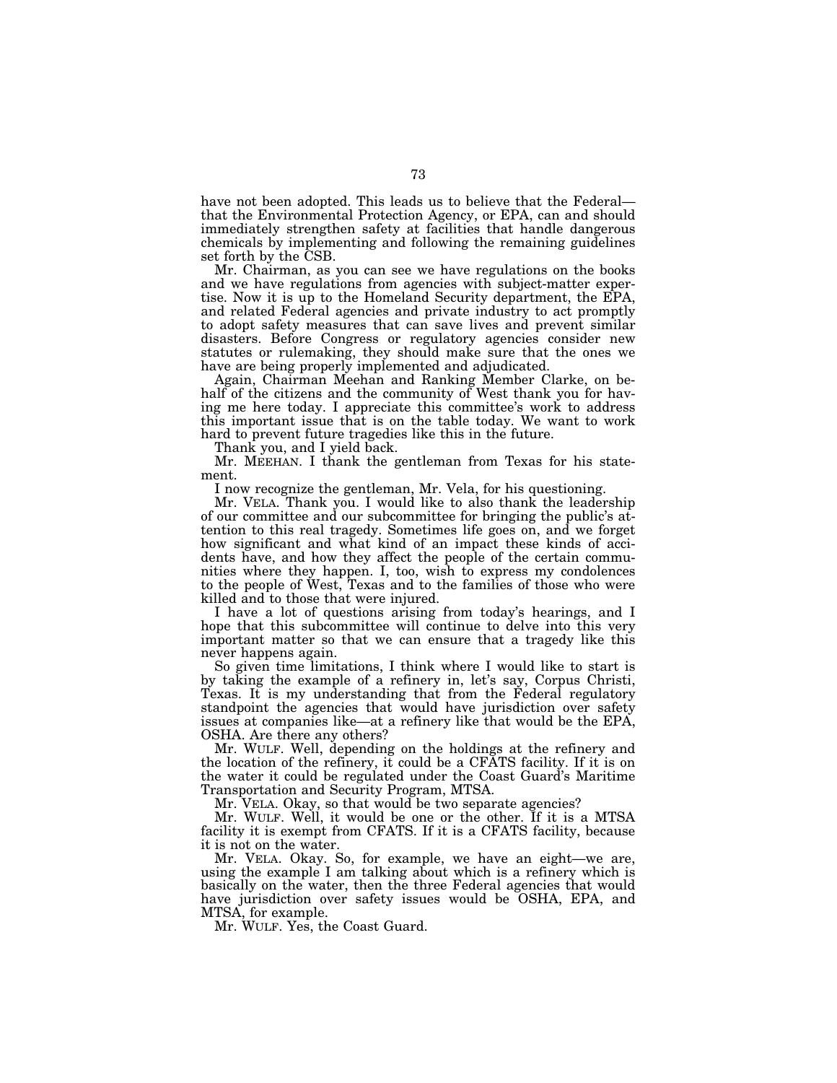have not been adopted. This leads us to believe that the Federal that the Environmental Protection Agency, or EPA, can and should immediately strengthen safety at facilities that handle dangerous chemicals by implementing and following the remaining guidelines set forth by the CSB.

Mr. Chairman, as you can see we have regulations on the books and we have regulations from agencies with subject-matter expertise. Now it is up to the Homeland Security department, the EPA, and related Federal agencies and private industry to act promptly to adopt safety measures that can save lives and prevent similar disasters. Before Congress or regulatory agencies consider new statutes or rulemaking, they should make sure that the ones we have are being properly implemented and adjudicated.

Again, Chairman Meehan and Ranking Member Clarke, on behalf of the citizens and the community of West thank you for having me here today. I appreciate this committee's work to address this important issue that is on the table today. We want to work hard to prevent future tragedies like this in the future.

Thank you, and I yield back.

Mr. MEEHAN. I thank the gentleman from Texas for his statement.

I now recognize the gentleman, Mr. Vela, for his questioning.

Mr. VELA. Thank you. I would like to also thank the leadership of our committee and our subcommittee for bringing the public's attention to this real tragedy. Sometimes life goes on, and we forget how significant and what kind of an impact these kinds of accidents have, and how they affect the people of the certain communities where they happen. I, too, wish to express my condolences to the people of West, Texas and to the families of those who were killed and to those that were injured.

I have a lot of questions arising from today's hearings, and I hope that this subcommittee will continue to delve into this very important matter so that we can ensure that a tragedy like this never happens again.

So given time limitations, I think where I would like to start is by taking the example of a refinery in, let's say, Corpus Christi, Texas. It is my understanding that from the Federal regulatory standpoint the agencies that would have jurisdiction over safety issues at companies like—at a refinery like that would be the EPA, OSHA. Are there any others?

Mr. WULF. Well, depending on the holdings at the refinery and the location of the refinery, it could be a CFATS facility. If it is on the water it could be regulated under the Coast Guard's Maritime Transportation and Security Program, MTSA.

Mr. VELA. Okay, so that would be two separate agencies?

Mr. WULF. Well, it would be one or the other. If it is a MTSA facility it is exempt from CFATS. If it is a CFATS facility, because it is not on the water.

Mr. VELA. Okay. So, for example, we have an eight—we are, using the example I am talking about which is a refinery which is basically on the water, then the three Federal agencies that would have jurisdiction over safety issues would be OSHA, EPA, and MTSA, for example.

Mr. WULF. Yes, the Coast Guard.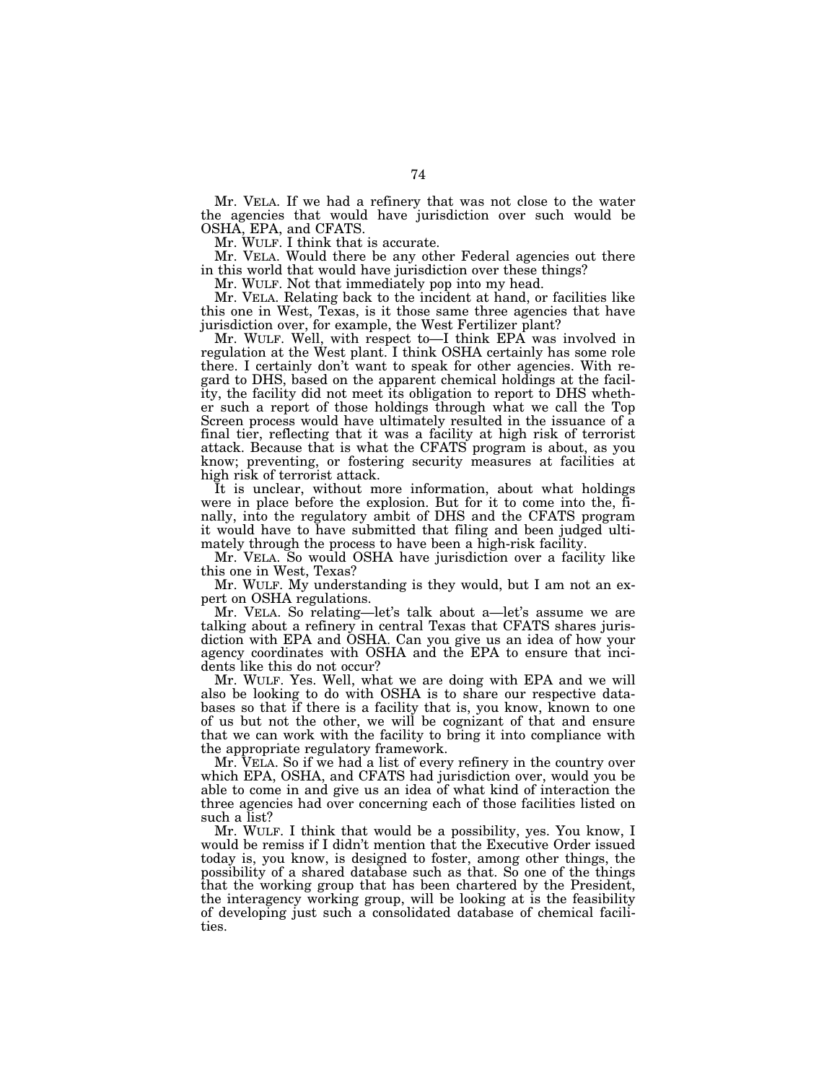Mr. VELA. If we had a refinery that was not close to the water the agencies that would have jurisdiction over such would be OSHA, EPA, and CFATS.

Mr. WULF. I think that is accurate.

Mr. VELA. Would there be any other Federal agencies out there in this world that would have jurisdiction over these things?

Mr. WULF. Not that immediately pop into my head.

Mr. VELA. Relating back to the incident at hand, or facilities like this one in West, Texas, is it those same three agencies that have jurisdiction over, for example, the West Fertilizer plant?

Mr. WULF. Well, with respect to—I think EPA was involved in regulation at the West plant. I think OSHA certainly has some role there. I certainly don't want to speak for other agencies. With regard to DHS, based on the apparent chemical holdings at the facility, the facility did not meet its obligation to report to DHS whether such a report of those holdings through what we call the Top Screen process would have ultimately resulted in the issuance of a final tier, reflecting that it was a facility at high risk of terrorist attack. Because that is what the CFATS program is about, as you know; preventing, or fostering security measures at facilities at high risk of terrorist attack.

It is unclear, without more information, about what holdings were in place before the explosion. But for it to come into the, finally, into the regulatory ambit of DHS and the CFATS program it would have to have submitted that filing and been judged ultimately through the process to have been a high-risk facility.

Mr. VELA. So would OSHA have jurisdiction over a facility like this one in West, Texas?

Mr. WULF. My understanding is they would, but I am not an expert on OSHA regulations.

Mr. VELA. So relating—let's talk about a—let's assume we are talking about a refinery in central Texas that CFATS shares jurisdiction with EPA and OSHA. Can you give us an idea of how your agency coordinates with OSHA and the EPA to ensure that incidents like this do not occur?

Mr. WULF. Yes. Well, what we are doing with EPA and we will also be looking to do with OSHA is to share our respective databases so that if there is a facility that is, you know, known to one of us but not the other, we will be cognizant of that and ensure that we can work with the facility to bring it into compliance with the appropriate regulatory framework.

Mr. VELA. So if we had a list of every refinery in the country over which EPA, OSHA, and CFATS had jurisdiction over, would you be able to come in and give us an idea of what kind of interaction the three agencies had over concerning each of those facilities listed on such a list?

Mr. WULF. I think that would be a possibility, yes. You know, I would be remiss if I didn't mention that the Executive Order issued today is, you know, is designed to foster, among other things, the possibility of a shared database such as that. So one of the things that the working group that has been chartered by the President, the interagency working group, will be looking at is the feasibility of developing just such a consolidated database of chemical facilities.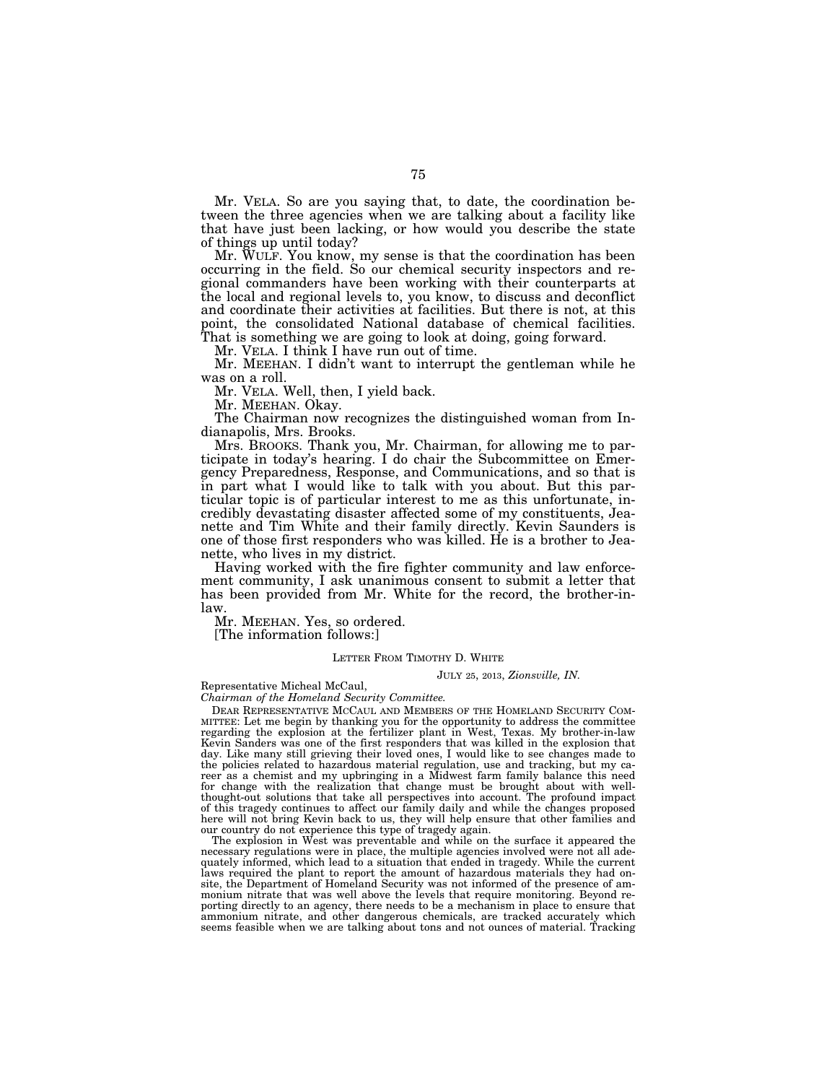Mr. VELA. So are you saying that, to date, the coordination between the three agencies when we are talking about a facility like that have just been lacking, or how would you describe the state of things up until today?

Mr. WULF. You know, my sense is that the coordination has been occurring in the field. So our chemical security inspectors and regional commanders have been working with their counterparts at the local and regional levels to, you know, to discuss and deconflict and coordinate their activities at facilities. But there is not, at this point, the consolidated National database of chemical facilities. That is something we are going to look at doing, going forward.

Mr. VELA. I think I have run out of time.

Mr. MEEHAN. I didn't want to interrupt the gentleman while he was on a roll.

Mr. VELA. Well, then, I yield back.

Mr. MEEHAN. Okay.

The Chairman now recognizes the distinguished woman from Indianapolis, Mrs. Brooks.

Mrs. BROOKS. Thank you, Mr. Chairman, for allowing me to participate in today's hearing. I do chair the Subcommittee on Emergency Preparedness, Response, and Communications, and so that is in part what I would like to talk with you about. But this particular topic is of particular interest to me as this unfortunate, incredibly devastating disaster affected some of my constituents, Jeanette and Tim White and their family directly. Kevin Saunders is one of those first responders who was killed. He is a brother to Jeanette, who lives in my district.

Having worked with the fire fighter community and law enforcement community, I ask unanimous consent to submit a letter that has been provided from Mr. White for the record, the brother-inlaw.

Mr. MEEHAN. Yes, so ordered.

[The information follows:]

### LETTER FROM TIMOTHY D. WHITE

#### JULY 25, 2013, *Zionsville, IN.*

Representative Micheal McCaul,

*Chairman of the Homeland Security Committee.* 

DEAR REPRESENTATIVE MCCAUL AND MEMBERS OF THE HOMELAND SECURITY COM- MITTEE: Let me begin by thanking you for the opportunity to address the committee regarding the explosion at the fertilizer plant in West, Texas. My brother-in-law Kevin Sanders was one of the first responders that was killed in the explosion that day. Like many still grieving their loved ones, I would like to see changes made to the policies related to hazardous material regulation, use and tracking, but my career as a chemist and my upbringing in a Midwest farm family balance this need for change with the realization that change must be brought about with well-thought-out solutions that take all perspectives into account. The profound impact of this tragedy continues to affect our family daily and while the changes proposed here will not bring Kevin back to us, they will help ensure that other families and our country do not experience this type of tragedy again.

The explosion in West was preventable and while on the surface it appeared the necessary regulations were in place, the multiple agencies involved were not all adequately informed, which lead to a situation that ended in tragedy. While the current laws required the plant to report the amount of hazardous materials they had onsite, the Department of Homeland Security was not informed of the presence of ammonium nitrate that was well above the levels that require monitoring. Beyond reporting directly to an agency, there needs to be a mechanism in place to ensure that ammonium nitrate, and other dangerous chemicals, are tracked accurately which seems feasible when we are talking about tons and not ounces of material. Tracking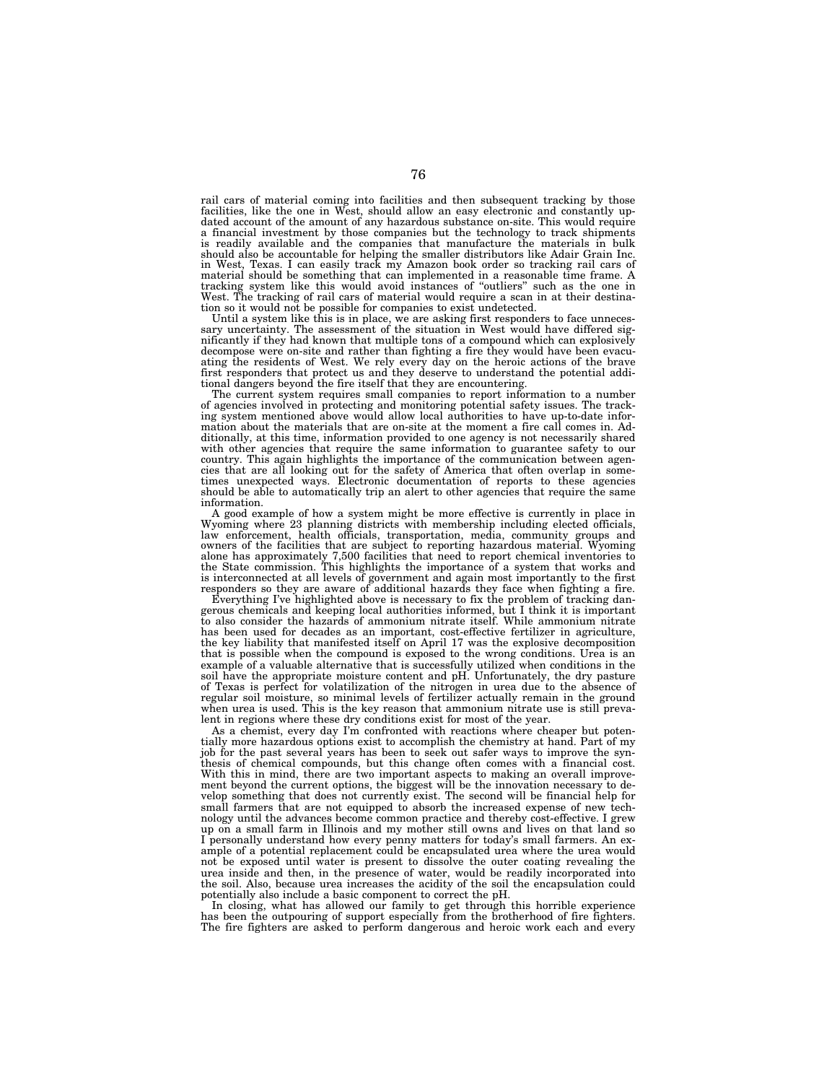rail cars of material coming into facilities and then subsequent tracking by those facilities, like the one in West, should allow an easy electronic and constantly updated account of the amount of any hazardous substance on-site. This would require a financial investment by those companies but the technology to track shipments is readily available and the companies that manufacture the materials in bulk should also be accountable for helping the smaller distributors like Adair Grain Inc. in West, Texas. I can easily track my Amazon book order so tracking rail cars of material should be something that can implemented in a reasonable time frame. A tracking system like this would avoid instances of ''outliers'' such as the one in West. The tracking of rail cars of material would require a scan in at their destination so it would not be possible for companies to exist undetected.

Until a system like this is in place, we are asking first responders to face unneces-sary uncertainty. The assessment of the situation in West would have differed significantly if they had known that multiple tons of a compound which can explosively decompose were on-site and rather than fighting a fire they would have been evacuating the residents of West. We rely every day on the heroic actions of the brave first responders that protect us and they deserve to understand the potential addi-

tional dangers beyond the fire itself that they are encountering. The current system requires small companies to report information to a number of agencies involved in protecting and monitoring potential safety issues. The track-ing system mentioned above would allow local authorities to have up-to-date information about the materials that are on-site at the moment a fire call comes in. Additionally, at this time, information provided to one agency is not necessarily shared with other agencies that require the same information to guarantee safety to our country. This again highlights the importance of the communication between agencies that are all looking out for the safety of America that often overlap in some-times unexpected ways. Electronic documentation of reports to these agencies should be able to automatically trip an alert to other agencies that require the same information.

A good example of how a system might be more effective is currently in place in Wyoming where 23 planning districts with membership including elected officials, law enforcement, health officials, transportation, media, community groups and owners of the facilities that are subject to reporting hazardo alone has approximately 7,500 facilities that need to report chemical inventories to the State commission. This highlights the importance of a system that works and is interconnected at all levels of government and again most importantly to the first responders so they are aware of additional hazards they face when fighting a fire.

Everything I've highlighted above is necessary to fix the problem of tracking dangerous chemicals and keeping local authorities informed, but I think it is important to also consider the hazards of ammonium nitrate itself. While ammonium nitrate has been used for decades as an important, cost-effective fertilizer in agriculture, the key liability that manifested itself on April 17 was the explosive decomposition that is possible when the compound is exposed to the wrong conditions. Urea is an example of a valuable alternative that is successfully utilized when conditions in the soil have the appropriate moisture content and pH. Unfortunately, the dry pasture of Texas is perfect for volatilization of the nitrogen in urea due to the absence of regular soil moisture, so minimal levels of fertilizer actually remain in the ground when urea is used. This is the key reason that ammonium nitrate use is still prevalent in regions where these dry conditions exist for most of the year.

As a chemist, every day I'm confronted with reactions where cheaper but potentially more hazardous options exist to accomplish the chemistry at hand. Part of my job for the past several years has been to seek out safer ways to improve the synthesis of chemical compounds, but this change often comes with a financial cost. With this in mind, there are two important aspects to making an overall improvement beyond the current options, the biggest will be the innovation necessary to develop something that does not currently exist. The second will be financial help for small farmers that are not equipped to absorb the increased expense of new technology until the advances become common practice and thereby cost-effective. I grew up on a small farm in Illinois and my mother still owns and lives on that land so I personally understand how every penny matters for today's small farmers. An example of a potential replacement could be encapsulated urea where the urea would not be exposed until water is present to dissolve the outer coating revealing the urea inside and then, in the presence of water, would be readily incorporated into the soil. Also, because urea increases the acidity of the soil the encapsulation could potentially also include a basic component to correct the pH.

In closing, what has allowed our family to get through this horrible experience has been the outpouring of support especially from the brotherhood of fire fighters. The fire fighters are asked to perform dangerous and heroic work each and every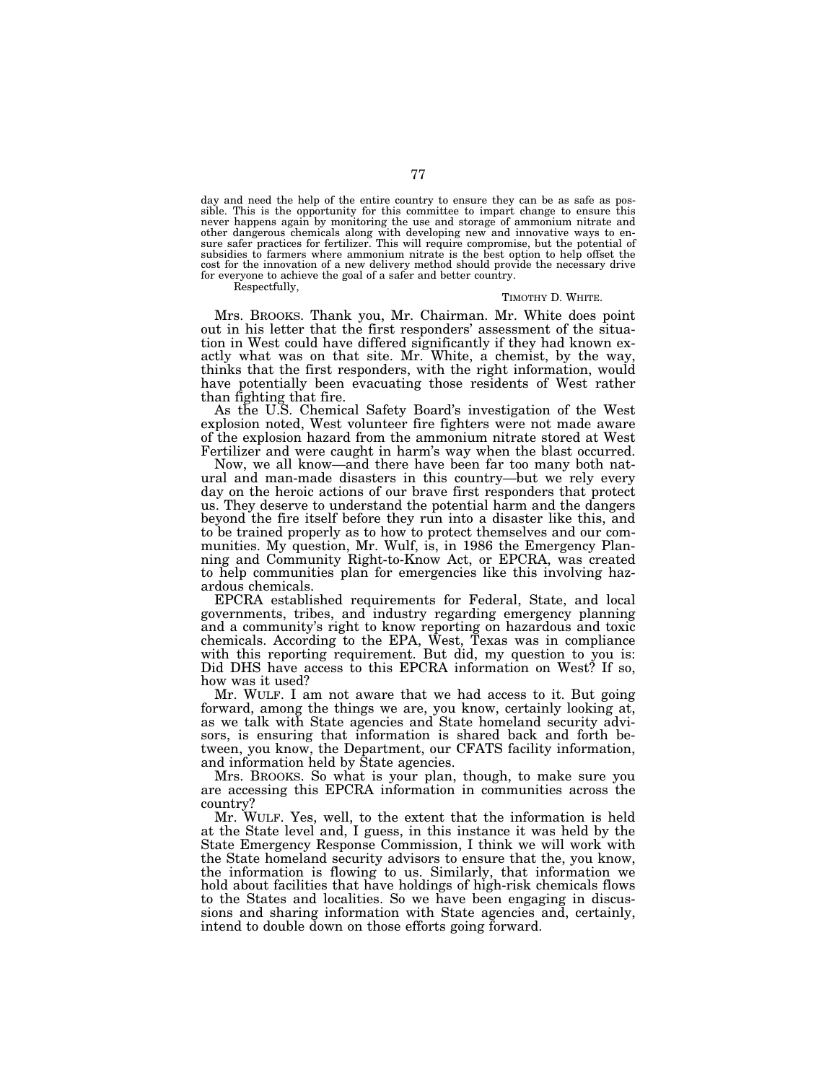day and need the help of the entire country to ensure they can be as safe as possible. This is the opportunity for this committee to impart change to ensure this never happens again by monitoring the use and storage of ammonium nitrate and other dangerous chemicals along with developing new and innovative ways to en-sure safer practices for fertilizer. This will require compromise, but the potential of subsidies to farmers where ammonium nitrate is the best option to help offset the cost for the innovation of a new delivery method should provide the necessary drive for everyone to achieve the goal of a safer and better country.

Respectfully,

#### TIMOTHY D. WHITE.

Mrs. BROOKS. Thank you, Mr. Chairman. Mr. White does point out in his letter that the first responders' assessment of the situation in West could have differed significantly if they had known exactly what was on that site. Mr. White, a chemist, by the way, thinks that the first responders, with the right information, would have potentially been evacuating those residents of West rather than fighting that fire.

As the U.S. Chemical Safety Board's investigation of the West explosion noted, West volunteer fire fighters were not made aware of the explosion hazard from the ammonium nitrate stored at West Fertilizer and were caught in harm's way when the blast occurred.

Now, we all know—and there have been far too many both natural and man-made disasters in this country—but we rely every day on the heroic actions of our brave first responders that protect us. They deserve to understand the potential harm and the dangers beyond the fire itself before they run into a disaster like this, and to be trained properly as to how to protect themselves and our communities. My question, Mr. Wulf, is, in 1986 the Emergency Planning and Community Right-to-Know Act, or EPCRA, was created to help communities plan for emergencies like this involving hazardous chemicals.

EPCRA established requirements for Federal, State, and local governments, tribes, and industry regarding emergency planning and a community's right to know reporting on hazardous and toxic chemicals. According to the EPA, West, Texas was in compliance with this reporting requirement. But did, my question to you is: Did DHS have access to this EPCRA information on West? If so, how was it used?

Mr. WULF. I am not aware that we had access to it. But going forward, among the things we are, you know, certainly looking at, as we talk with State agencies and State homeland security advisors, is ensuring that information is shared back and forth between, you know, the Department, our CFATS facility information, and information held by State agencies.

Mrs. BROOKS. So what is your plan, though, to make sure you are accessing this EPCRA information in communities across the country?

Mr. WULF. Yes, well, to the extent that the information is held at the State level and, I guess, in this instance it was held by the State Emergency Response Commission, I think we will work with the State homeland security advisors to ensure that the, you know, the information is flowing to us. Similarly, that information we hold about facilities that have holdings of high-risk chemicals flows to the States and localities. So we have been engaging in discussions and sharing information with State agencies and, certainly, intend to double down on those efforts going forward.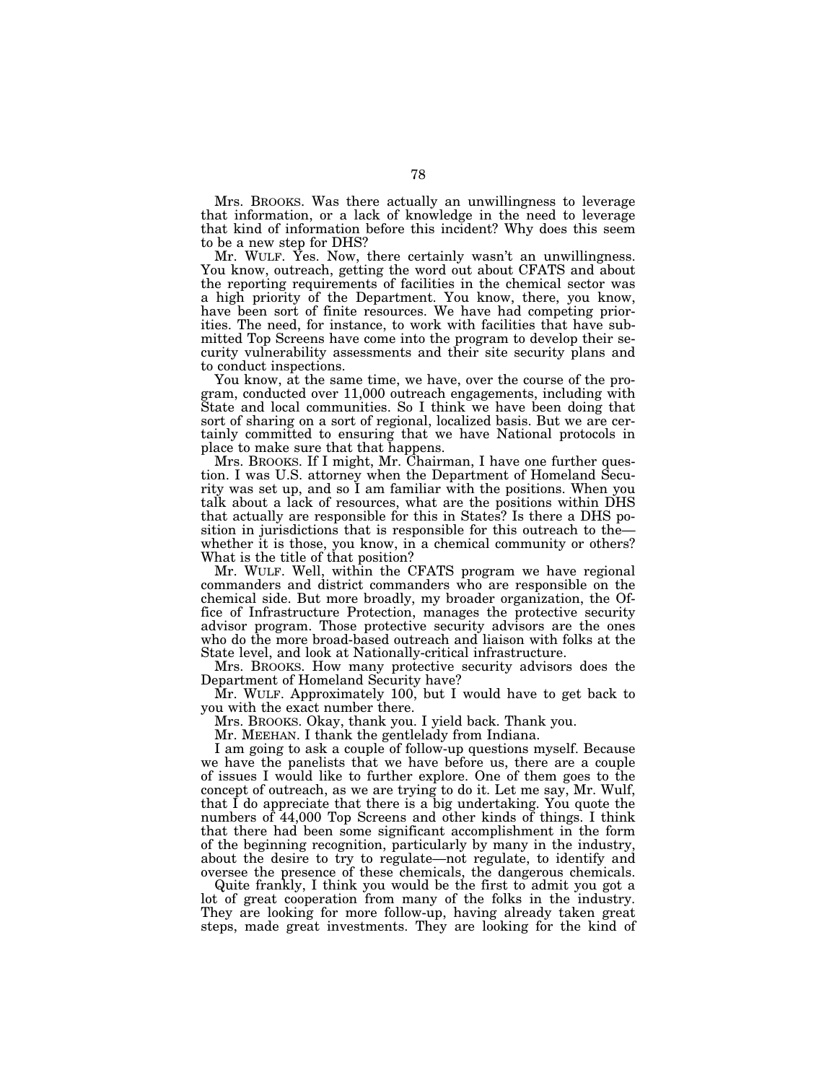Mrs. BROOKS. Was there actually an unwillingness to leverage that information, or a lack of knowledge in the need to leverage that kind of information before this incident? Why does this seem to be a new step for DHS?

Mr. WULF. Yes. Now, there certainly wasn't an unwillingness. You know, outreach, getting the word out about CFATS and about the reporting requirements of facilities in the chemical sector was a high priority of the Department. You know, there, you know, have been sort of finite resources. We have had competing priorities. The need, for instance, to work with facilities that have submitted Top Screens have come into the program to develop their security vulnerability assessments and their site security plans and to conduct inspections.

You know, at the same time, we have, over the course of the program, conducted over 11,000 outreach engagements, including with State and local communities. So I think we have been doing that sort of sharing on a sort of regional, localized basis. But we are certainly committed to ensuring that we have National protocols in place to make sure that that happens.

Mrs. BROOKS. If I might, Mr. Chairman, I have one further question. I was U.S. attorney when the Department of Homeland Security was set up, and so I am familiar with the positions. When you talk about a lack of resources, what are the positions within DHS that actually are responsible for this in States? Is there a DHS position in jurisdictions that is responsible for this outreach to the whether it is those, you know, in a chemical community or others? What is the title of that position?

Mr. WULF. Well, within the CFATS program we have regional commanders and district commanders who are responsible on the chemical side. But more broadly, my broader organization, the Office of Infrastructure Protection, manages the protective security advisor program. Those protective security advisors are the ones who do the more broad-based outreach and liaison with folks at the State level, and look at Nationally-critical infrastructure.

Mrs. BROOKS. How many protective security advisors does the Department of Homeland Security have?

Mr. WULF. Approximately 100, but I would have to get back to you with the exact number there.

Mrs. BROOKS. Okay, thank you. I yield back. Thank you.

Mr. MEEHAN. I thank the gentlelady from Indiana.

I am going to ask a couple of follow-up questions myself. Because we have the panelists that we have before us, there are a couple of issues I would like to further explore. One of them goes to the concept of outreach, as we are trying to do it. Let me say, Mr. Wulf, that  $\tilde{I}$  do appreciate that there is a big undertaking. You quote the numbers of 44,000 Top Screens and other kinds of things. I think that there had been some significant accomplishment in the form of the beginning recognition, particularly by many in the industry, about the desire to try to regulate—not regulate, to identify and oversee the presence of these chemicals, the dangerous chemicals.

Quite frankly, I think you would be the first to admit you got a lot of great cooperation from many of the folks in the industry. They are looking for more follow-up, having already taken great steps, made great investments. They are looking for the kind of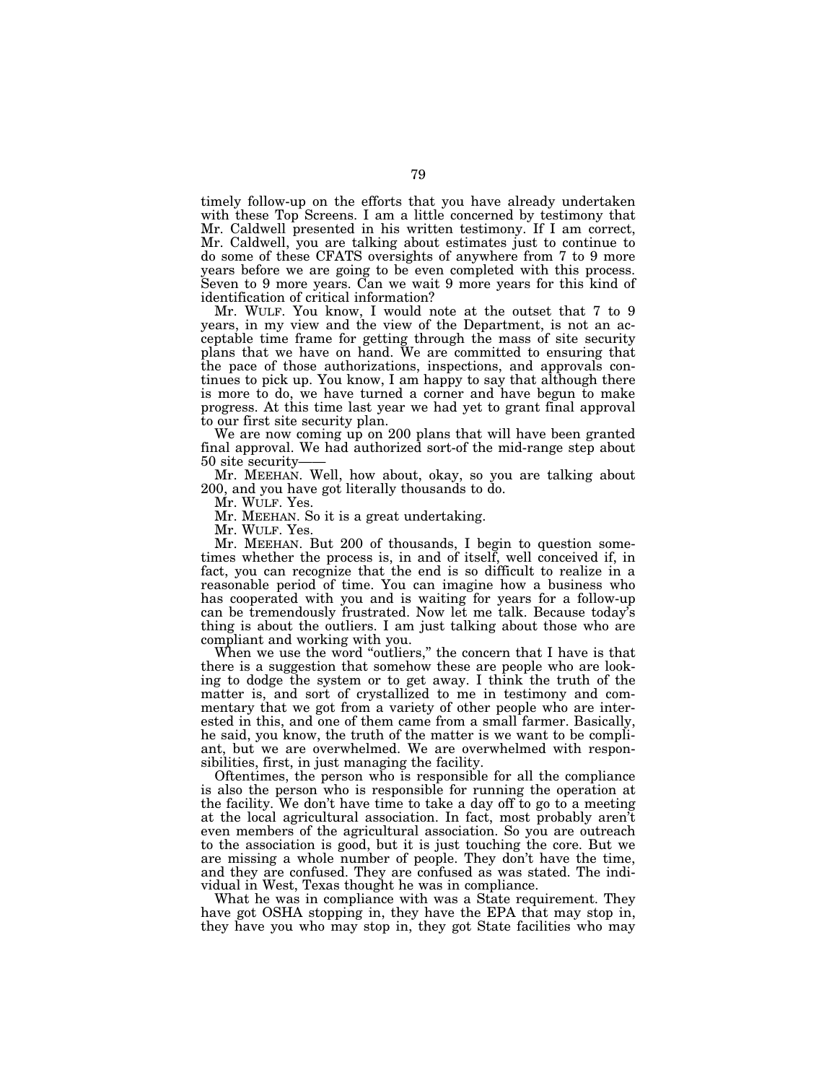timely follow-up on the efforts that you have already undertaken with these Top Screens. I am a little concerned by testimony that Mr. Caldwell presented in his written testimony. If I am correct, Mr. Caldwell, you are talking about estimates just to continue to do some of these CFATS oversights of anywhere from 7 to 9 more years before we are going to be even completed with this process. Seven to 9 more years. Can we wait 9 more years for this kind of identification of critical information?

Mr. WULF. You know, I would note at the outset that 7 to 9 years, in my view and the view of the Department, is not an acceptable time frame for getting through the mass of site security plans that we have on hand. We are committed to ensuring that the pace of those authorizations, inspections, and approvals continues to pick up. You know, I am happy to say that although there is more to do, we have turned a corner and have begun to make progress. At this time last year we had yet to grant final approval to our first site security plan.

We are now coming up on 200 plans that will have been granted final approval. We had authorized sort-of the mid-range step about 50 site security——

Mr. MEEHAN. Well, how about, okay, so you are talking about 200, and you have got literally thousands to do.

Mr. WULF. Yes.

Mr. MEEHAN. So it is a great undertaking.

Mr. WULF. Yes.

Mr. MEEHAN. But 200 of thousands, I begin to question sometimes whether the process is, in and of itself, well conceived if, in fact, you can recognize that the end is so difficult to realize in a reasonable period of time. You can imagine how a business who has cooperated with you and is waiting for years for a follow-up can be tremendously frustrated. Now let me talk. Because today's thing is about the outliers. I am just talking about those who are compliant and working with you.

When we use the word "outliers," the concern that I have is that there is a suggestion that somehow these are people who are looking to dodge the system or to get away. I think the truth of the matter is, and sort of crystallized to me in testimony and commentary that we got from a variety of other people who are interested in this, and one of them came from a small farmer. Basically, he said, you know, the truth of the matter is we want to be compliant, but we are overwhelmed. We are overwhelmed with responsibilities, first, in just managing the facility.

Oftentimes, the person who is responsible for all the compliance is also the person who is responsible for running the operation at the facility. We don't have time to take a day off to go to a meeting at the local agricultural association. In fact, most probably aren't even members of the agricultural association. So you are outreach to the association is good, but it is just touching the core. But we are missing a whole number of people. They don't have the time, and they are confused. They are confused as was stated. The individual in West, Texas thought he was in compliance.

What he was in compliance with was a State requirement. They have got OSHA stopping in, they have the EPA that may stop in, they have you who may stop in, they got State facilities who may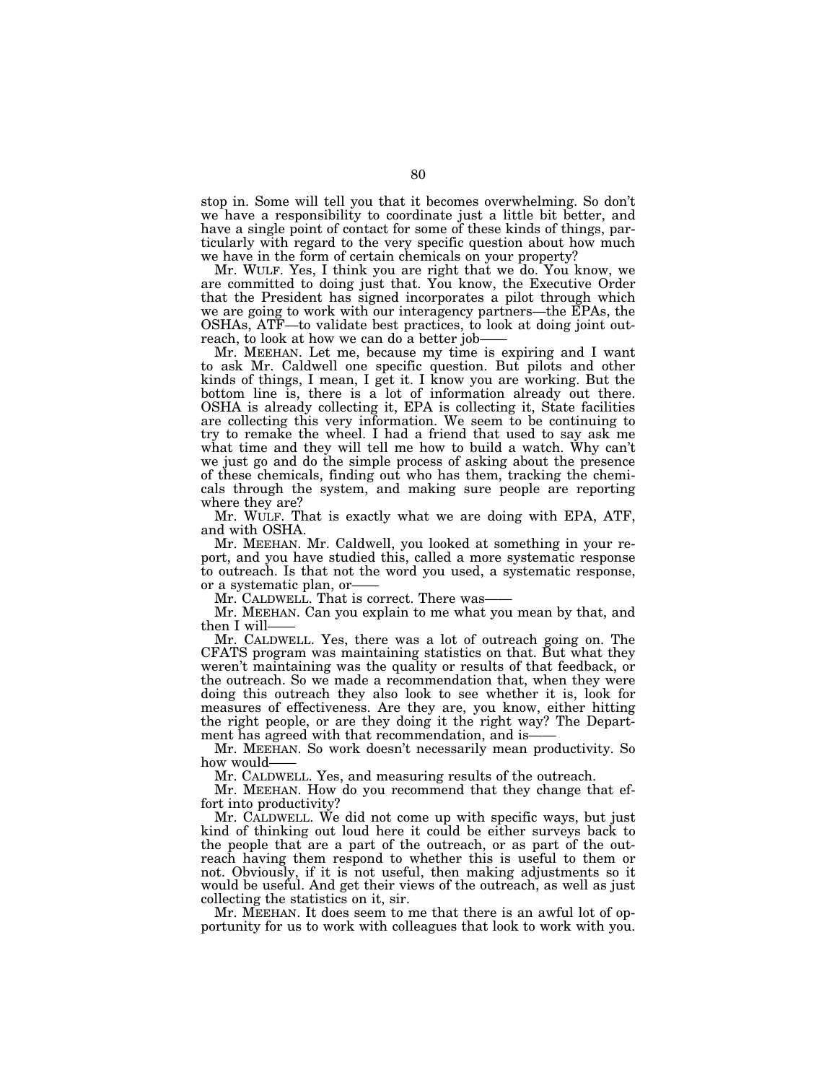stop in. Some will tell you that it becomes overwhelming. So don't we have a responsibility to coordinate just a little bit better, and have a single point of contact for some of these kinds of things, particularly with regard to the very specific question about how much we have in the form of certain chemicals on your property?

Mr. WULF. Yes, I think you are right that we do. You know, we are committed to doing just that. You know, the Executive Order that the President has signed incorporates a pilot through which we are going to work with our interagency partners—the EPAs, the OSHAs, ATF—to validate best practices, to look at doing joint outreach, to look at how we can do a better job-

Mr. MEEHAN. Let me, because my time is expiring and I want to ask Mr. Caldwell one specific question. But pilots and other kinds of things, I mean, I get it. I know you are working. But the bottom line is, there is a lot of information already out there. OSHA is already collecting it, EPA is collecting it, State facilities are collecting this very information. We seem to be continuing to try to remake the wheel. I had a friend that used to say ask me what time and they will tell me how to build a watch. Why can't we just go and do the simple process of asking about the presence of these chemicals, finding out who has them, tracking the chemicals through the system, and making sure people are reporting where they are?

Mr. WULF. That is exactly what we are doing with EPA, ATF, and with OSHA.

Mr. MEEHAN. Mr. Caldwell, you looked at something in your report, and you have studied this, called a more systematic response to outreach. Is that not the word you used, a systematic response, or a systematic plan, or——

Mr. CALDWELL. That is correct. There was——

Mr. MEEHAN. Can you explain to me what you mean by that, and then I will-

Mr. CALDWELL. Yes, there was a lot of outreach going on. The CFATS program was maintaining statistics on that. But what they weren't maintaining was the quality or results of that feedback, or the outreach. So we made a recommendation that, when they were doing this outreach they also look to see whether it is, look for measures of effectiveness. Are they are, you know, either hitting the right people, or are they doing it the right way? The Department has agreed with that recommendation, and is-

Mr. MEEHAN. So work doesn't necessarily mean productivity. So how would-

Mr. CALDWELL. Yes, and measuring results of the outreach.

Mr. MEEHAN. How do you recommend that they change that effort into productivity?

Mr. CALDWELL. We did not come up with specific ways, but just kind of thinking out loud here it could be either surveys back to the people that are a part of the outreach, or as part of the outreach having them respond to whether this is useful to them or not. Obviously, if it is not useful, then making adjustments so it would be useful. And get their views of the outreach, as well as just collecting the statistics on it, sir.

Mr. MEEHAN. It does seem to me that there is an awful lot of opportunity for us to work with colleagues that look to work with you.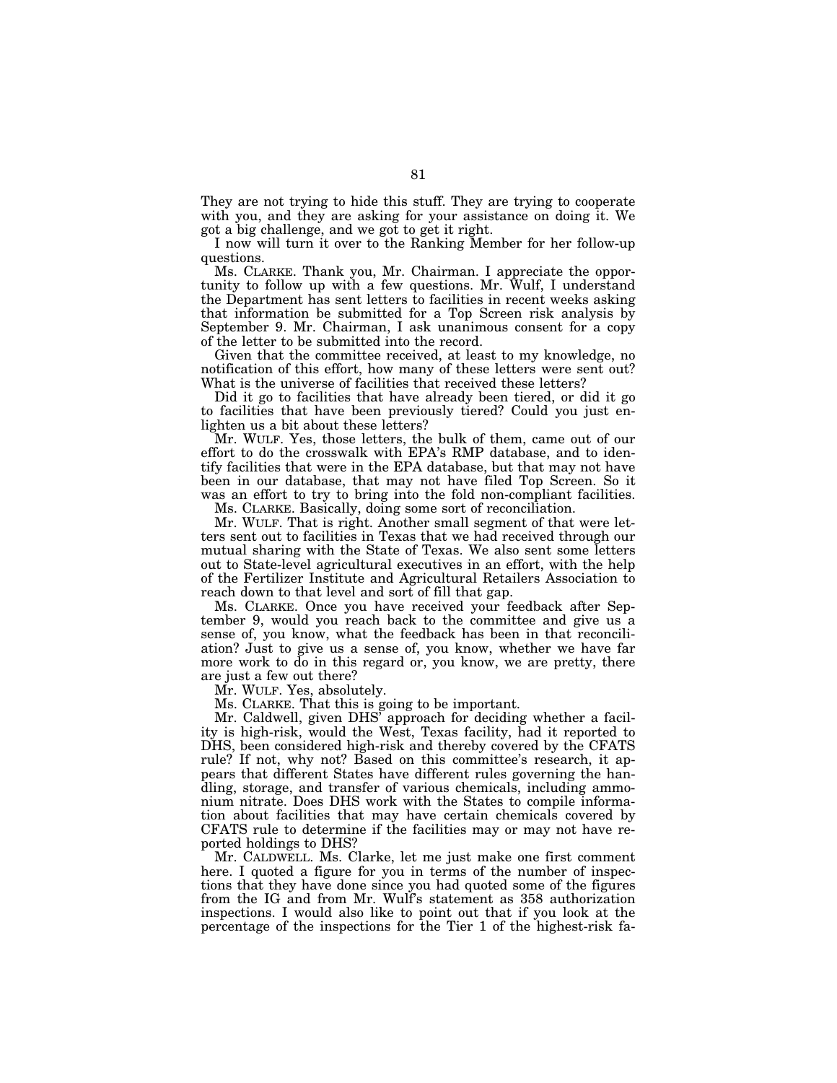They are not trying to hide this stuff. They are trying to cooperate with you, and they are asking for your assistance on doing it. We got a big challenge, and we got to get it right.

I now will turn it over to the Ranking Member for her follow-up questions.

Ms. CLARKE. Thank you, Mr. Chairman. I appreciate the opportunity to follow up with a few questions. Mr. Wulf, I understand the Department has sent letters to facilities in recent weeks asking that information be submitted for a Top Screen risk analysis by September 9. Mr. Chairman, I ask unanimous consent for a copy of the letter to be submitted into the record.

Given that the committee received, at least to my knowledge, no notification of this effort, how many of these letters were sent out? What is the universe of facilities that received these letters?

Did it go to facilities that have already been tiered, or did it go to facilities that have been previously tiered? Could you just enlighten us a bit about these letters?

Mr. WULF. Yes, those letters, the bulk of them, came out of our effort to do the crosswalk with EPA's RMP database, and to identify facilities that were in the EPA database, but that may not have been in our database, that may not have filed Top Screen. So it was an effort to try to bring into the fold non-compliant facilities.

Ms. CLARKE. Basically, doing some sort of reconciliation.

Mr. WULF. That is right. Another small segment of that were letters sent out to facilities in Texas that we had received through our mutual sharing with the State of Texas. We also sent some letters out to State-level agricultural executives in an effort, with the help of the Fertilizer Institute and Agricultural Retailers Association to reach down to that level and sort of fill that gap.

Ms. CLARKE. Once you have received your feedback after September 9, would you reach back to the committee and give us a sense of, you know, what the feedback has been in that reconciliation? Just to give us a sense of, you know, whether we have far more work to do in this regard or, you know, we are pretty, there are just a few out there?

Mr. WULF. Yes, absolutely.

Ms. CLARKE. That this is going to be important.

Mr. Caldwell, given DHS' approach for deciding whether a facility is high-risk, would the West, Texas facility, had it reported to DHS, been considered high-risk and thereby covered by the CFATS rule? If not, why not? Based on this committee's research, it appears that different States have different rules governing the handling, storage, and transfer of various chemicals, including ammonium nitrate. Does DHS work with the States to compile information about facilities that may have certain chemicals covered by CFATS rule to determine if the facilities may or may not have reported holdings to DHS?

Mr. CALDWELL. Ms. Clarke, let me just make one first comment here. I quoted a figure for you in terms of the number of inspections that they have done since you had quoted some of the figures from the IG and from Mr. Wulf's statement as 358 authorization inspections. I would also like to point out that if you look at the percentage of the inspections for the Tier 1 of the highest-risk fa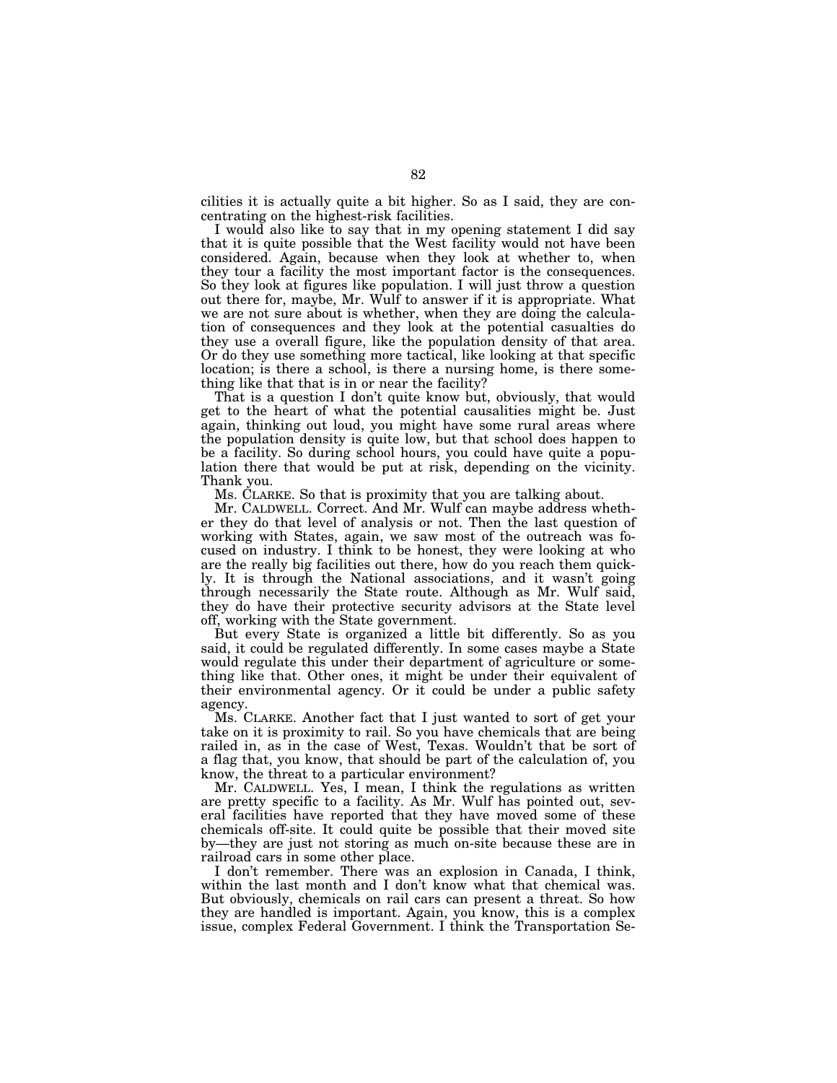cilities it is actually quite a bit higher. So as I said, they are concentrating on the highest-risk facilities.

I would also like to say that in my opening statement I did say that it is quite possible that the West facility would not have been considered. Again, because when they look at whether to, when they tour a facility the most important factor is the consequences. So they look at figures like population. I will just throw a question out there for, maybe, Mr. Wulf to answer if it is appropriate. What we are not sure about is whether, when they are doing the calculation of consequences and they look at the potential casualties do they use a overall figure, like the population density of that area. Or do they use something more tactical, like looking at that specific location; is there a school, is there a nursing home, is there something like that that is in or near the facility?

That is a question I don't quite know but, obviously, that would get to the heart of what the potential causalities might be. Just again, thinking out loud, you might have some rural areas where the population density is quite low, but that school does happen to be a facility. So during school hours, you could have quite a population there that would be put at risk, depending on the vicinity. Thank you.

Ms. CLARKE. So that is proximity that you are talking about.

Mr. CALDWELL. Correct. And Mr. Wulf can maybe address whether they do that level of analysis or not. Then the last question of working with States, again, we saw most of the outreach was focused on industry. I think to be honest, they were looking at who are the really big facilities out there, how do you reach them quickly. It is through the National associations, and it wasn't going through necessarily the State route. Although as Mr. Wulf said, they do have their protective security advisors at the State level off, working with the State government.

But every State is organized a little bit differently. So as you said, it could be regulated differently. In some cases maybe a State would regulate this under their department of agriculture or something like that. Other ones, it might be under their equivalent of their environmental agency. Or it could be under a public safety agency.

Ms. CLARKE. Another fact that I just wanted to sort of get your take on it is proximity to rail. So you have chemicals that are being railed in, as in the case of West, Texas. Wouldn't that be sort of a flag that, you know, that should be part of the calculation of, you know, the threat to a particular environment?

Mr. CALDWELL. Yes, I mean, I think the regulations as written are pretty specific to a facility. As Mr. Wulf has pointed out, several facilities have reported that they have moved some of these chemicals off-site. It could quite be possible that their moved site by—they are just not storing as much on-site because these are in railroad cars in some other place.

I don't remember. There was an explosion in Canada, I think, within the last month and I don't know what that chemical was. But obviously, chemicals on rail cars can present a threat. So how they are handled is important. Again, you know, this is a complex issue, complex Federal Government. I think the Transportation Se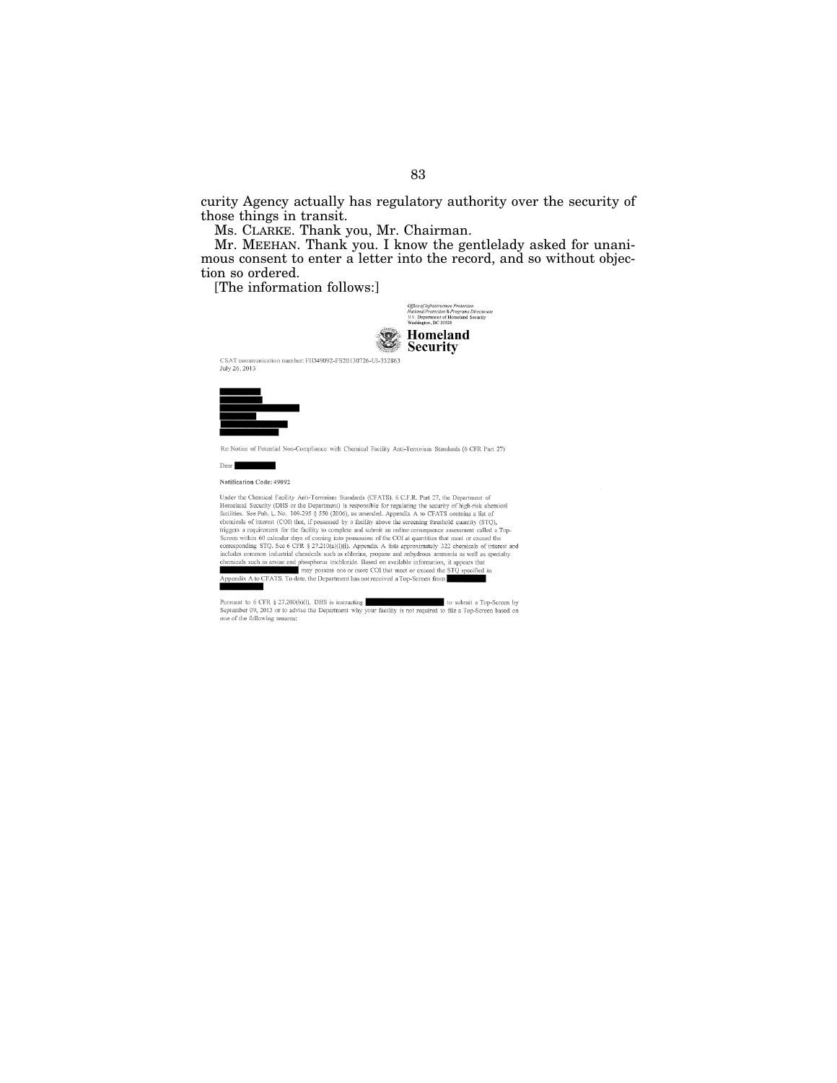curity Agency actually has regulatory authority over the security of those things in transit.

Ms. CLARKE. Thank you, Mr. Chairman.

Mr. MEEHAN. Thank you. I know the gentlelady asked for unanimous consent to enter a letter into the record, and so without objection so ordered.

[The information follows:]



83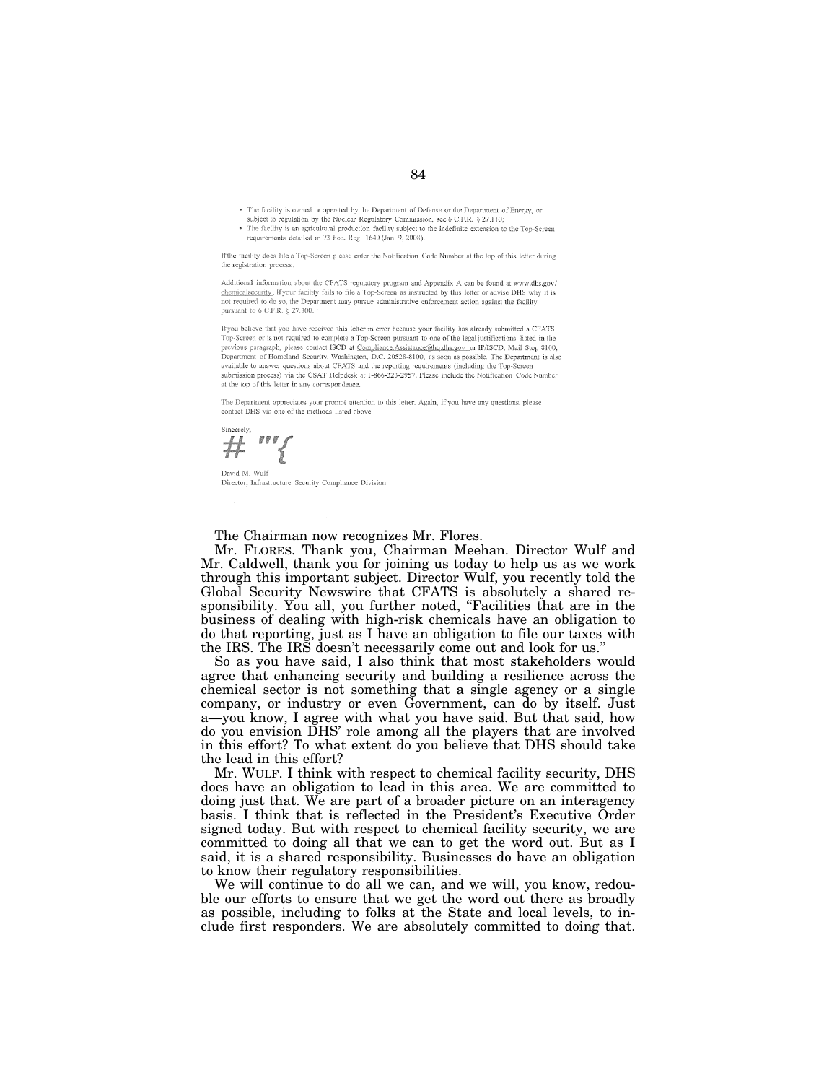- The facility is owned or operated by the Department of Defense or the Department of Energy, or
- subject to regulation by the Nuclear Regulatory Commission, see 6 C.F.R. § 27.110;<br>The facility is an agricultural production facility subject to the indefinite extension to the Top-Screen requirements detailed in 73 Fed. Reg. 1640 (Jan. 9, 2008).

If the facility does file a Top-Screen please enter the Notification Code Number at the top of this letter during the registration process

Additional information about the CFATS regulatory program and Appendix A can be found at www.dhs.gov/ chemicalsecurity. If your facility fails to file a Top-Screen as instructed by this letter or advise DHS why it is not required to do so, the Department may pursue administrative enforcement action against the facility pursuant to 6 C.F.R. § 27.300.

If you believe that you have received this letter in error because your facility has already submitted a CFATS Top-Screen or is not required to complete a Top-Screen pursuant to one of the legal justifications listed in the previous paragraph, please contact ISCD at Compliance.Assistance@hq.dhs.gov\_or IP/ISCD, Mail Stop 8100, Department of Homeland Security, Washington, D.C. 20528-8100, as soon as possible. The Department is also available to answer questions about CFATS and the reporting requirements (including the Top-Screen submission process) via the CSAT Helpdesk at 1-866-323-2957. Please include the Notification Code Number at the top of this letter in any correspondence.

The Department appreciates your prompt attention to this letter. Again, if you have any questions, please contact DHS via one of the methods listed above.

 $\mathbb{Z}$ #

David M. Wulf Director, Infrastructure Security Compliance Division

The Chairman now recognizes Mr. Flores.

Mr. FLORES. Thank you, Chairman Meehan. Director Wulf and Mr. Caldwell, thank you for joining us today to help us as we work through this important subject. Director Wulf, you recently told the Global Security Newswire that CFATS is absolutely a shared responsibility. You all, you further noted, ''Facilities that are in the business of dealing with high-risk chemicals have an obligation to do that reporting, just as I have an obligation to file our taxes with the IRS. The IRS doesn't necessarily come out and look for us.''

So as you have said, I also think that most stakeholders would agree that enhancing security and building a resilience across the chemical sector is not something that a single agency or a single company, or industry or even Government, can do by itself. Just a—you know, I agree with what you have said. But that said, how do you envision DHS' role among all the players that are involved in this effort? To what extent do you believe that DHS should take the lead in this effort?

Mr. WULF. I think with respect to chemical facility security, DHS does have an obligation to lead in this area. We are committed to doing just that. We are part of a broader picture on an interagency basis. I think that is reflected in the President's Executive Order signed today. But with respect to chemical facility security, we are committed to doing all that we can to get the word out. But as I said, it is a shared responsibility. Businesses do have an obligation to know their regulatory responsibilities.

We will continue to do all we can, and we will, you know, redouble our efforts to ensure that we get the word out there as broadly as possible, including to folks at the State and local levels, to include first responders. We are absolutely committed to doing that.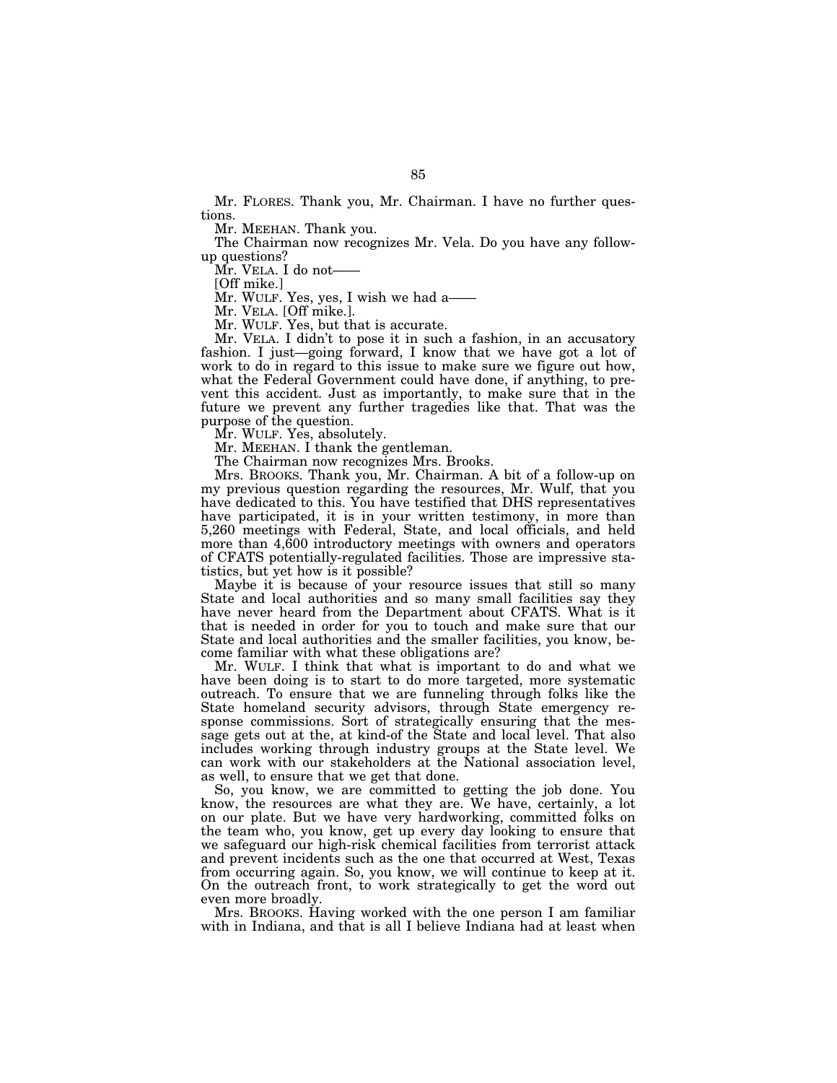Mr. FLORES. Thank you, Mr. Chairman. I have no further questions.

Mr. MEEHAN. Thank you.

The Chairman now recognizes Mr. Vela. Do you have any followup questions?

Mr. VELA. I do not——

[Off mike.]

Mr. WULF. Yes, yes, I wish we had a——

Mr. VELA. [Off mike.].

Mr. WULF. Yes, but that is accurate.

Mr. VELA. I didn't to pose it in such a fashion, in an accusatory fashion. I just—going forward, I know that we have got a lot of work to do in regard to this issue to make sure we figure out how, what the Federal Government could have done, if anything, to prevent this accident. Just as importantly, to make sure that in the future we prevent any further tragedies like that. That was the purpose of the question.

Mr. WULF. Yes, absolutely.

Mr. MEEHAN. I thank the gentleman.

The Chairman now recognizes Mrs. Brooks.

Mrs. BROOKS. Thank you, Mr. Chairman. A bit of a follow-up on my previous question regarding the resources, Mr. Wulf, that you have dedicated to this. You have testified that DHS representatives have participated, it is in your written testimony, in more than 5,260 meetings with Federal, State, and local officials, and held more than 4,600 introductory meetings with owners and operators of CFATS potentially-regulated facilities. Those are impressive statistics, but yet how is it possible?

Maybe it is because of your resource issues that still so many State and local authorities and so many small facilities say they have never heard from the Department about CFATS. What is it that is needed in order for you to touch and make sure that our State and local authorities and the smaller facilities, you know, become familiar with what these obligations are?

Mr. WULF. I think that what is important to do and what we have been doing is to start to do more targeted, more systematic outreach. To ensure that we are funneling through folks like the State homeland security advisors, through State emergency response commissions. Sort of strategically ensuring that the message gets out at the, at kind-of the State and local level. That also includes working through industry groups at the State level. We can work with our stakeholders at the National association level, as well, to ensure that we get that done.

So, you know, we are committed to getting the job done. You know, the resources are what they are. We have, certainly, a lot on our plate. But we have very hardworking, committed folks on the team who, you know, get up every day looking to ensure that we safeguard our high-risk chemical facilities from terrorist attack and prevent incidents such as the one that occurred at West, Texas from occurring again. So, you know, we will continue to keep at it. On the outreach front, to work strategically to get the word out even more broadly.

Mrs. BROOKS. Having worked with the one person I am familiar with in Indiana, and that is all I believe Indiana had at least when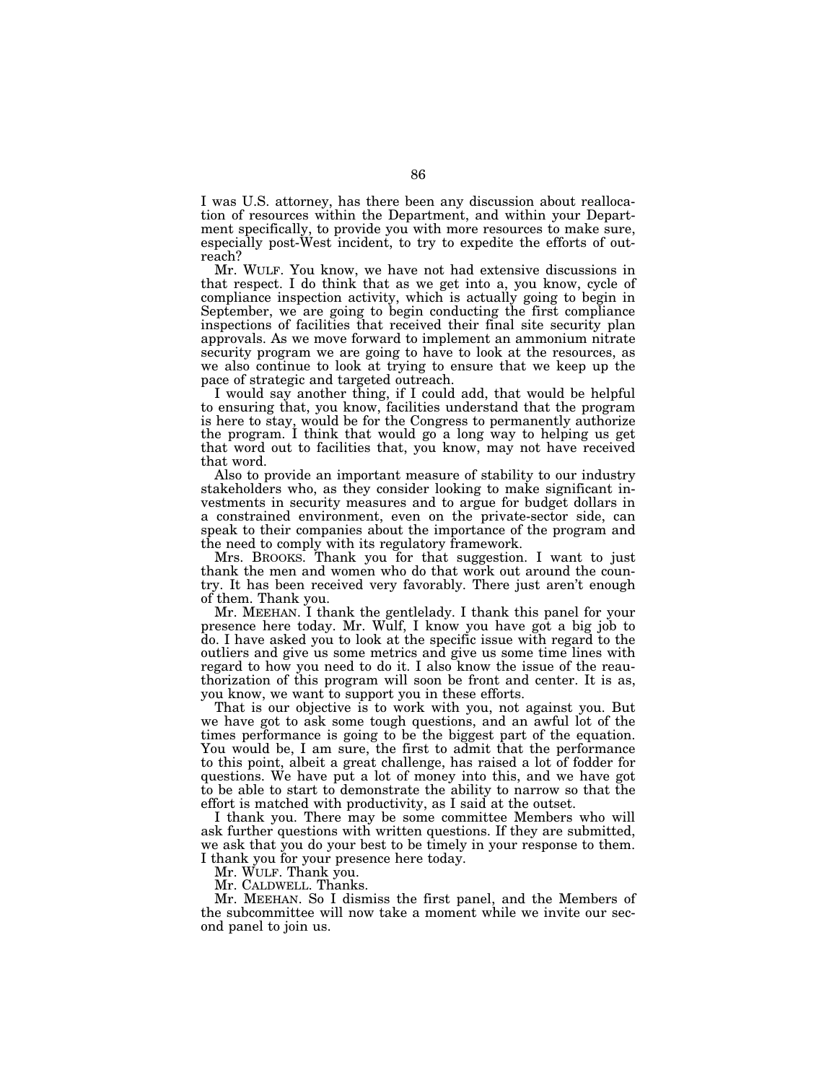I was U.S. attorney, has there been any discussion about reallocation of resources within the Department, and within your Department specifically, to provide you with more resources to make sure, especially post-West incident, to try to expedite the efforts of outreach?

Mr. WULF. You know, we have not had extensive discussions in that respect. I do think that as we get into a, you know, cycle of compliance inspection activity, which is actually going to begin in September, we are going to begin conducting the first compliance inspections of facilities that received their final site security plan approvals. As we move forward to implement an ammonium nitrate security program we are going to have to look at the resources, as we also continue to look at trying to ensure that we keep up the pace of strategic and targeted outreach.

I would say another thing, if I could add, that would be helpful to ensuring that, you know, facilities understand that the program is here to stay, would be for the Congress to permanently authorize the program. I think that would go a long way to helping us get that word out to facilities that, you know, may not have received that word.

Also to provide an important measure of stability to our industry stakeholders who, as they consider looking to make significant investments in security measures and to argue for budget dollars in a constrained environment, even on the private-sector side, can speak to their companies about the importance of the program and the need to comply with its regulatory framework.

Mrs. BROOKS. Thank you for that suggestion. I want to just thank the men and women who do that work out around the country. It has been received very favorably. There just aren't enough of them. Thank you.

Mr. MEEHAN. I thank the gentlelady. I thank this panel for your presence here today. Mr. Wulf, I know you have got a big job to do. I have asked you to look at the specific issue with regard to the outliers and give us some metrics and give us some time lines with regard to how you need to do it. I also know the issue of the reauthorization of this program will soon be front and center. It is as, you know, we want to support you in these efforts.

That is our objective is to work with you, not against you. But we have got to ask some tough questions, and an awful lot of the times performance is going to be the biggest part of the equation. You would be, I am sure, the first to admit that the performance to this point, albeit a great challenge, has raised a lot of fodder for questions. We have put a lot of money into this, and we have got to be able to start to demonstrate the ability to narrow so that the effort is matched with productivity, as I said at the outset.

I thank you. There may be some committee Members who will ask further questions with written questions. If they are submitted, we ask that you do your best to be timely in your response to them. I thank you for your presence here today.

Mr. WULF. Thank you.

Mr. CALDWELL. Thanks.

Mr. MEEHAN. So I dismiss the first panel, and the Members of the subcommittee will now take a moment while we invite our second panel to join us.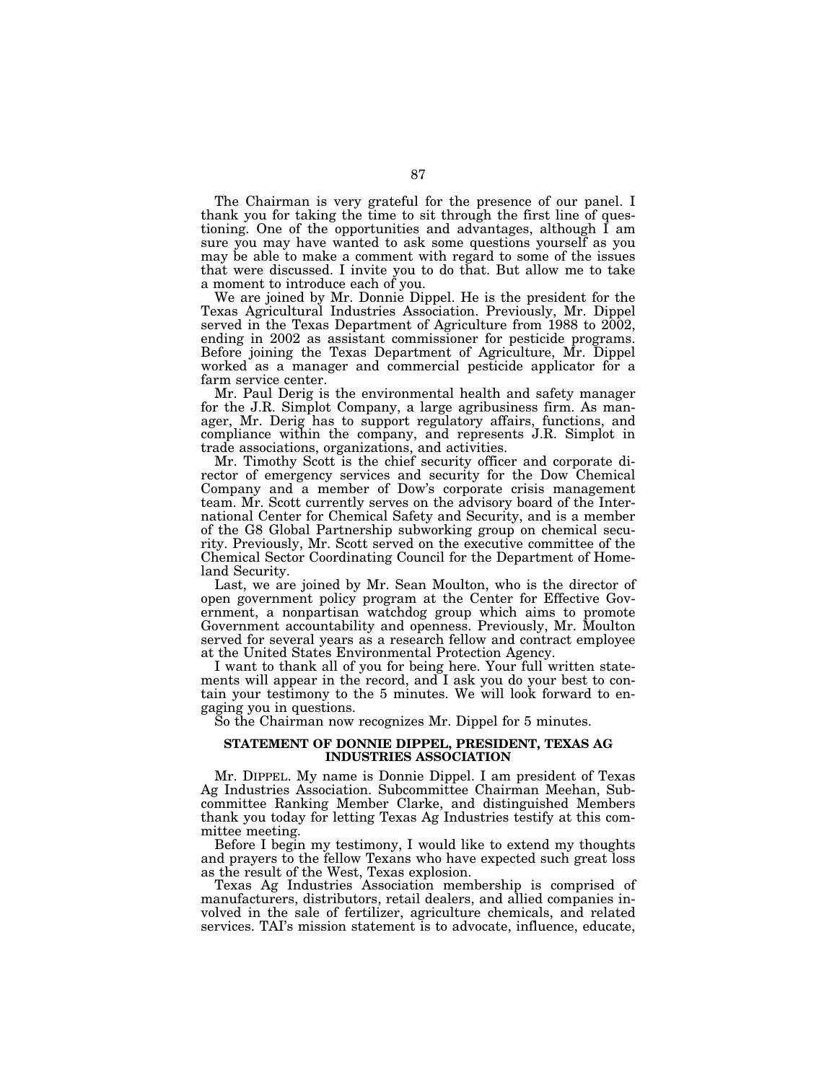The Chairman is very grateful for the presence of our panel. I thank you for taking the time to sit through the first line of questioning. One of the opportunities and advantages, although I am sure you may have wanted to ask some questions yourself as you may be able to make a comment with regard to some of the issues that were discussed. I invite you to do that. But allow me to take a moment to introduce each of you.

We are joined by Mr. Donnie Dippel. He is the president for the Texas Agricultural Industries Association. Previously, Mr. Dippel served in the Texas Department of Agriculture from 1988 to 2002, ending in 2002 as assistant commissioner for pesticide programs. Before joining the Texas Department of Agriculture, Mr. Dippel worked as a manager and commercial pesticide applicator for a farm service center.

Mr. Paul Derig is the environmental health and safety manager for the J.R. Simplot Company, a large agribusiness firm. As manager, Mr. Derig has to support regulatory affairs, functions, and compliance within the company, and represents J.R. Simplot in trade associations, organizations, and activities.

Mr. Timothy Scott is the chief security officer and corporate director of emergency services and security for the Dow Chemical Company and a member of Dow's corporate crisis management team. Mr. Scott currently serves on the advisory board of the International Center for Chemical Safety and Security, and is a member of the G8 Global Partnership subworking group on chemical security. Previously, Mr. Scott served on the executive committee of the Chemical Sector Coordinating Council for the Department of Homeland Security.

Last, we are joined by Mr. Sean Moulton, who is the director of open government policy program at the Center for Effective Government, a nonpartisan watchdog group which aims to promote Government accountability and openness. Previously, Mr. Moulton served for several years as a research fellow and contract employee at the United States Environmental Protection Agency.

I want to thank all of you for being here. Your full written statements will appear in the record, and I ask you do your best to contain your testimony to the 5 minutes. We will look forward to engaging you in questions.

So the Chairman now recognizes Mr. Dippel for 5 minutes.

# **STATEMENT OF DONNIE DIPPEL, PRESIDENT, TEXAS AG INDUSTRIES ASSOCIATION**

Mr. DIPPEL. My name is Donnie Dippel. I am president of Texas Ag Industries Association. Subcommittee Chairman Meehan, Subcommittee Ranking Member Clarke, and distinguished Members thank you today for letting Texas Ag Industries testify at this committee meeting.

Before I begin my testimony, I would like to extend my thoughts and prayers to the fellow Texans who have expected such great loss as the result of the West, Texas explosion.

Texas Ag Industries Association membership is comprised of manufacturers, distributors, retail dealers, and allied companies involved in the sale of fertilizer, agriculture chemicals, and related services. TAI's mission statement is to advocate, influence, educate,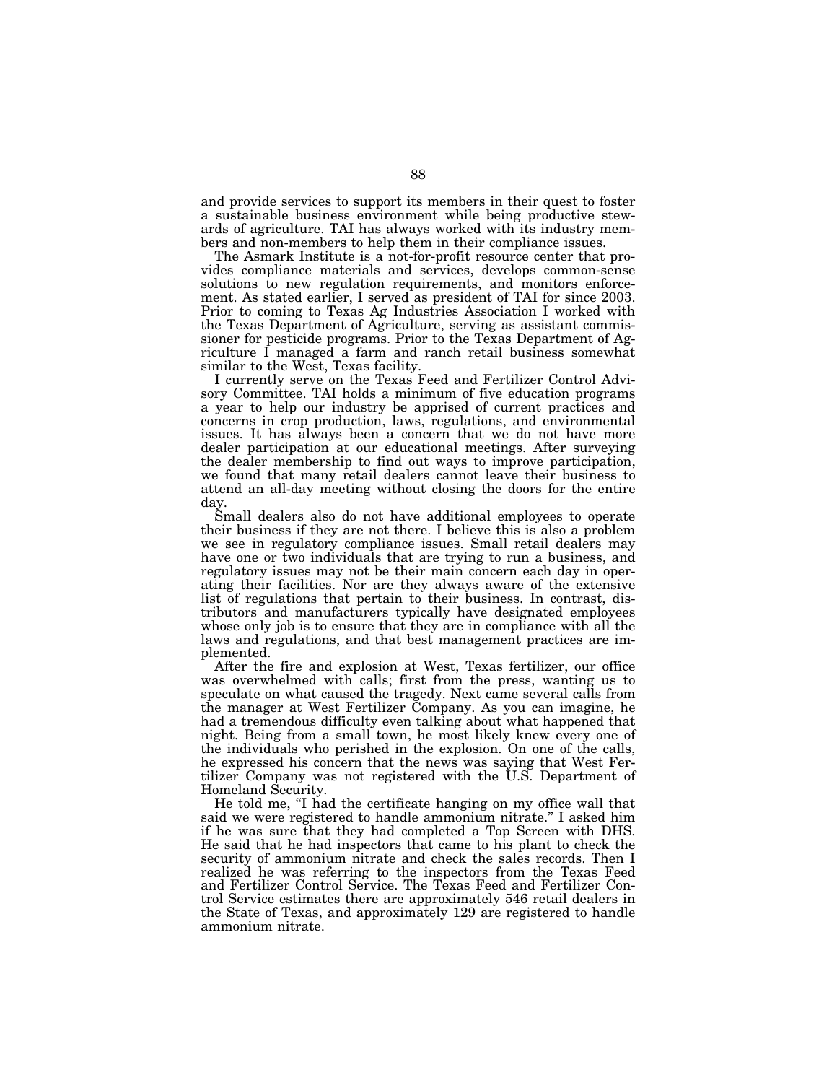and provide services to support its members in their quest to foster a sustainable business environment while being productive stewards of agriculture. TAI has always worked with its industry members and non-members to help them in their compliance issues.

The Asmark Institute is a not-for-profit resource center that provides compliance materials and services, develops common-sense solutions to new regulation requirements, and monitors enforcement. As stated earlier, I served as president of TAI for since 2003. Prior to coming to Texas Ag Industries Association I worked with the Texas Department of Agriculture, serving as assistant commissioner for pesticide programs. Prior to the Texas Department of Agriculture I managed a farm and ranch retail business somewhat similar to the West, Texas facility.

I currently serve on the Texas Feed and Fertilizer Control Advisory Committee. TAI holds a minimum of five education programs a year to help our industry be apprised of current practices and concerns in crop production, laws, regulations, and environmental issues. It has always been a concern that we do not have more dealer participation at our educational meetings. After surveying the dealer membership to find out ways to improve participation, we found that many retail dealers cannot leave their business to attend an all-day meeting without closing the doors for the entire day.

Small dealers also do not have additional employees to operate their business if they are not there. I believe this is also a problem we see in regulatory compliance issues. Small retail dealers may have one or two individuals that are trying to run a business, and regulatory issues may not be their main concern each day in operating their facilities. Nor are they always aware of the extensive list of regulations that pertain to their business. In contrast, distributors and manufacturers typically have designated employees whose only job is to ensure that they are in compliance with all the laws and regulations, and that best management practices are implemented.

After the fire and explosion at West, Texas fertilizer, our office was overwhelmed with calls; first from the press, wanting us to speculate on what caused the tragedy. Next came several calls from the manager at West Fertilizer Company. As you can imagine, he had a tremendous difficulty even talking about what happened that night. Being from a small town, he most likely knew every one of the individuals who perished in the explosion. On one of the calls, he expressed his concern that the news was saying that West Fertilizer Company was not registered with the U.S. Department of Homeland Security.

He told me, "I had the certificate hanging on my office wall that said we were registered to handle ammonium nitrate.'' I asked him if he was sure that they had completed a Top Screen with DHS. He said that he had inspectors that came to his plant to check the security of ammonium nitrate and check the sales records. Then I realized he was referring to the inspectors from the Texas Feed and Fertilizer Control Service. The Texas Feed and Fertilizer Control Service estimates there are approximately 546 retail dealers in the State of Texas, and approximately 129 are registered to handle ammonium nitrate.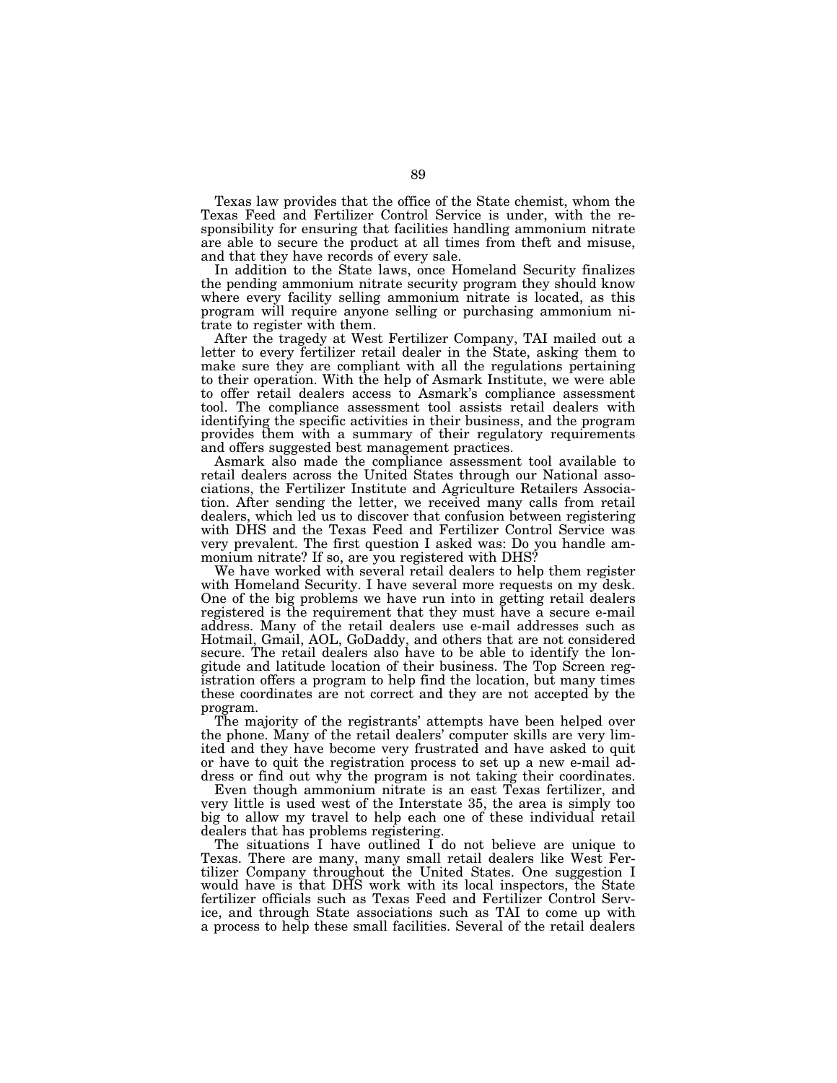Texas law provides that the office of the State chemist, whom the Texas Feed and Fertilizer Control Service is under, with the responsibility for ensuring that facilities handling ammonium nitrate are able to secure the product at all times from theft and misuse, and that they have records of every sale.

In addition to the State laws, once Homeland Security finalizes the pending ammonium nitrate security program they should know where every facility selling ammonium nitrate is located, as this program will require anyone selling or purchasing ammonium nitrate to register with them.

After the tragedy at West Fertilizer Company, TAI mailed out a letter to every fertilizer retail dealer in the State, asking them to make sure they are compliant with all the regulations pertaining to their operation. With the help of Asmark Institute, we were able to offer retail dealers access to Asmark's compliance assessment tool. The compliance assessment tool assists retail dealers with identifying the specific activities in their business, and the program provides them with a summary of their regulatory requirements and offers suggested best management practices.

Asmark also made the compliance assessment tool available to retail dealers across the United States through our National associations, the Fertilizer Institute and Agriculture Retailers Association. After sending the letter, we received many calls from retail dealers, which led us to discover that confusion between registering with DHS and the Texas Feed and Fertilizer Control Service was very prevalent. The first question I asked was: Do you handle ammonium nitrate? If so, are you registered with DHS?

We have worked with several retail dealers to help them register with Homeland Security. I have several more requests on my desk. One of the big problems we have run into in getting retail dealers registered is the requirement that they must have a secure e-mail address. Many of the retail dealers use e-mail addresses such as Hotmail, Gmail, AOL, GoDaddy, and others that are not considered secure. The retail dealers also have to be able to identify the longitude and latitude location of their business. The Top Screen registration offers a program to help find the location, but many times these coordinates are not correct and they are not accepted by the program.

The majority of the registrants' attempts have been helped over the phone. Many of the retail dealers' computer skills are very limited and they have become very frustrated and have asked to quit or have to quit the registration process to set up a new e-mail address or find out why the program is not taking their coordinates.

Even though ammonium nitrate is an east Texas fertilizer, and very little is used west of the Interstate 35, the area is simply too big to allow my travel to help each one of these individual retail dealers that has problems registering.

The situations I have outlined I do not believe are unique to Texas. There are many, many small retail dealers like West Fertilizer Company throughout the United States. One suggestion I would have is that DHS work with its local inspectors, the State fertilizer officials such as Texas Feed and Fertilizer Control Service, and through State associations such as TAI to come up with a process to help these small facilities. Several of the retail dealers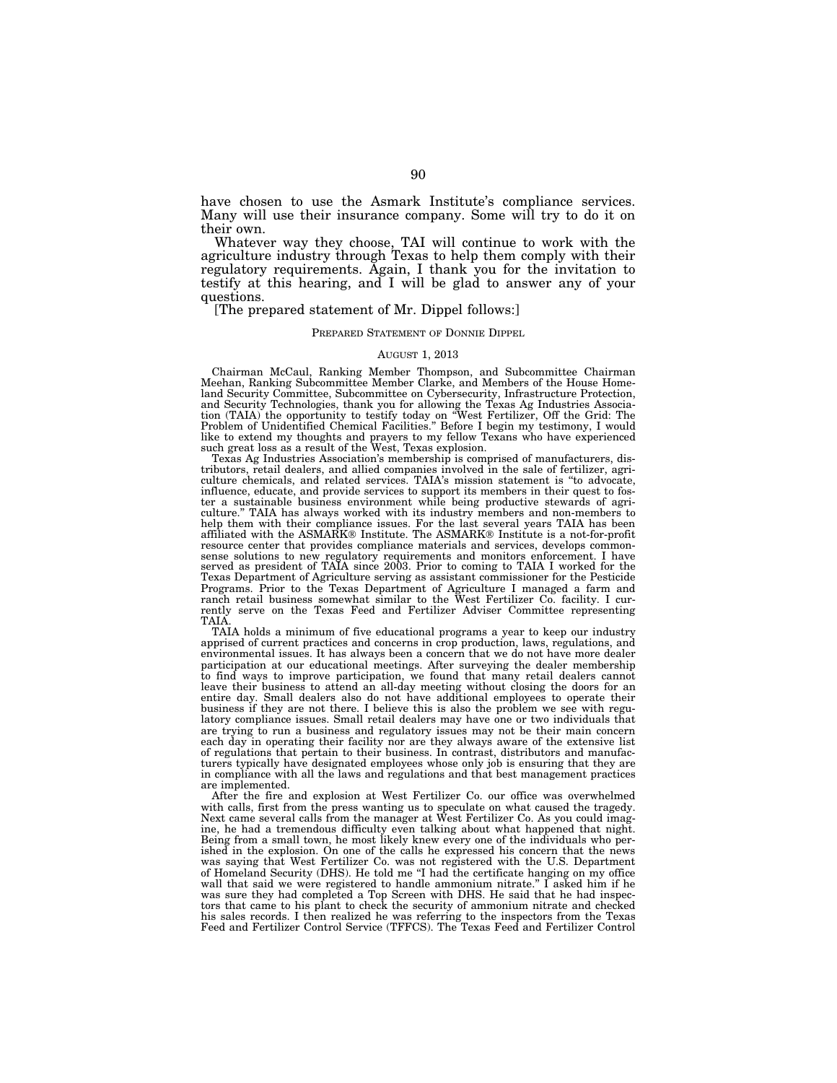have chosen to use the Asmark Institute's compliance services. Many will use their insurance company. Some will try to do it on their own.

Whatever way they choose, TAI will continue to work with the agriculture industry through Texas to help them comply with their regulatory requirements. Again, I thank you for the invitation to testify at this hearing, and I will be glad to answer any of your questions.

## [The prepared statement of Mr. Dippel follows:]

#### PREPARED STATEMENT OF DONNIE DIPPEL

### AUGUST 1, 2013

Chairman McCaul, Ranking Member Thompson, and Subcommittee Chairman Meehan, Ranking Subcommittee Member Clarke, and Members of the House Homeland Security Committee, Subcommittee on Cybersecurity, Infrastructure Protection, and Security Technologies, thank you for allowing the Texas Ag Industries Association (TAIA) the opportunity to testify today on "West Fertilizer, Off the Grid: The<br>Problem of Unidentified Chemical Facilities." Before I be like to extend my thoughts and prayers to my fellow Texans who have experienced such great loss as a result of the West, Texas explosion.

Texas Ag Industries Association's membership is comprised of manufacturers, distributors, retail dealers, and allied companies involved in the sale of fertilizer, agriculture chemicals, and related services. TAIA's mission statement is ''to advocate, influence, educate, and provide services to support its members in their quest to foster a sustainable business environment while being productive stewards of agri-culture.'' TAIA has always worked with its industry members and non-members to help them with their compliance issues. For the last several years TAIA has been affiliated with the ASMARK® Institute. The ASMARK® Institute is a not-for-profit resource center that provides compliance materials and services, develops commonsense solutions to new regulatory requirements and monitors enforcement. I have served as president of TAIA since 2003. Prior to coming to TAIA I worked for the Texas Department of Agriculture serving as assistant commissioner for the Pesticide Programs. Prior to the Texas Department of Agriculture I managed a farm and ranch retail business somewhat similar to the West Fertilizer Co. facility. I curranch retail business somewhat similar to the West Fertilizer Co. facility. I currently serve on the Texas Feed and Fertilizer Adviser Committee representing TAIA.

TAIA holds a minimum of five educational programs a year to keep our industry apprised of current practices and concerns in crop production, laws, regulations, and environmental issues. It has always been a concern that we do not have more dealer participation at our educational meetings. After surveying the dealer membership to find ways to improve participation, we found that many retail dealers cannot leave their business to attend an all-day meeting without closing the doors for an entire day. Small dealers also do not have additional employees to operate their business if they are not there. I believe this is also the problem we see with regulatory compliance issues. Small retail dealers may have one or two individuals that are trying to run a business and regulatory issues may not be their main concern each day in operating their facility nor are they always aware of the extensive list of regulations that pertain to their business. In contrast, distributors and manufacturers typically have designated employees whose only job is ensuring that they are in compliance with all the laws and regulations and that best management practices are implemented.

After the fire and explosion at West Fertilizer Co. our office was overwhelmed with calls, first from the press wanting us to speculate on what caused the tragedy. Next came several calls from the manager at West Fertilizer Co. As you could imagine, he had a tremendous difficulty even talking about what happened that night. Being from a small town, he most likely knew every one of the individuals who perished in the explosion. On one of the calls he expressed his concern that the news was saying that West Fertilizer Co. was not registered with the U.S. Department of Homeland Security (DHS). He told me ''I had the certificate hanging on my office wall that said we were registered to handle ammonium nitrate.'' I asked him if he was sure they had completed a Top Screen with DHS. He said that he had inspectors that came to his plant to check the security of ammonium nitrate and checked his sales records. I then realized he was referring to the inspectors from the Texas Feed and Fertilizer Control Service (TFFCS). The Texas Feed and Fertilizer Control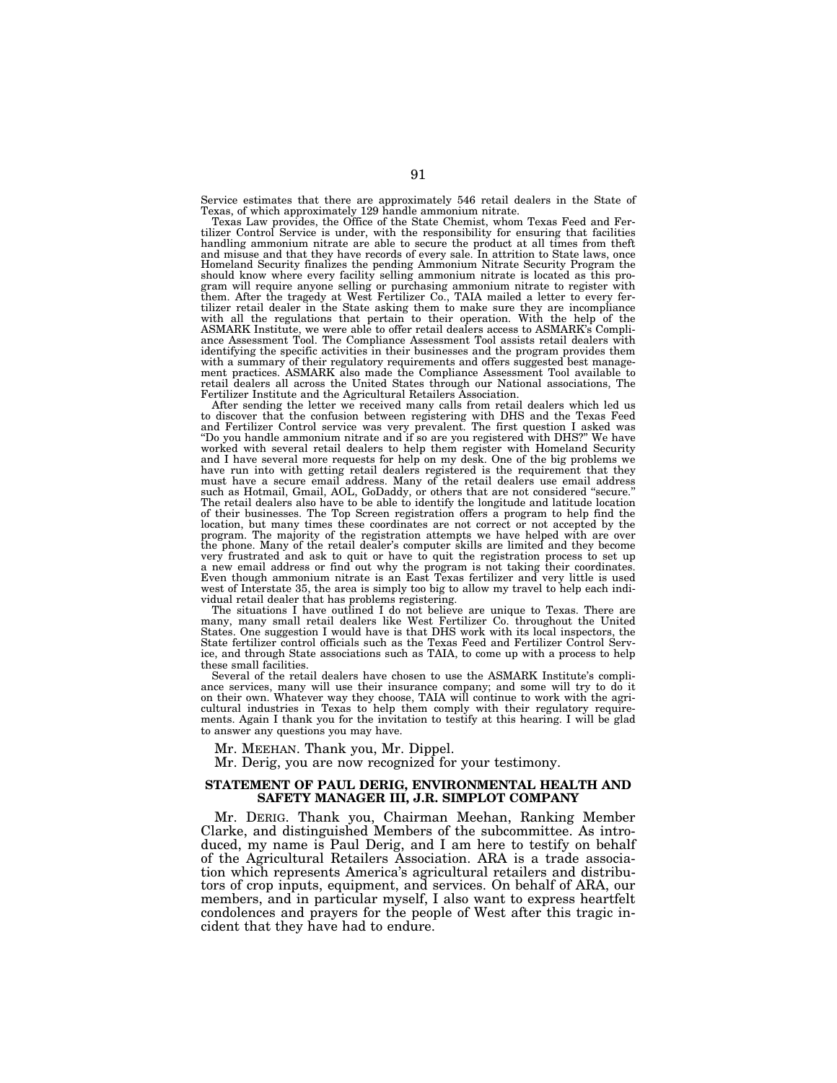Service estimates that there are approximately 546 retail dealers in the State of Texas, of which approximately 129 handle ammonium nitrate.

Texas Law provides, the Office of the State Chemist, whom Texas Feed and Fertilizer Control Service is under, with the responsibility for ensuring that facilities handling ammonium nitrate are able to secure the product at all times from theft and misuse and that they have records of every sale. In attrition to State laws, once Homeland Security finalizes the pending Ammonium Nitrate Security Program the should know where every facility selling ammonium nitrate is located as this program will require anyone selling or purchasing ammonium nitrate to register with them. After the tragedy at West Fertilizer Co., TAIA mailed a letter to every fertilizer retail dealer in the State asking them to make sure they are incompliance with all the regulations that pertain to their operation. With the help of the ASMARK Institute, we were able to offer retail dealers access to ASMARK's Compliance Assessment Tool. The Compliance Assessment Tool assists retail dealers with identifying the specific activities in their businesses and the program provides them with a summary of their regulatory requirements and offers suggested best manage-ment practices. ASMARK also made the Compliance Assessment Tool available to retail dealers all across the United States through our National associations, The Fertilizer Institute and the Agricultural Retailers Association.

After sending the letter we received many calls from retail dealers which led us<br>to discover that the confusion between registering with DHS and the Texas Feed<br>and Fertilizer Control service was very prevalent. The first q worked with several retail dealers to help them register with Homeland Security and I have several more requests for help on my desk. One of the big problems we have run into with getting retail dealers registered is the requirement that they must have a secure email address. Many of the retail dealers use email address such as Hotmail, Gmail, AOL, GoDaddy, or others that are not considered ''secure.'' The retail dealers also have to be able to identify the longitude and latitude location of their businesses. The Top Screen registration offers a program to help find the location, but many times these coordinates are not correct or not accepted by the program. The majority of the registration attempts we have helped with are over the phone. Many of the retail dealer's computer skills are limited and they become very frustrated and ask to quit or have to quit the registration process to set up<br>a new email address or find out why the program is not taking their coordinates.<br>Even though ammonium nitrate is an East Texas fertilizer a west of Interstate 35, the area is simply too big to allow my travel to help each indi-

vidual retail dealer that has problems registering. The situations I have outlined I do not believe are unique to Texas. There are many, many small retail dealers like West Fertilizer Co. throughout the United States. One suggestion I would have is that DHS work with its local inspectors, the State fertilizer control officials such as the Texas Feed and Fertilizer Control Service, and through State associations such as TAIA, to come up with a process to help these small facilities.

Several of the retail dealers have chosen to use the ASMARK Institute's compliance services, many will use their insurance company; and some will try to do it on their own. Whatever way they choose, TAIA will continue to work with the agricultural industries in Texas to help them comply with their regulatory requirements. Again I thank you for the invitation to testify at this hearing. I will be glad to answer any questions you may have.

Mr. MEEHAN. Thank you, Mr. Dippel.

Mr. Derig, you are now recognized for your testimony.

# **STATEMENT OF PAUL DERIG, ENVIRONMENTAL HEALTH AND SAFETY MANAGER III, J.R. SIMPLOT COMPANY**

Mr. DERIG. Thank you, Chairman Meehan, Ranking Member Clarke, and distinguished Members of the subcommittee. As introduced, my name is Paul Derig, and I am here to testify on behalf of the Agricultural Retailers Association. ARA is a trade association which represents America's agricultural retailers and distributors of crop inputs, equipment, and services. On behalf of ARA, our members, and in particular myself, I also want to express heartfelt condolences and prayers for the people of West after this tragic incident that they have had to endure.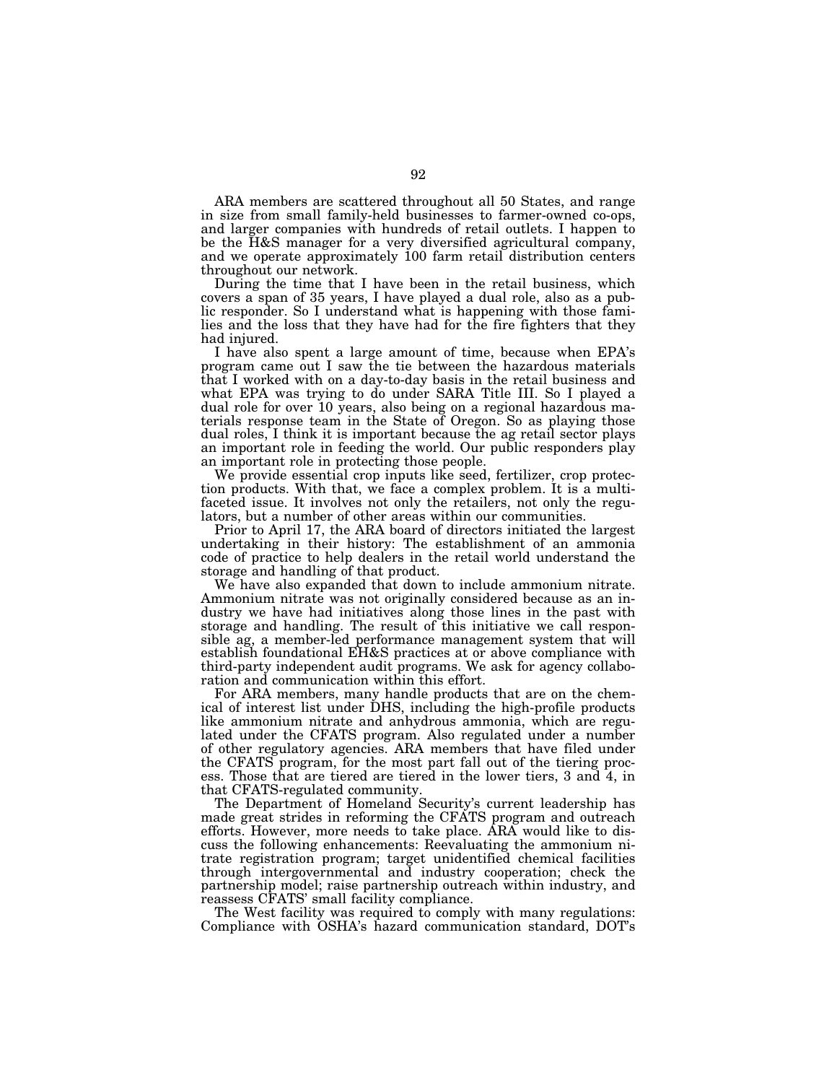ARA members are scattered throughout all 50 States, and range in size from small family-held businesses to farmer-owned co-ops, and larger companies with hundreds of retail outlets. I happen to be the H&S manager for a very diversified agricultural company, and we operate approximately 100 farm retail distribution centers throughout our network.

During the time that I have been in the retail business, which covers a span of 35 years, I have played a dual role, also as a public responder. So I understand what is happening with those families and the loss that they have had for the fire fighters that they had injured.

I have also spent a large amount of time, because when EPA's program came out I saw the tie between the hazardous materials that I worked with on a day-to-day basis in the retail business and what EPA was trying to do under SARA Title III. So I played a dual role for over 10 years, also being on a regional hazardous materials response team in the State of Oregon. So as playing those dual roles, I think it is important because the ag retail sector plays an important role in feeding the world. Our public responders play an important role in protecting those people.

We provide essential crop inputs like seed, fertilizer, crop protection products. With that, we face a complex problem. It is a multifaceted issue. It involves not only the retailers, not only the regulators, but a number of other areas within our communities.

Prior to April 17, the ARA board of directors initiated the largest undertaking in their history: The establishment of an ammonia code of practice to help dealers in the retail world understand the storage and handling of that product.

We have also expanded that down to include ammonium nitrate. Ammonium nitrate was not originally considered because as an industry we have had initiatives along those lines in the past with storage and handling. The result of this initiative we call responsible ag, a member-led performance management system that will establish foundational EH&S practices at or above compliance with third-party independent audit programs. We ask for agency collaboration and communication within this effort.

For ARA members, many handle products that are on the chemical of interest list under DHS, including the high-profile products like ammonium nitrate and anhydrous ammonia, which are regulated under the CFATS program. Also regulated under a number of other regulatory agencies. ARA members that have filed under the CFATS program, for the most part fall out of the tiering process. Those that are tiered are tiered in the lower tiers, 3 and 4, in that CFATS-regulated community.

The Department of Homeland Security's current leadership has made great strides in reforming the CFATS program and outreach efforts. However, more needs to take place. ARA would like to discuss the following enhancements: Reevaluating the ammonium nitrate registration program; target unidentified chemical facilities through intergovernmental and industry cooperation; check the partnership model; raise partnership outreach within industry, and reassess CFATS' small facility compliance.

The West facility was required to comply with many regulations: Compliance with OSHA's hazard communication standard, DOT's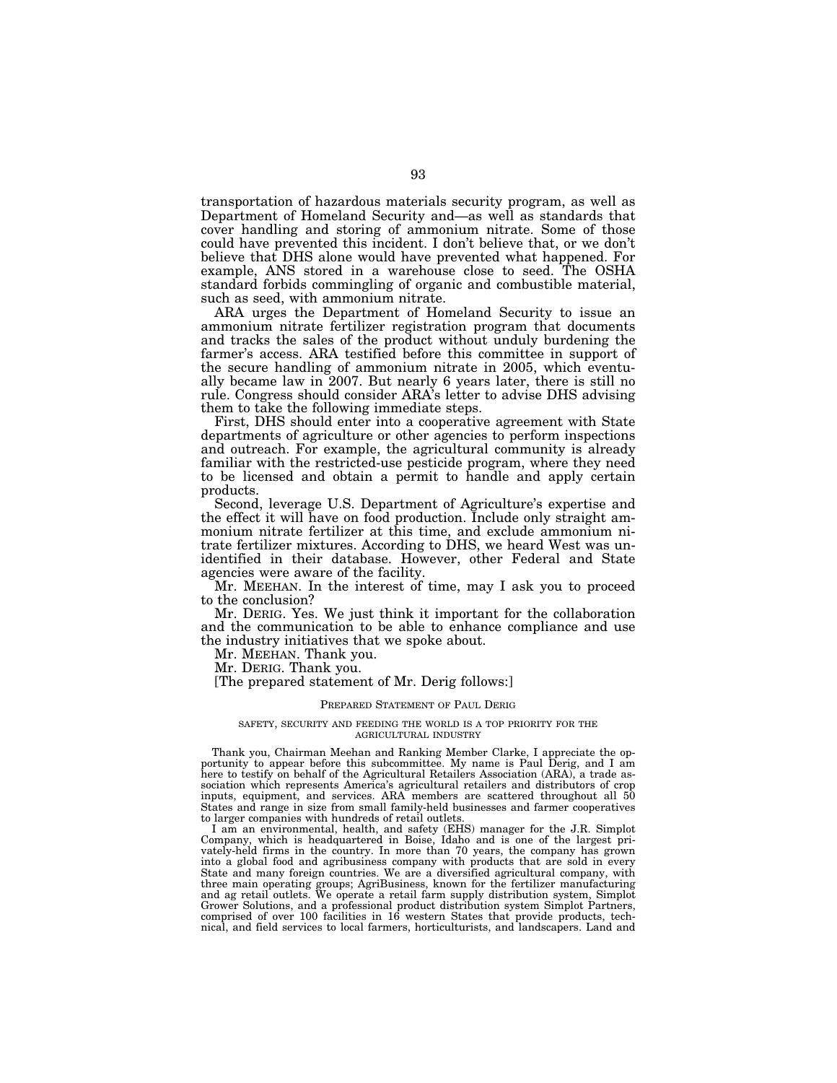transportation of hazardous materials security program, as well as Department of Homeland Security and—as well as standards that cover handling and storing of ammonium nitrate. Some of those could have prevented this incident. I don't believe that, or we don't believe that DHS alone would have prevented what happened. For example, ANS stored in a warehouse close to seed. The OSHA standard forbids commingling of organic and combustible material, such as seed, with ammonium nitrate.

ARA urges the Department of Homeland Security to issue an ammonium nitrate fertilizer registration program that documents and tracks the sales of the product without unduly burdening the farmer's access. ARA testified before this committee in support of the secure handling of ammonium nitrate in 2005, which eventually became law in 2007. But nearly 6 years later, there is still no rule. Congress should consider ARA's letter to advise DHS advising them to take the following immediate steps.

First, DHS should enter into a cooperative agreement with State departments of agriculture or other agencies to perform inspections and outreach. For example, the agricultural community is already familiar with the restricted-use pesticide program, where they need to be licensed and obtain a permit to handle and apply certain products.

Second, leverage U.S. Department of Agriculture's expertise and the effect it will have on food production. Include only straight ammonium nitrate fertilizer at this time, and exclude ammonium nitrate fertilizer mixtures. According to DHS, we heard West was unidentified in their database. However, other Federal and State agencies were aware of the facility.

Mr. MEEHAN. In the interest of time, may I ask you to proceed to the conclusion?

Mr. DERIG. Yes. We just think it important for the collaboration and the communication to be able to enhance compliance and use the industry initiatives that we spoke about.

Mr. MEEHAN. Thank you.

Mr. DERIG. Thank you.

[The prepared statement of Mr. Derig follows:]

#### PREPARED STATEMENT OF PAUL DERIG

#### SAFETY, SECURITY AND FEEDING THE WORLD IS A TOP PRIORITY FOR THE AGRICULTURAL INDUSTRY

Thank you, Chairman Meehan and Ranking Member Clarke, I appreciate the opportunity to appear before this subcommittee. My name is Paul Derig, and I am here to testify on behalf of the Agricultural Retailers Association (ARA), a trade association which represents America's agricultural retailers and distributors of crop inputs, equipment, and services. ARA members are scattered throughout all 50 States and range in size from small family-held businesses and farmer cooperatives to larger companies with hundreds of retail outlets.

I am an environmental, health, and safety (EHS) manager for the J.R. Simplot Company, which is headquartered in Boise, Idaho and is one of the largest privately-held firms in the country. In more than 70 years, the company has grown into a global food and agribusiness company with products that are sold in every State and many foreign countries. We are a diversified agricultural company, with three main operating groups; AgriBusiness, known for the fertilizer manufacturing and ag retail outlets. We operate a retail farm supply distribution system, Simplot Grower Solutions, and a professional product distribution system Simplot Partners, comprised of over 100 facilities in 16 western States that provide products, technical, and field services to local farmers, horticulturists, and landscapers. Land and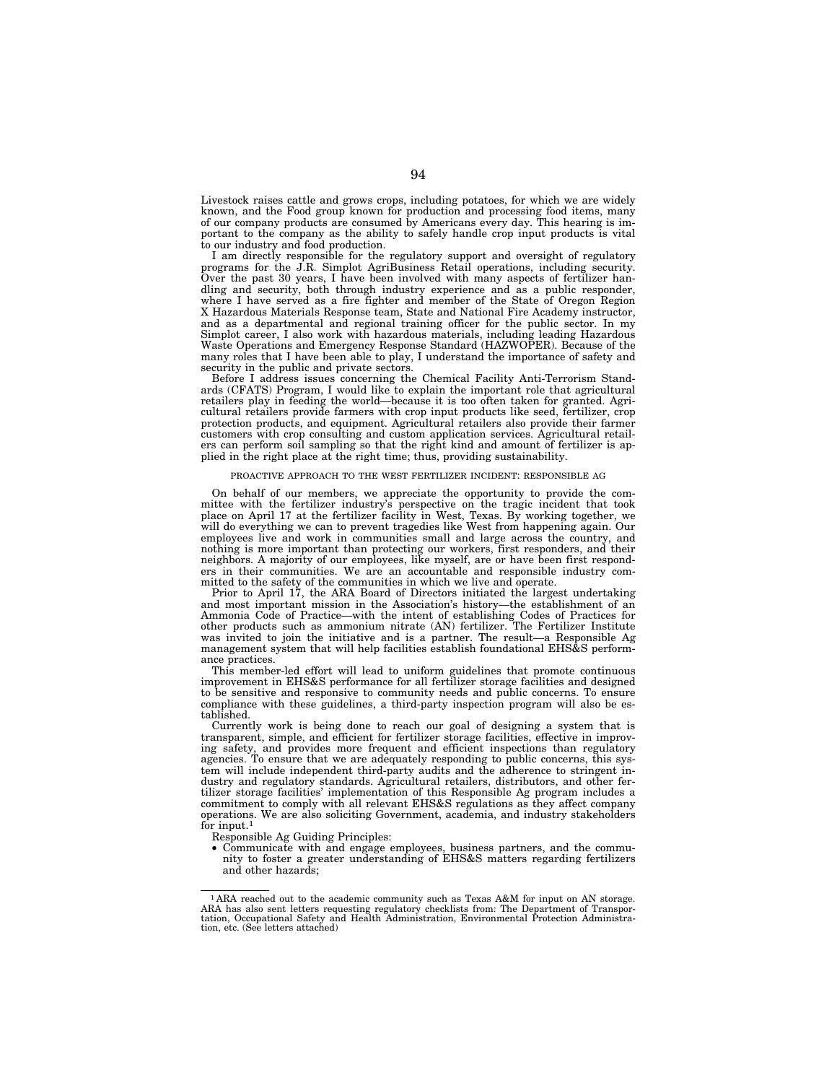Livestock raises cattle and grows crops, including potatoes, for which we are widely known, and the Food group known for production and processing food items, many of our company products are consumed by Americans every day. This hearing is important to the company as the ability to safely handle crop input products is vital to our industry and food production.

I am directly responsible for the regulatory support and oversight of regulatory programs for the J.R. Simplot AgriBusiness Retail operations, including security. Over the past 30 years, I have been involved with many aspects of fertilizer handling and security, both through industry experience and as a public responder, where I have served as a fire fighter and member of the State of Oregon Region X Hazardous Materials Response team, State and National Fire Academy instructor, and as a departmental and regional training officer for the public sector. In my Simplot career, I also work with hazardous materials, including leading Hazardous Waste Operations and Emergency Response Standard (HAZWOPER). Because of the many roles that I have been able to play, I understand the importance of safety and security in the public and private sectors.

Before I address issues concerning the Chemical Facility Anti-Terrorism Standards (CFATS) Program, I would like to explain the important role that agricultural retailers play in feeding the world—because it is too often taken for granted. Agricultural retailers provide farmers with crop input products like seed, fertilizer, crop protection products, and equipment. Agricultural retailers also provide their farmer customers with crop consulting and custom application services. Agricultural retailers can perform soil sampling so that the right kind and amount of fertilizer is applied in the right place at the right time; thus, providing sustainability.

#### PROACTIVE APPROACH TO THE WEST FERTILIZER INCIDENT: RESPONSIBLE AG

On behalf of our members, we appreciate the opportunity to provide the committee with the fertilizer industry's perspective on the tragic incident that took place on April 17 at the fertilizer facility in West, Texas. By working together, we will do everything we can to prevent tragedies like West from happening again. Our employees live and work in communities small and large across the country, and nothing is more important than protecting our workers, first responders, and their neighbors. A majority of our employees, like myself, are or have been first responders in their communities. We are an accountable and responsible industry committed to the safety of the communities in which we live and operate.

Prior to April 17, the ARA Board of Directors initiated the largest undertaking and most important mission in the Association's history—the establishment of an Ammonia Code of Practice—with the intent of establishing Codes of Practices for other products such as ammonium nitrate (AN) fertilizer. The Fertilizer Institute was invited to join the initiative and is a partner. The result—a Responsible Ag management system that will help facilities establish foundational EHS&S performance practices.

This member-led effort will lead to uniform guidelines that promote continuous improvement in EHS&S performance for all fertilizer storage facilities and designed to be sensitive and responsive to community needs and public concerns. To ensure compliance with these guidelines, a third-party inspection program will also be established.

Currently work is being done to reach our goal of designing a system that is transparent, simple, and efficient for fertilizer storage facilities, effective in improving safety, and provides more frequent and efficient inspections than regulatory agencies. To ensure that we are adequately responding to public concerns, this system will include independent third-party audits and the adherence to stringent industry and regulatory standards. Agricultural retailers, distributors, and other fertilizer storage facilities' implementation of this Responsible Ag program includes a commitment to comply with all relevant EHS&S regulations as they affect company operations. We are also soliciting Government, academia, and industry stakeholders for input. $1$ 

Responsible Ag Guiding Principles:

• Communicate with and engage employees, business partners, and the community to foster a greater understanding of EHS&S matters regarding fertilizers and other hazards;

<sup>1</sup> ARA reached out to the academic community such as Texas A&M for input on AN storage. ARA has also sent letters requesting regulatory checklists from: The Department of Transportation, Occupational Safety and Health Administration, Environmental Protection Administra-tion, etc. (See letters attached)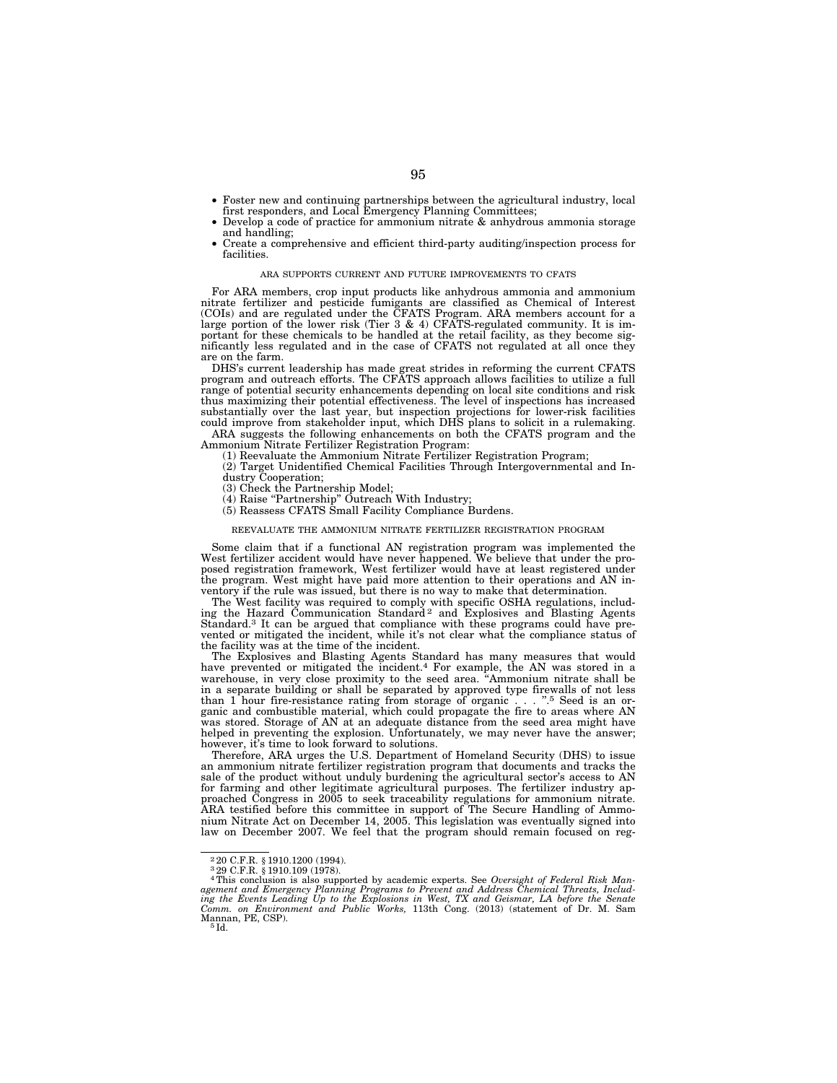- Foster new and continuing partnerships between the agricultural industry, local first responders, and Local Emergency Planning Committees;
- Develop a code of practice for ammonium nitrate & anhydrous ammonia storage and handling;
- Create a comprehensive and efficient third-party auditing/inspection process for facilities.

#### ARA SUPPORTS CURRENT AND FUTURE IMPROVEMENTS TO CFATS

For ARA members, crop input products like anhydrous ammonia and ammonium nitrate fertilizer and pesticide fumigants are classified as Chemical of Interest (COIs) and are regulated under the CFATS Program. ARA members account for a large portion of the lower risk (Tier 3 & 4) CFATS-regulated community. It is important for these chemicals to be handled at the retail facility, as they become significantly less regulated and in the case of CFATS not regulated at all once they are on the farm.

DHS's current leadership has made great strides in reforming the current CFATS program and outreach efforts. The CFATS approach allows facilities to utilize a full range of potential security enhancements depending on local site conditions and risk thus maximizing their potential effectiveness. The level of inspections has increased substantially over the last year, but inspection projections for lower-risk facilities could improve from stakeholder input, which DHS plans to solicit in a rulemaking.

ARA suggests the following enhancements on both the CFATS program and the Ammonium Nitrate Fertilizer Registration Program:

(1) Reevaluate the Ammonium Nitrate Fertilizer Registration Program;

- (2) Target Unidentified Chemical Facilities Through Intergovernmental and In-
- dustry Cooperation;
- (3) Check the Partnership Model;
- (4) Raise ''Partnership'' Outreach With Industry;
- (5) Reassess CFATS Small Facility Compliance Burdens.

#### REEVALUATE THE AMMONIUM NITRATE FERTILIZER REGISTRATION PROGRAM

Some claim that if a functional AN registration program was implemented the West fertilizer accident would have never happened. We believe that under the proposed registration framework, West fertilizer would have at least registered under the program. West might have paid more attention to their operations and AN inventory if the rule was issued, but there is no way to make that determination.

The West facility was required to comply with specific OSHA regulations, includ-ing the Hazard Communication Standard 2 and Explosives and Blasting Agents Standard.<sup>3</sup> It can be argued that compliance with these programs could have prevented or mitigated the incident, while it's not clear what the compliance status of the facility was at the time of the incident.

The Explosives and Blasting Agents Standard has many measures that would have prevented or mitigated the incident.4 For example, the AN was stored in a warehouse, in very close proximity to the seed area. ''Ammonium nitrate shall be in a separate building or shall be separated by approved type firewalls of not less than 1 hour fire-resistance rating from storage of organic . . . ''.5 Seed is an organic and combustible material, which could propagate the fire to areas where AN was stored. Storage of AN at an adequate distance from the seed area might have helped in preventing the explosion. Unfortunately, we may never have the answer; however, it's time to look forward to solutions.

Therefore, ARA urges the U.S. Department of Homeland Security (DHS) to issue an ammonium nitrate fertilizer registration program that documents and tracks the sale of the product without unduly burdening the agricultural sector's access to AN for farming and other legitimate agricultural purposes. The fertilizer industry approached Congress in 2005 to seek traceability regulations for ammonium nitrate. ARA testified before this committee in support of The Secure Handling of Ammonium Nitrate Act on December 14, 2005. This legislation was eventually signed into law on December 2007. We feel that the program should remain focused on reg-

<sup>2</sup> 20 C.F.R. § 1910.1200 (1994). 3 29 C.F.R. § 1910.109 (1978). 4This conclusion is also supported by academic experts. See *Oversight of Federal Risk Man*agement and Emergency Planning Programs to Prevent and Address Chemical Threats, Includ-<br>ing the Events Leading Up to the Explosions in West, TX and Geismar, LA before the Senate<br>Comm. on Environment and Public Works, 113t Mannan, PE, CSP).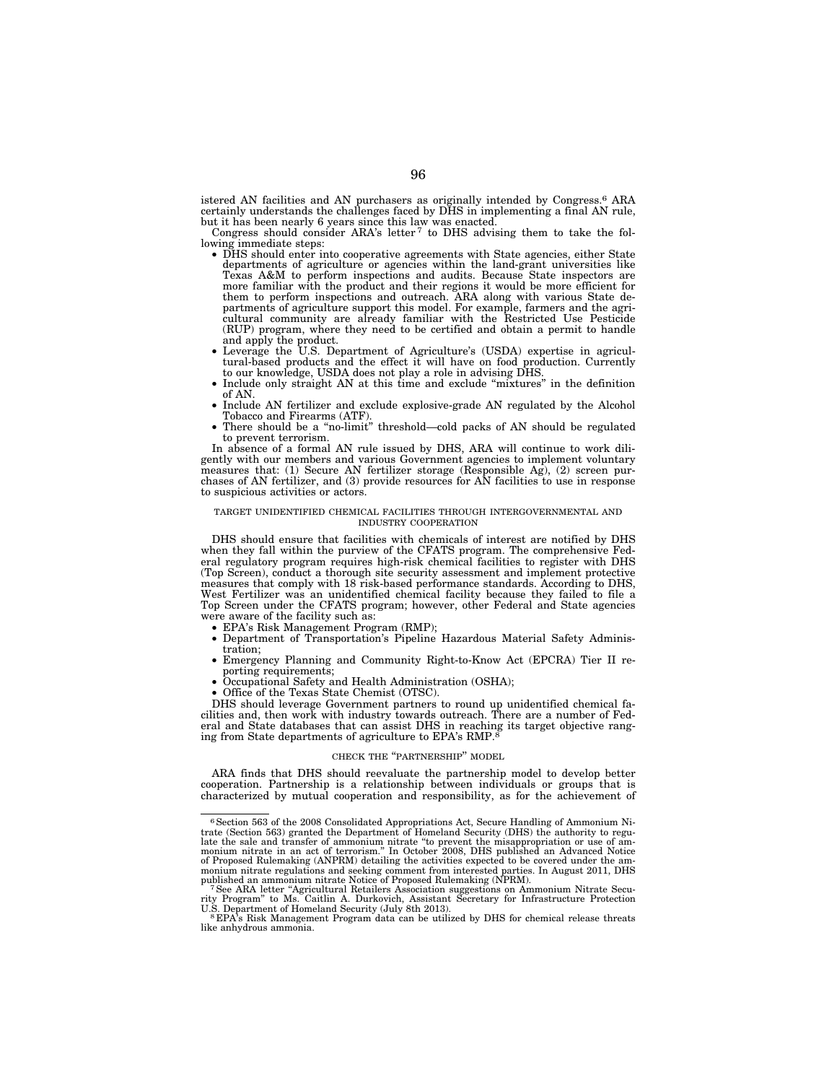istered AN facilities and AN purchasers as originally intended by Congress.6 ARA certainly understands the challenges faced by DHS in implementing a final AN rule,

but it has been nearly 6 years since this law was enacted.<br>Congress should consider ARA's letter<sup>7</sup> to DHS advising them to take the fol-

- lowing immediate steps: DHS should enter into cooperative agreements with State agencies, either State departments of agriculture or agencies within the land-grant universities like Texas A&M to perform inspections and audits. Because State inspectors are more familiar with the product and their regions it would be more efficient for them to perform inspections and outreach. ARA along with various State de-partments of agriculture support this model. For example, farmers and the agricultural community are already familiar with the Restricted Use Pesticide (RUP) program, where they need to be certified and obtain a permit to handle
	- and apply the product.<br>• Leverage the U.S. Department of Agriculture's (USDA) expertise in agricultural-based products and the effect it will have on food production. Currently to our knowledge, USDA does not play a role in advising DHS.
	- Include only straight AN at this time and exclude " $mixtures$ " in the definition of AN.
	- Include AN fertilizer and exclude explosive-grade AN regulated by the Alcohol Tobacco and Firearms (ATF).
	- There should be a "no-limit" threshold—cold packs of AN should be regulated to prevent terrorism.

In absence of a formal AN rule issued by DHS, ARA will continue to work dili-gently with our members and various Government agencies to implement voluntary measures that: (1) Secure AN fertilizer storage (Responsible Ag), (2) screen purchases of AN fertilizer, and (3) provide resources for AN facilities to use in response to suspicious activities or actors.

#### TARGET UNIDENTIFIED CHEMICAL FACILITIES THROUGH INTERGOVERNMENTAL AND INDUSTRY COOPERATION

DHS should ensure that facilities with chemicals of interest are notified by DHS when they fall within the purview of the CFATS program. The comprehensive Federal regulatory program requires high-risk chemical facilities to register with DHS (Top Screen), conduct a thorough site security assessment and implement protective measures that comply with 18 risk-based performance standards. According to DHS, West Fertilizer was an unidentified chemical facility because they failed to file a Top Screen under the CFATS program; however, other Federal and State agencies were aware of the facility such as:

- EPA's Risk Management Program (RMP);
- Department of Transportation's Pipeline Hazardous Material Safety Administration;
- Emergency Planning and Community Right-to-Know Act (EPCRA) Tier II reporting requirements;
- Occupational Safety and Health Administration (OSHA);
- Office of the Texas State Chemist (OTSC).

DHS should leverage Government partners to round up unidentified chemical facilities and, then work with industry towards outreach. There are a number of Federal and State databases that can assist DHS in reaching its target objective ranging from State departments of agriculture to EPA's RMP.<sup>8</sup>

#### CHECK THE ''PARTNERSHIP'' MODEL

ARA finds that DHS should reevaluate the partnership model to develop better cooperation. Partnership is a relationship between individuals or groups that is characterized by mutual cooperation and responsibility, as for the achievement of

<sup>6</sup>Section 563 of the 2008 Consolidated Appropriations Act, Secure Handling of Ammonium Nitrate (Section 563) granted the Department of Homeland Security (DHS) the authority to regu-<br>late the sale and transfer of ammonium nitrate "to prevent the misappropriation or use of am-<br>monium nitrate in an act of terrori of Proposed Rulemaking (ANPRM) detailing the activities expected to be covered under the ammonium nitrate regulations and seeking comment from intersted parties. In August 2011, DHS published an ammonium nitrate Notice of

The ARA letter "Agricultural Retailers Association suggestions on Ammonium Nitrate Security Program" to Ms. Caitlin A. Durkovich, Assistant Secretary for Infrastructure Protection U.S. Department of Homeland Security (July

<sup>&</sup>lt;sup>8</sup> EPA's Risk Management Program data can be utilized by DHS for chemical release threats like anhydrous ammonia.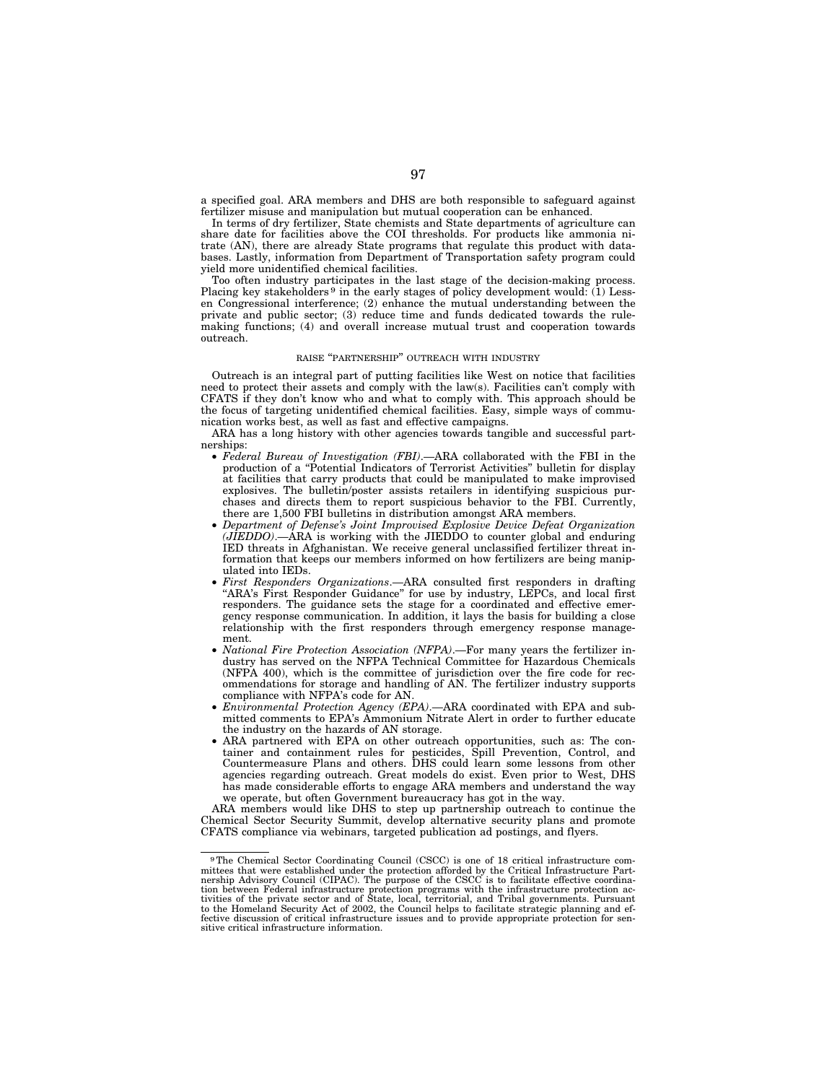a specified goal. ARA members and DHS are both responsible to safeguard against fertilizer misuse and manipulation but mutual cooperation can be enhanced.

In terms of dry fertilizer, State chemists and State departments of agriculture can share date for facilities above the COI thresholds. For products like ammonia nitrate (AN), there are already State programs that regulate this product with databases. Lastly, information from Department of Transportation safety program could yield more unidentified chemical facilities.

Too often industry participates in the last stage of the decision-making process. Placing key stakeholders<sup>9</sup> in the early stages of policy development would: (1) Lessen Congressional interference; (2) enhance the mutual understanding between the private and public sector; (3) reduce time and funds dedicated towards the rulemaking functions; (4) and overall increase mutual trust and cooperation towards outreach.

### RAISE ''PARTNERSHIP'' OUTREACH WITH INDUSTRY

Outreach is an integral part of putting facilities like West on notice that facilities need to protect their assets and comply with the law(s). Facilities can't comply with CFATS if they don't know who and what to comply with. This approach should be the focus of targeting unidentified chemical facilities. Easy, simple ways of communication works best, as well as fast and effective campaigns.

ARA has a long history with other agencies towards tangible and successful partnerships:

- *Federal Bureau of Investigation (FBI)*.—ARA collaborated with the FBI in the production of a ''Potential Indicators of Terrorist Activities'' bulletin for display at facilities that carry products that could be manipulated to make improvised explosives. The bulletin/poster assists retailers in identifying suspicious purchases and directs them to report suspicious behavior to the FBI. Currently, there are 1,500 FBI bulletins in distribution amongst ARA members.
- *Department of Defense's Joint Improvised Explosive Device Defeat Organization (JIEDDO)*.—ARA is working with the JIEDDO to counter global and enduring IED threats in Afghanistan. We receive general unclassified fertilizer threat information that keeps our members informed on how fertilizers are being manipulated into IEDs.
- *First Responders Organizations*.—ARA consulted first responders in drafting ''ARA's First Responder Guidance'' for use by industry, LEPCs, and local first responders. The guidance sets the stage for a coordinated and effective emergency response communication. In addition, it lays the basis for building a close relationship with the first responders through emergency response management.
- *National Fire Protection Association (NFPA)*.—For many years the fertilizer industry has served on the NFPA Technical Committee for Hazardous Chemicals (NFPA 400), which is the committee of jurisdiction over the fire code for recommendations for storage and handling of AN. The fertilizer industry supports compliance with NFPA's code for AN.
- *Environmental Protection Agency (EPA)*.—ARA coordinated with EPA and submitted comments to EPA's Ammonium Nitrate Alert in order to further educate the industry on the hazards of AN storage.
- ARA partnered with EPA on other outreach opportunities, such as: The container and containment rules for pesticides, Spill Prevention, Control, and Countermeasure Plans and others. DHS could learn some lessons from other agencies regarding outreach. Great models do exist. Even prior to West, DHS has made considerable efforts to engage ARA members and understand the way we operate, but often Government bureaucracy has got in the way.

ARA members would like DHS to step up partnership outreach to continue the Chemical Sector Security Summit, develop alternative security plans and promote CFATS compliance via webinars, targeted publication ad postings, and flyers.

<sup>&</sup>lt;sup>9</sup>The Chemical Sector Coordinating Council (CSCC) is one of 18 critical infrastructure committees that were established under the protection afforded by the Critical Infrastructure Partnership Advisory Council (CIPAC). Th tion between Federal infrastructure protection programs with the infrastructure protection ac-<br>tivities of the private sector and of State, local, territorial, and Tribal governments. Pursuant<br>to the Homeland Security Act fective discussion of critical infrastructure issues and to provide appropriate protection for sensitive critical infrastructure information.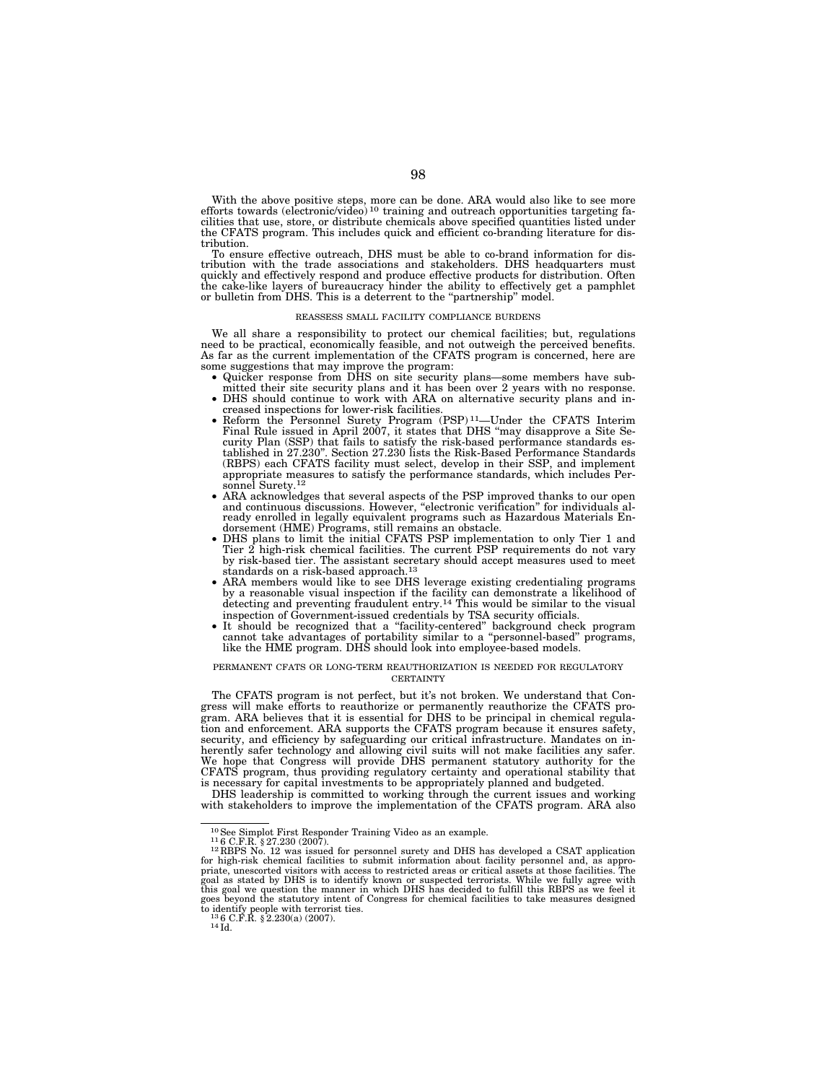With the above positive steps, more can be done. ARA would also like to see more efforts towards (electronic/video)<sup>10</sup> training and outreach opportunities targeting facilities that use, store, or distribute chemicals above specified quantities listed under the CFATS program. This includes quick and efficient co-branding literature for distribution.

To ensure effective outreach, DHS must be able to co-brand information for distribution with the trade associations and stakeholders. DHS headquarters must quickly and effectively respond and produce effective products for distribution. Often the cake-like layers of bureaucracy hinder the ability to effectively get a pamphlet or bulletin from DHS. This is a deterrent to the ''partnership'' model.

#### REASSESS SMALL FACILITY COMPLIANCE BURDENS

We all share a responsibility to protect our chemical facilities; but, regulations need to be practical, economically feasible, and not outweigh the perceived benefits. As far as the current implementation of the CFATS program is concerned, here are

- some suggestions that may improve the program: Quicker response from DHS on site security plans—some members have sub-
	- DHS should continue to work with ARA on alternative security plans and in-
	- creased inspections for lower-risk facilities. Reform the Personnel Surety Program (PSP) 11—Under the CFATS Interim Final Rule issued in April 2007, it states that DHS ''may disapprove a Site Security Plan (SSP) that fails to satisfy the risk-based performance standards es-tablished in 27.230''. Section 27.230 lists the Risk-Based Performance Standards (RBPS) each CFATS facility must select, develop in their SSP, and implement appropriate measures to satisfy the performance standards, which includes Personnel Surety.<sup>12</sup>
	- ARA acknowledges that several aspects of the PSP improved thanks to our open and continuous discussions. However, "electronic verification" for individuals already enrolled in legally equivalent programs such as Hazardous Materials En-
	- dorsement (HME) Programs, still remains an obstacle. DHS plans to limit the initial CFATS PSP implementation to only Tier 1 and Tier 2 high-risk chemical facilities. The current PSP requirements do not vary by risk-based tier. The assistant secretary should accept measures used to meet standards on a risk-based approach.13
	- ARA members would like to see DHS leverage existing credentialing programs by a reasonable visual inspection if the facility can demonstrate a likelihood of detecting and preventing fraudulent entry.<sup>14</sup> This would be similar to the visual inspection of Government-issued credentials by TSA security officials.
	- It should be recognized that a ''facility-centered'' background check program cannot take advantages of portability similar to a ''personnel-based'' programs, like the HME program. DHS should look into employee-based models.

#### PERMANENT CFATS OR LONG-TERM REAUTHORIZATION IS NEEDED FOR REGULATORY **CERTAINTY**

The CFATS program is not perfect, but it's not broken. We understand that Congress will make efforts to reauthorize or permanently reauthorize the CFATS program. ARA believes that it is essential for DHS to be principal in chemical regulation and enforcement. ARA supports the CFATS program because it ensures safety, security, and efficiency by safeguarding our critical infrastructure. Mandates on inherently safer technology and allowing civil suits will not make facilities any safer. We hope that Congress will provide DHS permanent statutory authority for the CFATS program, thus providing regulatory certainty and operational stability that is necessary for capital investments to be appropriately planned and budgeted.

DHS leadership is committed to working through the current issues and working with stakeholders to improve the implementation of the CFATS program. ARA also

<sup>&</sup>lt;sup>10</sup>See Simplot First Responder Training Video as an example.<br><sup>11</sup>6 C.F.R. § 27.230 (2007).<br><sup>12</sup> RBPS No. 12 was issued for personnel surety and DHS has developed a CSAT application for high-risk chemical facilities to submit information about facility personnel and, as appro-<br>priate, unescorted visitors with access to restricted areas or critical assets at those facilities. The<br>goal as stated by DHS this goal we question the manner in which DHS has decided to fulfill this RBPS as we feel it goes beyond the statutory intent of Congress for chemical facilities to take measures designed to identify people with terrorist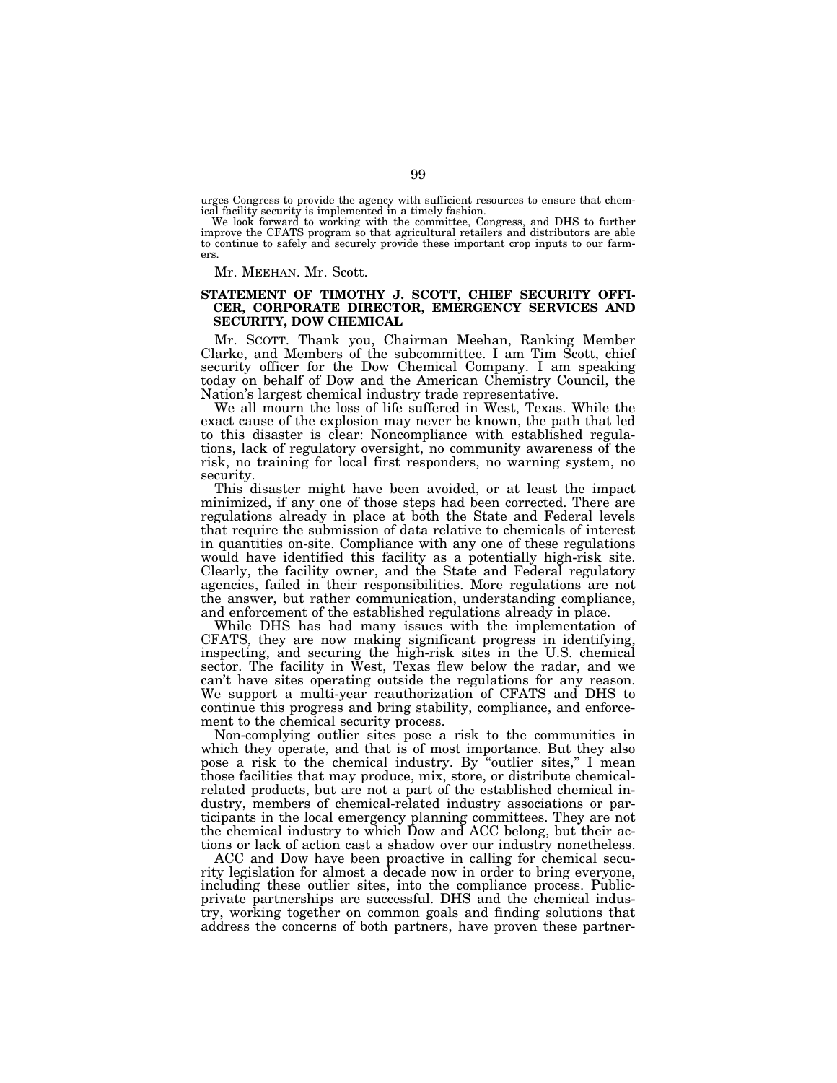urges Congress to provide the agency with sufficient resources to ensure that chem-

ical facility security is implemented in a timely fashion. We look forward to working with the committee, Congress, and DHS to further improve the CFATS program so that agricultural retailers and distributors are able to continue to safely and securely provide these important crop inputs to our farmers.

Mr. MEEHAN. Mr. Scott.

# **STATEMENT OF TIMOTHY J. SCOTT, CHIEF SECURITY OFFI-CER, CORPORATE DIRECTOR, EMERGENCY SERVICES AND SECURITY, DOW CHEMICAL**

Mr. SCOTT. Thank you, Chairman Meehan, Ranking Member Clarke, and Members of the subcommittee. I am Tim Scott, chief security officer for the Dow Chemical Company. I am speaking today on behalf of Dow and the American Chemistry Council, the Nation's largest chemical industry trade representative.

We all mourn the loss of life suffered in West, Texas. While the exact cause of the explosion may never be known, the path that led to this disaster is clear: Noncompliance with established regulations, lack of regulatory oversight, no community awareness of the risk, no training for local first responders, no warning system, no security.

This disaster might have been avoided, or at least the impact minimized, if any one of those steps had been corrected. There are regulations already in place at both the State and Federal levels that require the submission of data relative to chemicals of interest in quantities on-site. Compliance with any one of these regulations would have identified this facility as a potentially high-risk site. Clearly, the facility owner, and the State and Federal regulatory agencies, failed in their responsibilities. More regulations are not the answer, but rather communication, understanding compliance, and enforcement of the established regulations already in place.

While DHS has had many issues with the implementation of CFATS, they are now making significant progress in identifying, inspecting, and securing the high-risk sites in the U.S. chemical sector. The facility in West, Texas flew below the radar, and we can't have sites operating outside the regulations for any reason. We support a multi-year reauthorization of CFATS and DHS to continue this progress and bring stability, compliance, and enforcement to the chemical security process.

Non-complying outlier sites pose a risk to the communities in which they operate, and that is of most importance. But they also pose a risk to the chemical industry. By ''outlier sites,'' I mean those facilities that may produce, mix, store, or distribute chemicalrelated products, but are not a part of the established chemical industry, members of chemical-related industry associations or participants in the local emergency planning committees. They are not the chemical industry to which Dow and ACC belong, but their actions or lack of action cast a shadow over our industry nonetheless.

ACC and Dow have been proactive in calling for chemical security legislation for almost a decade now in order to bring everyone, including these outlier sites, into the compliance process. Publicprivate partnerships are successful. DHS and the chemical industry, working together on common goals and finding solutions that address the concerns of both partners, have proven these partner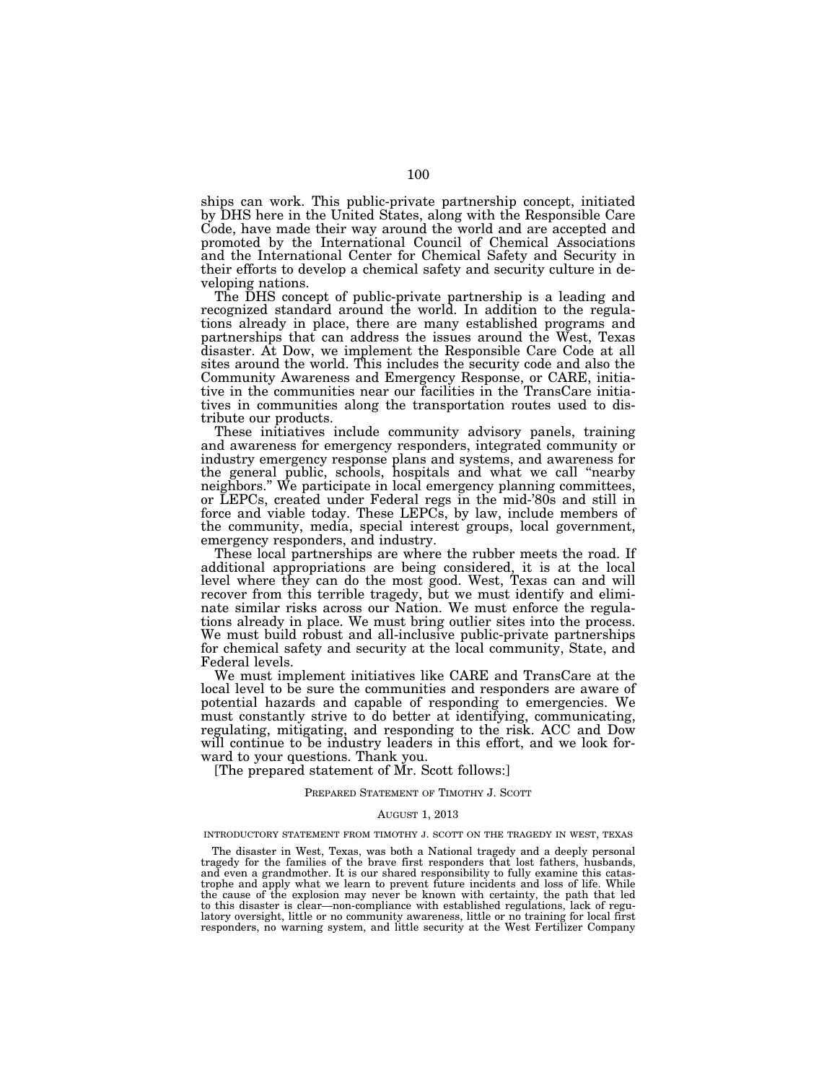ships can work. This public-private partnership concept, initiated by DHS here in the United States, along with the Responsible Care Code, have made their way around the world and are accepted and promoted by the International Council of Chemical Associations and the International Center for Chemical Safety and Security in their efforts to develop a chemical safety and security culture in developing nations.

The DHS concept of public-private partnership is a leading and recognized standard around the world. In addition to the regulations already in place, there are many established programs and partnerships that can address the issues around the West, Texas disaster. At Dow, we implement the Responsible Care Code at all sites around the world. This includes the security code and also the Community Awareness and Emergency Response, or CARE, initiative in the communities near our facilities in the TransCare initiatives in communities along the transportation routes used to distribute our products.

These initiatives include community advisory panels, training and awareness for emergency responders, integrated community or industry emergency response plans and systems, and awareness for the general public, schools, hospitals and what we call ''nearby neighbors.'' We participate in local emergency planning committees, or LEPCs, created under Federal regs in the mid-'80s and still in force and viable today. These LEPCs, by law, include members of the community, media, special interest groups, local government, emergency responders, and industry.

These local partnerships are where the rubber meets the road. If additional appropriations are being considered, it is at the local level where they can do the most good. West, Texas can and will recover from this terrible tragedy, but we must identify and eliminate similar risks across our Nation. We must enforce the regulations already in place. We must bring outlier sites into the process. We must build robust and all-inclusive public-private partnerships for chemical safety and security at the local community, State, and Federal levels.

We must implement initiatives like CARE and TransCare at the local level to be sure the communities and responders are aware of potential hazards and capable of responding to emergencies. We must constantly strive to do better at identifying, communicating, regulating, mitigating, and responding to the risk. ACC and Dow will continue to be industry leaders in this effort, and we look forward to your questions. Thank you.

[The prepared statement of Mr. Scott follows:]

#### PREPARED STATEMENT OF TIMOTHY J. SCOTT

#### AUGUST 1, 2013

### INTRODUCTORY STATEMENT FROM TIMOTHY J. SCOTT ON THE TRAGEDY IN WEST, TEXAS

The disaster in West, Texas, was both a National tragedy and a deeply personal tragedy for the families of the brave first responders that lost fathers, husbands, and even a grandmother. It is our shared responsibility to fully examine this catastrophe and apply what we learn to prevent future incidents and loss of life. While the cause of the explosion may never be known with certainty, the path that led to this disaster is clear—non-compliance with established regulations, lack of regulatory oversight, little or no community awareness, little or no training for local first responders, no warning system, and little security at the West Fertilizer Company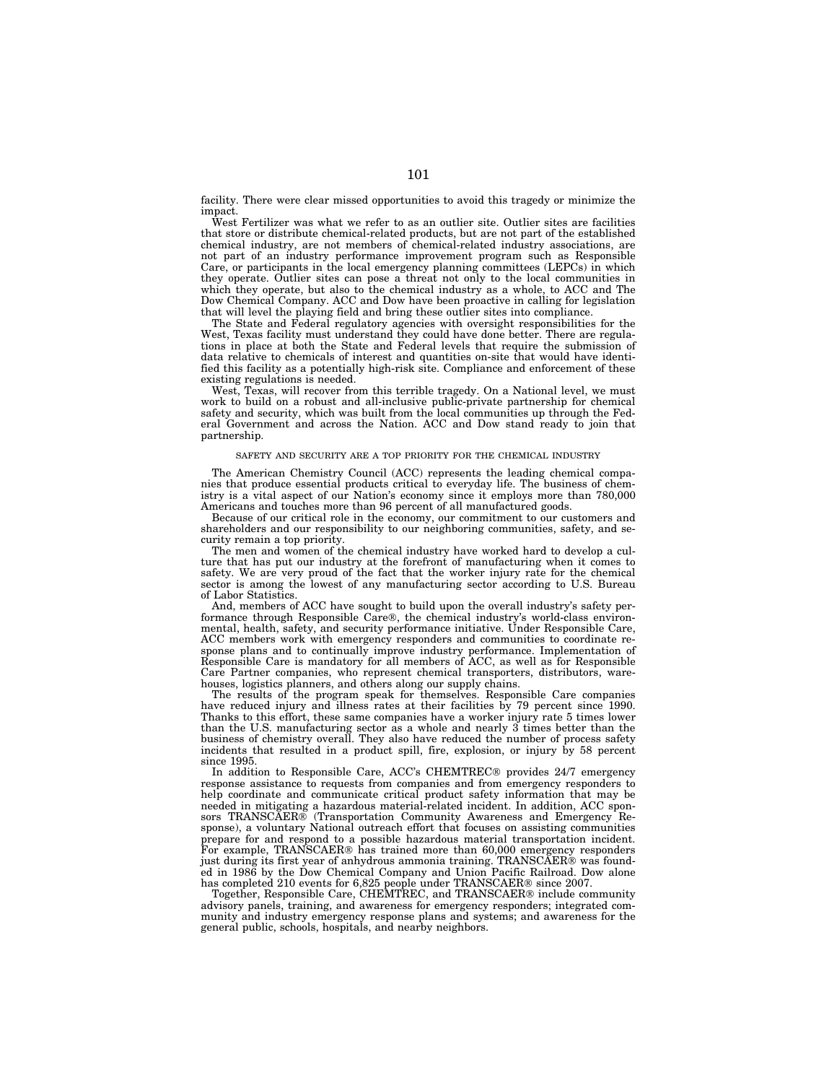facility. There were clear missed opportunities to avoid this tragedy or minimize the impact.

West Fertilizer was what we refer to as an outlier site. Outlier sites are facilities that store or distribute chemical-related products, but are not part of the established chemical industry, are not members of chemical-related industry associations, are not part of an industry performance improvement program such as Responsible Care, or participants in the local emergency planning committees (LEPCs) in which they operate. Outlier sites can pose a threat not only to the local communities in which they operate, but also to the chemical industry as a whole, to ACC and The Dow Chemical Company. ACC and Dow have been proactive in calling for legislation that will level the playing field and bring these outlier sites into compliance.

The State and Federal regulatory agencies with oversight responsibilities for the West, Texas facility must understand they could have done better. There are regulations in place at both the State and Federal levels that require the submission of data relative to chemicals of interest and quantities on-site that would have identified this facility as a potentially high-risk site. Compliance and enforcement of these existing regulations is needed.

West, Texas, will recover from this terrible tragedy. On a National level, we must work to build on a robust and all-inclusive public-private partnership for chemical safety and security, which was built from the local communities up through the Federal Government and across the Nation. ACC and Dow stand ready to join that partnership.

#### SAFETY AND SECURITY ARE A TOP PRIORITY FOR THE CHEMICAL INDUSTRY

The American Chemistry Council (ACC) represents the leading chemical companies that produce essential products critical to everyday life. The business of chemistry is a vital aspect of our Nation's economy since it employs more than 780,000 Americans and touches more than 96 percent of all manufactured goods.

Because of our critical role in the economy, our commitment to our customers and shareholders and our responsibility to our neighboring communities, safety, and security remain a top priority.

The men and women of the chemical industry have worked hard to develop a culture that has put our industry at the forefront of manufacturing when it comes to safety. We are very proud of the fact that the worker injury rate for the chemical sector is among the lowest of any manufacturing sector according to U.S. Bureau of Labor Statistics.

And, members of ACC have sought to build upon the overall industry's safety performance through Responsible Care®, the chemical industry's world-class environmental, health, safety, and security performance initiative. Under Responsible Care, ACC members work with emergency responders and communities to coordinate response plans and to continually improve industry performance. Implementation of Responsible Care is mandatory for all members of ACC, as well as for Responsible Care Partner companies, who represent chemical transporters, distributors, warehouses, logistics planners, and others along our supply chains.

The results of the program speak for themselves. Responsible Care companies have reduced injury and illness rates at their facilities by 79 percent since 1990. Thanks to this effort, these same companies have a worker injury rate 5 times lower than the U.S. manufacturing sector as a whole and nearly 3 times better than the business of chemistry overall. They also have reduced the number of process safety incidents that resulted in a product spill, fire, explosion, or injury by 58 percent since 1995.

In addition to Responsible Care, ACC's CHEMTREC® provides 24/7 emergency response assistance to requests from companies and from emergency responders to help coordinate and communicate critical product safety information that may be needed in mitigating a hazardous material-related incident. In addition, ACC sponsors TRANSCAER® (Transportation Community Awareness and Emergency Response), a voluntary National outreach effort that focuses on assisting communities prepare for and respond to a possible hazardous material transportation incident. For example, TRANSCAER® has trained more than 60,000 emergency responders just during its first year of anhydrous ammonia training. TRANSCAER® was founded in 1986 by the Dow Chemical Company and Union Pacific Railroad. Dow alone has completed 210 events for 6,825 people under TRANSCAER® since 2007.

Together, Responsible Care, CHEMTREC, and TRANSCAER® include community advisory panels, training, and awareness for emergency responders; integrated community and industry emergency response plans and systems; and awareness for the general public, schools, hospitals, and nearby neighbors.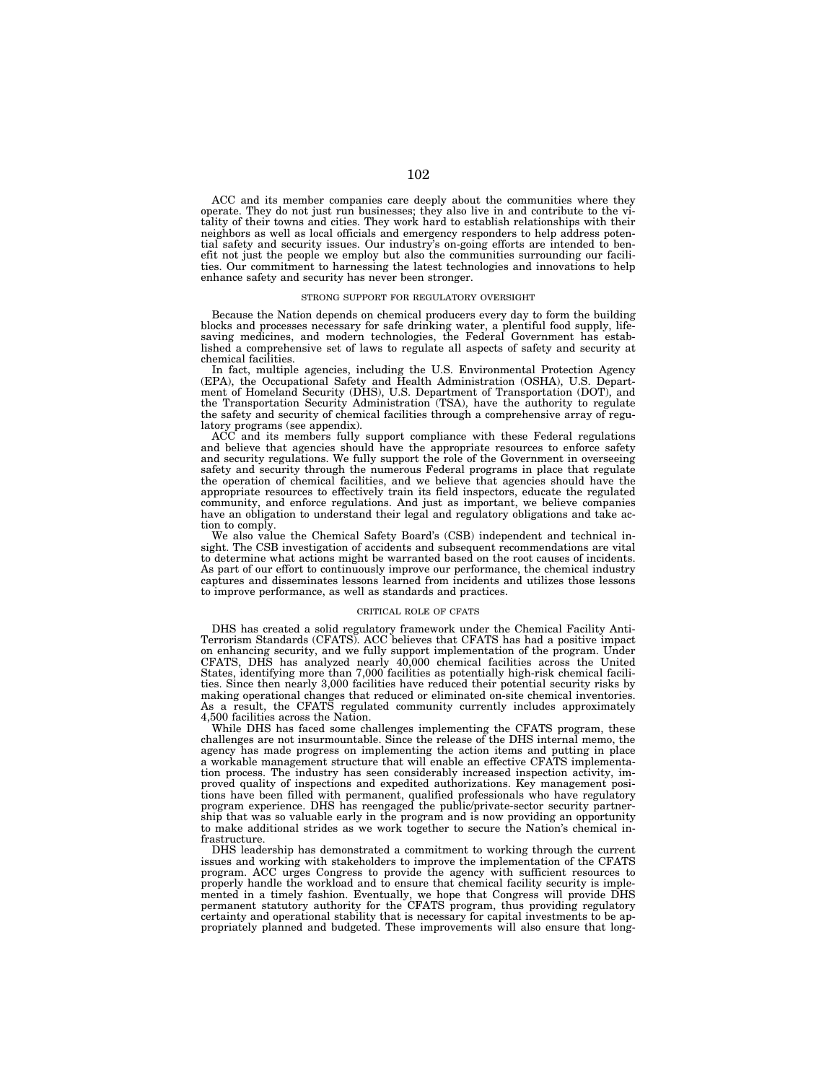ACC and its member companies care deeply about the communities where they operate. They do not just run businesses; they also live in and contribute to the vitality of their towns and cities. They work hard to establish relationships with their neighbors as well as local officials and emergency responders to help address potential safety and security issues. Our industry's on-going efforts are intended to benefit not just the people we employ but also the communities surrounding our facilities. Our commitment to harnessing the latest technologies and innovations to help enhance safety and security has never been stronger.

#### STRONG SUPPORT FOR REGULATORY OVERSIGHT

Because the Nation depends on chemical producers every day to form the building blocks and processes necessary for safe drinking water, a plentiful food supply, lifesaving medicines, and modern technologies, the Federal Government has established a comprehensive set of laws to regulate all aspects of safety and security at chemical facilities.

In fact, multiple agencies, including the U.S. Environmental Protection Agency (EPA), the Occupational Safety and Health Administration (OSHA), U.S. Department of Homeland Security (DHS), U.S. Department of Transportation (DOT), and the Transportation Security Administration (TSA), have the authority to regulate the safety and security of chemical facilities through a comprehensive array of regulatory programs (see appendix).

ACC and its members fully support compliance with these Federal regulations and believe that agencies should have the appropriate resources to enforce safety and security regulations. We fully support the role of the Government in overseeing safety and security through the numerous Federal programs in place that regulate the operation of chemical facilities, and we believe that agencies should have the appropriate resources to effectively train its field inspectors, educate the regulated community, and enforce regulations. And just as important, we believe companies have an obligation to understand their legal and regulatory obligations and take action to comply.

We also value the Chemical Safety Board's (CSB) independent and technical insight. The CSB investigation of accidents and subsequent recommendations are vital to determine what actions might be warranted based on the root causes of incidents. As part of our effort to continuously improve our performance, the chemical industry captures and disseminates lessons learned from incidents and utilizes those lessons to improve performance, as well as standards and practices.

### CRITICAL ROLE OF CFATS

DHS has created a solid regulatory framework under the Chemical Facility Anti-Terrorism Standards (CFATS). ACC believes that CFATS has had a positive impact on enhancing security, and we fully support implementation of the program. Under CFATS, DHS has analyzed nearly 40,000 chemical facilities across the United States, identifying more than 7,000 facilities as potentially high-risk chemical facilities. Since then nearly 3,000 facilities have reduced their potential security risks by making operational changes that reduced or eliminated on-site chemical inventories. As a result, the CFATS regulated community currently includes approximately 4,500 facilities across the Nation.

While DHS has faced some challenges implementing the CFATS program, these challenges are not insurmountable. Since the release of the DHS internal memo, the agency has made progress on implementing the action items and putting in place a workable management structure that will enable an effective CFATS implementation process. The industry has seen considerably increased inspection activity, improved quality of inspections and expedited authorizations. Key management positions have been filled with permanent, qualified professionals who have regulatory program experience. DHS has reengaged the public/private-sector security partnership that was so valuable early in the program and is now providing an opportunity to make additional strides as we work together to secure the Nation's chemical infrastructure.

DHS leadership has demonstrated a commitment to working through the current issues and working with stakeholders to improve the implementation of the CFATS program. ACC urges Congress to provide the agency with sufficient resources to properly handle the workload and to ensure that chemical facility security is implemented in a timely fashion. Eventually, we hope that Congress will provide DHS<br>permanent statutory authority for the CFATS program, thus providing regulatory<br>certainty and operational stability that is necessary for capita propriately planned and budgeted. These improvements will also ensure that long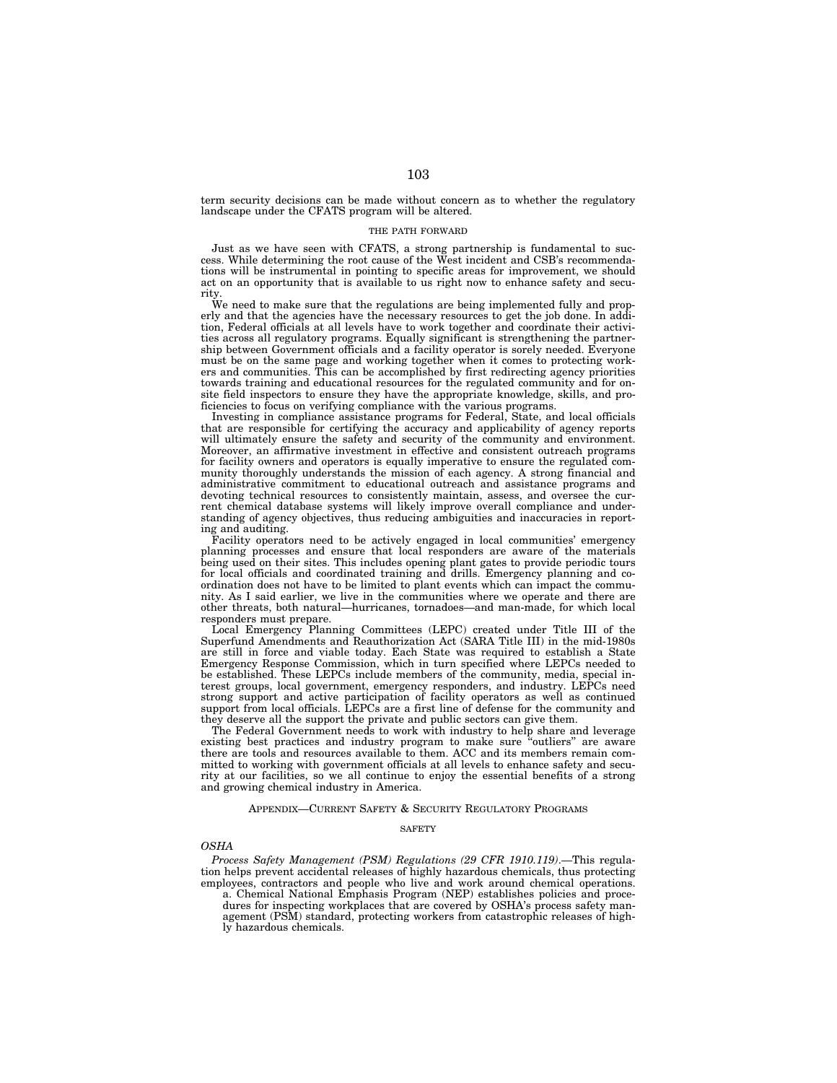term security decisions can be made without concern as to whether the regulatory landscape under the CFATS program will be altered.

### THE PATH FORWARD

Just as we have seen with CFATS, a strong partnership is fundamental to success. While determining the root cause of the West incident and CSB's recommendations will be instrumental in pointing to specific areas for improvement, we should act on an opportunity that is available to us right now to enhance safety and security.

We need to make sure that the regulations are being implemented fully and properly and that the agencies have the necessary resources to get the job done. In addition, Federal officials at all levels have to work together and coordinate their activities across all regulatory programs. Equally significant is strengthening the partnership between Government officials and a facility operator is sorely needed. Everyone must be on the same page and working together when it comes to protecting workers and communities. This can be accomplished by first redirecting agency priorities towards training and educational resources for the regulated community and for onsite field inspectors to ensure they have the appropriate knowledge, skills, and proficiencies to focus on verifying compliance with the various programs.

Investing in compliance assistance programs for Federal, State, and local officials that are responsible for certifying the accuracy and applicability of agency reports will ultimately ensure the safety and security of the community and environment. Moreover, an affirmative investment in effective and consistent outreach programs for facility owners and operators is equally imperative to ensure the regulated community thoroughly understands the mission of each agency. A strong financial and administrative commitment to educational outreach and assistance programs and devoting technical resources to consistently maintain, assess, and oversee the current chemical database systems will likely improve overall compliance and understanding of agency objectives, thus reducing ambiguities and inaccuracies in reporting and auditing.

Facility operators need to be actively engaged in local communities' emergency planning processes and ensure that local responders are aware of the materials being used on their sites. This includes opening plant gates to provide periodic tours for local officials and coordinated training and drills. Emergency planning and coordination does not have to be limited to plant events which can impact the community. As I said earlier, we live in the communities where we operate and there are other threats, both natural—hurricanes, tornadoes—and man-made, for which local responders must prepare.

Local Emergency Planning Committees (LEPC) created under Title III of the Superfund Amendments and Reauthorization Act (SARA Title III) in the mid-1980s are still in force and viable today. Each State was required to establish a State Emergency Response Commission, which in turn specified where LEPCs needed to be established. These LEPCs include members of the community, media, special interest groups, local government, emergency responders, and industry. LEPCs need strong support and active participation of facility operators as well as continued support from local officials. LEPCs are a first line of defense for the community and they deserve all the support the private and public sectors can give them.

The Federal Government needs to work with industry to help share and leverage existing best practices and industry program to make sure ''outliers'' are aware there are tools and resources available to them. ACC and its members remain committed to working with government officials at all levels to enhance safety and security at our facilities, so we all continue to enjoy the essential benefits of a strong and growing chemical industry in America.

### APPENDIX—CURRENT SAFETY & SECURITY REGULATORY PROGRAMS

#### **SAFETY**

#### *OSHA*

*Process Safety Management (PSM) Regulations (29 CFR 1910.119)*.—This regulation helps prevent accidental releases of highly hazardous chemicals, thus protecting employees, contractors and people who live and work around chemical operations.

a. Chemical National Emphasis Program (NEP) establishes policies and procedures for inspecting workplaces that are covered by OSHA's process safety management (PSM) standard, protecting workers from catastrophic releases of highly hazardous chemicals.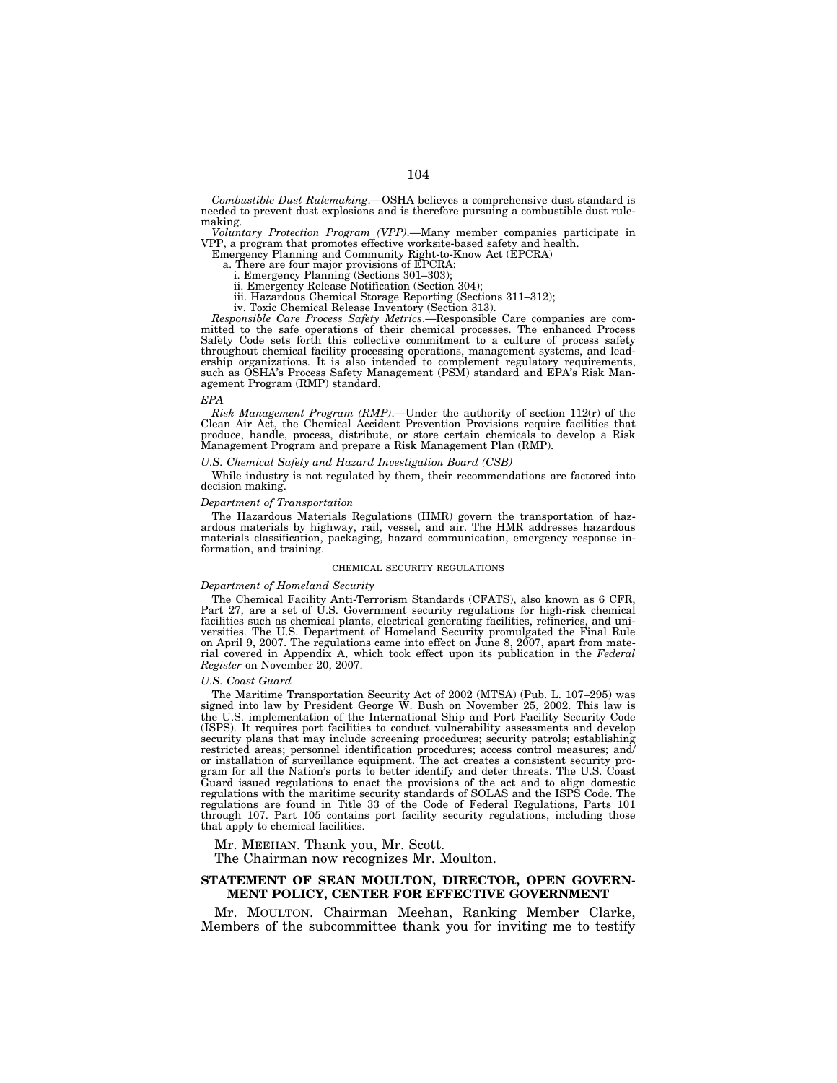*Combustible Dust Rulemaking*.—OSHA believes a comprehensive dust standard is needed to prevent dust explosions and is therefore pursuing a combustible dust rulemaking.

*Voluntary Protection Program (VPP)*.—Many member companies participate in VPP, a program that promotes effective worksite-based safety and health.

Emergency Planning and Community Right-to-Know Act (EPCRA)

a. There are four major provisions of EPCRA:

i. Emergency Planning (Sections 301–303); ii. Emergency Release Notification (Section 304);

iii. Hazardous Chemical Storage Reporting (Sections 311–312);

iv. Toxic Chemical Release Inventory (Section 313).

*Responsible Care Process Safety Metrics*.—Responsible Care companies are com-mitted to the safe operations of their chemical processes. The enhanced Process Safety Code sets forth this collective commitment to a culture of process safety throughout chemical facility processing operations, management systems, and leadership organizations. It is also intended to complement regulatory requirements, such as OSHA's Process Safety Management (PSM) standard and EPA's Risk Management Program (RMP) standard.

#### *EPA*

*Risk Management Program (RMP)*.—Under the authority of section 112(*r*) of the Clean Air Act, the Chemical Accident Prevention Provisions require facilities that produce, handle, process, distribute, or store certain chemicals to develop a Risk Management Program and prepare a Risk Management Plan (RMP).

#### *U.S. Chemical Safety and Hazard Investigation Board (CSB)*

While industry is not regulated by them, their recommendations are factored into decision making.

### *Department of Transportation*

The Hazardous Materials Regulations (HMR) govern the transportation of hazardous materials by highway, rail, vessel, and air. The HMR addresses hazardous materials classification, packaging, hazard communication, emergency response information, and training.

#### CHEMICAL SECURITY REGULATIONS

### *Department of Homeland Security*

The Chemical Facility Anti-Terrorism Standards (CFATS), also known as 6 CFR, Part 27, are a set of U.S. Government security regulations for high-risk chemical facilities such as chemical plants, electrical generating facilities, refineries, and universities. The U.S. Department of Homeland Security promulgated the Final Rule on April 9, 2007. The regulations came into effect on June 8, 2007, apart from material covered in Appendix A, which took effect upon its publication in the *Federal Register* on November 20, 2007.

#### *U.S. Coast Guard*

The Maritime Transportation Security Act of 2002 (MTSA) (Pub. L. 107–295) was signed into law by President George W. Bush on November 25, 2002. This law is the U.S. implementation of the International Ship and Port Facility Security Code (ISPS). It requires port facilities to conduct vulnerability assessments and develop security plans that may include screening procedures; security patrols; establishing restricted areas; personnel identification procedures; access control measures; and/ or installation of surveillance equipment. The act creates a consistent security program for all the Nation's ports to better identify and deter threats. The U.S. Coast Guard issued regulations to enact the provisions of the act and to align domestic regulations with the maritime security standards of SOLAS and the ISPS Code. The regulations are found in Title 33 of the Code of Federal Regulations, Parts 101 through 107. Part 105 contains port facility security regulations, including those that apply to chemical facilities.

Mr. MEEHAN. Thank you, Mr. Scott.

The Chairman now recognizes Mr. Moulton.

# **STATEMENT OF SEAN MOULTON, DIRECTOR, OPEN GOVERN-MENT POLICY, CENTER FOR EFFECTIVE GOVERNMENT**

Mr. MOULTON. Chairman Meehan, Ranking Member Clarke, Members of the subcommittee thank you for inviting me to testify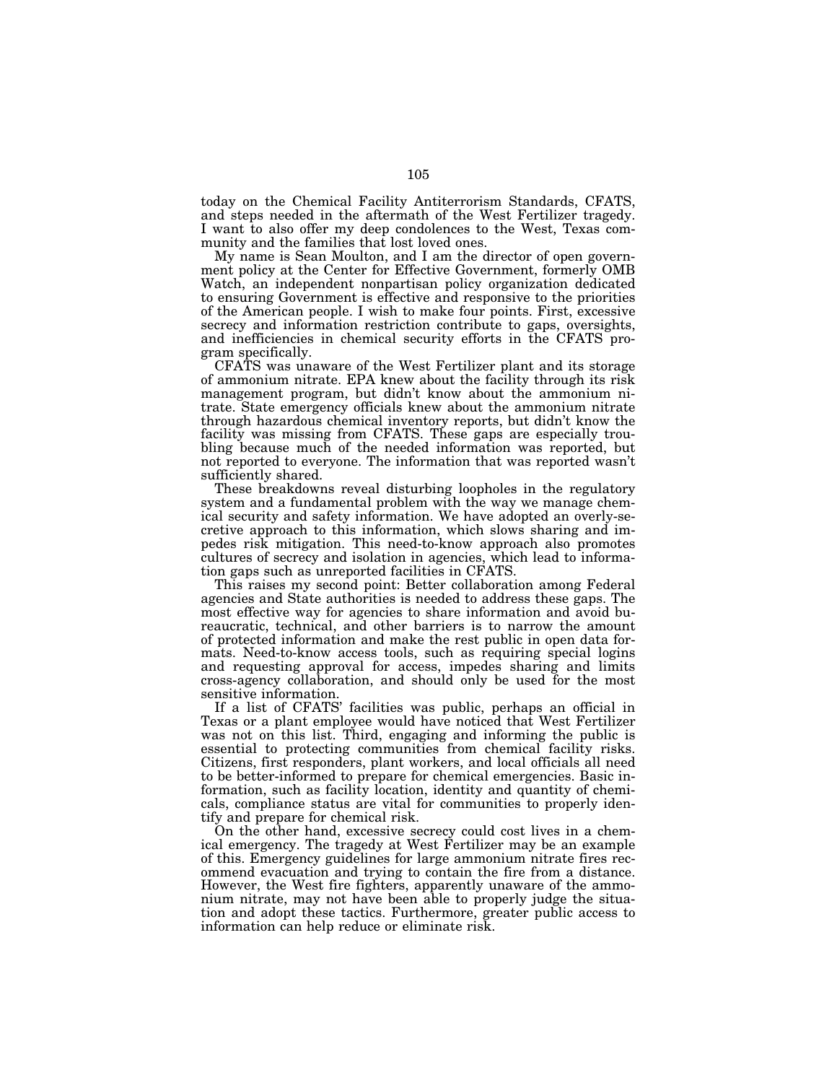today on the Chemical Facility Antiterrorism Standards, CFATS, and steps needed in the aftermath of the West Fertilizer tragedy. I want to also offer my deep condolences to the West, Texas community and the families that lost loved ones.

My name is Sean Moulton, and I am the director of open government policy at the Center for Effective Government, formerly OMB Watch, an independent nonpartisan policy organization dedicated to ensuring Government is effective and responsive to the priorities of the American people. I wish to make four points. First, excessive secrecy and information restriction contribute to gaps, oversights, and inefficiencies in chemical security efforts in the CFATS program specifically.

CFATS was unaware of the West Fertilizer plant and its storage of ammonium nitrate. EPA knew about the facility through its risk management program, but didn't know about the ammonium nitrate. State emergency officials knew about the ammonium nitrate through hazardous chemical inventory reports, but didn't know the facility was missing from CFATS. These gaps are especially troubling because much of the needed information was reported, but not reported to everyone. The information that was reported wasn't sufficiently shared.

These breakdowns reveal disturbing loopholes in the regulatory system and a fundamental problem with the way we manage chemical security and safety information. We have adopted an overly-secretive approach to this information, which slows sharing and impedes risk mitigation. This need-to-know approach also promotes cultures of secrecy and isolation in agencies, which lead to information gaps such as unreported facilities in CFATS.

This raises my second point: Better collaboration among Federal agencies and State authorities is needed to address these gaps. The most effective way for agencies to share information and avoid bureaucratic, technical, and other barriers is to narrow the amount of protected information and make the rest public in open data formats. Need-to-know access tools, such as requiring special logins and requesting approval for access, impedes sharing and limits cross-agency collaboration, and should only be used for the most sensitive information.

If a list of CFATS' facilities was public, perhaps an official in Texas or a plant employee would have noticed that West Fertilizer was not on this list. Third, engaging and informing the public is essential to protecting communities from chemical facility risks. Citizens, first responders, plant workers, and local officials all need to be better-informed to prepare for chemical emergencies. Basic information, such as facility location, identity and quantity of chemicals, compliance status are vital for communities to properly identify and prepare for chemical risk.

On the other hand, excessive secrecy could cost lives in a chemical emergency. The tragedy at West Fertilizer may be an example of this. Emergency guidelines for large ammonium nitrate fires recommend evacuation and trying to contain the fire from a distance. However, the West fire fighters, apparently unaware of the ammonium nitrate, may not have been able to properly judge the situation and adopt these tactics. Furthermore, greater public access to information can help reduce or eliminate risk.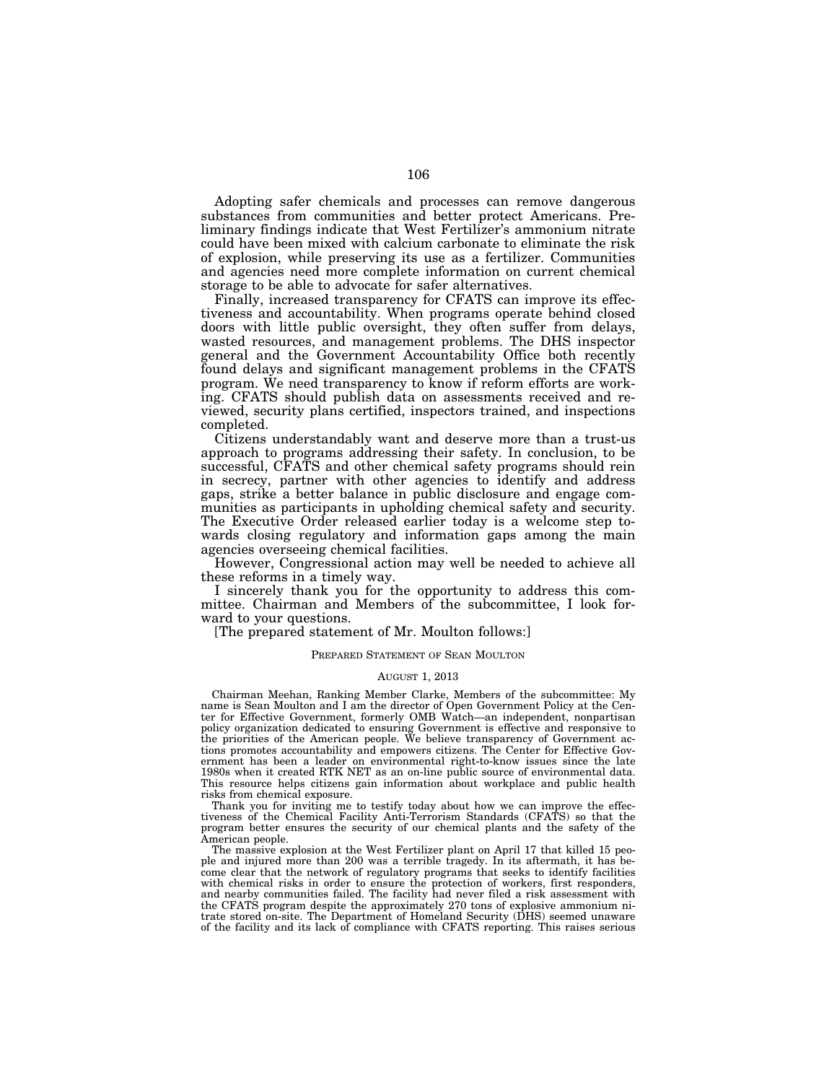Adopting safer chemicals and processes can remove dangerous substances from communities and better protect Americans. Preliminary findings indicate that West Fertilizer's ammonium nitrate could have been mixed with calcium carbonate to eliminate the risk of explosion, while preserving its use as a fertilizer. Communities and agencies need more complete information on current chemical storage to be able to advocate for safer alternatives.

Finally, increased transparency for CFATS can improve its effectiveness and accountability. When programs operate behind closed doors with little public oversight, they often suffer from delays, wasted resources, and management problems. The DHS inspector general and the Government Accountability Office both recently found delays and significant management problems in the CFATS program. We need transparency to know if reform efforts are working. CFATS should publish data on assessments received and reviewed, security plans certified, inspectors trained, and inspections completed.

Citizens understandably want and deserve more than a trust-us approach to programs addressing their safety. In conclusion, to be successful, CFATS and other chemical safety programs should rein in secrecy, partner with other agencies to identify and address gaps, strike a better balance in public disclosure and engage communities as participants in upholding chemical safety and security. The Executive Order released earlier today is a welcome step towards closing regulatory and information gaps among the main agencies overseeing chemical facilities.

However, Congressional action may well be needed to achieve all these reforms in a timely way.

I sincerely thank you for the opportunity to address this committee. Chairman and Members of the subcommittee, I look forward to your questions.

[The prepared statement of Mr. Moulton follows:]

# PREPARED STATEMENT OF SEAN MOULTON

# AUGUST 1, 2013

Chairman Meehan, Ranking Member Clarke, Members of the subcommittee: My name is Sean Moulton and I am the director of Open Government Policy at the Center for Effective Government, formerly OMB Watch—an independent, nonpartisan policy organization dedicated to ensuring Government is effective and responsive to the priorities of the American people. We believe transparency of Government actions promotes accountability and empowers citizens. The Center for Effective Government has been a leader on environmental right-to-know issues since the late 1980s when it created RTK NET as an on-line public source of environmental data. This resource helps citizens gain information about workplace and public health risks from chemical exposure.

Thank you for inviting me to testify today about how we can improve the effectiveness of the Chemical Facility Anti-Terrorism Standards (CFATS) so that the program better ensures the security of our chemical plants and the safety of the American people.

The massive explosion at the West Fertilizer plant on April 17 that killed 15 people and injured more than 200 was a terrible tragedy. In its aftermath, it has become clear that the network of regulatory programs that seeks to identify facilities with chemical risks in order to ensure the protection of workers, first responders, and nearby communities failed. The facility had never filed a risk assessment with the CFATS program despite the approximately 270 tons of explosive ammonium nitrate stored on-site. The Department of Homeland Security (DHS) seemed unaware of the facility and its lack of compliance with CFATS reporting. This raises serious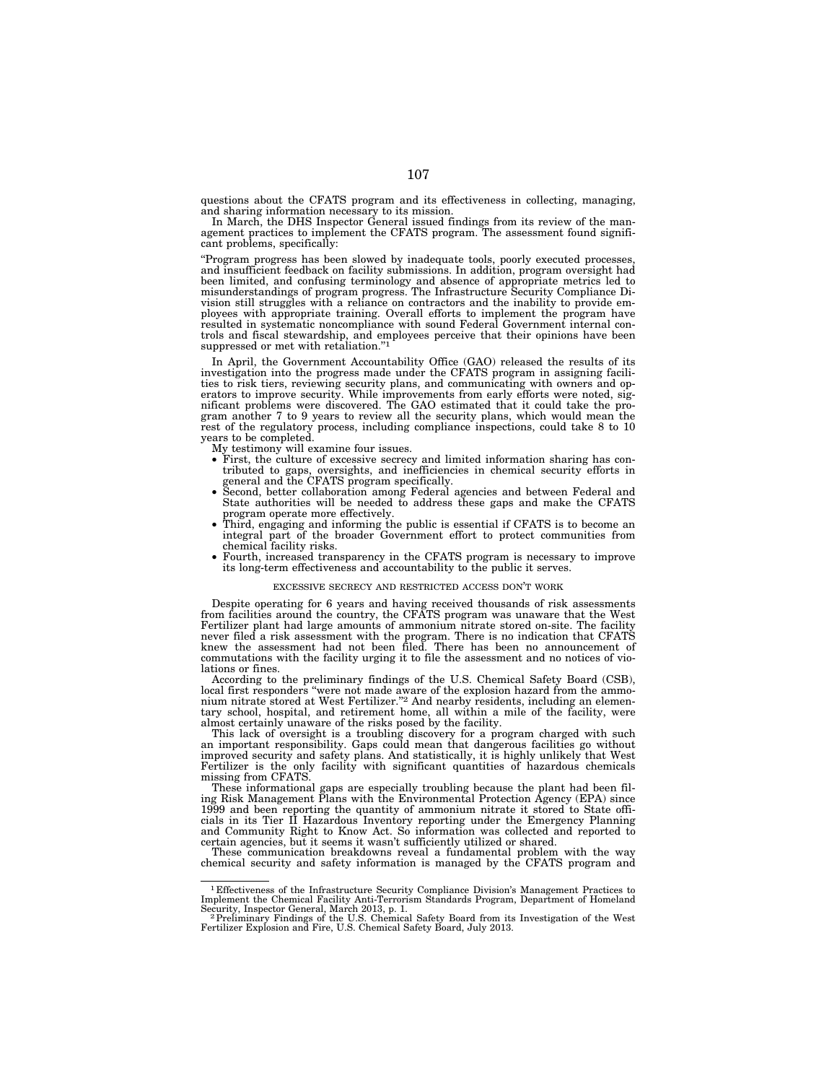questions about the CFATS program and its effectiveness in collecting, managing, and sharing information necessary to its mission. In March, the DHS Inspector General issued findings from its review of the man-

agement practices to implement the CFATS program. The assessment found significant problems, specifically:

''Program progress has been slowed by inadequate tools, poorly executed processes, and insufficient feedback on facility submissions. In addition, program oversight had been limited, and confusing terminology and absence of appropriate metrics led to misunderstandings of program progress. The Infrastructure Security Compliance Division still struggles with a reliance on contractors and the inability to provide employees with appropriate training. Overall efforts to implement the program have resulted in systematic noncompliance with sound Federal Government internal controls and fiscal stewardship, and employees perceive that their opinions have been suppressed or met with retaliation."<sup>1</sup>

In April, the Government Accountability Office (GAO) released the results of its investigation into the progress made under the CFATS program in assigning facilities to risk tiers, reviewing security plans, and communicating with owners and op-erators to improve security. While improvements from early efforts were noted, significant problems were discovered. The GAO estimated that it could take the pro-gram another 7 to 9 years to review all the security plans, which would mean the rest of the regulatory process, including compliance inspections, could take 8 to 10 years to be completed.

My testimony will examine four issues.

- First, the culture of excessive secrecy and limited information sharing has contributed to gaps, oversights, and inefficiencies in chemical security efforts in general and the CFATS program specifically. • Second, better collaboration among Federal agencies and between Federal and
- State authorities will be needed to address these gaps and make the CFATS
- program operate more effectively.<br>• Third, engaging and informing the public is essential if CFATS is to become an<br>
operator of the protect communities from integral part of the broader Government effort to protect communities from chemical facility risks.
- Fourth, increased transparency in the CFATS program is necessary to improve its long-term effectiveness and accountability to the public it serves.

#### EXCESSIVE SECRECY AND RESTRICTED ACCESS DON'T WORK

Despite operating for 6 years and having received thousands of risk assessments from facilities around the country, the CFATS program was unaware that the West Fertilizer plant had large amounts of ammonium nitrate stored on-site. The facility<br>never filed a risk assessment with the program. There is no indication that CFATS<br>knew the assessment had not been filed. There has been n commutations with the facility urging it to file the assessment and no notices of violations or fines.

According to the preliminary findings of the U.S. Chemical Safety Board (CSB), local first responders ''were not made aware of the explosion hazard from the ammo-nium nitrate stored at West Fertilizer.''2 And nearby residents, including an elementary school, hospital, and retirement home, all within a mile of the facility, were almost certainly unaware of the risks posed by the facility.

This lack of oversight is a troubling discovery for a program charged with such an important responsibility. Gaps could mean that dangerous facilities go without improved security and safety plans. And statistically, it is highly unlikely that West Fertilizer is the only facility with significant quantities of hazardous chemicals missing from CFATS.

These informational gaps are especially troubling because the plant had been fil-ing Risk Management Plans with the Environmental Protection Agency (EPA) since 1999 and been reporting the quantity of ammonium nitrate it stored to State offi-cials in its Tier II Hazardous Inventory reporting under the Emergency Planning and Community Right to Know Act. So information was collected and reported to certain agencies, but it seems it wasn't sufficiently utilized or shared.

These communication breakdowns reveal a fundamental problem with the way chemical security and safety information is managed by the CFATS program and

<sup>1</sup> Effectiveness of the Infrastructure Security Compliance Division's Management Practices to Implement the Chemical Facility Anti-Terrorism Standards Program, Department of Homeland

Security, Inspector General, March 2013, p. 1.<br>- <sup>2</sup> Preliminary Findings of the U.S. Chemical Safety Board from its Investigation of the West<br>Fertilizer Explosion and Fire, U.S. Chemical Safety Board, July 2013.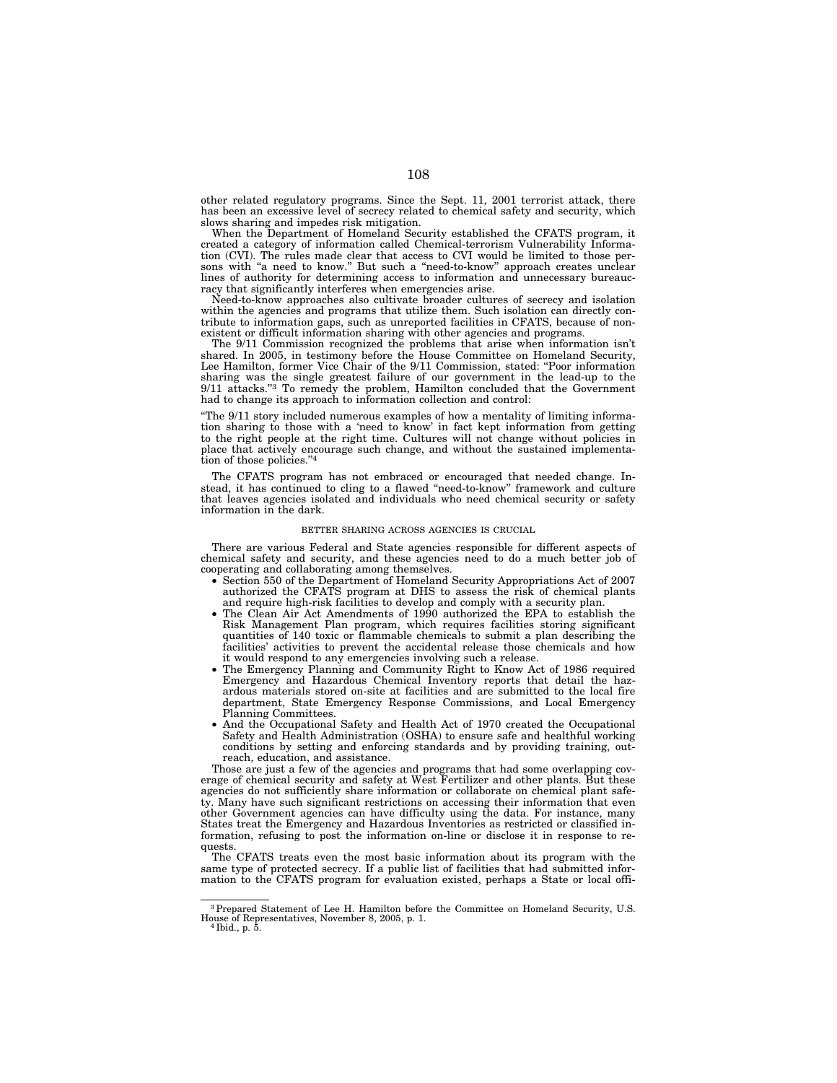other related regulatory programs. Since the Sept. 11, 2001 terrorist attack, there has been an excessive level of secrecy related to chemical safety and security, which slows sharing and impedes risk mitigation.

When the Department of Homeland Security established the CFATS program, it created a category of information called Chemical-terrorism Vulnerability Information (CVI). The rules made clear that access to CVI would be limited to those persons with ''a need to know.'' But such a ''need-to-know'' approach creates unclear lines of authority for determining access to information and unnecessary bureaucracy that significantly interferes when emergencies arise.

Need-to-know approaches also cultivate broader cultures of secrecy and isolation within the agencies and programs that utilize them. Such isolation can directly contribute to information gaps, such as unreported facilities in CFATS, because of nonexistent or difficult information sharing with other agencies and programs.

The 9/11 Commission recognized the problems that arise when information isn't shared. In 2005, in testimony before the House Committee on Homeland Security, Lee Hamilton, former Vice Chair of the 9/11 Commission, stated: ''Poor information sharing was the single greatest failure of our government in the lead-up to the 9/11 attacks."<sup>3</sup> To remedy the problem, Hamilton concluded that the Government had to change its approach to information collection and control:

''The 9/11 story included numerous examples of how a mentality of limiting information sharing to those with a 'need to know' in fact kept information from getting to the right people at the right time. Cultures will not change without policies in place that actively encourage such change, and without the sustained implementation of those policies.''4

The CFATS program has not embraced or encouraged that needed change. Instead, it has continued to cling to a flawed ''need-to-know'' framework and culture that leaves agencies isolated and individuals who need chemical security or safety information in the dark.

#### BETTER SHARING ACROSS AGENCIES IS CRUCIAL

There are various Federal and State agencies responsible for different aspects of chemical safety and security, and these agencies need to do a much better job of cooperating and collaborating among themselves.

- Section 550 of the Department of Homeland Security Appropriations Act of 2007 authorized the CFATS program at DHS to assess the risk of chemical plants and require high-risk facilities to develop and comply with a security plan.
- The Clean Air Act Amendments of 1990 authorized the EPA to establish the Risk Management Plan program, which requires facilities storing significant quantities of 140 toxic or flammable chemicals to submit a plan describing the facilities' activities to prevent the accidental release those chemicals and how it would respond to any emergencies involving such a release.
- The Emergency Planning and Community Right to Know Act of 1986 required Emergency and Hazardous Chemical Inventory reports that detail the hazardous materials stored on-site at facilities and are submitted to the local fire department, State Emergency Response Commissions, and Local Emergency Planning Committees.
- And the Occupational Safety and Health Act of 1970 created the Occupational Safety and Health Administration (OSHA) to ensure safe and healthful working conditions by setting and enforcing standards and by providing training, outreach, education, and assistance.

Those are just a few of the agencies and programs that had some overlapping coverage of chemical security and safety at West Fertilizer and other plants. But these agencies do not sufficiently share information or collaborate on chemical plant safety. Many have such significant restrictions on accessing their information that even other Government agencies can have difficulty using the data. For instance, many States treat the Emergency and Hazardous Inventories as restricted or classified information, refusing to post the information on-line or disclose it in response to requests.

The CFATS treats even the most basic information about its program with the same type of protected secrecy. If a public list of facilities that had submitted information to the CFATS program for evaluation existed, perhaps a State or local offi-

<sup>3</sup>Prepared Statement of Lee H. Hamilton before the Committee on Homeland Security, U.S. House of Representatives, November 8, 2005, p. 1. 4 Ibid., p. 5.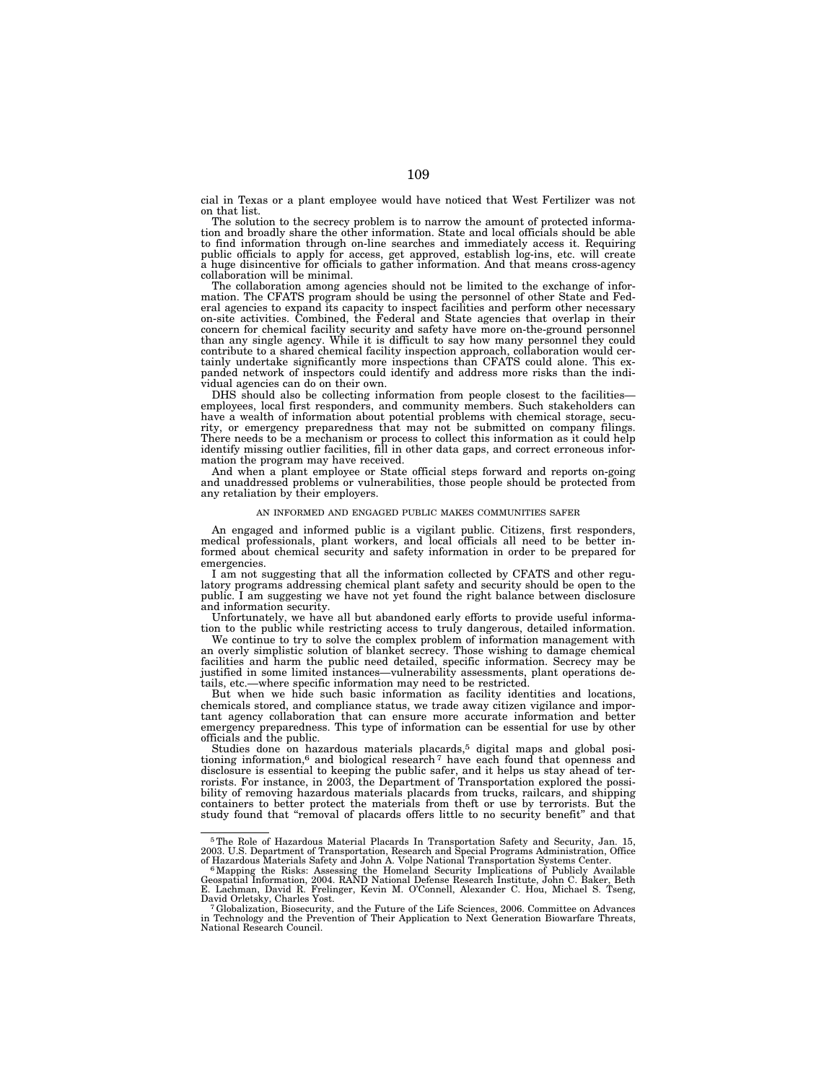cial in Texas or a plant employee would have noticed that West Fertilizer was not on that list.

The solution to the secrecy problem is to narrow the amount of protected information and broadly share the other information. State and local officials should be able to find information through on-line searches and immediately access it. Requiring public officials to apply for access, get approved, establish log-ins, etc. will create a huge disincentive for officials to gather information. And that means cross-agency collaboration will be minimal.

The collaboration among agencies should not be limited to the exchange of information. The CFATS program should be using the personnel of other State and Fed-eral agencies to expand its capacity to inspect facilities and perform other necessary on-site activities. Combined, the Federal and State agencies that overlap in their concern for chemical facility security and safety have more on-the-ground personnel than any single agency. While it is difficult to say how many personnel they could contribute to a shared chemical facility inspection approach, collaboration would certainly undertake significantly more inspections than CFATS could alone. This expanded network of inspectors could identify and address more risks than the individual agencies can do on their own.

DHS should also be collecting information from people closest to the facilities employees, local first responders, and community members. Such stakeholders can have a wealth of information about potential problems with chemical storage, security, or emergency preparedness that may not be submitted on company filings. There needs to be a mechanism or process to collect this information as it could help identify missing outlier facilities, fill in other data gaps, and correct erroneous information the program may have received.

And when a plant employee or State official steps forward and reports on-going and unaddressed problems or vulnerabilities, those people should be protected from any retaliation by their employers.

# AN INFORMED AND ENGAGED PUBLIC MAKES COMMUNITIES SAFER

An engaged and informed public is a vigilant public. Citizens, first responders, medical professionals, plant workers, and local officials all need to be better informed about chemical security and safety information in order to be prepared for emergencies.

I am not suggesting that all the information collected by CFATS and other regulatory programs addressing chemical plant safety and security should be open to the public. I am suggesting we have not yet found the right balance between disclosure and information security.

Unfortunately, we have all but abandoned early efforts to provide useful information to the public while restricting access to truly dangerous, detailed information.

We continue to try to solve the complex problem of information management with an overly simplistic solution of blanket secrecy. Those wishing to damage chemical facilities and harm the public need detailed, specific information. Secrecy may be justified in some limited instances—vulnerability assessments, plant operations details, etc.—where specific information may need to be restricted.

But when we hide such basic information as facility identities and locations, chemicals stored, and compliance status, we trade away citizen vigilance and important agency collaboration that can ensure more accurate information and better emergency preparedness. This type of information can be essential for use by other officials and the public.

Studies done on hazardous materials placards,<sup>5</sup> digital maps and global positioning information, $6$  and biological research  $7$  have each found that openness and disclosure is essential to keeping the public safer, and it helps us stay ahead of terrorists. For instance, in 2003, the Department of Transportation explored the possibility of removing hazardous materials placards from trucks, railcars, and shipping containers to better protect the materials from theft or use by terrorists. But the study found that ''removal of placards offers little to no security benefit'' and that

<sup>5</sup>The Role of Hazardous Material Placards In Transportation Safety and Security, Jan. 15, 2003. U.S. Department of Transportation, Research and Special Programs Administration, Office

of Hazardous Materials Safety and John A. Volpe National Transportation Systems Center.<br><sup>6</sup> Mapping the Risks: Assessing the Homeland Security Implications of Publicly Available<br>Geospatial Information, 2004. RAND National E. Lachman, David R. Frelinger, Kevin M. O'Connell, Alexander C. Hou, Michael S. Tseng,

 $7$ Globalization, Biosecurity, and the Future of the Life Sciences, 2006. Committee on Advances in Technology and the Prevention of Their Application to Next Generation Biowarfare Threats, National Research Council.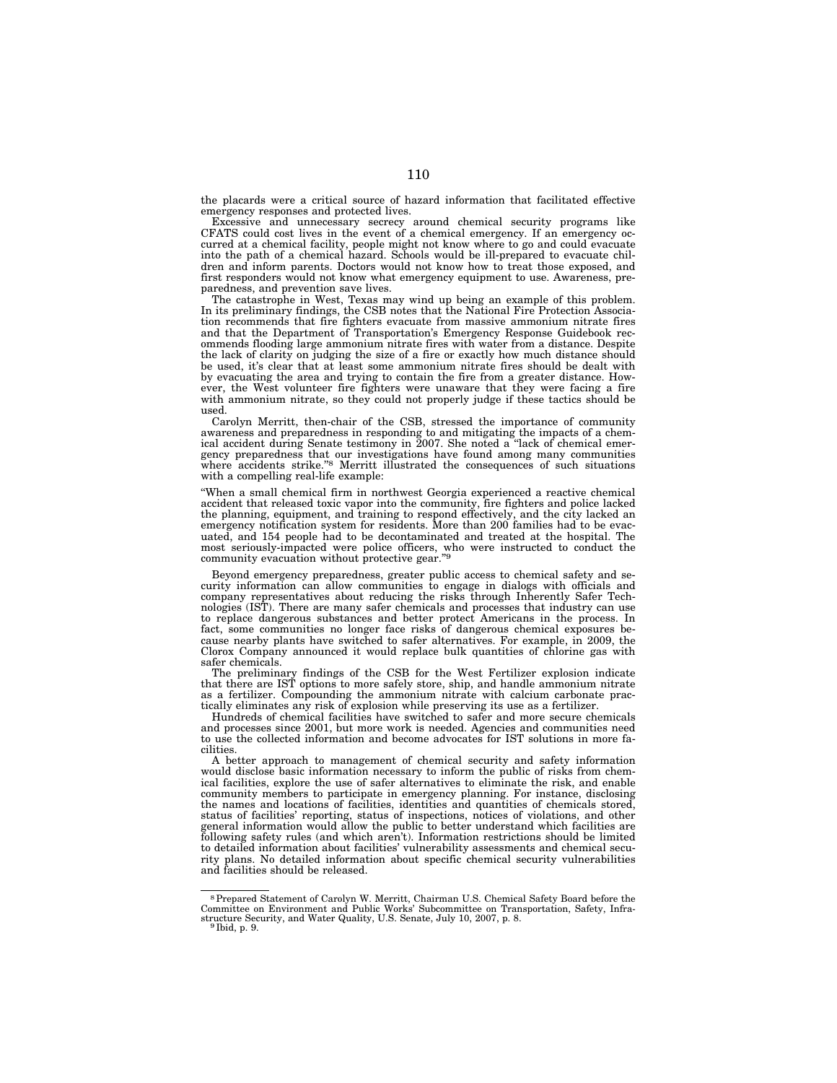the placards were a critical source of hazard information that facilitated effective emergency responses and protected lives.

Excessive and unnecessary secrecy around chemical security programs like CFATS could cost lives in the event of a chemical emergency. If an emergency occurred at a chemical facility, people might not know where to go and could evacuate into the path of a chemical hazard. Schools would be ill-prepared to evacuate children and inform parents. Doctors would not know how to treat those exposed, and first responders would not know what emergency equipment to use. Awareness, preparedness, and prevention save lives.

The catastrophe in West, Texas may wind up being an example of this problem. In its preliminary findings, the CSB notes that the National Fire Protection Association recommends that fire fighters evacuate from massive ammonium nitrate fires and that the Department of Transportation's Emergency Response Guidebook recommends flooding large ammonium nitrate fires with water from a distance. Despite the lack of clarity on judging the size of a fire or exactly how much distance should be used, it's clear that at least some ammonium nitrate fires should be dealt with by evacuating the area and trying to contain the fire from a greater distance. However, the West volunteer fire fighters were unaware that they were facing a fire with ammonium nitrate, so they could not properly judge if these tactics should be used.

Carolyn Merritt, then-chair of the CSB, stressed the importance of community awareness and preparedness in responding to and mitigating the impacts of a chemical accident during Senate testimony in 2007. She noted a ''lack of chemical emergency preparedness that our investigations have found among many communities where accidents strike.''8 Merritt illustrated the consequences of such situations with a compelling real-life example:

''When a small chemical firm in northwest Georgia experienced a reactive chemical accident that released toxic vapor into the community, fire fighters and police lacked the planning, equipment, and training to respond effectively, and the city lacked an emergency notification system for residents. More than 200 families had to be evacuated, and 154 people had to be decontaminated and treated at the hospital. The most seriously-impacted were police officers, who were instructed to conduct the community evacuation without protective gear.''9

Beyond emergency preparedness, greater public access to chemical safety and security information can allow communities to engage in dialogs with officials and company representatives about reducing the risks through Inherently Safer Technologies (IST). There are many safer chemicals and processes that industry can use to replace dangerous substances and better protect Americans in the process. In fact, some communities no longer face risks of dangerous chemical exposures because nearby plants have switched to safer alternatives. For example, in 2009, the Clorox Company announced it would replace bulk quantities of chlorine gas with safer chemicals.

The preliminary findings of the CSB for the West Fertilizer explosion indicate that there are IST options to more safely store, ship, and handle ammonium nitrate as a fertilizer. Compounding the ammonium nitrate with calcium carbonate practically eliminates any risk of explosion while preserving its use as a fertilizer.

Hundreds of chemical facilities have switched to safer and more secure chemicals and processes since 2001, but more work is needed. Agencies and communities need to use the collected information and become advocates for IST solutions in more facilities.

A better approach to management of chemical security and safety information would disclose basic information necessary to inform the public of risks from chemical facilities, explore the use of safer alternatives to eliminate the risk, and enable community members to participate in emergency planning. For instance, disclosing the names and locations of facilities, identities and quantities of chemicals stored, status of facilities' reporting, status of inspections, notices of violations, and other general information would allow the public to better understand which facilities are following safety rules (and which aren't). Information restrictions should be limited to detailed information about facilities' vulnerability assessments and chemical security plans. No detailed information about specific chemical security vulnerabilities and facilities should be released.

<sup>8</sup>Prepared Statement of Carolyn W. Merritt, Chairman U.S. Chemical Safety Board before the Committee on Environment and Public Works' Subcommittee on Transportation, Safety, Infrastructure Security, and Water Quality, U.S. Senate, July 10, 2007, p. 8. 9 Ibid, p. 9.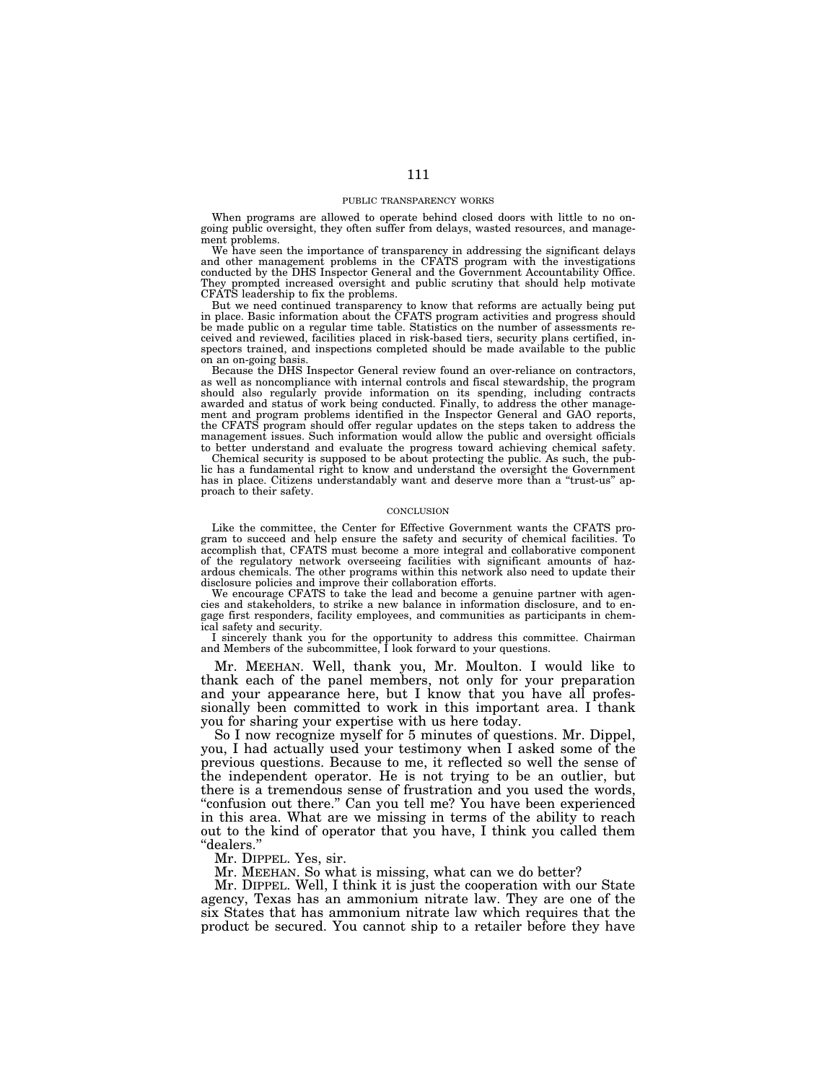# PUBLIC TRANSPARENCY WORKS

When programs are allowed to operate behind closed doors with little to no ongoing public oversight, they often suffer from delays, wasted resources, and management problems.

We have seen the importance of transparency in addressing the significant delays and other management problems in the CFATS program with the investigations conducted by the DHS Inspector General and the Government Accountability Office. They prompted increased oversight and public scrutiny that should help motivate CFATS leadership to fix the problems.

But we need continued transparency to know that reforms are actually being put in place. Basic information about the CFATS program activities and progress should be made public on a regular time table. Statistics on the number of assessments received and reviewed, facilities placed in risk-based tiers, security plans certified, inspectors trained, and inspections completed should be made available to the public on an on-going basis.

Because the DHS Inspector General review found an over-reliance on contractors, as well as noncompliance with internal controls and fiscal stewardship, the program should also regularly provide information on its spending, including contracts awarded and status of work being conducted. Finally, to address the other management and program problems identified in the Inspector General and GAO reports, the CFATS program should offer regular updates on the steps taken to address the management issues. Such information would allow the public and oversight officials to better understand and evaluate the progress toward achieving chemical safety.

Chemical security is supposed to be about protecting the public. As such, the public has a fundamental right to know and understand the oversight the Government has in place. Citizens understandably want and deserve more than a "trust-us" approach to their safety.

# **CONCLUSION**

Like the committee, the Center for Effective Government wants the CFATS program to succeed and help ensure the safety and security of chemical facilities. To accomplish that, CFATS must become a more integral and collaborative component of the regulatory network overseeing facilities with significant amounts of hazardous chemicals. The other programs within this network also need to update their disclosure policies and improve their collaboration efforts.

We encourage CFATS to take the lead and become a genuine partner with agencies and stakeholders, to strike a new balance in information disclosure, and to engage first responders, facility employees, and communities as participants in chemical safety and security.

I sincerely thank you for the opportunity to address this committee. Chairman and Members of the subcommittee, I look forward to your questions.

Mr. MEEHAN. Well, thank you, Mr. Moulton. I would like to thank each of the panel members, not only for your preparation and your appearance here, but I know that you have all professionally been committed to work in this important area. I thank you for sharing your expertise with us here today.

So I now recognize myself for 5 minutes of questions. Mr. Dippel, you, I had actually used your testimony when I asked some of the previous questions. Because to me, it reflected so well the sense of the independent operator. He is not trying to be an outlier, but there is a tremendous sense of frustration and you used the words, "confusion out there." Can you tell me? You have been experienced in this area. What are we missing in terms of the ability to reach out to the kind of operator that you have, I think you called them ''dealers.''

Mr. DIPPEL. Yes, sir.

Mr. MEEHAN. So what is missing, what can we do better?

Mr. DIPPEL. Well, I think it is just the cooperation with our State agency, Texas has an ammonium nitrate law. They are one of the six States that has ammonium nitrate law which requires that the product be secured. You cannot ship to a retailer before they have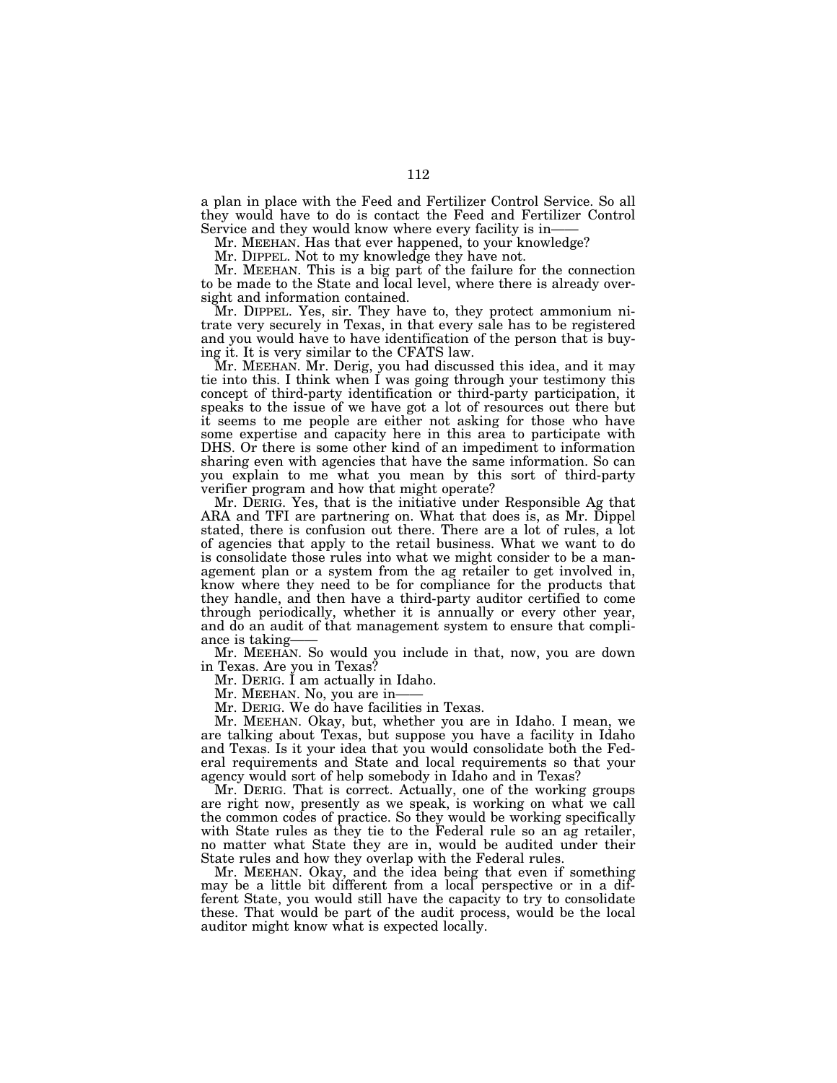a plan in place with the Feed and Fertilizer Control Service. So all they would have to do is contact the Feed and Fertilizer Control Service and they would know where every facility is in——

Mr. MEEHAN. Has that ever happened, to your knowledge?

Mr. DIPPEL. Not to my knowledge they have not.

Mr. MEEHAN. This is a big part of the failure for the connection to be made to the State and local level, where there is already oversight and information contained.

Mr. DIPPEL. Yes, sir. They have to, they protect ammonium nitrate very securely in Texas, in that every sale has to be registered and you would have to have identification of the person that is buying it. It is very similar to the CFATS law.

Mr. MEEHAN. Mr. Derig, you had discussed this idea, and it may tie into this. I think when I was going through your testimony this concept of third-party identification or third-party participation, it speaks to the issue of we have got a lot of resources out there but it seems to me people are either not asking for those who have some expertise and capacity here in this area to participate with DHS. Or there is some other kind of an impediment to information sharing even with agencies that have the same information. So can you explain to me what you mean by this sort of third-party verifier program and how that might operate?

Mr. DERIG. Yes, that is the initiative under Responsible Ag that ARA and TFI are partnering on. What that does is, as Mr. Dippel stated, there is confusion out there. There are a lot of rules, a lot of agencies that apply to the retail business. What we want to do is consolidate those rules into what we might consider to be a management plan or a system from the ag retailer to get involved in, know where they need to be for compliance for the products that they handle, and then have a third-party auditor certified to come through periodically, whether it is annually or every other year, and do an audit of that management system to ensure that compliance is taking-

Mr. MEEHAN. So would you include in that, now, you are down in Texas. Are you in Texas?

Mr. DERIG. I am actually in Idaho.

Mr. MEEHAN. No, you are in-

Mr. DERIG. We do have facilities in Texas.

Mr. MEEHAN. Okay, but, whether you are in Idaho. I mean, we are talking about Texas, but suppose you have a facility in Idaho and Texas. Is it your idea that you would consolidate both the Federal requirements and State and local requirements so that your agency would sort of help somebody in Idaho and in Texas?

Mr. DERIG. That is correct. Actually, one of the working groups are right now, presently as we speak, is working on what we call the common codes of practice. So they would be working specifically with State rules as they tie to the Federal rule so an ag retailer, no matter what State they are in, would be audited under their State rules and how they overlap with the Federal rules.

Mr. MEEHAN. Okay, and the idea being that even if something may be a little bit different from a local perspective or in a different State, you would still have the capacity to try to consolidate these. That would be part of the audit process, would be the local auditor might know what is expected locally.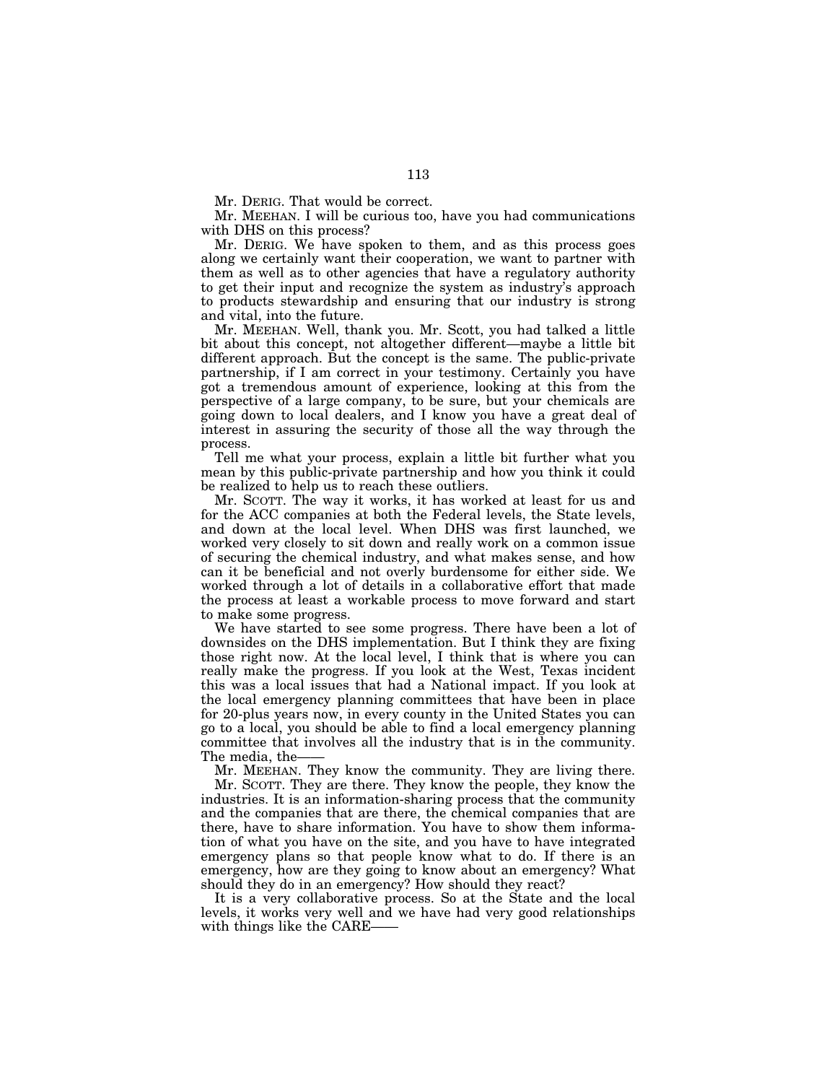Mr. DERIG. That would be correct.

Mr. MEEHAN. I will be curious too, have you had communications with DHS on this process?

Mr. DERIG. We have spoken to them, and as this process goes along we certainly want their cooperation, we want to partner with them as well as to other agencies that have a regulatory authority to get their input and recognize the system as industry's approach to products stewardship and ensuring that our industry is strong and vital, into the future.

Mr. MEEHAN. Well, thank you. Mr. Scott, you had talked a little bit about this concept, not altogether different—maybe a little bit different approach. But the concept is the same. The public-private partnership, if I am correct in your testimony. Certainly you have got a tremendous amount of experience, looking at this from the perspective of a large company, to be sure, but your chemicals are going down to local dealers, and I know you have a great deal of interest in assuring the security of those all the way through the process.

Tell me what your process, explain a little bit further what you mean by this public-private partnership and how you think it could be realized to help us to reach these outliers.

Mr. SCOTT. The way it works, it has worked at least for us and for the ACC companies at both the Federal levels, the State levels, and down at the local level. When DHS was first launched, we worked very closely to sit down and really work on a common issue of securing the chemical industry, and what makes sense, and how can it be beneficial and not overly burdensome for either side. We worked through a lot of details in a collaborative effort that made the process at least a workable process to move forward and start to make some progress.

We have started to see some progress. There have been a lot of downsides on the DHS implementation. But I think they are fixing those right now. At the local level, I think that is where you can really make the progress. If you look at the West, Texas incident this was a local issues that had a National impact. If you look at the local emergency planning committees that have been in place for 20-plus years now, in every county in the United States you can go to a local, you should be able to find a local emergency planning committee that involves all the industry that is in the community. The media, the-

Mr. MEEHAN. They know the community. They are living there.

Mr. SCOTT. They are there. They know the people, they know the industries. It is an information-sharing process that the community and the companies that are there, the chemical companies that are there, have to share information. You have to show them information of what you have on the site, and you have to have integrated emergency plans so that people know what to do. If there is an emergency, how are they going to know about an emergency? What should they do in an emergency? How should they react?

It is a very collaborative process. So at the State and the local levels, it works very well and we have had very good relationships with things like the CARE——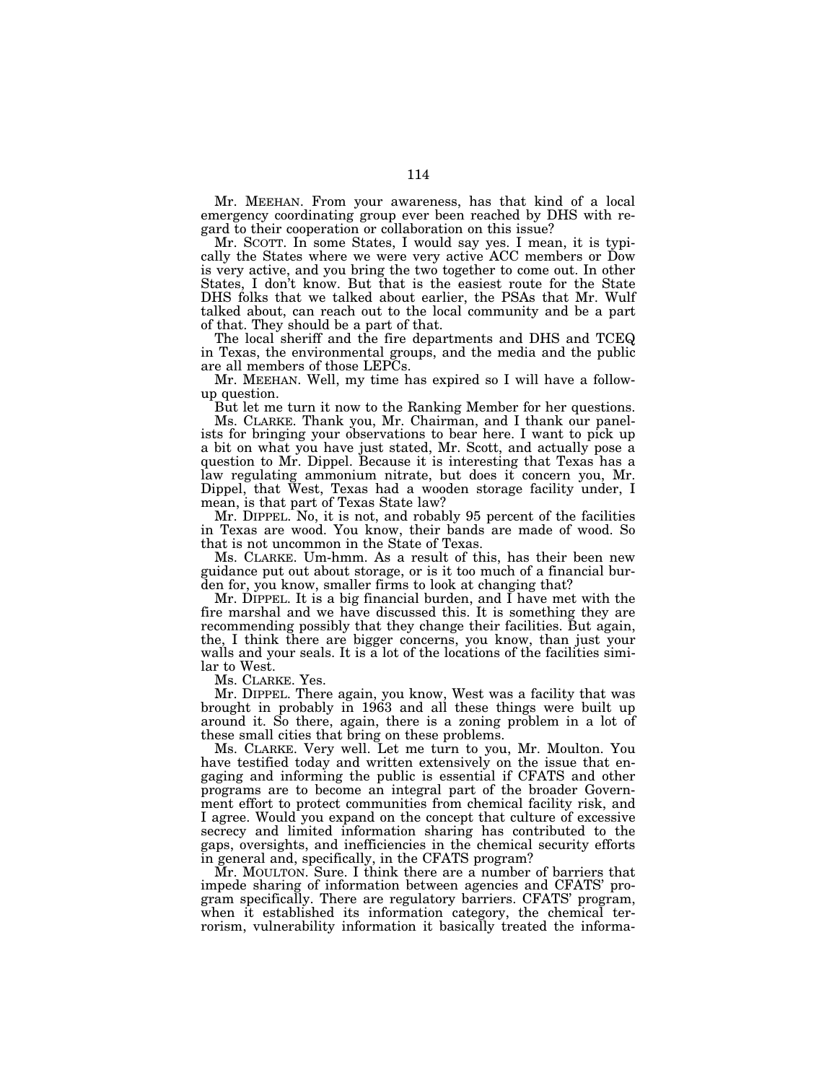Mr. MEEHAN. From your awareness, has that kind of a local emergency coordinating group ever been reached by DHS with regard to their cooperation or collaboration on this issue?

Mr. SCOTT. In some States, I would say yes. I mean, it is typically the States where we were very active ACC members or Dow is very active, and you bring the two together to come out. In other States, I don't know. But that is the easiest route for the State DHS folks that we talked about earlier, the PSAs that Mr. Wulf talked about, can reach out to the local community and be a part of that. They should be a part of that.

The local sheriff and the fire departments and DHS and TCEQ in Texas, the environmental groups, and the media and the public are all members of those LEPCs.

Mr. MEEHAN. Well, my time has expired so I will have a followup question.

But let me turn it now to the Ranking Member for her questions.

Ms. CLARKE. Thank you, Mr. Chairman, and I thank our panelists for bringing your observations to bear here. I want to pick up a bit on what you have just stated, Mr. Scott, and actually pose a question to Mr. Dippel. Because it is interesting that Texas has a law regulating ammonium nitrate, but does it concern you, Mr. Dippel, that West, Texas had a wooden storage facility under, I mean, is that part of Texas State law?

Mr. DIPPEL. No, it is not, and robably 95 percent of the facilities in Texas are wood. You know, their bands are made of wood. So that is not uncommon in the State of Texas.

Ms. CLARKE. Um-hmm. As a result of this, has their been new guidance put out about storage, or is it too much of a financial burden for, you know, smaller firms to look at changing that?

Mr. DIPPEL. It is a big financial burden, and I have met with the fire marshal and we have discussed this. It is something they are recommending possibly that they change their facilities. But again, the, I think there are bigger concerns, you know, than just your walls and your seals. It is a lot of the locations of the facilities similar to West.

Ms. CLARKE. Yes.

Mr. DIPPEL. There again, you know, West was a facility that was brought in probably in 1963 and all these things were built up around it. So there, again, there is a zoning problem in a lot of these small cities that bring on these problems.

Ms. CLARKE. Very well. Let me turn to you, Mr. Moulton. You have testified today and written extensively on the issue that engaging and informing the public is essential if CFATS and other programs are to become an integral part of the broader Government effort to protect communities from chemical facility risk, and I agree. Would you expand on the concept that culture of excessive secrecy and limited information sharing has contributed to the gaps, oversights, and inefficiencies in the chemical security efforts in general and, specifically, in the CFATS program?

Mr. MOULTON. Sure. I think there are a number of barriers that impede sharing of information between agencies and CFATS' program specifically. There are regulatory barriers. CFATS' program, when it established its information category, the chemical terrorism, vulnerability information it basically treated the informa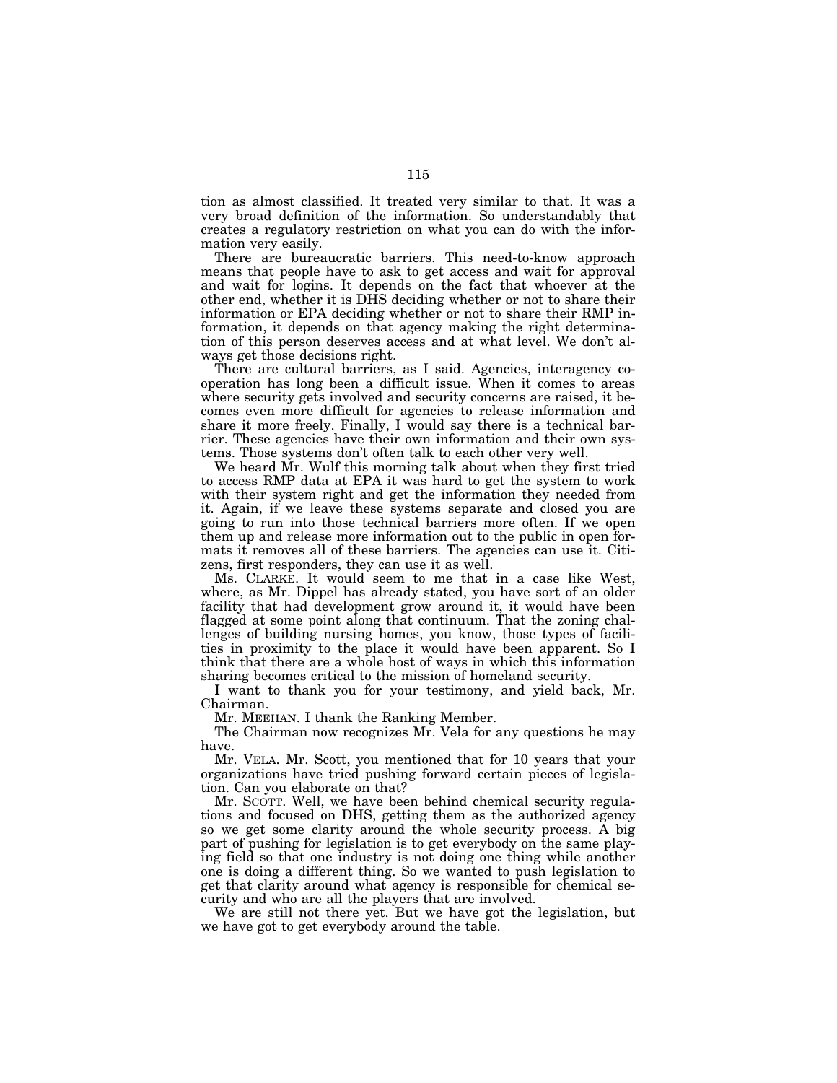tion as almost classified. It treated very similar to that. It was a very broad definition of the information. So understandably that creates a regulatory restriction on what you can do with the information very easily.

There are bureaucratic barriers. This need-to-know approach means that people have to ask to get access and wait for approval and wait for logins. It depends on the fact that whoever at the other end, whether it is DHS deciding whether or not to share their information or EPA deciding whether or not to share their RMP information, it depends on that agency making the right determination of this person deserves access and at what level. We don't always get those decisions right.

There are cultural barriers, as I said. Agencies, interagency cooperation has long been a difficult issue. When it comes to areas where security gets involved and security concerns are raised, it becomes even more difficult for agencies to release information and share it more freely. Finally, I would say there is a technical barrier. These agencies have their own information and their own systems. Those systems don't often talk to each other very well.

We heard Mr. Wulf this morning talk about when they first tried to access RMP data at EPA it was hard to get the system to work with their system right and get the information they needed from it. Again, if we leave these systems separate and closed you are going to run into those technical barriers more often. If we open them up and release more information out to the public in open formats it removes all of these barriers. The agencies can use it. Citizens, first responders, they can use it as well.

Ms. CLARKE. It would seem to me that in a case like West, where, as Mr. Dippel has already stated, you have sort of an older facility that had development grow around it, it would have been flagged at some point along that continuum. That the zoning challenges of building nursing homes, you know, those types of facilities in proximity to the place it would have been apparent. So I think that there are a whole host of ways in which this information sharing becomes critical to the mission of homeland security.

I want to thank you for your testimony, and yield back, Mr. Chairman.

Mr. MEEHAN. I thank the Ranking Member.

The Chairman now recognizes Mr. Vela for any questions he may have.

Mr. VELA. Mr. Scott, you mentioned that for 10 years that your organizations have tried pushing forward certain pieces of legislation. Can you elaborate on that?

Mr. SCOTT. Well, we have been behind chemical security regulations and focused on DHS, getting them as the authorized agency so we get some clarity around the whole security process. A big part of pushing for legislation is to get everybody on the same playing field so that one industry is not doing one thing while another one is doing a different thing. So we wanted to push legislation to get that clarity around what agency is responsible for chemical security and who are all the players that are involved.

We are still not there yet. But we have got the legislation, but we have got to get everybody around the table.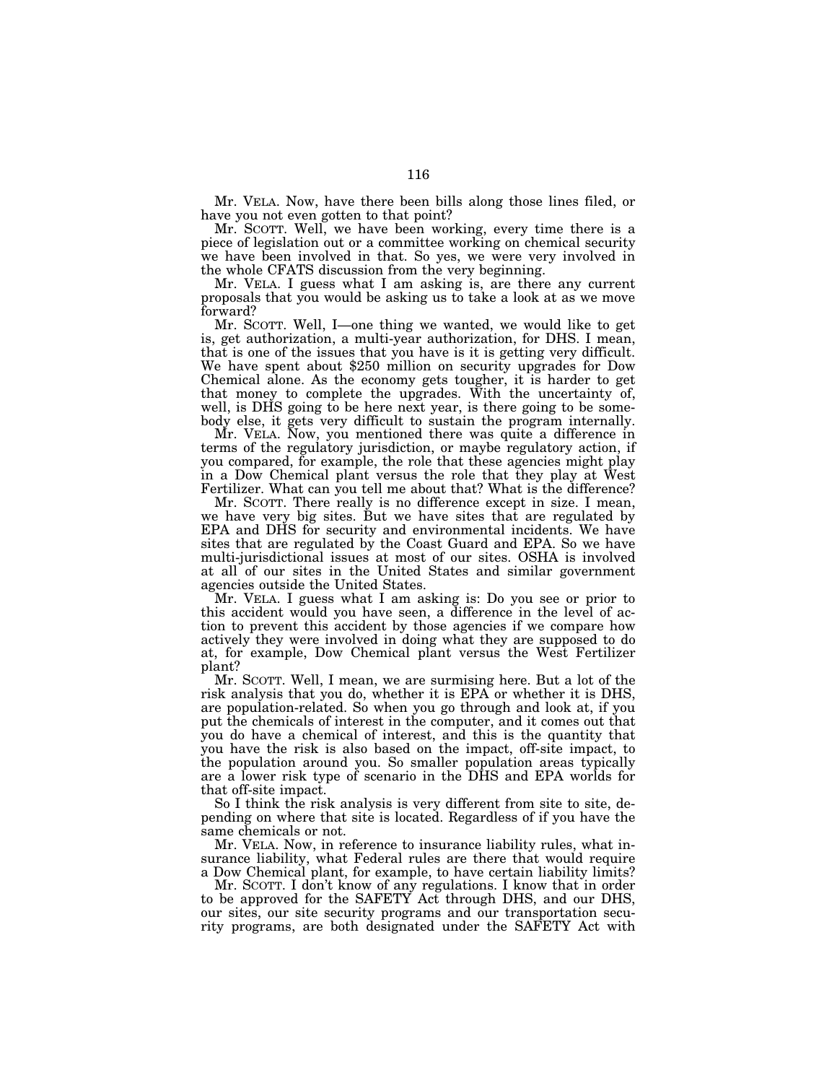Mr. VELA. Now, have there been bills along those lines filed, or have you not even gotten to that point?

Mr. SCOTT. Well, we have been working, every time there is a piece of legislation out or a committee working on chemical security we have been involved in that. So yes, we were very involved in the whole CFATS discussion from the very beginning.

Mr. VELA. I guess what I am asking is, are there any current proposals that you would be asking us to take a look at as we move forward?

Mr. SCOTT. Well, I—one thing we wanted, we would like to get is, get authorization, a multi-year authorization, for DHS. I mean, that is one of the issues that you have is it is getting very difficult. We have spent about \$250 million on security upgrades for Dow Chemical alone. As the economy gets tougher, it is harder to get that money to complete the upgrades. With the uncertainty of, well, is DHS going to be here next year, is there going to be somebody else, it gets very difficult to sustain the program internally.

Mr. VELA. Now, you mentioned there was quite a difference in terms of the regulatory jurisdiction, or maybe regulatory action, if you compared, for example, the role that these agencies might play in a Dow Chemical plant versus the role that they play at West Fertilizer. What can you tell me about that? What is the difference?

Mr. SCOTT. There really is no difference except in size. I mean, we have very big sites. But we have sites that are regulated by EPA and DHS for security and environmental incidents. We have sites that are regulated by the Coast Guard and EPA. So we have multi-jurisdictional issues at most of our sites. OSHA is involved at all of our sites in the United States and similar government agencies outside the United States.

Mr. VELA. I guess what I am asking is: Do you see or prior to this accident would you have seen, a difference in the level of action to prevent this accident by those agencies if we compare how actively they were involved in doing what they are supposed to do at, for example, Dow Chemical plant versus the West Fertilizer plant?

Mr. SCOTT. Well, I mean, we are surmising here. But a lot of the risk analysis that you do, whether it is EPA or whether it is DHS, are population-related. So when you go through and look at, if you put the chemicals of interest in the computer, and it comes out that you do have a chemical of interest, and this is the quantity that you have the risk is also based on the impact, off-site impact, to the population around you. So smaller population areas typically are a lower risk type of scenario in the DHS and EPA worlds for that off-site impact.

So I think the risk analysis is very different from site to site, depending on where that site is located. Regardless of if you have the same chemicals or not.

Mr. VELA. Now, in reference to insurance liability rules, what insurance liability, what Federal rules are there that would require a Dow Chemical plant, for example, to have certain liability limits?

Mr. SCOTT. I don't know of any regulations. I know that in order to be approved for the SAFETY Act through DHS, and our DHS, our sites, our site security programs and our transportation security programs, are both designated under the SAFETY Act with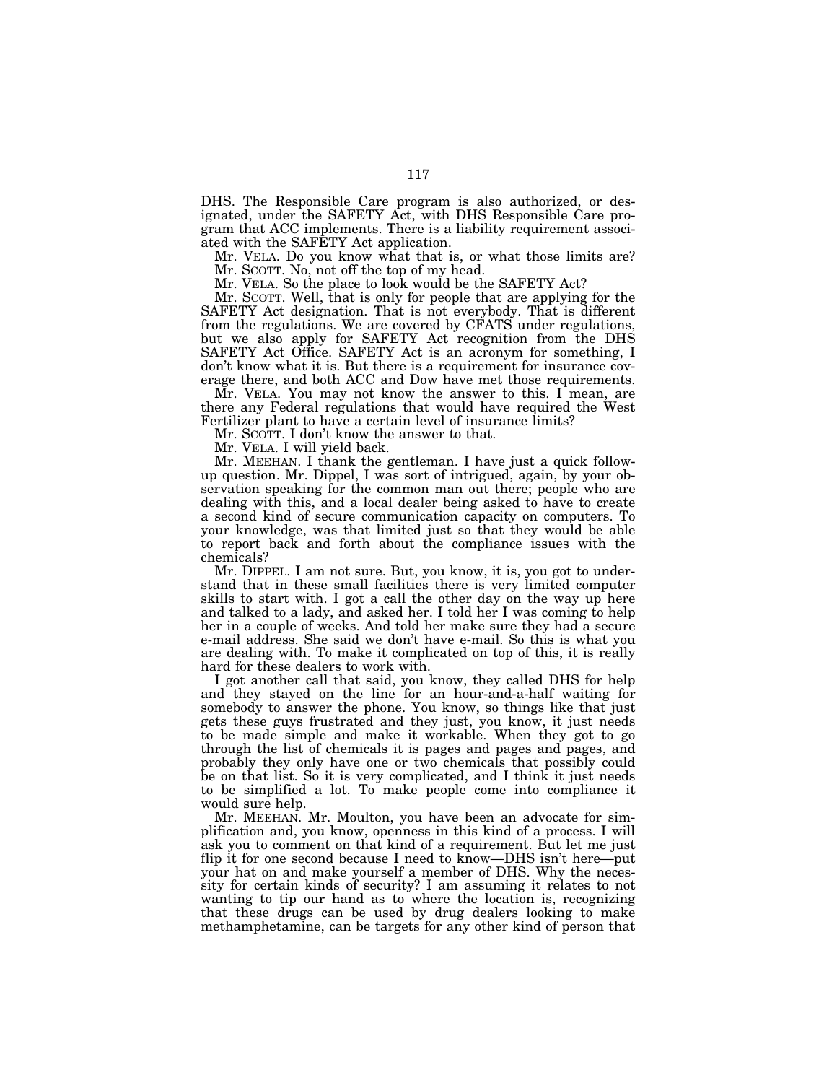DHS. The Responsible Care program is also authorized, or designated, under the SAFETY Act, with DHS Responsible Care program that ACC implements. There is a liability requirement associated with the SAFETY Act application.

Mr. VELA. Do you know what that is, or what those limits are? Mr. SCOTT. No, not off the top of my head.

Mr. VELA. So the place to look would be the SAFETY Act?

Mr. SCOTT. Well, that is only for people that are applying for the SAFETY Act designation. That is not everybody. That is different from the regulations. We are covered by CFATS under regulations, but we also apply for SAFETY Act recognition from the DHS SAFETY Act Office. SAFETY Act is an acronym for something, I don't know what it is. But there is a requirement for insurance coverage there, and both ACC and Dow have met those requirements.

Mr. VELA. You may not know the answer to this. I mean, are there any Federal regulations that would have required the West Fertilizer plant to have a certain level of insurance limits?

Mr. SCOTT. I don't know the answer to that.

Mr. VELA. I will yield back.

Mr. MEEHAN. I thank the gentleman. I have just a quick followup question. Mr. Dippel, I was sort of intrigued, again, by your observation speaking for the common man out there; people who are dealing with this, and a local dealer being asked to have to create a second kind of secure communication capacity on computers. To your knowledge, was that limited just so that they would be able to report back and forth about the compliance issues with the chemicals?

Mr. DIPPEL. I am not sure. But, you know, it is, you got to understand that in these small facilities there is very limited computer skills to start with. I got a call the other day on the way up here and talked to a lady, and asked her. I told her I was coming to help her in a couple of weeks. And told her make sure they had a secure e-mail address. She said we don't have e-mail. So this is what you are dealing with. To make it complicated on top of this, it is really hard for these dealers to work with.

I got another call that said, you know, they called DHS for help and they stayed on the line for an hour-and-a-half waiting for somebody to answer the phone. You know, so things like that just gets these guys frustrated and they just, you know, it just needs to be made simple and make it workable. When they got to go through the list of chemicals it is pages and pages and pages, and probably they only have one or two chemicals that possibly could be on that list. So it is very complicated, and I think it just needs to be simplified a lot. To make people come into compliance it would sure help.

Mr. MEEHAN. Mr. Moulton, you have been an advocate for simplification and, you know, openness in this kind of a process. I will ask you to comment on that kind of a requirement. But let me just flip it for one second because I need to know—DHS isn't here—put your hat on and make yourself a member of DHS. Why the necessity for certain kinds of security? I am assuming it relates to not wanting to tip our hand as to where the location is, recognizing that these drugs can be used by drug dealers looking to make methamphetamine, can be targets for any other kind of person that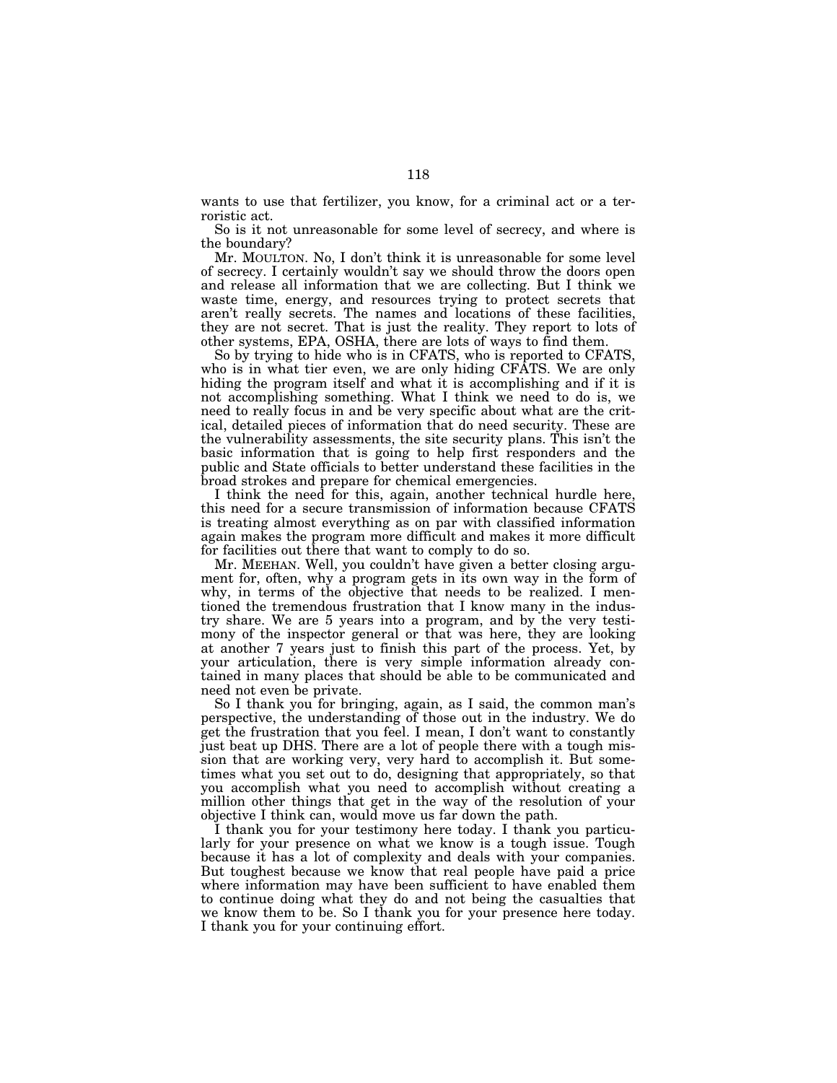wants to use that fertilizer, you know, for a criminal act or a terroristic act.

So is it not unreasonable for some level of secrecy, and where is the boundary?

Mr. MOULTON. No, I don't think it is unreasonable for some level of secrecy. I certainly wouldn't say we should throw the doors open and release all information that we are collecting. But I think we waste time, energy, and resources trying to protect secrets that aren't really secrets. The names and locations of these facilities, they are not secret. That is just the reality. They report to lots of other systems, EPA, OSHA, there are lots of ways to find them.

So by trying to hide who is in CFATS, who is reported to CFATS, who is in what tier even, we are only hiding CFATS. We are only hiding the program itself and what it is accomplishing and if it is not accomplishing something. What I think we need to do is, we need to really focus in and be very specific about what are the critical, detailed pieces of information that do need security. These are the vulnerability assessments, the site security plans. This isn't the basic information that is going to help first responders and the public and State officials to better understand these facilities in the broad strokes and prepare for chemical emergencies.

I think the need for this, again, another technical hurdle here, this need for a secure transmission of information because CFATS is treating almost everything as on par with classified information again makes the program more difficult and makes it more difficult for facilities out there that want to comply to do so.

Mr. MEEHAN. Well, you couldn't have given a better closing argument for, often, why a program gets in its own way in the form of why, in terms of the objective that needs to be realized. I mentioned the tremendous frustration that I know many in the industry share. We are 5 years into a program, and by the very testimony of the inspector general or that was here, they are looking at another 7 years just to finish this part of the process. Yet, by your articulation, there is very simple information already contained in many places that should be able to be communicated and need not even be private.

So I thank you for bringing, again, as I said, the common man's perspective, the understanding of those out in the industry. We do get the frustration that you feel. I mean, I don't want to constantly just beat up DHS. There are a lot of people there with a tough mission that are working very, very hard to accomplish it. But sometimes what you set out to do, designing that appropriately, so that you accomplish what you need to accomplish without creating a million other things that get in the way of the resolution of your objective I think can, would move us far down the path.

I thank you for your testimony here today. I thank you particularly for your presence on what we know is a tough issue. Tough because it has a lot of complexity and deals with your companies. But toughest because we know that real people have paid a price where information may have been sufficient to have enabled them to continue doing what they do and not being the casualties that we know them to be. So I thank you for your presence here today. I thank you for your continuing effort.